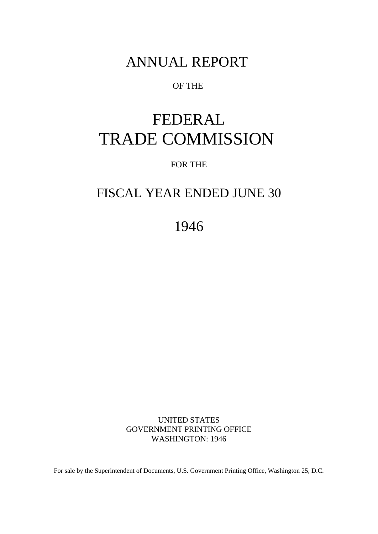# ANNUAL REPORT

# OF THE

# FEDERAL TRADE COMMISSION

FOR THE

# FISCAL YEAR ENDED JUNE 30

1946

UNITED STATES GOVERNMENT PRINTING OFFICE WASHINGTON: 1946

For sale by the Superintendent of Documents, U.S. Government Printing Office, Washington 25, D.C.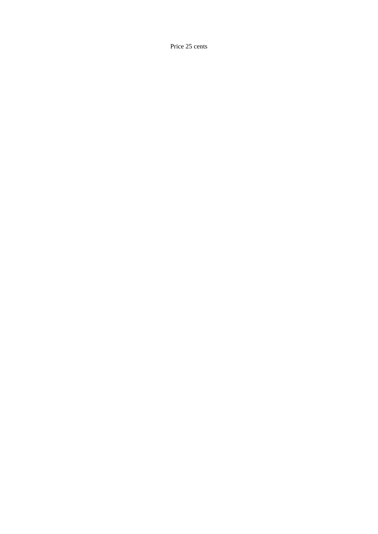Price 25 cents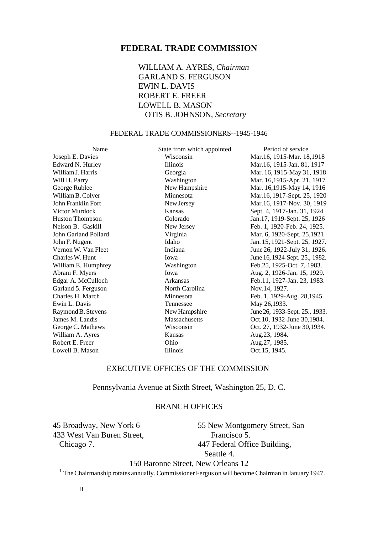#### **FEDERAL TRADE COMMISSION**

WILLIAM A. AYRES, *Chairman* GARLAND S. FERGUSON EWIN L. DAVIS ROBERT E. FREER LOWELL B. MASON OTIS B. JOHNSON, *Secretary*

#### FEDERAL TRADE COMMISSIONERS--1945-1946

Joseph E. Davies Wisconsin Mar.16, 1915-Mar. 18,1918 Edward N. Hurley Illinois Mar.16, 1915-Jan. 81, 1917 William J. Harris Georgia Georgia Mar. 16, 1915-May 31, 1918 Will H. Parry **Washington** Mar. 16,1915-Apr. 21, 1917 George Rublee New Hampshire Mar. 16,1915-May 14, 1916 William B. Colver Minnesota Mar.16, 1917-Sept. 25, 1920 John Franklin Fort New Jersey Mar.16, 1917-Nov. 30, 1919 Victor Murdock Kansas Sept. 4, 1917-Jan. 31, 1924 Huston Thompson Colorado Jan.17, 1919-Sept. 25, 1926 Nelson B. Gaskill New Jersey Feb. 1, 1920-Feb. 24, 1925. John Garland Pollard Virginia Mar. 6, 1920-Sept. 25,1921 John F. Nugent Idaho Jan. 15, 1921-Sept. 25, 1927. Vernon W. Van Fleet Indiana June 26, 1922-July 31, 1926. Charles W. Hunt Iowa Iowa June 16, 1924-Sept. 25., 1982. William E. Humphrey Washington Feb.25, 1925-Oct. 7, 1983. Abram F. Myers **Iowa** Iowa **Aug. 2, 1926-Jan. 15, 1929.** Edgar A. McCulloch **Arkansas** Feb.11, 1927-Jan. 23, 1983. Garland 5. Ferguson North Carolina Nov. 14, 1927. Charles H. March Minnesota Feb. 1, 1929-Aug. 28,1945. Ewin L. Davis **Example 26, 1933**. Tennessee May 26, 1933. Raymond B. Stevens New Hampshire June 26, 1933-Sept. 25., 1933. James M. Landis Massachusetts Oct.10, 1932-June 30,1984. George C. Mathews Wisconsin Det. 27, 1932-June 30, 1934. William A. Ayres **Kansas** Kansas Aug. 23, 1984. Robert E. Freer Ohio Aug.27, 1985. Lowell B. Mason Illinois Oct.15, 1945.

Name State from which appointed Period of service

#### EXECUTIVE OFFICES OF THE COMMISSION

Pennsylvania Avenue at Sixth Street, Washington 25, D. C.

#### BRANCH OFFICES

433 West Van Buren Street, Francisco 5.

45 Broadway, New York 6 55 New Montgomery Street, San Chicago 7. 447 Federal Office Building, Seattle 4.

#### 150 Baronne Street, New Orleans 12

 $1$  The Chairmanship rotates annually. Commissioner Fergus on will become Chairman in January 1947.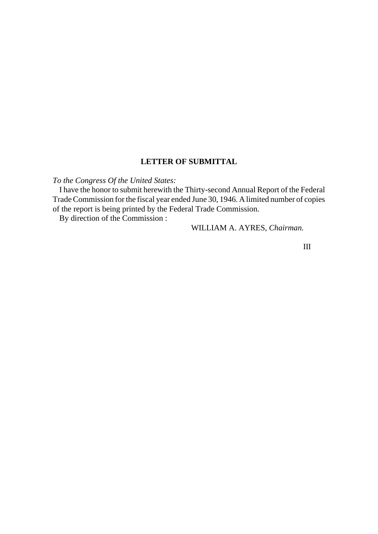# **LETTER OF SUBMITTAL**

*To the Congress Of the United States:*

I have the honor to submit herewith the Thirty-second Annual Report of the Federal Trade Commission for the fiscal year ended June 30, 1946. A limited number of copies of the report is being printed by the Federal Trade Commission.

By direction of the Commission :

WILLIAM A. AYRES, *Chairman.*

III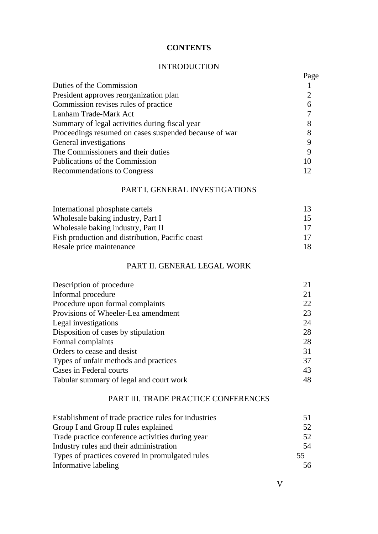# **CONTENTS**

## **INTRODUCTION**

|                                                       | Page |
|-------------------------------------------------------|------|
| Duties of the Commission                              |      |
| President approves reorganization plan                | 2    |
| Commission revises rules of practice                  | 6    |
| Lanham Trade-Mark Act                                 | 7    |
| Summary of legal activities during fiscal year        | 8    |
| Proceedings resumed on cases suspended because of war |      |
| General investigations                                | 9    |
| The Commissioners and their duties                    | 9    |
| Publications of the Commission                        | 10   |
| Recommendations to Congress                           |      |

# PART I. GENERAL INVESTIGATIONS

| International phosphate cartels                 | 13 |
|-------------------------------------------------|----|
| Wholesale baking industry, Part I               | 15 |
| Wholesale baking industry, Part II              | 17 |
| Fish production and distribution, Pacific coast | 17 |
| Resale price maintenance                        | 18 |

# PART II. GENERAL LEGAL WORK

| Description of procedure                | 21 |
|-----------------------------------------|----|
| Informal procedure                      | 21 |
| Procedure upon formal complaints        | 22 |
| Provisions of Wheeler-Lea amendment     | 23 |
| Legal investigations                    | 24 |
| Disposition of cases by stipulation     | 28 |
| Formal complaints                       | 28 |
| Orders to cease and desist              | 31 |
| Types of unfair methods and practices   | 37 |
| Cases in Federal courts                 | 43 |
| Tabular summary of legal and court work | 48 |

# PART III. TRADE PRACTICE CONFERENCES

| Establishment of trade practice rules for industries | 51 |
|------------------------------------------------------|----|
| Group I and Group II rules explained                 | 52 |
| Trade practice conference activities during year     | 52 |
| Industry rules and their administration              | 54 |
| Types of practices covered in promulgated rules      | 55 |
| Informative labeling                                 | 56 |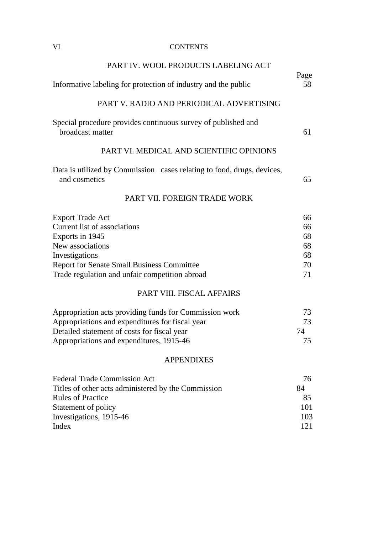# VI CONTENTS

| PART IV. WOOL PRODUCTS LABELING ACT                                                                                                                                                                                     |                                        |
|-------------------------------------------------------------------------------------------------------------------------------------------------------------------------------------------------------------------------|----------------------------------------|
| Informative labeling for protection of industry and the public                                                                                                                                                          | Page<br>58                             |
| PART V. RADIO AND PERIODICAL ADVERTISING                                                                                                                                                                                |                                        |
| Special procedure provides continuous survey of published and<br>broadcast matter                                                                                                                                       | 61                                     |
| PART VI. MEDICAL AND SCIENTIFIC OPINIONS                                                                                                                                                                                |                                        |
| Data is utilized by Commission cases relating to food, drugs, devices,<br>and cosmetics                                                                                                                                 | 65                                     |
| PART VII. FOREIGN TRADE WORK                                                                                                                                                                                            |                                        |
| <b>Export Trade Act</b><br>Current list of associations<br>Exports in 1945<br>New associations<br>Investigations<br><b>Report for Senate Small Business Committee</b><br>Trade regulation and unfair competition abroad | 66<br>66<br>68<br>68<br>68<br>70<br>71 |
| PART VIII. FISCAL AFFAIRS                                                                                                                                                                                               |                                        |
| Appropriation acts providing funds for Commission work<br>Appropriations and expenditures for fiscal year<br>Detailed statement of costs for fiscal year<br>Appropriations and expenditures, 1915-46                    | 73<br>73<br>74<br>75                   |
| <b>APPENDIXES</b>                                                                                                                                                                                                       |                                        |
| <b>Federal Trade Commission Act</b><br>Titles of other acts administered by the Commission<br><b>Rules of Practice</b><br>Statement of policy<br>Investigations, 1915-46<br>Index                                       | 76<br>84<br>85<br>101<br>103<br>121    |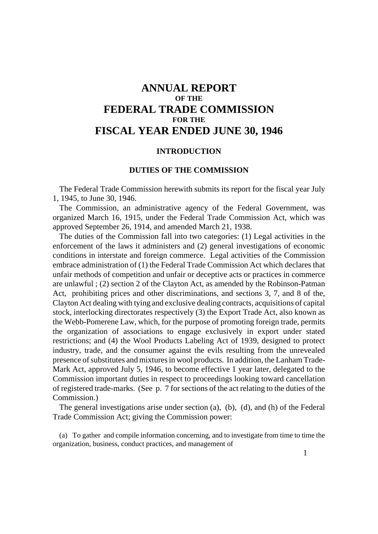# **ANNUAL REPORT OF THE FEDERAL TRADE COMMISSION FOR THE FISCAL YEAR ENDED JUNE 30, 1946**

## **INTRODUCTION**

#### **DUTIES OF THE COMMISSION**

The Federal Trade Commission herewith submits its report for the fiscal year July 1, 1945, to June 30, 1946.

The Commission, an administrative agency of the Federal Government, was organized March 16, 1915, under the Federal Trade Commission Act, which was approved September 26, 1914, and amended March 21, 1938.

The duties of the Commission fall into two categories: (1) Legal activities in the enforcement of the laws it administers and (2) general investigations of economic conditions in interstate and foreign commerce. Legal activities of the Commission embrace administration of (1) the Federal Trade Commission Act which declares that unfair methods of competition and unfair or deceptive acts or practices in commerce are unlawful ; (2) section 2 of the Clayton Act, as amended by the Robinson-Patman Act, prohibiting prices and other discriminations, and sections 3, 7, and 8 of the, Clayton Act dealing with tying and exclusive dealing contracts, acquisitions of capital stock, interlocking directorates respectively (3) the Export Trade Act, also known as the Webb-Pomerene Law, which, for the purpose of promoting foreign trade, permits the organization of associations to engage exclusively in export under stated restrictions; and (4) the Wool Products Labeling Act of 1939, designed to protect industry, trade, and the consumer against the evils resulting from the unrevealed presence of substitutes and mixtures in wool products. In addition, the Lanham Trade-Mark Act, approved July 5, 1946, to become effective 1 year later, delegated to the Commission important duties in respect to proceedings looking toward cancellation of registered trade-marks. (See p. 7 for sections of the act relating to the duties of the Commission.)

The general investigations arise under section (a), (b), (d), and (h) of the Federal Trade Commission Act; giving the Commission power:

(a) To gather and compile information concerning, and to investigate from time to time the organization, business, conduct practices, and management of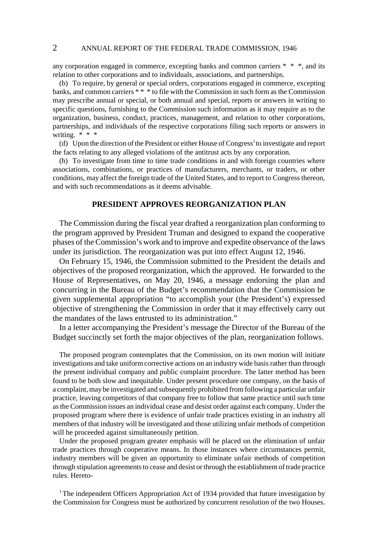any corporation engaged in commerce, excepting banks and common carriers \* \* \*, and its relation to other corporations and to individuals, associations, and partnerships.

(b) To require, by general or special orders, corporations engaged in commerce, excepting banks, and common carriers \* \* \* to file with the Commission in such form as the Commission may prescribe annual or special, or both annual and special, reports or answers in writing to specific questions, furnishing to the Commission such information as it may require as to the organization, business, conduct, practices, management, and relation to other corporations, partnerships, and individuals of the respective corporations filing such reports or answers in writing. \* \* \*

(d) Upon the direction of the President or either House of Congress<sup>1</sup> to investigate and report the facts relating to any alleged violations of the antitrust acts by any corporation.

(h) To investigate from time to time trade conditions in and with foreign countries where associations, combinations, or practices of manufacturers, merchants, or traders, or other conditions, may affect the foreign trade of the United States, and to report to Congress thereon, and with such recommendations as it deems advisable.

#### **PRESIDENT APPROVES REORGANIZATION PLAN**

The Commission during the fiscal year drafted a reorganization plan conforming to the program approved by President Truman and designed to expand the cooperative phases of the Commission's work and to improve and expedite observance of the laws under its jurisdiction. The reorganization was put into effect August 12, 1946.

On February 15, 1946, the Commission submitted to the President the details and objectives of the proposed reorganization, which the approved. He forwarded to the House of Representatives, on May 20, 1946, a message endorsing the plan and concurring in the Bureau of the Budget's recommendation that the Commission be given supplemental appropriation "to accomplish your (the President's) expressed objective of strengthening the Commission in order that it may effectively carry out the mandates of the laws entrusted to its administration."

In a letter accompanying the President's message the Director of the Bureau of the Budget succinctly set forth the major objectives of the plan, reorganization follows.

The proposed program contemplates that the Commission, on its own motion will initiate investigations and take uniform corrective actions on an industry wide basisrather than through the present individual company and public complaint procedure. The latter method has been found to be both slow and inequitable. Under present procedure one company, on the basis of a complaint, may be investigated and subsequently prohibited fromfollowing a particular unfair practice, leaving competitors of that company free to follow that same practice until such time asthe Commission issues an individual cease and desist order against each company. Under the proposed program where there is evidence of unfair trade practices existing in an industry all members of that industry will be investigated and those utilizing unfair methods of competition will be proceeded against simultaneously petition.

Under the proposed program greater emphasis will be placed on the elimination of unfair trade practices through cooperative means. In those instances where circumstances permit, industry members will be given an opportunity to eliminate unfair methods of competition through stipulation agreements to cease and desist or through the establishment of trade practice rules. Hereto-

<sup>1</sup>The independent Officers Appropriation Act of 1934 provided that future investigation by the Commission for Congress must be authorized by concurrent resolution of the two Houses.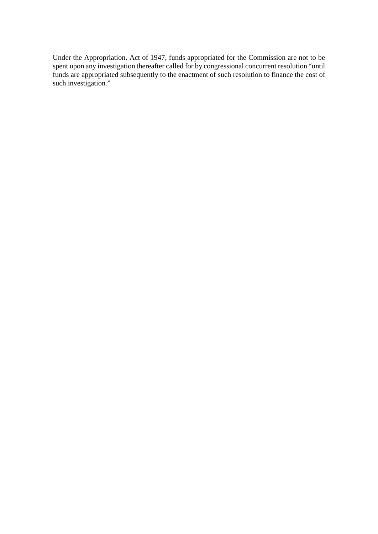Under the Appropriation. Act of 1947, funds appropriated for the Commission are not to be spent upon any investigation thereafter called for by congressional concurrent resolution "until funds are appropriated subsequently to the enactment of such resolution to finance the cost of such investigation."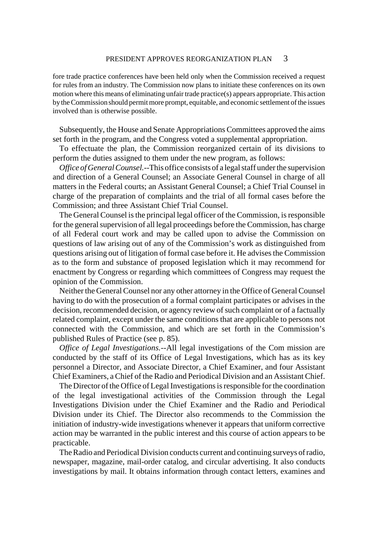fore trade practice conferences have been held only when the Commission received a request for rules from an industry. The Commission now plans to initiate these conferences on its own motion where this means of eliminating unfair trade practice(s) appears appropriate. This action by the Commission should permit more prompt, equitable, and economic settlement of the issues involved than is otherwise possible.

Subsequently, the House and Senate Appropriations Committees approved the aims set forth in the program, and the Congress voted a supplemental appropriation.

To effectuate the plan, the Commission reorganized certain of its divisions to perform the duties assigned to them under the new program, as follows:

*Office of General Counsel.* --This office consists of a legal staff under the supervision and direction of a General Counsel; an Associate General Counsel in charge of all matters in the Federal courts; an Assistant General Counsel; a Chief Trial Counsel in charge of the preparation of complaints and the trial of all formal cases before the Commission; and three Assistant Chief Trial Counsel.

The General Counsel is the principal legal officer of the Commission, is responsible for the general supervision of all legal proceedings before the Commission, has charge of all Federal court work and may be called upon to advise the Commission on questions of law arising out of any of the Commission's work as distinguished from questions arising out of litigation of formal case before it. He advisesthe Commission as to the form and substance of proposed legislation which it may recommend for enactment by Congress or regarding which committees of Congress may request the opinion of the Commission.

Neither the General Counsel nor any other attorney in the Office of General Counsel having to do with the prosecution of a formal complaint participates or advises in the decision, recommended decision, or agency review of such complaint or of a factually related complaint, except under the same conditions that are applicable to persons not connected with the Commission, and which are set forth in the Commission's published Rules of Practice (see p. 85).

*Office of Legal Investigations.--*All legal investigations of the Com mission are conducted by the staff of its Office of Legal Investigations, which has as its key personnel a Director, and Associate Director, a Chief Examiner, and four Assistant Chief Examiners, a Chief of the Radio and Periodical Division and an Assistant Chief.

The Director of the Office of Legal Investigations is responsible for the coordination of the legal investigational activities of the Commission through the Legal Investigations Division under the Chief Examiner and the Radio and Periodical Division under its Chief. The Director also recommends to the Commission the initiation of industry-wide investigations whenever it appears that uniform corrective action may be warranted in the public interest and this course of action appears to be practicable.

TheRadio and Periodical Division conducts current and continuing surveys ofradio, newspaper, magazine, mail-order catalog, and circular advertising. It also conducts investigations by mail. It obtains information through contact letters, examines and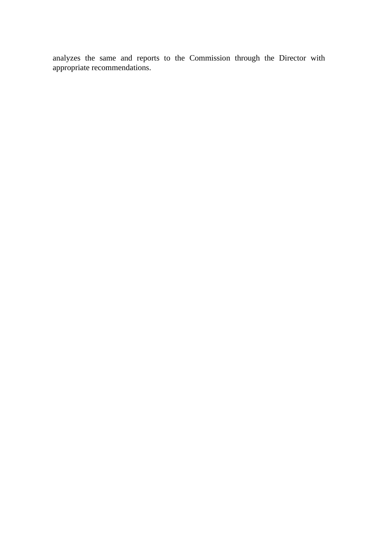analyzes the same and reports to the Commission through the Director with appropriate recommendations.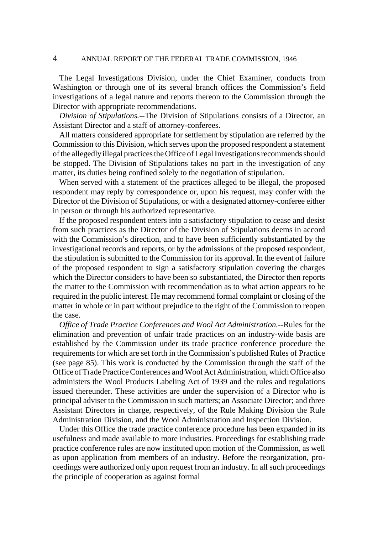The Legal Investigations Division, under the Chief Examiner, conducts from Washington or through one of its several branch offices the Commission's field investigations of a legal nature and reports thereon to the Commission through the Director with appropriate recommendations.

*Division of Stipulations.--*The Division of Stipulations consists of a Director, an Assistant Director and a staff of attorney-conferees.

All matters considered appropriate for settlement by stipulation are referred by the Commission to this Division, which serves upon the proposed respondent a statement of the allegedly illegal practices the Office of Legal Investigations recommends should be stopped. The Division of Stipulations takes no part in the investigation of any matter, its duties being confined solely to the negotiation of stipulation.

When served with a statement of the practices alleged to be illegal, the proposed respondent may reply by correspondence or, upon his request, may confer with the Director of the Division of Stipulations, or with a designated attorney-conferee either in person or through his authorized representative.

If the proposed respondent enters into a satisfactory stipulation to cease and desist from such practices as the Director of the Division of Stipulations deems in accord with the Commission's direction, and to have been sufficiently substantiated by the investigational records and reports, or by the admissions of the proposed respondent, the stipulation is submitted to the Commission for its approval. In the event of failure of the proposed respondent to sign a satisfactory stipulation covering the charges which the Director considers to have been so substantiated, the Director then reports the matter to the Commission with recommendation as to what action appears to be required in the public interest. He may recommend formal complaint or closing of the matter in whole or in part without prejudice to the right of the Commission to reopen the case.

*Office of Trade Practice Conferences and Wool Act Administration.--*Rules for the elimination and prevention of unfair trade practices on an industry-wide basis are established by the Commission under its trade practice conference procedure the requirements for which are set forth in the Commission's published Rules of Practice (see page 85). This work is conducted by the Commission through the staff of the Office ofTrade PracticeConferences andWool Act Administration, whichOffice also administers the Wool Products Labeling Act of 1939 and the rules and regulations issued thereunder. These activities are under the supervision of a Director who is principal adviser to the Commission in such matters; an Associate Director; and three Assistant Directors in charge, respectively, of the Rule Making Division the Rule Administration Division, and the Wool Administration and Inspection Division.

Under this Office the trade practice conference procedure has been expanded in its usefulness and made available to more industries. Proceedings for establishing trade practice conference rules are now instituted upon motion of the Commission, as well as upon application from members of an industry. Before the reorganization, proceedings were authorized only upon request from an industry. In all such proceedings the principle of cooperation as against formal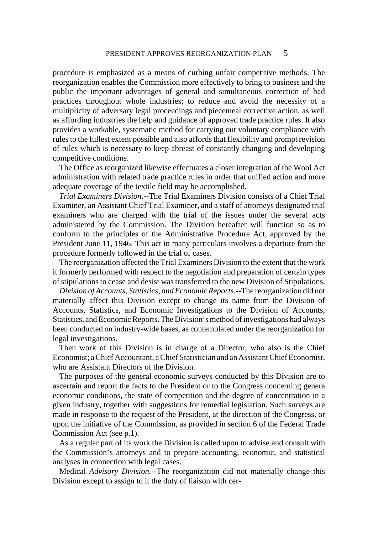procedure is emphasized as a means of curbing unfair competitive methods. The reorganization enables the Commission more effectively to bring to business and the public the important advantages of general and simultaneous correction of bad practices throughout whole industries; to reduce and avoid the necessity of a multiplicity of adversary legal proceedings and piecemeal corrective action, as well as affording industries the help and guidance of approved trade practice rules. It also provides a workable, systematic method for carrying out voluntary compliance with rules to the fullest extent possible and also affords that flexibility and prompt revision of rules which is necessary to keep abreast of constantly changing and developing competitive conditions.

The Office as reorganized likewise effectuates a closer integration of the Wool Act administration with related trade practice rules in order that unified action and more adequate coverage of the textile field may be accomplished.

*Trial Examiners Division.--*The Trial Examiners Division consists of a Chief Trial Examiner, an Assistant Chief Trial Examiner, and a staff of attorneys designated trial examiners who are charged with the trial of the issues under the several acts administered by the Commission. The Division hereafter will function so as to conform to the principles of the Administrative Procedure Act, approved by the President June 11, 1946. This act in many particulars involves a departure from the procedure formerly followed in the trial of cases.

The reorganization affected the Trial Examiners Division to the extent that the work it formerly performed with respect to the negotiation and preparation of certain types of stipulations to cease and desist was transferred to the new Division of Stipulations.

*Division of Accounts, Statistics, andEconomicReports.-*-The reorganization did not materially affect this Division except to change its name from the Division of Accounts, Statistics, and Economic Investigations to the Division of Accounts, Statistics, and Economic Reports. The Division's method of investigations had always been conducted on industry-wide bases, as contemplated under the reorganization for legal investigations.

Then work of this Division is in charge of a Director, who also is the Chief Economist; a Chief Accountant, a Chief Statistician and an Assistant Chief Economist, who are Assistant Directors of the Division.

The purposes of the general economic surveys conducted by this Division are to ascertain and report the facts to the President or to the Congress concerning genera economic conditions, the state of competition and the degree of concentration in a given industry, together with suggestions for remedial legislation. Such surveys are made in response to the request of the President, at the direction of the Congress, or upon the initiative of the Commission, as provided in section 6 of the Federal Trade Commission Act (see p.1).

As a regular part of its work the Division is called upon to advise and consult with the Commission's attorneys and to prepare accounting, economic, and statistical analyses in connection with legal cases.

Medical *Advisory Division.--*The reorganization did not materially change this Division except to assign to it the duty of liaison with cer-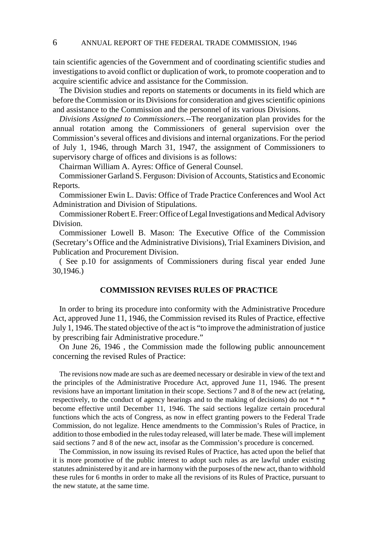tain scientific agencies of the Government and of coordinating scientific studies and investigations to avoid conflict or duplication of work, to promote cooperation and to acquire scientific advice and assistance for the Commission.

The Division studies and reports on statements or documents in its field which are before the Commission or its Divisions for consideration and gives scientific opinions and assistance to the Commission and the personnel of its various Divisions.

*Divisions Assigned to Commissioners.-*-The reorganization plan provides for the annual rotation among the Commissioners of general supervision over the Commission'sseveral offices and divisions and internal organizations. For the period of July 1, 1946, through March 31, 1947, the assignment of Commissioners to supervisory charge of offices and divisions is as follows:

Chairman William A. Ayres: Office of General Counsel.

Commissioner Garland S. Ferguson: Division of Accounts, Statistics and Economic Reports.

Commissioner Ewin L. Davis: Office of Trade Practice Conferences and Wool Act Administration and Division of Stipulations.

Commissioner Robert E. Freer: Office of Legal Investigations and Medical Advisory Division.

Commissioner Lowell B. Mason: The Executive Office of the Commission (Secretary's Office and the Administrative Divisions), Trial Examiners Division, and Publication and Procurement Division.

( See p.10 for assignments of Commissioners during fiscal year ended June 30,1946.)

#### **COMMISSION REVISES RULES OF PRACTICE**

In order to bring its procedure into conformity with the Administrative Procedure Act, approved June 11, 1946, the Commission revised its Rules of Practice, effective July 1, 1946. The stated objective of the act is "to improve the administration of justice by prescribing fair Administrative procedure."

On June 26, 1946 , the Commission made the following public announcement concerning the revised Rules of Practice:

The revisions now made are such as are deemed necessary or desirable in view of the text and the principles of the Administrative Procedure Act, approved June 11, 1946. The present revisions have an important limitation in their scope. Sections 7 and 8 of the new act (relating, respectively, to the conduct of agency hearings and to the making of decisions) do not  $**$ become effective until December 11, 1946. The said sections legalize certain procedural functions which the acts of Congress, as now in effect granting powers to the Federal Trade Commission, do not legalize. Hence amendments to the Commission's Rules of Practice, in addition to those embodied in the rules today released, will later be made. These will implement said sections 7 and 8 of the new act, insofar as the Commission's procedure is concerned.

The Commission, in now issuing its revised Rules of Practice, has acted upon the belief that it is more promotive of the public interest to adopt such rules as are lawful under existing statutes administered by it and are in harmony with the purposes of the new act, than to withhold these rules for 6 months in order to make all the revisions of its Rules of Practice, pursuant to the new statute, at the same time.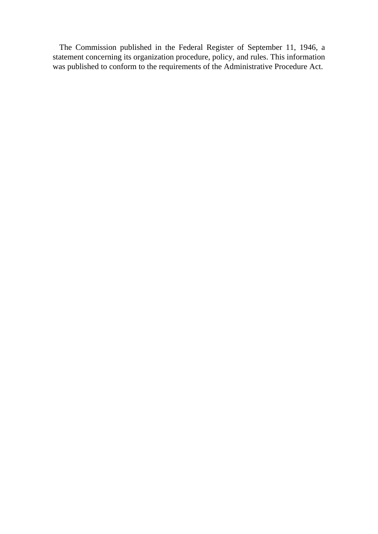The Commission published in the Federal Register of September 11, 1946, a statement concerning its organization procedure, policy, and rules. This information was published to conform to the requirements of the Administrative Procedure Act.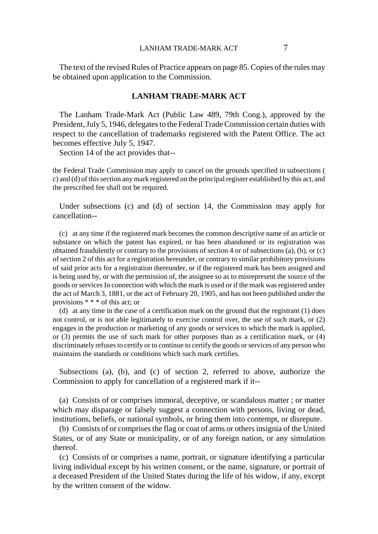The text of the revised Rules of Practice appears on page 85. Copies of the rules may be obtained upon application to the Commission.

#### **LANHAM TRADE-MARK ACT**

The Lanham Trade-Mark Act (Public Law 489, 79th Cong.), approved by the President, July 5, 1946, delegates to the Federal Trade Commission certain duties with respect to the cancellation of trademarks registered with the Patent Office. The act becomes effective July 5, 1947.

Section 14 of the act provides that--

the Federal Trade Commission may apply to cancel on the grounds specified in subsections ( c) and (d) of this section any mark registered on the principal register established by this act, and the prescribed fee shall not be required.

Under subsections (c) and (d) of section 14, the Commission may apply for cancellation--

(c) at any time if the registered mark becomes the common descriptive name of an article or substance on which the patent has expired, or has been abandoned or its registration was obtained fraudulently or contrary to the provisions of section 4 or of subsections (a), (b), or (c) of section 2 of this act for a registration hereunder, or contrary to similar prohibitory provisions of said prior acts for a registration thereunder, or if the registered mark has been assigned and is being used by, or with the permission of, the assignee so as to misrepresent the source of the goods or services In connection with which the mark is used or if the mark was registered under the act of March 3, 1881, or the act of February 20, 1905, and has not been published under the provisions \* \* \* of this act; or

(d) at any time in the case of a certification mark on the ground that the registrant (1) does not control, or is not able legitimately to exercise control over, the use of such mark, or (2) engages in the production or marketing of any goods or services to which the mark is applied, or (3) permits the use of such mark for other purposes than as a certification mark, or (4) discriminately refuses to certify or to continue to certify the goods or services of any person who maintains the standards or conditions which such mark certifies.

Subsections (a), (b), and (c) of section 2, referred to above, authorize the Commission to apply for cancellation of a registered mark if it--

(a) Consists of or comprises immoral, deceptive, or scandalous matter ; or matter which may disparage or falsely suggest a connection with persons, living or dead, institutions, beliefs, or national symbols, or bring them into contempt, or disrepute.

(b) Consists of or comprisesthe flag or coat of arms or others insignia of the United States, or of any State or municipality, or of any foreign nation, or any simulation thereof.

(c) Consists of or comprises a name, portrait, or signature identifying a particular living individual except by his written consent, or the name, signature, or portrait of a deceased President of the United States during the life of his widow, if any, except by the written consent of the widow.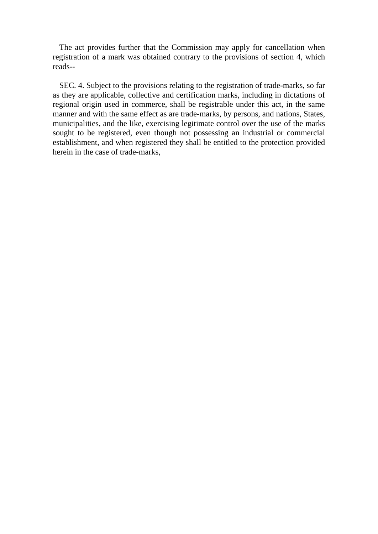The act provides further that the Commission may apply for cancellation when registration of a mark was obtained contrary to the provisions of section 4, which reads--

SEC. 4. Subject to the provisions relating to the registration of trade-marks, so far as they are applicable, collective and certification marks, including in dictations of regional origin used in commerce, shall be registrable under this act, in the same manner and with the same effect as are trade-marks, by persons, and nations, States, municipalities, and the like, exercising legitimate control over the use of the marks sought to be registered, even though not possessing an industrial or commercial establishment, and when registered they shall be entitled to the protection provided herein in the case of trade-marks,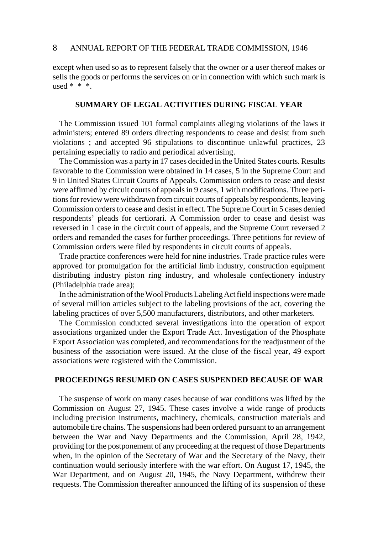except when used so as to represent falsely that the owner or a user thereof makes or sells the goods or performs the services on or in connection with which such mark is used  $* * *$ .

#### **SUMMARY OF LEGAL ACTIVITIES DURING FISCAL YEAR**

The Commission issued 101 formal complaints alleging violations of the laws it administers; entered 89 orders directing respondents to cease and desist from such violations ; and accepted 96 stipulations to discontinue unlawful practices, 23 pertaining especially to radio and periodical advertising.

The Commission was a party in 17 cases decided in the United States courts. Results favorable to the Commission were obtained in 14 cases, 5 in the Supreme Court and 9 in United States Circuit Courts of Appeals. Commission orders to cease and desist were affirmed by circuit courts of appeals in 9 cases, 1 with modifications. Three petitions for review were withdrawn from circuit courts of appeals by respondents, leaving Commission orders to cease and desist in effect. The Supreme Court in 5 cases denied respondents' pleads for certiorari. A Commission order to cease and desist was reversed in 1 case in the circuit court of appeals, and the Supreme Court reversed 2 orders and remanded the cases for further proceedings. Three petitions for review of Commission orders were filed by respondents in circuit courts of appeals.

Trade practice conferences were held for nine industries. Trade practice rules were approved for promulgation for the artificial limb industry, construction equipment distributing industry piston ring industry, and wholesale confectionery industry (Philadelphia trade area);

In the administration of the Wool Products Labeling Act field inspections were made of several million articles subject to the labeling provisions of the act, covering the labeling practices of over 5,500 manufacturers, distributors, and other marketers.

The Commission conducted several investigations into the operation of export associations organized under the Export Trade Act. Investigation of the Phosphate Export Association was completed, and recommendations for the readjustment of the business of the association were issued. At the close of the fiscal year, 49 export associations were registered with the Commission.

#### **PROCEEDINGS RESUMED ON CASES SUSPENDED BECAUSE OF WAR**

The suspense of work on many cases because of war conditions was lifted by the Commission on August 27, 1945. These cases involve a wide range of products including precision instruments, machinery, chemicals, construction materials and automobile tire chains. The suspensions had been ordered pursuant to an arrangement between the War and Navy Departments and the Commission, April 28, 1942, providing for the postponement of any proceeding at the request of those Departments when, in the opinion of the Secretary of War and the Secretary of the Navy, their continuation would seriously interfere with the war effort. On August 17, 1945, the War Department, and on August 20, 1945, the Navy Department, withdrew their requests. The Commission thereafter announced the lifting of its suspension of these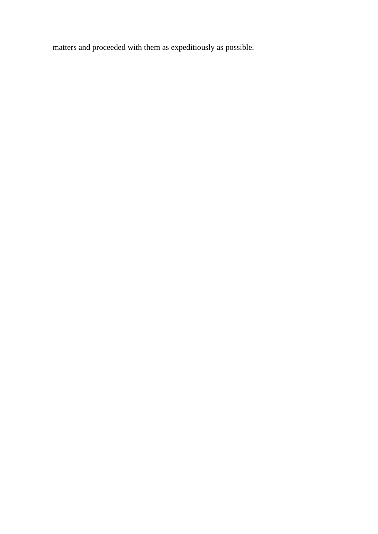matters and proceeded with them as expeditiously as possible.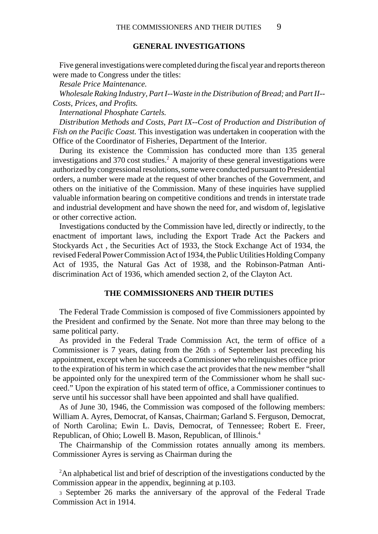#### **GENERAL INVESTIGATIONS**

Five general investigations were completed during the fiscal year and reports thereon were made to Congress under the titles:

*Resale Price Maintenance.*

*Wholesale Raking Industry, PartI--Waste in the Distribution of Bread;* and *Part II-- Costs, Prices, and Profits.*

*International Phosphate Cartels.*

*Distribution Methods and Costs, Part IX--Cost of Production and Distribution of Fish on the Pacific Coast.* This investigation was undertaken in cooperation with the Office of the Coordinator of Fisheries, Department of the Interior.

During its existence the Commission has conducted more than 135 general investigations and 370 cost studies.<sup>2</sup> A majority of these general investigations were authorized by congressional resolutions, some were conducted pursuant to Presidential orders, a number were made at the request of other branches of the Government, and others on the initiative of the Commission. Many of these inquiries have supplied valuable information bearing on competitive conditions and trends in interstate trade and industrial development and have shown the need for, and wisdom of, legislative or other corrective action.

Investigations conducted by the Commission have led, directly or indirectly, to the enactment of important laws, including the Export Trade Act the Packers and Stockyards Act , the Securities Act of 1933, the Stock Exchange Act of 1934, the revised Federal Power Commission Act of 1934, the Public Utilities Holding Company Act of 1935, the Natural Gas Act of 1938, and the Robinson-Patman Antidiscrimination Act of 1936, which amended section 2, of the Clayton Act.

#### **THE COMMISSIONERS AND THEIR DUTIES**

The Federal Trade Commission is composed of five Commissioners appointed by the President and confirmed by the Senate. Not more than three may belong to the same political party.

As provided in the Federal Trade Commission Act, the term of office of a Commissioner is 7 years, dating from the 26th <sup>3</sup> of September last preceding his appointment, except when he succeeds a Commissioner who relinquishes office prior to the expiration of his term in which case the act provides that the new member "shall be appointed only for the unexpired term of the Commissioner whom he shall succeed." Upon the expiration of his stated term of office, a Commissioner continues to serve until his successor shall have been appointed and shall have qualified.

As of June 30, 1946, the Commission was composed of the following members: William A. Ayres, Democrat, of Kansas, Chairman; Garland S. Ferguson, Democrat, of North Carolina; Ewin L. Davis, Democrat, of Tennessee; Robert E. Freer, Republican, of Ohio; Lowell B. Mason, Republican, of Illinois.<sup>4</sup>

The Chairmanship of the Commission rotates annually among its members. Commissioner Ayres is serving as Chairman during the

<sup>2</sup>An alphabetical list and brief of description of the investigations conducted by the Commission appear in the appendix, beginning at p.103.

<sup>3</sup> September 26 marks the anniversary of the approval of the Federal Trade Commission Act in 1914.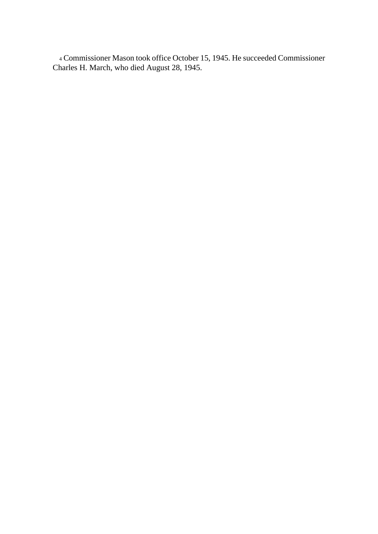<sup>4</sup> Commissioner Mason took office October 15, 1945. He succeeded Commissioner Charles H. March, who died August 28, 1945.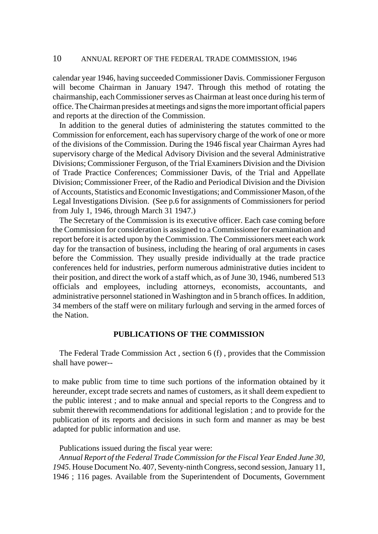calendar year 1946, having succeeded Commissioner Davis. Commissioner Ferguson will become Chairman in January 1947. Through this method of rotating the chairmanship, each Commissioner serves as Chairman at least once during histerm of office.TheChairman presides atmeetings and signsthemore important official papers and reports at the direction of the Commission.

In addition to the general duties of administering the statutes committed to the Commission for enforcement, each has supervisory charge of the work of one or more of the divisions of the Commission. During the 1946 fiscal year Chairman Ayres had supervisory charge of the Medical Advisory Division and the several Administrative Divisions; Commissioner Ferguson, of the Trial Examiners Division and the Division of Trade Practice Conferences; Commissioner Davis, of the Trial and Appellate Division; Commissioner Freer, of the Radio and Periodical Division and the Division of Accounts, Statistics andEconomic Investigations; andCommissioner Mason, ofthe Legal Investigations Division. (See p.6 for assignments of Commissioners for period from July 1, 1946, through March 31 1947.)

The Secretary of the Commission is its executive officer. Each case coming before the Commission for consideration is assigned to a Commissioner for examination and report before it is acted upon by the Commission. The Commissioners meet each work day for the transaction of business, including the hearing of oral arguments in cases before the Commission. They usually preside individually at the trade practice conferences held for industries, perform numerous administrative duties incident to their position, and direct the work of a staff which, as of June 30, 1946, numbered 513 officials and employees, including attorneys, economists, accountants, and administrative personnel stationed in Washington and in 5 branch offices. In addition, 34 members of the staff were on military furlough and serving in the armed forces of the Nation.

#### **PUBLICATIONS OF THE COMMISSION**

The Federal Trade Commission Act , section 6 (f) , provides that the Commission shall have power--

to make public from time to time such portions of the information obtained by it hereunder, except trade secrets and names of customers, as it shall deem expedient to the public interest ; and to make annual and special reports to the Congress and to submit therewith recommendations for additional legislation ; and to provide for the publication of its reports and decisions in such form and manner as may be best adapted for public information and use.

Publications issued during the fiscal year were:

*Annual Report of the Federal Trade Commission forthe Fiscal Year Ended June 30, 1945.* House Document No. 407, Seventy-ninthCongress,second session,January 11, 1946 ; 116 pages. Available from the Superintendent of Documents, Government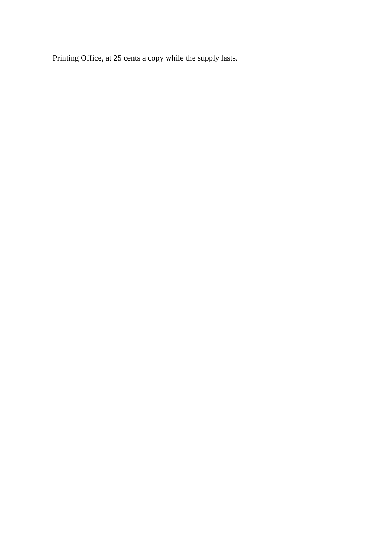Printing Office, at 25 cents a copy while the supply lasts.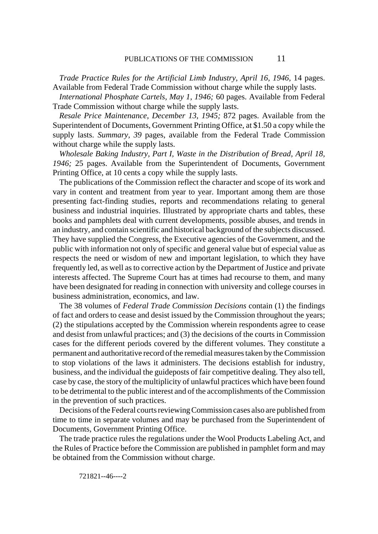*Trade Practice Rules for the Artificial Limb Industry, April 16, 1946,* 14 pages. Available from Federal Trade Commission without charge while the supply lasts.

*International Phosphate Cartels, May 1, 1946;* 60 pages. Available from Federal Trade Commission without charge while the supply lasts.

*Resale Price Maintenance, December 13, 1945;* 872 pages. Available from the Superintendent of Documents, Government Printing Office, at \$1.50 a copy while the supply lasts. *Summary, 39* pages, available from the Federal Trade Commission without charge while the supply lasts.

*Wholesale Baking Industry, Part I, Waste in the Distribution of Bread, April 18, 1946;* 25 pages. Available from the Superintendent of Documents, Government Printing Office, at 10 cents a copy while the supply lasts.

The publications of the Commission reflect the character and scope of its work and vary in content and treatment from year to year. Important among them are those presenting fact-finding studies, reports and recommendations relating to general business and industrial inquiries. Illustrated by appropriate charts and tables, these books and pamphlets deal with current developments, possible abuses, and trends in an industry, and contain scientific and historical background of the subjects discussed. They have supplied the Congress, the Executive agencies of the Government, and the public with information not only of specific and general value but of especial value as respects the need or wisdom of new and important legislation, to which they have frequently led, as well asto corrective action by the Department of Justice and private interests affected. The Supreme Court has at times had recourse to them, and many have been designated for reading in connection with university and college courses in business administration, economics, and law.

The 38 volumes of *Federal Trade Commission Decisions* contain (1) the findings of fact and orders to cease and desist issued by the Commission throughout the years; (2) the stipulations accepted by the Commission wherein respondents agree to cease and desist from unlawful practices; and (3) the decisions of the courts in Commission cases for the different periods covered by the different volumes. They constitute a permanent and authoritative record of the remedial measures taken by the Commission to stop violations of the laws it administers. The decisions establish for industry, business, and the individual the guideposts of fair competitive dealing. They also tell, case by case, the story of the multiplicity of unlawful practices which have been found to be detrimental to the public interest and of the accomplishments of the Commission in the prevention of such practices.

Decisions of the Federal courts reviewing Commission cases also are published from time to time in separate volumes and may be purchased from the Superintendent of Documents, Government Printing Office.

The trade practice rules the regulations under the Wool Products Labeling Act, and the Rules of Practice before the Commission are published in pamphlet form and may be obtained from the Commission without charge.

721821--46----2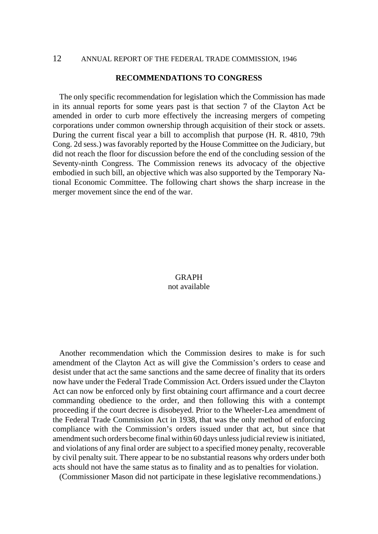#### **RECOMMENDATIONS TO CONGRESS**

The only specific recommendation for legislation which the Commission has made in its annual reports for some years past is that section 7 of the Clayton Act be amended in order to curb more effectively the increasing mergers of competing corporations under common ownership through acquisition of their stock or assets. During the current fiscal year a bill to accomplish that purpose (H. R. 4810, 79th Cong. 2d sess.) was favorably reported by the House Committee on the Judiciary, but did not reach the floor for discussion before the end of the concluding session of the Seventy-ninth Congress. The Commission renews its advocacy of the objective embodied in such bill, an objective which was also supported by the Temporary National Economic Committee. The following chart shows the sharp increase in the merger movement since the end of the war.

#### GRAPH not available

Another recommendation which the Commission desires to make is for such amendment of the Clayton Act as will give the Commission's orders to cease and desist under that act the same sanctions and the same decree of finality that its orders now have under the Federal Trade Commission Act. Orders issued under the Clayton Act can now be enforced only by first obtaining court affirmance and a court decree commanding obedience to the order, and then following this with a contempt proceeding if the court decree is disobeyed. Prior to the Wheeler-Lea amendment of the Federal Trade Commission Act in 1938, that was the only method of enforcing compliance with the Commission's orders issued under that act, but since that amendment such orders become final within 60 days unless judicial review is initiated, and violations of any final order are subject to a specified money penalty, recoverable by civil penalty suit. There appear to be no substantial reasons why orders under both acts should not have the same status as to finality and as to penalties for violation.

(Commissioner Mason did not participate in these legislative recommendations.)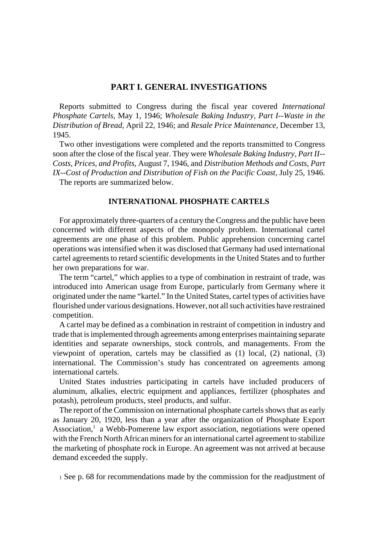#### **PART I. GENERAL INVESTIGATIONS**

Reports submitted to Congress during the fiscal year covered *International Phosphate Cartels,* May 1, 1946; *Wholesale Baking Industry, Part I--Waste in the Distribution of Bread,* April 22, 1946; and *Resale Price Maintenance,* December 13, 1945.

Two other investigations were completed and the reports transmitted to Congress soon after the close of the fiscal year. They were *Wholesale Baking Industry, Part II-- Costs, Prices, and Profits,* August 7, 1946, and *Distribution Methods and Costs, Part IX--Cost of Production and Distribution of Fish on the Pacific Coast,* July 25, 1946.

The reports are summarized below.

#### **INTERNATIONAL PHOSPHATE CARTELS**

For approximately three-quarters of a century theCongress and the public have been concerned with different aspects of the monopoly problem. International cartel agreements are one phase of this problem. Public apprehension concerning cartel operations was intensified when it was disclosed that Germany had used international cartel agreements to retard scientific developments in the United States and to further her own preparations for war.

The term "cartel," which applies to a type of combination in restraint of trade, was introduced into American usage from Europe, particularly from Germany where it originated under the name "kartel." In the United States, cartel types of activities have flourished under various designations. However, not allsuch activities have restrained competition.

A cartel may be defined as a combination in restraint of competition in industry and trade that isimplemented through agreements among enterprises maintaining separate identities and separate ownerships, stock controls, and managements. From the viewpoint of operation, cartels may be classified as (1) local, (2) national, (3) international. The Commission's study has concentrated on agreements among international cartels.

United States industries participating in cartels have included producers of aluminum, alkalies, electric equipment and appliances, fertilizer (phosphates and potash), petroleum products, steel products, and sulfur.

The report of the Commission on international phosphate cartels shows that as early as January 20, 1920, less than a year after the organization of Phosphate Export Association,<sup>1</sup> a Webb-Pomerene law export association, negotiations were opened with the French North African miners for an international cartel agreement to stabilize the marketing of phosphate rock in Europe. An agreement was not arrived at because demand exceeded the supply.

<sup>1</sup> See p. 68 for recommendations made by the commission for the readjustment of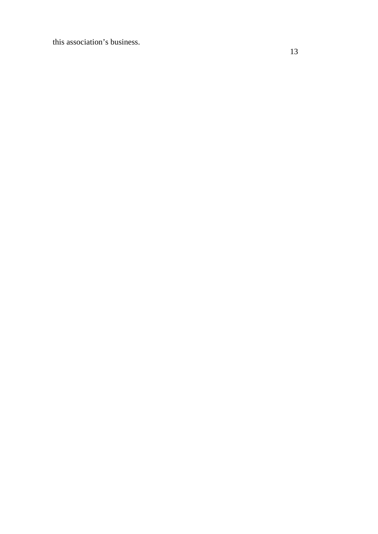this association's business.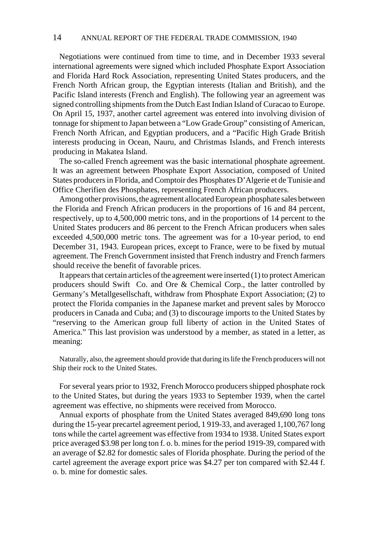Negotiations were continued from time to time, and in December 1933 several international agreements were signed which included Phosphate Export Association and Florida Hard Rock Association, representing United States producers, and the French North African group, the Egyptian interests (Italian and British), and the Pacific Island interests (French and English). The following year an agreement was signed controlling shipments from the Dutch East Indian Island of Curacao to Europe. On April 15, 1937, another cartel agreement was entered into involving division of tonnage forshipment to Japan between a "Low Grade Group" consisting of American, French North African, and Egyptian producers, and a "Pacific High Grade British interests producing in Ocean, Nauru, and Christmas Islands, and French interests producing in Makatea Island.

The so-called French agreement was the basic international phosphate agreement. It was an agreement between Phosphate Export Association, composed of United States producers in Florida, and Comptoir des Phosphates D'Algerie et de Tunisie and Office Cherifien des Phosphates, representing French African producers.

Among other provisions, the agreement allocated European phosphate sales between the Florida and French African producers in the proportions of 16 and 84 percent, respectively, up to 4,500,000 metric tons, and in the proportions of 14 percent to the United States producers and 86 percent to the French African producers when sales exceeded 4,500,000 metric tons. The agreement was for a 10-year period, to end December 31, 1943. European prices, except to France, were to be fixed by mutual agreement. The French Government insisted that French industry and French farmers should receive the benefit of favorable prices.

It appears that certain articles of the agreement were inserted  $(1)$  to protect American producers should Swift Co. and Ore & Chemical Corp., the latter controlled by Germany's Metallgesellschaft, withdraw from Phosphate Export Association; (2) to protect the Florida companies in the Japanese market and prevent sales by Morocco producers in Canada and Cuba; and (3) to discourage imports to the United States by "reserving to the American group full liberty of action in the United States of America." This last provision was understood by a member, as stated in a letter, as meaning:

Naturally, also, the agreementshould provide that during itslife the French producers will not Ship their rock to the United States.

For several years prior to 1932, French Morocco producers shipped phosphate rock to the United States, but during the years 1933 to September 1939, when the cartel agreement was effective, no shipments were received from Morocco.

Annual exports of phosphate from the United States averaged 849,690 long tons during the 15-year precartel agreement period, 1 919-33, and averaged 1,100,767 long tons while the cartel agreement was effective from 1934 to 1938. United States export price averaged \$3.98 per long ton f. o. b. minesfor the period 1919-39, compared with an average of \$2.82 for domestic sales of Florida phosphate. During the period of the cartel agreement the average export price was \$4.27 per ton compared with \$2.44 f. o. b. mine for domestic sales.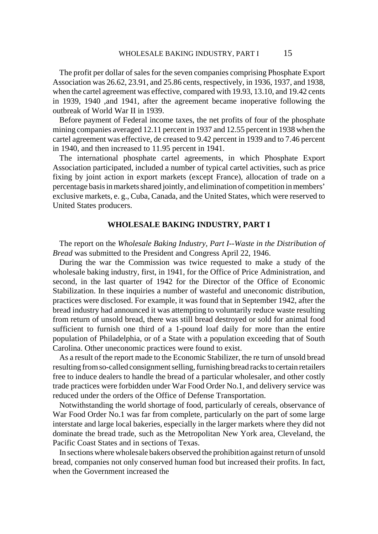The profit per dollar of sales for the seven companies comprising Phosphate Export Association was 26.62, 23.91, and 25.86 cents, respectively, in 1936, 1937, and 1938, when the cartel agreement was effective, compared with 19.93, 13.10, and 19.42 cents in 1939, 1940 ,and 1941, after the agreement became inoperative following the outbreak of World War II in 1939.

Before payment of Federal income taxes, the net profits of four of the phosphate mining companies averaged 12.11 percent in 1937 and 12.55 percent in 1938 when the cartel agreement was effective, de creased to 9.42 percent in 1939 and to 7.46 percent in 1940, and then increased to 11.95 percent in 1941.

The international phosphate cartel agreements, in which Phosphate Export Association participated, included a number of typical cartel activities, such as price fixing by joint action in export markets (except France), allocation of trade on a percentage basisinmarketsshared jointly, and elimination of competition inmembers' exclusive markets, e. g., Cuba, Canada, and the United States, which were reserved to United States producers.

#### **WHOLESALE BAKING INDUSTRY, PART I**

The report on the *Wholesale Baking Industry, Part I--Waste in the Distribution of Bread* was submitted to the President and Congress April 22, 1946.

During the war the Commission was twice requested to make a study of the wholesale baking industry, first, in 1941, for the Office of Price Administration, and second, in the last quarter of 1942 for the Director of the Office of Economic Stabilization. In these inquiries a number of wasteful and uneconomic distribution, practices were disclosed. For example, it was found that in September 1942, after the bread industry had announced it was attempting to voluntarily reduce waste resulting from return of unsold bread, there was still bread destroyed or sold for animal food sufficient to furnish one third of a 1-pound loaf daily for more than the entire population of Philadelphia, or of a State with a population exceeding that of South Carolina. Other uneconomic practices were found to exist.

As a result of the report made to the Economic Stabilizer, the re turn of unsold bread resulting from so-called consignment selling, furnishing bread racks to certain retailers free to induce dealers to handle the bread of a particular wholesaler, and other costly trade practices were forbidden under War Food Order No.1, and delivery service was reduced under the orders of the Office of Defense Transportation.

Notwithstanding the world shortage of food, particularly of cereals, observance of War Food Order No.1 was far from complete, particularly on the part of some large interstate and large local bakeries, especially in the larger markets where they did not dominate the bread trade, such as the Metropolitan New York area, Cleveland, the Pacific Coast States and in sections of Texas.

In sections where wholesale bakers observed the prohibition against return of unsold bread, companies not only conserved human food but increased their profits. In fact, when the Government increased the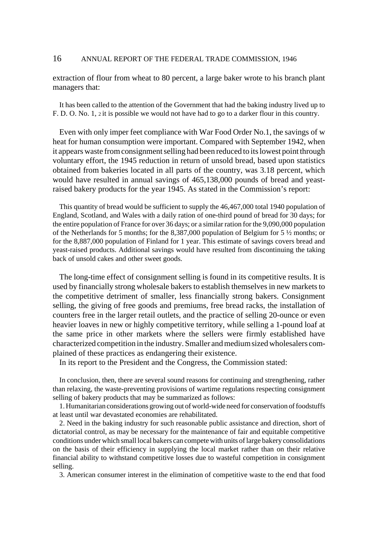extraction of flour from wheat to 80 percent, a large baker wrote to his branch plant managers that:

It has been called to the attention of the Government that had the baking industry lived up to F. D. O. No. 1, 2 it is possible we would not have had to go to a darker flour in this country.

Even with only imper feet compliance with War Food Order No.1, the savings of w heat for human consumption were important. Compared with September 1942, when it appears waste from consignment selling had been reduced to its lowest point through voluntary effort, the 1945 reduction in return of unsold bread, based upon statistics obtained from bakeries located in all parts of the country, was 3.18 percent, which would have resulted in annual savings of 465,138,000 pounds of bread and yeastraised bakery products for the year 1945. As stated in the Commission's report:

This quantity of bread would be sufficient to supply the 46,467,000 total 1940 population of England, Scotland, and Wales with a daily ration of one-third pound of bread for 30 days; for the entire population of France for over 36 days; or a similar ration for the 9,090,000 population of the Netherlands for 5 months; for the 8,387,000 population of Belgium for 5 ½ months; or for the 8,887,000 population of Finland for 1 year. This estimate of savings covers bread and yeast-raised products. Additional savings would have resulted from discontinuing the taking back of unsold cakes and other sweet goods.

The long-time effect of consignment selling is found in its competitive results. It is used by financially strong wholesale bakers to establish themselves in new markets to the competitive detriment of smaller, less financially strong bakers. Consignment selling, the giving of free goods and premiums, free bread racks, the installation of counters free in the larger retail outlets, and the practice of selling 20-ounce or even heavier loaves in new or highly competitive territory, while selling a 1-pound loaf at the same price in other markets where the sellers were firmly established have characterized competition in the industry. Smaller and medium sized wholesalers complained of these practices as endangering their existence.

In its report to the President and the Congress, the Commission stated:

In conclusion, then, there are several sound reasons for continuing and strengthening, rather than relaxing, the waste-preventing provisions of wartime regulations respecting consignment selling of bakery products that may be summarized as follows:

1. Humanitarian considerations growing out of world-wide need for conservation of foodstuffs at least until war devastated economies are rehabilitated.

2. Need in the baking industry for such reasonable public assistance and direction, short of dictatorial control, as may be necessary for the maintenance of fair and equitable competitive conditions under which small local bakers can competewith units oflarge bakery consolidations on the basis of their efficiency in supplying the local market rather than on their relative financial ability to withstand competitive losses due to wasteful competition in consignment selling.

3. American consumer interest in the elimination of competitive waste to the end that food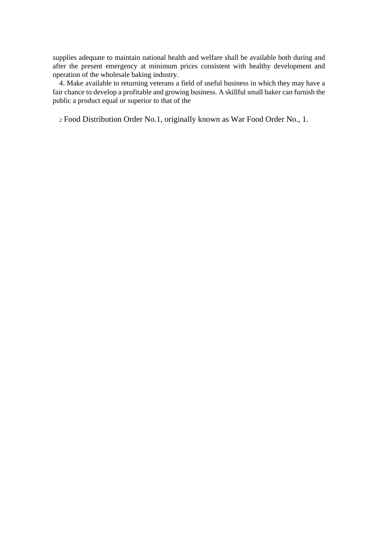supplies adequate to maintain national health and welfare shall be available both during and after the present emergency at minimum prices consistent with healthy development and operation of the wholesale baking industry.

4. Make available to returning veterans a field of useful business in which they may have a fair chance to develop a profitable and growing business. A skillful small baker can furnish the public a product equal or superior to that of the

2 Food Distribution Order No.1, originally known as War Food Order No., 1.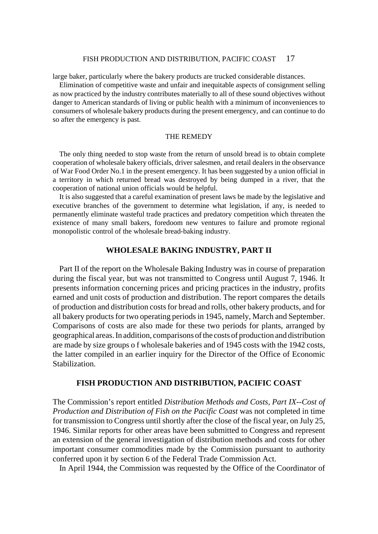#### FISH PRODUCTION AND DISTRIBUTION, PACIFIC COAST 17

large baker, particularly where the bakery products are trucked considerable distances.

Elimination of competitive waste and unfair and inequitable aspects of consignment selling as now practiced by the industry contributes materially to all of these sound objectives without danger to American standards of living or public health with a minimum of inconveniences to consumers of wholesale bakery products during the present emergency, and can continue to do so after the emergency is past.

#### THE REMEDY

The only thing needed to stop waste from the return of unsold bread is to obtain complete cooperation of wholesale bakery officials, driver salesmen, and retail dealers in the observance of War Food Order No.1 in the present emergency. It has been suggested by a union official in a territory in which returned bread was destroyed by being dumped in a river, that the cooperation of national union officials would be helpful.

It is also suggested that a careful examination of present laws be made by the legislative and executive branches of the government to determine what legislation, if any, is needed to permanently eliminate wasteful trade practices and predatory competition which threaten the existence of many small bakers, foredoom new ventures to failure and promote regional monopolistic control of the wholesale bread-baking industry.

### **WHOLESALE BAKING INDUSTRY, PART II**

Part II of the report on the Wholesale Baking Industry was in course of preparation during the fiscal year, but was not transmitted to Congress until August 7, 1946. It presents information concerning prices and pricing practices in the industry, profits earned and unit costs of production and distribution. The report compares the details of production and distribution costsfor bread and rolls, other bakery products, and for all bakery products for two operating periods in 1945, namely, March and September. Comparisons of costs are also made for these two periods for plants, arranged by geographical areas.In addition, comparisons of the costs of production and distribution are made by size groups o f wholesale bakeries and of 1945 costs with the 1942 costs, the latter compiled in an earlier inquiry for the Director of the Office of Economic Stabilization.

## **FISH PRODUCTION AND DISTRIBUTION, PACIFIC COAST**

The Commission's report entitled *Distribution Methods and Costs, Part IX--Cost of Production and Distribution of Fish on the Pacific Coast* was not completed in time for transmission to Congress until shortly after the close of the fiscal year, on July 25, 1946. Similar reports for other areas have been submitted to Congress and represent an extension of the general investigation of distribution methods and costs for other important consumer commodities made by the Commission pursuant to authority conferred upon it by section 6 of the Federal Trade Commission Act.

In April 1944, the Commission was requested by the Office of the Coordinator of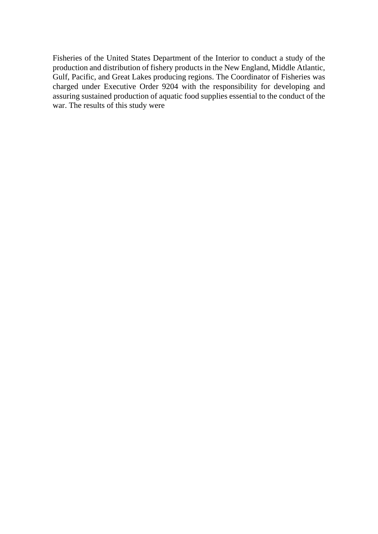Fisheries of the United States Department of the Interior to conduct a study of the production and distribution of fishery products in the New England, Middle Atlantic, Gulf, Pacific, and Great Lakes producing regions. The Coordinator of Fisheries was charged under Executive Order 9204 with the responsibility for developing and assuring sustained production of aquatic food supplies essential to the conduct of the war. The results of this study were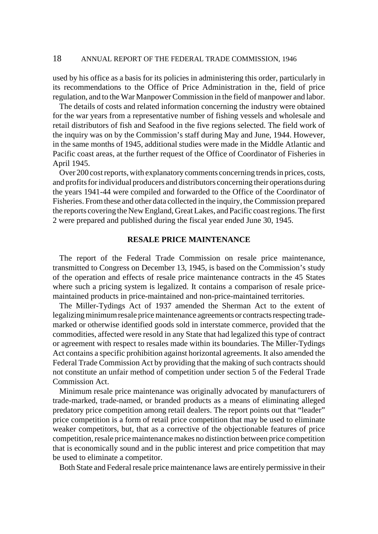used by his office as a basis for its policies in administering this order, particularly in its recommendations to the Office of Price Administration in the, field of price regulation, and to the War Manpower Commission in the field of manpower and labor.

The details of costs and related information concerning the industry were obtained for the war years from a representative number of fishing vessels and wholesale and retail distributors of fish and Seafood in the five regions selected. The field work of the inquiry was on by the Commission's staff during May and June, 1944. However, in the same months of 1945, additional studies were made in the Middle Atlantic and Pacific coast areas, at the further request of the Office of Coordinator of Fisheries in April 1945.

Over 200 cost reports, with explanatory comments concerning trends in prices, costs, and profits for individual producers and distributors concerning their operations during the years 1941-44 were compiled and forwarded to the Office of the Coordinator of Fisheries. From these and other data collected in the inquiry, the Commission prepared the reports covering the NewEngland, Great Lakes, and Pacific coastregions.The first 2 were prepared and published during the fiscal year ended June 30, 1945.

### **RESALE PRICE MAINTENANCE**

The report of the Federal Trade Commission on resale price maintenance, transmitted to Congress on December 13, 1945, is based on the Commission's study of the operation and effects of resale price maintenance contracts in the 45 States where such a pricing system is legalized. It contains a comparison of resale pricemaintained products in price-maintained and non-price-maintained territories.

The Miller-Tydings Act of 1937 amended the Sherman Act to the extent of legalizing minimum resale price maintenance agreements or contracts respecting trademarked or otherwise identified goods sold in interstate commerce, provided that the commodities, affected were resold in any State that had legalized this type of contract or agreement with respect to resales made within its boundaries. The Miller-Tydings Act contains a specific prohibition against horizontal agreements. It also amended the Federal Trade Commission Act by providing that the making of such contracts should not constitute an unfair method of competition under section 5 of the Federal Trade Commission Act.

Minimum resale price maintenance was originally advocated by manufacturers of trade-marked, trade-named, or branded products as a means of eliminating alleged predatory price competition among retail dealers. The report points out that "leader" price competition is a form of retail price competition that may be used to eliminate weaker competitors, but, that as a corrective of the objectionable features of price competition, resale price maintenance makes no distinction between price competition that is economically sound and in the public interest and price competition that may be used to eliminate a competitor.

Both State and Federal resale price maintenance laws are entirely permissive in their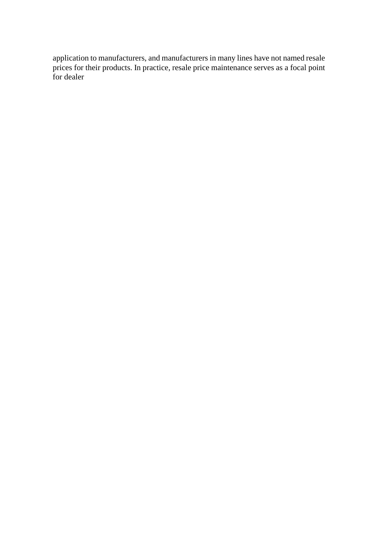application to manufacturers, and manufacturers in many lines have not named resale prices for their products. In practice, resale price maintenance serves as a focal point for dealer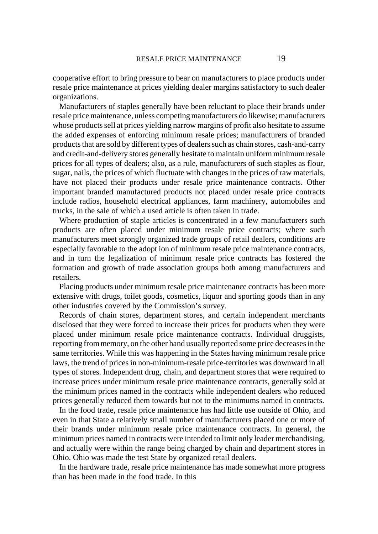cooperative effort to bring pressure to bear on manufacturers to place products under resale price maintenance at prices yielding dealer margins satisfactory to such dealer organizations.

Manufacturers of staples generally have been reluctant to place their brands under resale price maintenance, unless competing manufacturers do likewise; manufacturers whose products sell at prices yielding narrow margins of profit also hesitate to assume the added expenses of enforcing minimum resale prices; manufacturers of branded products that are sold by different types of dealers such as chain stores, cash-and-carry and credit-and-delivery stores generally hesitate to maintain uniform minimum resale prices for all types of dealers; also, as a rule, manufacturers of such staples as flour, sugar, nails, the prices of which fluctuate with changes in the prices of raw materials, have not placed their products under resale price maintenance contracts. Other important branded manufactured products not placed under resale price contracts include radios, household electrical appliances, farm machinery, automobiles and trucks, in the sale of which a used article is often taken in trade.

Where production of staple articles is concentrated in a few manufacturers such products are often placed under minimum resale price contracts; where such manufacturers meet strongly organized trade groups of retail dealers, conditions are especially favorable to the adopt ion of minimum resale price maintenance contracts, and in turn the legalization of minimum resale price contracts has fostered the formation and growth of trade association groups both among manufacturers and retailers.

Placing products under minimum resale price maintenance contracts has been more extensive with drugs, toilet goods, cosmetics, liquor and sporting goods than in any other industries covered by the Commission's survey.

Records of chain stores, department stores, and certain independent merchants disclosed that they were forced to increase their prices for products when they were placed under minimum resale price maintenance contracts. Individual druggists, reporting from memory, on the other hand usually reported some price decreases in the same territories. While this was happening in the States having minimum resale price laws, the trend of prices in non-minimum-resale price-territories was downward in all types of stores. Independent drug, chain, and department stores that were required to increase prices under minimum resale price maintenance contracts, generally sold at the minimum prices named in the contracts while independent dealers who reduced prices generally reduced them towards but not to the minimums named in contracts.

In the food trade, resale price maintenance has had little use outside of Ohio, and even in that State a relatively small number of manufacturers placed one or more of their brands under minimum resale price maintenance contracts. In general, the minimumprices named in contracts were intended to limit only leader merchandising, and actually were within the range being charged by chain and department stores in Ohio. Ohio was made the test State by organized retail dealers.

In the hardware trade, resale price maintenance has made somewhat more progress than has been made in the food trade. In this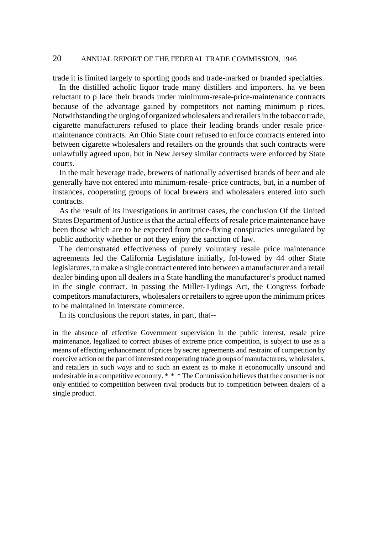trade it is limited largely to sporting goods and trade-marked or branded specialties.

In the distilled acholic liquor trade many distillers and importers. ha ve been reluctant to p lace their brands under minimum-resale-price-maintenance contracts because of the advantage gained by competitors not naming minimum p rices. Notwithstanding the urging of organized wholesalers and retailers in the tobacco trade, cigarette manufacturers refused to place their leading brands under resale pricemaintenance contracts. An Ohio State court refused to enforce contracts entered into between cigarette wholesalers and retailers on the grounds that such contracts were unlawfully agreed upon, but in New Jersey similar contracts were enforced by State courts.

In the malt beverage trade, brewers of nationally advertised brands of beer and ale generally have not entered into minimum-resale- price contracts, but, in a number of instances, cooperating groups of local brewers and wholesalers entered into such contracts.

As the result of its investigations in antitrust cases, the conclusion Of the United States Department of Justice is that the actual effects of resale price maintenance have been those which are to be expected from price-fixing conspiracies unregulated by public authority whether or not they enjoy the sanction of law.

The demonstrated effectiveness of purely voluntary resale price maintenance agreements led the California Legislature initially, fol-lowed by 44 other State legislatures, to make a single contract entered into between a manufacturer and a retail dealer binding upon all dealers in a State handling the manufacturer's product named in the single contract. In passing the Miller-Tydings Act, the Congress forbade competitors manufacturers, wholesalers or retailers to agree upon the minimum prices to be maintained in interstate commerce.

In its conclusions the report states, in part, that--

in the absence of effective Government supervision in the public interest, resale price maintenance, legalized to correct abuses of extreme price competition, is subject to use as a means of effecting enhancement of prices by secret agreements and restraint of competition by coercive action on the part of interested cooperating trade groups of manufacturers, wholesalers, and retailers in such *ways* and to such an extent as to make it economically unsound and undesirable in a competitive economy. \* \* \* The Commission believes that the consumer is not only entitled to competition between rival products but to competition between dealers of a single product.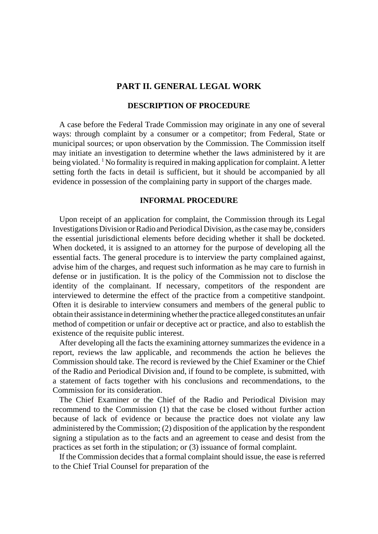# **PART II. GENERAL LEGAL WORK**

### **DESCRIPTION OF PROCEDURE**

A case before the Federal Trade Commission may originate in any one of several ways: through complaint by a consumer or a competitor; from Federal, State or municipal sources; or upon observation by the Commission. The Commission itself may initiate an investigation to determine whether the laws administered by it are being violated. <sup>1</sup>No formality is required in making application for complaint. A letter setting forth the facts in detail is sufficient, but it should be accompanied by all evidence in possession of the complaining party in support of the charges made.

# **INFORMAL PROCEDURE**

Upon receipt of an application for complaint, the Commission through its Legal Investigations Division or Radio and Periodical Division, as the case may be, considers the essential jurisdictional elements before deciding whether it shall be docketed. When docketed, it is assigned to an attorney for the purpose of developing all the essential facts. The general procedure is to interview the party complained against, advise him of the charges, and request such information as he may care to furnish in defense or in justification. It is the policy of the Commission not to disclose the identity of the complainant. If necessary, competitors of the respondent are interviewed to determine the effect of the practice from a competitive standpoint. Often it is desirable to interview consumers and members of the general public to obtain their assistance in determining whether the practice alleged constitutes an unfair method of competition or unfair or deceptive act or practice, and also to establish the existence of the requisite public interest.

After developing all the facts the examining attorney summarizes the evidence in a report, reviews the law applicable, and recommends the action he believes the Commission should take. The record is reviewed by the Chief Examiner or the Chief of the Radio and Periodical Division and, if found to be complete, is submitted, with a statement of facts together with his conclusions and recommendations, to the Commission for its consideration.

The Chief Examiner or the Chief of the Radio and Periodical Division may recommend to the Commission (1) that the case be closed without further action because of lack of evidence or because the practice does not violate any law administered by the Commission; (2) disposition of the application by the respondent signing a stipulation as to the facts and an agreement to cease and desist from the practices as set forth in the stipulation; or (3) issuance of formal complaint.

If the Commission decides that a formal complaint should issue, the ease is referred to the Chief Trial Counsel for preparation of the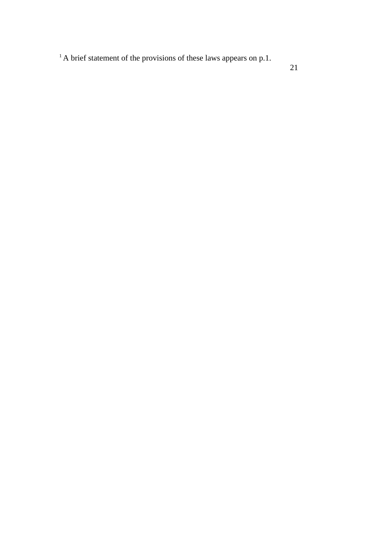<sup>1</sup>A brief statement of the provisions of these laws appears on p.1.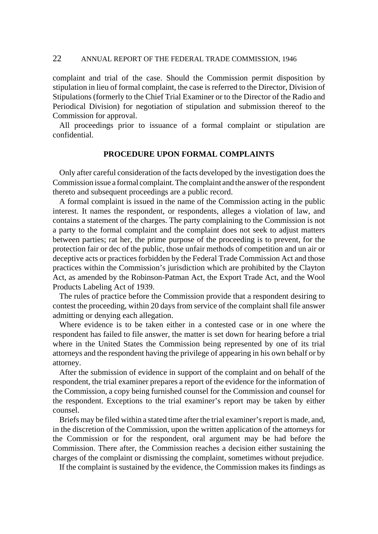complaint and trial of the case. Should the Commission permit disposition by stipulation in lieu of formal complaint, the case is referred to the Director, Division of Stipulations (formerly to the Chief Trial Examiner or to the Director of the Radio and Periodical Division) for negotiation of stipulation and submission thereof to the Commission for approval.

All proceedings prior to issuance of a formal complaint or stipulation are confidential.

### **PROCEDURE UPON FORMAL COMPLAINTS**

Only after careful consideration of the facts developed by the investigation does the Commission issue a formal complaint. The complaint and the answer of the respondent thereto and subsequent proceedings are a public record.

A formal complaint is issued in the name of the Commission acting in the public interest. It names the respondent, or respondents, alleges a violation of law, and contains a statement of the charges. The party complaining to the Commission is not a party to the formal complaint and the complaint does not seek to adjust matters between parties; rat her, the prime purpose of the proceeding is to prevent, for the protection fair or dec of the public, those unfair methods of competition and un air or deceptive acts or practices forbidden by the Federal Trade Commission Act and those practices within the Commission's jurisdiction which are prohibited by the Clayton Act, as amended by the Robinson-Patman Act, the Export Trade Act, and the Wool Products Labeling Act of 1939.

The rules of practice before the Commission provide that a respondent desiring to contest the proceeding, within 20 days from service of the complaint shall file answer admitting or denying each allegation.

Where evidence is to be taken either in a contested case or in one where the respondent has failed to file answer, the matter is set down for hearing before a trial where in the United States the Commission being represented by one of its trial attorneys and the respondent having the privilege of appearing in his own behalf or by attorney.

After the submission of evidence in support of the complaint and on behalf of the respondent, the trial examiner prepares a report of the evidence for the information of the Commission, a copy being furnished counsel for the Commission and counsel for the respondent. Exceptions to the trial examiner's report may be taken by either counsel.

Briefs may be filed within a stated time after the trial examiner's report is made, and, in the discretion of the Commission, upon the written application of the attorneys for the Commission or for the respondent, oral argument may be had before the Commission. There after, the Commission reaches a decision either sustaining the charges of the complaint or dismissing the complaint, sometimes without prejudice.

If the complaint is sustained by the evidence, the Commission makes its findings as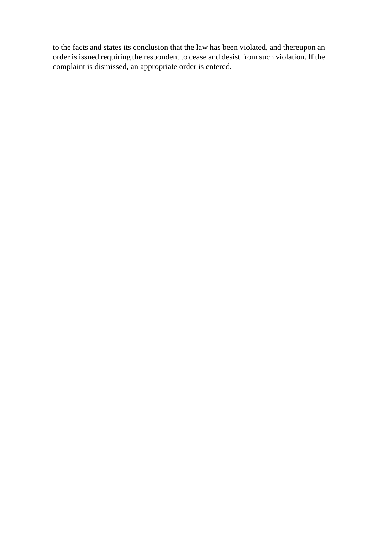to the facts and states its conclusion that the law has been violated, and thereupon an order is issued requiring the respondent to cease and desist from such violation. If the complaint is dismissed, an appropriate order is entered.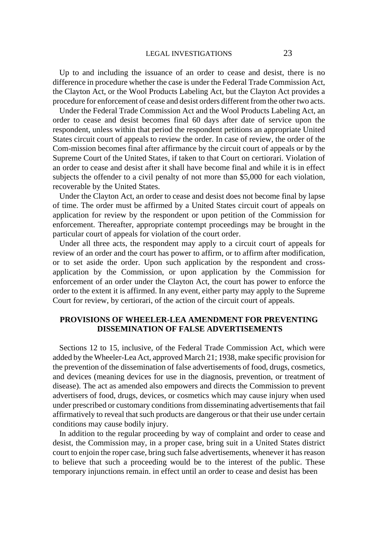Up to and including the issuance of an order to cease and desist, there is no difference in procedure whether the case is under the Federal Trade Commission Act, the Clayton Act, or the Wool Products Labeling Act, but the Clayton Act provides a procedure for enforcement of cease and desist orders different from the other two acts.

Under the Federal Trade Commission Act and the Wool Products Labeling Act, an order to cease and desist becomes final 60 days after date of service upon the respondent, unless within that period the respondent petitions an appropriate United States circuit court of appeals to review the order. In case of review, the order of the Com-mission becomes final after affirmance by the circuit court of appeals or by the Supreme Court of the United States, if taken to that Court on certiorari. Violation of an order to cease and desist after it shall have become final and while it is in effect subjects the offender to a civil penalty of not more than \$5,000 for each violation, recoverable by the United States.

Under the Clayton Act, an order to cease and desist does not become final by lapse of time. The order must be affirmed by a United States circuit court of appeals on application for review by the respondent or upon petition of the Commission for enforcement. Thereafter, appropriate contempt proceedings may be brought in the particular court of appeals for violation of the court order.

Under all three acts, the respondent may apply to a circuit court of appeals for review of an order and the court has power to affirm, or to affirm after modification, or to set aside the order. Upon such application by the respondent and crossapplication by the Commission, or upon application by the Commission for enforcement of an order under the Clayton Act, the court has power to enforce the order to the extent it is affirmed. In any event, either party may apply to the Supreme Court for review, by certiorari, of the action of the circuit court of appeals.

# **PROVISIONS OF WHEELER-LEA AMENDMENT FOR PREVENTING DISSEMINATION OF FALSE ADVERTISEMENTS**

Sections 12 to 15, inclusive, of the Federal Trade Commission Act, which were added by the Wheeler-Lea Act, approved March 21; 1938, make specific provision for the prevention of the dissemination of false advertisements of food, drugs, cosmetics, and devices (meaning devices for use in the diagnosis, prevention, or treatment of disease). The act as amended also empowers and directs the Commission to prevent advertisers of food, drugs, devices, or cosmetics which may cause injury when used under prescribed or customary conditions from disseminating advertisements that fail affirmatively to reveal that such products are dangerous or that their use under certain conditions may cause bodily injury.

In addition to the regular proceeding by way of complaint and order to cease and desist, the Commission may, in a proper case, bring suit in a United States district court to enjoin the roper case, bring such false advertisements, whenever it has reason to believe that such a proceeding would be to the interest of the public. These temporary injunctions remain. in effect until an order to cease and desist has been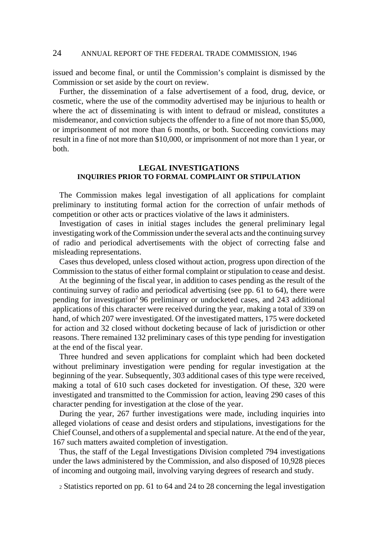issued and become final, or until the Commission's complaint is dismissed by the Commission or set aside by the court on review.

Further, the dissemination of a false advertisement of a food, drug, device, or cosmetic, where the use of the commodity advertised may be injurious to health or where the act of disseminating is with intent to defraud or mislead, constitutes a misdemeanor, and conviction subjects the offender to a fine of not more than \$5,000, or imprisonment of not more than 6 months, or both. Succeeding convictions may result in a fine of not more than \$10,000, or imprisonment of not more than 1 year, or both.

## **LEGAL INVESTIGATIONS INQUIRIES PRIOR TO FORMAL COMPLAINT OR STIPULATION**

The Commission makes legal investigation of all applications for complaint preliminary to instituting formal action for the correction of unfair methods of competition or other acts or practices violative of the laws it administers.

Investigation of cases in initial stages includes the general preliminary legal investigating work of the Commission under the several acts and the continuing survey of radio and periodical advertisements with the object of correcting false and misleading representations.

Cases thus developed, unless closed without action, progress upon direction of the Commission to the status of either formal complaint or stipulation to cease and desist.

At the beginning of the fiscal year, in addition to cases pending as the result of the continuing survey of radio and periodical advertising (see pp. 61 to 64), there were pending for investigation<sup>2</sup> 96 preliminary or undocketed cases, and 243 additional applications of this character were received during the year, making a total of 339 on hand, of which 207 were investigated. Of the investigated matters, 175 were docketed for action and 32 closed without docketing because of lack of jurisdiction or other reasons. There remained 132 preliminary cases of this type pending for investigation at the end of the fiscal year.

Three hundred and seven applications for complaint which had been docketed without preliminary investigation were pending for regular investigation at the beginning of the year. Subsequently, 303 additional cases of this type were received, making a total of 610 such cases docketed for investigation. Of these, 320 were investigated and transmitted to the Commission for action, leaving 290 cases of this character pending for investigation at the close of the year.

During the year, 267 further investigations were made, including inquiries into alleged violations of cease and desist orders and stipulations, investigations for the Chief Counsel, and others of a supplemental and special nature. At the end of the year, 167 such matters awaited completion of investigation.

Thus, the staff of the Legal Investigations Division completed 794 investigations under the laws administered by the Commission, and also disposed of 10,928 pieces of incoming and outgoing mail, involving varying degrees of research and study.

<sup>2</sup> Statistics reported on pp. 61 to 64 and 24 to 28 concerning the legal investigation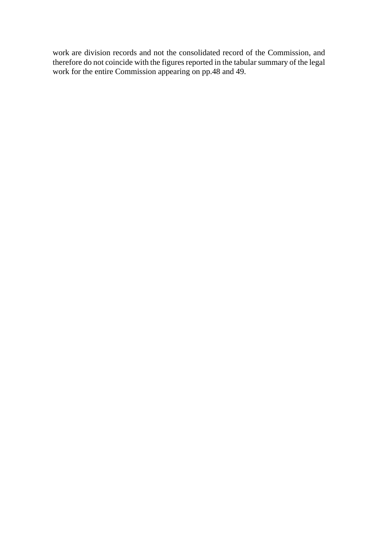work are division records and not the consolidated record of the Commission, and therefore do not coincide with the figures reported in the tabular summary of the legal work for the entire Commission appearing on pp.48 and 49.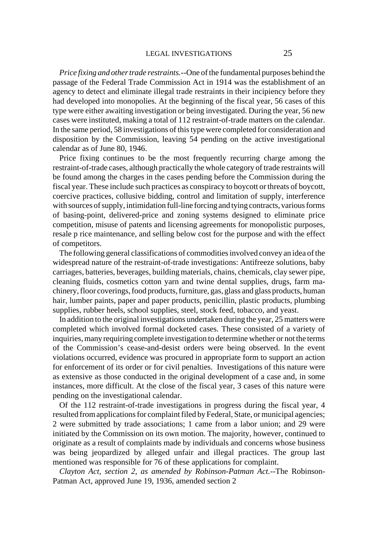## LEGAL INVESTIGATIONS 25

*Price fixing and othertrade restraints.--*One ofthe fundamental purposes behind the passage of the Federal Trade Commission Act in 1914 was the establishment of an agency to detect and eliminate illegal trade restraints in their incipiency before they had developed into monopolies. At the beginning of the fiscal year, 56 cases of this type were either awaiting investigation or being investigated. During the year, 56 new cases were instituted, making a total of 112 restraint-of-trade matters on the calendar. In the same period, 58 investigations of this type were completed for consideration and disposition by the Commission, leaving 54 pending on the active investigational calendar as of June 80, 1946.

Price fixing continues to be the most frequently recurring charge among the restraint-of-trade cases, although practically the whole category of trade restraints will be found among the charges in the cases pending before the Commission during the fiscal year. These include such practices as conspiracy to boycott orthreats of boycott, coercive practices, collusive bidding, control and limitation of supply, interference with sources of supply, intimidation full-line forcing and tying contracts, various forms of basing-point, delivered-price and zoning systems designed to eliminate price competition, misuse of patents and licensing agreements for monopolistic purposes, resale p rice maintenance, and selling below cost for the purpose and with the effect of competitors.

The following general classifications of commodities involved convey an idea of the widespread nature of the restraint-of-trade investigations: Antifreeze solutions, baby carriages, batteries, beverages, building materials, chains, chemicals, clay sewer pipe, cleaning fluids, cosmetics cotton yarn and twine dental supplies, drugs, farm machinery, floor coverings, food products, furniture, gas, glass and glass products, human hair, lumber paints, paper and paper products, penicillin, plastic products, plumbing supplies, rubber heels, school supplies, steel, stock feed, tobacco, and yeast.

In addition to the original investigations undertaken during the year, 25 matters were completed which involved formal docketed cases. These consisted of a variety of inquiries,many requiring complete investigation to determine whether or not the terms of the Commission's cease-and-desist orders were being observed. In the event violations occurred, evidence was procured in appropriate form to support an action for enforcement of its order or for civil penalties. Investigations of this nature were as extensive as those conducted in the original development of a case and, in some instances, more difficult. At the close of the fiscal year, 3 cases of this nature were pending on the investigational calendar.

Of the 112 restraint-of-trade investigations in progress during the fiscal year, 4 resulted from applications for complaint filed by Federal, State, or municipal agencies; 2 were submitted by trade associations; 1 came from a labor union; and 29 were initiated by the Commission on its own motion. The majority, however, continued to originate as a result of complaints made by individuals and concerns whose business was being jeopardized by alleged unfair and illegal practices. The group last mentioned was responsible for 76 of these applications for complaint.

*Clayton Act, section 2, as amended by Robinson-Patman Act.-*-The Robinson-Patman Act, approved June 19, 1936, amended section 2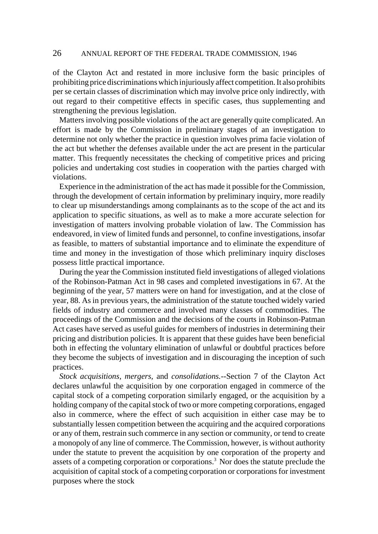of the Clayton Act and restated in more inclusive form the basic principles of prohibiting price discriminationswhich injuriously affect competition. It also prohibits per se certain classes of discrimination which may involve price only indirectly, with out regard to their competitive effects in specific cases, thus supplementing and strengthening the previous legislation.

Matters involving possible violations of the act are generally quite complicated. An effort is made by the Commission in preliminary stages of an investigation to determine not only whether the practice in question involves prima facie violation of the act but whether the defenses available under the act are present in the particular matter. This frequently necessitates the checking of competitive prices and pricing policies and undertaking cost studies in cooperation with the parties charged with violations.

Experience in the administration of the act has made it possible for the Commission, through the development of certain information by preliminary inquiry, more readily to clear up misunderstandings among complainants as to the scope of the act and its application to specific situations, as well as to make a more accurate selection for investigation of matters involving probable violation of law. The Commission has endeavored, in view of limited funds and personnel, to confine investigations, insofar as feasible, to matters of substantial importance and to eliminate the expenditure of time and money in the investigation of those which preliminary inquiry discloses possess little practical importance.

During the year the Commission instituted field investigations of alleged violations of the Robinson-Patman Act in 98 cases and completed investigations in 67. At the beginning of the year, 57 matters were on hand for investigation, and at the close of year, 88. As in previous years, the administration of the statute touched widely varied fields of industry and commerce and involved many classes of commodities. The proceedings of the Commission and the decisions of the courts in Robinson-Patman Act cases have served as useful guides for members of industries in determining their pricing and distribution policies. It is apparent that these guides have been beneficial both in effecting the voluntary elimination of unlawful or doubtful practices before they become the subjects of investigation and in discouraging the inception of such practices.

*Stock acquisitions, mergers,* and *consolidations.--*Section 7 of the Clayton Act declares unlawful the acquisition by one corporation engaged in commerce of the capital stock of a competing corporation similarly engaged, or the acquisition by a holding company of the capital stock of two or more competing corporations, engaged also in commerce, where the effect of such acquisition in either case may be to substantially lessen competition between the acquiring and the acquired corporations or any of them, restrain such commerce in any section or community, or tend to create a monopoly of any line of commerce. The Commission, however, is without authority under the statute to prevent the acquisition by one corporation of the property and assets of a competing corporation or corporations.<sup>3</sup> Nor does the statute preclude the acquisition of capital stock of a competing corporation or corporations for investment purposes where the stock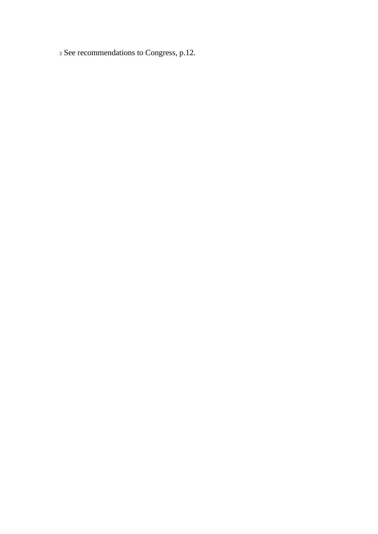See recommendations to Congress, p.12.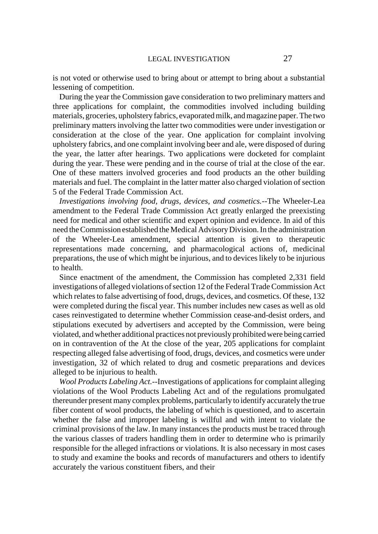is not voted or otherwise used to bring about or attempt to bring about a substantial lessening of competition.

During the year the Commission gave consideration to two preliminary matters and three applications for complaint, the commodities involved including building materials, groceries, upholstery fabrics, evaporated milk, and magazine paper. The two preliminary matters involving the latter two commodities were under investigation or consideration at the close of the year. One application for complaint involving upholstery fabrics, and one complaint involving beer and ale, were disposed of during the year, the latter after hearings. Two applications were docketed for complaint during the year. These were pending and in the course of trial at the close of the ear. One of these matters involved groceries and food products an the other building materials and fuel. The complaint in the latter matter also charged violation of section 5 of the Federal Trade Commission Act.

*Investigations involving food, drugs, devices, and cosmetics.--*The Wheeler-Lea amendment to the Federal Trade Commission Act greatly enlarged the preexisting need for medical and other scientific and expert opinion and evidence. In aid of this need the Commission established the Medical Advisory Division. In the administration of the Wheeler-Lea amendment, special attention is given to therapeutic representations made concerning, and pharmacological actions of, medicinal preparations, the use of which might be injurious, and to deviceslikely to be injurious to health.

Since enactment of the amendment, the Commission has completed 2,331 field investigations of alleged violations of section 12 of the Federal Trade Commission Act which relates to false advertising of food, drugs, devices, and cosmetics. Of these, 132 were completed during the fiscal year. This number includes new cases as well as old cases reinvestigated to determine whether Commission cease-and-desist orders, and stipulations executed by advertisers and accepted by the Commission, were being violated, andwhether additional practices not previously prohibitedwere being carried on in contravention of the At the close of the year, 205 applications for complaint respecting alleged false advertising of food, drugs, devices, and cosmetics were under investigation, 32 of which related to drug and cosmetic preparations and devices alleged to be injurious to health.

*Wool Products Labeling Act.--*Investigations of applications for complaint alleging violations of the Wool Products Labeling Act and of the regulations promulgated thereunder present many complex problems, particularly to identify accurately the true fiber content of wool products, the labeling of which is questioned, and to ascertain whether the false and improper labeling is willful and with intent to violate the criminal provisions of the law. In many instances the products must be traced through the various classes of traders handling them in order to determine who is primarily responsible for the alleged infractions or violations. It is also necessary in most cases to study and examine the books and records of manufacturers and others to identify accurately the various constituent fibers, and their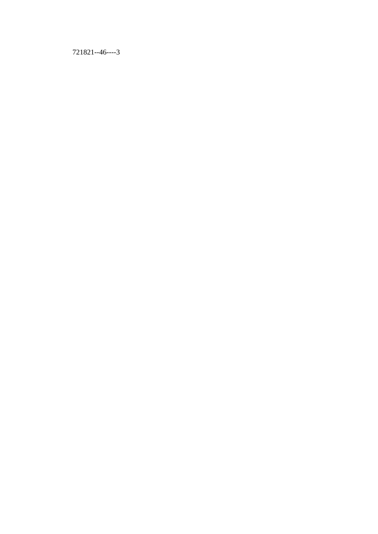721821--46----3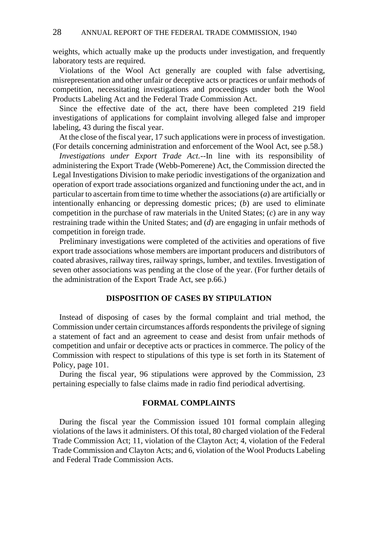weights, which actually make up the products under investigation, and frequently laboratory tests are required.

Violations of the Wool Act generally are coupled with false advertising, misrepresentation and other unfair or deceptive acts or practices or unfair methods of competition, necessitating investigations and proceedings under both the Wool Products Labeling Act and the Federal Trade Commission Act.

Since the effective date of the act, there have been completed 219 field investigations of applications for complaint involving alleged false and improper labeling, 43 during the fiscal year.

At the close of the fiscal year, 17 such applications were in process of investigation. (For details concerning administration and enforcement of the Wool Act, see p.58.)

*Investigations under Export Trade Act.--*In line with its responsibility of administering the Export Trade (Webb-Pomerene) Act, the Commission directed the Legal Investigations Division to make periodic investigations of the organization and operation of export trade associations organized and functioning under the act, and in particular to ascertain from time to time whether the associations (*a*) are artificially or intentionally enhancing or depressing domestic prices; (*b*) are used to eliminate competition in the purchase of raw materials in the United States; (*c*) are in any way restraining trade within the United States; and (*d*) are engaging in unfair methods of competition in foreign trade.

Preliminary investigations were completed of the activities and operations of five export trade associations whose members are important producers and distributors of coated abrasives, railway tires, railway springs, lumber, and textiles. Investigation of seven other associations was pending at the close of the year. (For further details of the administration of the Export Trade Act, see p.66.)

### **DISPOSITION OF CASES BY STIPULATION**

Instead of disposing of cases by the formal complaint and trial method, the Commission under certain circumstances affords respondents the privilege of signing a statement of fact and an agreement to cease and desist from unfair methods of competition and unfair or deceptive acts or practices in commerce. The policy of the Commission with respect to stipulations of this type is set forth in its Statement of Policy, page 101.

During the fiscal year, 96 stipulations were approved by the Commission, 23 pertaining especially to false claims made in radio find periodical advertising.

### **FORMAL COMPLAINTS**

During the fiscal year the Commission issued 101 formal complain alleging violations of the laws it administers. Of this total, 80 charged violation of the Federal Trade Commission Act; 11, violation of the Clayton Act; 4, violation of the Federal Trade Commission and Clayton Acts; and 6, violation of the Wool Products Labeling and Federal Trade Commission Acts.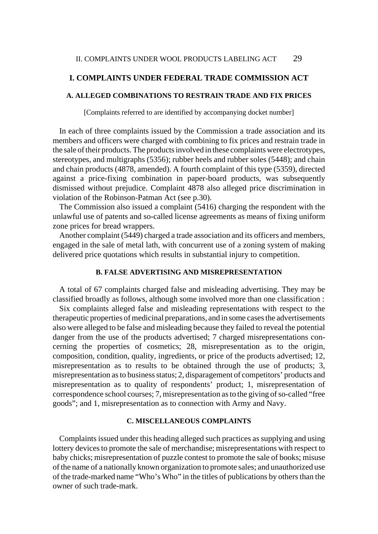#### **I. COMPLAINTS UNDER FEDERAL TRADE COMMISSION ACT**

### **A. ALLEGED COMBINATIONS TO RESTRAIN TRADE AND FIX PRICES**

[Complaints referred to are identified by accompanying docket number]

In each of three complaints issued by the Commission a trade association and its members and officers were charged with combining to fix prices and restrain trade in the sale of their products. The products involved in these complaints were electrotypes, stereotypes, and multigraphs (5356); rubber heels and rubber soles (5448); and chain and chain products (4878, amended). A fourth complaint of this type (5359), directed against a price-fixing combination in paper-board products, was subsequently dismissed without prejudice. Complaint 4878 also alleged price discrimination in violation of the Robinson-Patman Act (see p.30).

The Commission also issued a complaint (5416) charging the respondent with the unlawful use of patents and so-called license agreements as means of fixing uniform zone prices for bread wrappers.

Another complaint (5449) charged a trade association and its officers and members, engaged in the sale of metal lath, with concurrent use of a zoning system of making delivered price quotations which results in substantial injury to competition.

#### **B. FALSE ADVERTISING AND MISREPRESENTATION**

A total of 67 complaints charged false and misleading advertising. They may be classified broadly as follows, although some involved more than one classification :

Six complaints alleged false and misleading representations with respect to the therapeutic properties of medicinal preparations, and in some cases the advertisements also were alleged to be false and misleading because they failed to reveal the potential danger from the use of the products advertised; 7 charged misrepresentations concerning the properties of cosmetics; 28, misrepresentation as to the origin, composition, condition, quality, ingredients, or price of the products advertised; 12, misrepresentation as to results to be obtained through the use of products; 3, misrepresentation as to business status; 2, disparagement of competitors' products and misrepresentation as to quality of respondents' product; 1, misrepresentation of correspondence school courses; 7, misrepresentation as to the giving of so-called "free goods"; and 1, misrepresentation as to connection with Army and Navy.

### **C. MISCELLANEOUS COMPLAINTS**

Complaints issued under this heading alleged such practices as supplying and using lottery devices to promote the sale of merchandise; misrepresentations with respect to baby chicks; misrepresentation of puzzle contest to promote the sale of books; misuse ofthe name of a nationally known organization to promote sales; and unauthorized use of the trade-marked name "Who's Who" in the titles of publications by others than the owner of such trade-mark.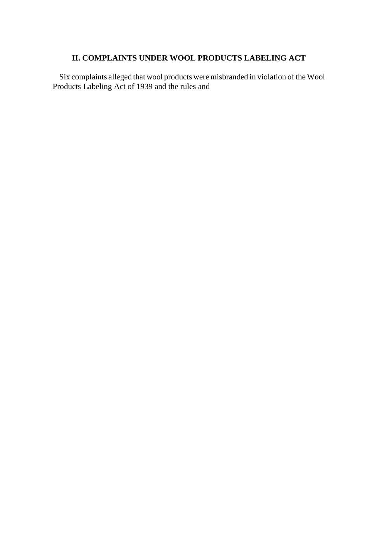# **II. COMPLAINTS UNDER WOOL PRODUCTS LABELING ACT**

Six complaints alleged that wool products were misbranded in violation of the Wool Products Labeling Act of 1939 and the rules and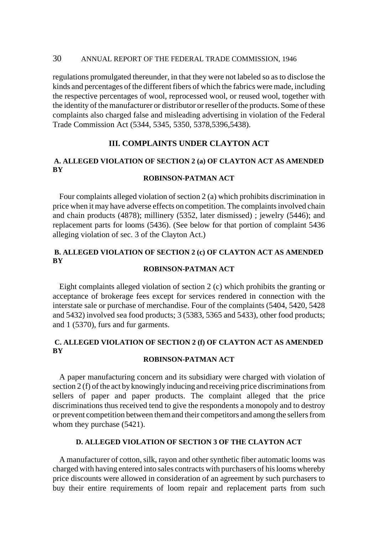regulations promulgated thereunder, in that they were not labeled so as to disclose the kinds and percentages of the different fibers of which the fabrics were made, including the respective percentages of wool, reprocessed wool, or reused wool, together with the identity of the manufacturer or distributor or reseller of the products. Some of these complaints also charged false and misleading advertising in violation of the Federal Trade Commission Act (5344, 5345, 5350, 5378,5396,5438).

# **III. COMPLAINTS UNDER CLAYTON ACT**

# **A. ALLEGED VIOLATION OF SECTION 2 (a) OF CLAYTON ACT AS AMENDED BY**

### **ROBINSON-PATMAN ACT**

Four complaints alleged violation of section 2 (a) which prohibits discrimination in price when it may have adverse effects on competition. The complaints involved chain and chain products (4878); millinery (5352, later dismissed) ; jewelry (5446); and replacement parts for looms (5436). (See below for that portion of complaint 5436 alleging violation of sec. 3 of the Clayton Act.)

# **B. ALLEGED VIOLATION OF SECTION 2 (c) OF CLAYTON ACT AS AMENDED BY**

## **ROBINSON-PATMAN ACT**

Eight complaints alleged violation of section 2 (c) which prohibits the granting or acceptance of brokerage fees except for services rendered in connection with the interstate sale or purchase of merchandise. Four of the complaints (5404, 5420, 5428 and 5432) involved sea food products; 3 (5383, 5365 and 5433), other food products; and 1 (5370), furs and fur garments.

# **C. ALLEGED VIOLATION OF SECTION 2 (f) OF CLAYTON ACT AS AMENDED BY**

### **ROBINSON-PATMAN ACT**

A paper manufacturing concern and its subsidiary were charged with violation of section  $2(f)$  of the act by knowingly inducing and receiving price discriminations from sellers of paper and paper products. The complaint alleged that the price discriminations thus received tend to give the respondents a monopoly and to destroy or prevent competition between themand their competitors and among the sellersfrom whom they purchase (5421).

## **D. ALLEGED VIOLATION OF SECTION 3 OF THE CLAYTON ACT**

A manufacturer of cotton, silk, rayon and other synthetic fiber automatic looms was charged with having entered into sales contracts with purchasers of hislooms whereby price discounts were allowed in consideration of an agreement by such purchasers to buy their entire requirements of loom repair and replacement parts from such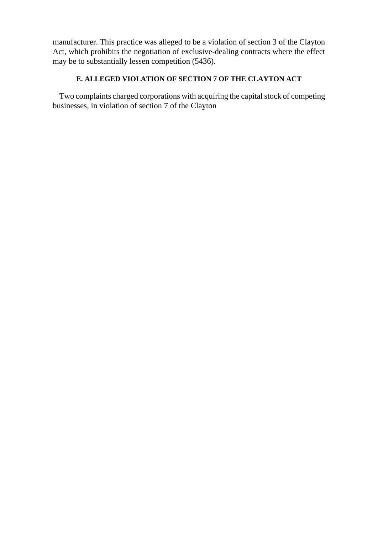manufacturer. This practice was alleged to be a violation of section 3 of the Clayton Act, which prohibits the negotiation of exclusive-dealing contracts where the effect may be to substantially lessen competition (5436).

# **E. ALLEGED VIOLATION OF SECTION 7 OF THE CLAYTON ACT**

Two complaints charged corporations with acquiring the capital stock of competing businesses, in violation of section 7 of the Clayton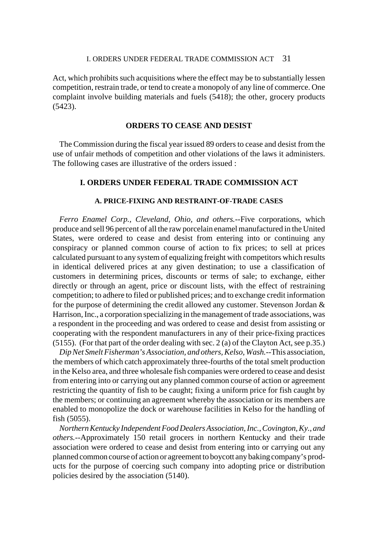#### I. ORDERS UNDER FEDERAL TRADE COMMISSION ACT 31

Act, which prohibits such acquisitions where the effect may be to substantially lessen competition, restrain trade, or tend to create a monopoly of any line of commerce. One complaint involve building materials and fuels (5418); the other, grocery products (5423).

## **ORDERS TO CEASE AND DESIST**

The Commission during the fiscal year issued 89 orders to cease and desist from the use of unfair methods of competition and other violations of the laws it administers. The following cases are illustrative of the orders issued :

### **I. ORDERS UNDER FEDERAL TRADE COMMISSION ACT**

## **A. PRICE-FIXING AND RESTRAINT-OF-TRADE CASES**

*Ferro Enamel Corp., Cleveland, Ohio, and others.--*Five corporations, which produce and sell 96 percent of all the raw porcelain enamel manufactured in the United States, were ordered to cease and desist from entering into or continuing any conspiracy or planned common course of action to fix prices; to sell at prices calculated pursuant to any systemof equalizing freight with competitors which results in identical delivered prices at any given destination; to use a classification of customers in determining prices, discounts or terms of sale; to exchange, either directly or through an agent, price or discount lists, with the effect of restraining competition; to adhere to filed or published prices; and to exchange credit information for the purpose of determining the credit allowed any customer. Stevenson Jordan & Harrison, Inc., a corporation specializing in the management of trade associations, was a respondent in the proceeding and was ordered to cease and desist from assisting or cooperating with the respondent manufacturers in any of their price-fixing practices (5155). (For that part of the order dealing with sec. 2 (a) of the Clayton Act, see p.35.)

*DipNet SmeltFisherman's Association, and others,Kelso, Wash.--*This association, the members of which catch approximately three-fourths of the total smelt production in the Kelso area, and three wholesale fish companies were ordered to cease and desist from entering into or carrying out any planned common course of action or agreement restricting the quantity of fish to be caught; fixing a uniform price for fish caught by the members; or continuing an agreement whereby the association or its members are enabled to monopolize the dock or warehouse facilities in Kelso for the handling of fish (5055).

*Northern Kentucky Independent Food Dealers Association, Inc., Covington, Ky., and others.--*Approximately 150 retail grocers in northern Kentucky and their trade association were ordered to cease and desist from entering into or carrying out any planned common course of action or agreement to boycott any baking company's products for the purpose of coercing such company into adopting price or distribution policies desired by the association (5140).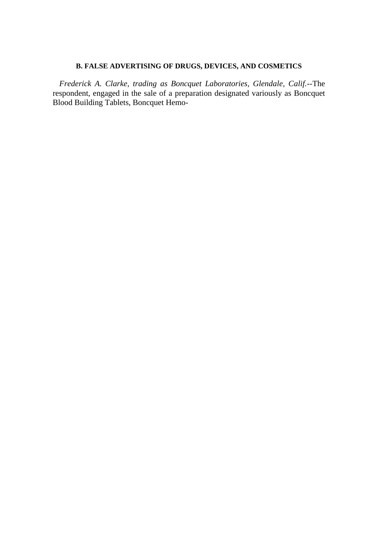# **B. FALSE ADVERTISING OF DRUGS, DEVICES, AND COSMETICS**

*Frederick A. Clarke, trading as Boncquet Laboratories, Glendale, Calif.--*The respondent, engaged in the sale of a preparation designated variously as Boncquet Blood Building Tablets, Boncquet Hemo-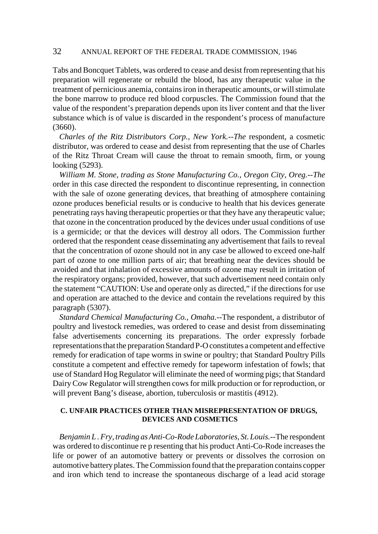Tabs and Boncquet Tablets, was ordered to cease and desist fromrepresenting that his preparation will regenerate or rebuild the blood, has any therapeutic value in the treatment of pernicious anemia, containsiron in therapeutic amounts, or willstimulate the bone marrow to produce red blood corpuscles. The Commission found that the value of the respondent's preparation depends upon its liver content and that the liver substance which is of value is discarded in the respondent's process of manufacture (3660).

*Charles of the Ritz Distributors Corp., New York.--The* respondent, a cosmetic distributor, was ordered to cease and desist from representing that the use of Charles of the Ritz Throat Cream will cause the throat to remain smooth, firm, or young looking (5293).

*William M. Stone, trading as Stone Manufacturing Co., Oregon City, Oreg.--The* order in this case directed the respondent to discontinue representing, in connection with the sale of ozone generating devices, that breathing of atmosphere containing ozone produces beneficial results or is conducive to health that his devices generate penetrating rays having therapeutic properties or that they have any therapeutic value; that ozone in the concentration produced by the devices under usual conditions of use is a germicide; or that the devices will destroy all odors. The Commission further ordered that the respondent cease disseminating any advertisement that fails to reveal that the concentration of ozone should not in any case be allowed to exceed one-half part of ozone to one million parts of air; that breathing near the devices should be avoided and that inhalation of excessive amounts of ozone may result in irritation of the respiratory organs; provided, however, that such advertisement need contain only the statement "CAUTION: Use and operate only as directed," if the directions for use and operation are attached to the device and contain the revelations required by this paragraph (5307).

*Standard Chemical Manufacturing Co., Omaha.--*The respondent, a distributor of poultry and livestock remedies, was ordered to cease and desist from disseminating false advertisements concerning its preparations. The order expressly forbade representationsthat the preparation Standard P-O constitutes a competent and effective remedy for eradication of tape worms in swine or poultry; that Standard Poultry Pills constitute a competent and effective remedy for tapeworm infestation of fowls; that use of Standard Hog Regulator will eliminate the need of worming pigs; that Standard Dairy Cow Regulator will strengthen cows for milk production or for reproduction, or will prevent Bang's disease, abortion, tuberculosis or mastitis (4912).

## **C. UNFAIR PRACTICES OTHER THAN MISREPRESENTATION OF DRUGS, DEVICES AND COSMETICS**

*Benjamin L .Fry, trading asAnti-Co-Rode Laboratories, St. Louis.--*The respondent was ordered to discontinue re p resenting that his product Anti-Co-Rode increases the life or power of an automotive battery or prevents or dissolves the corrosion on automotive battery plates. TheCommission found that the preparation contains copper and iron which tend to increase the spontaneous discharge of a lead acid storage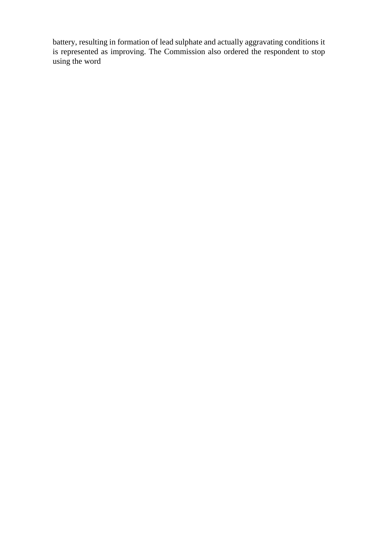battery, resulting in formation of lead sulphate and actually aggravating conditions it is represented as improving. The Commission also ordered the respondent to stop using the word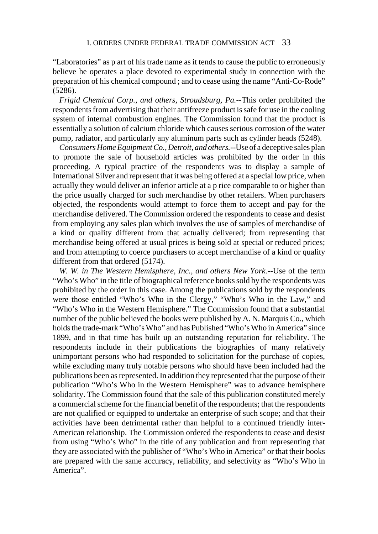"Laboratories" as p art of his trade name as it tends to cause the public to erroneously believe he operates a place devoted to experimental study in connection with the preparation of his chemical compound ; and to cease using the name "Anti-Co-Rode" (5286).

*Frigid Chemical Corp., and others, Stroudsburg, Pa.--*This order prohibited the respondents from advertising that their antifreeze product is safe for use in the cooling system of internal combustion engines. The Commission found that the product is essentially a solution of calcium chloride which causes serious corrosion of the water pump, radiator, and particularly any aluminum parts such as cylinder heads (5248).

*ConsumersHomeEquipmentCo.,Detroit, and others.-*-Use of a deceptive sales plan to promote the sale of household articles was prohibited by the order in this proceeding. A typical practice of the respondents was to display a sample of International Silver and represent that it was being offered at a special low price, when actually they would deliver an inferior article at a p rice comparable to or higher than the price usually charged for such merchandise by other retailers. When purchasers objected, the respondents would attempt to force them to accept and pay for the merchandise delivered. The Commission ordered the respondents to cease and desist from employing any sales plan which involves the use of samples of merchandise of a kind or quality different from that actually delivered; from representing that merchandise being offered at usual prices is being sold at special or reduced prices; and from attempting to coerce purchasers to accept merchandise of a kind or quality different from that ordered (5174).

*W. W. in The Western Hemisphere, Inc., and others New York.--*Use of the term "Who's Who" in the title of biographical reference books sold by the respondents was prohibited by the order in this case. Among the publications sold by the respondents were those entitled "Who's Who in the Clergy," "Who's Who in the Law," and "Who's Who in the Western Hemisphere." The Commission found that a substantial number of the public believed the books were published by A. N. Marquis Co., which holds the trade-mark "Who's Who" and has Published "Who's Who in America" since 1899, and in that time has built up an outstanding reputation for reliability. The respondents include in their publications the biographies of many relatively unimportant persons who had responded to solicitation for the purchase of copies, while excluding many truly notable persons who should have been included had the publications been as represented. In addition they represented that the purpose of their publication "Who's Who in the Western Hemisphere" was to advance hemisphere solidarity. The Commission found that the sale of this publication constituted merely a commercial scheme for the financial benefit of the respondents; that the respondents are not qualified or equipped to undertake an enterprise of such scope; and that their activities have been detrimental rather than helpful to a continued friendly inter-American relationship. The Commission ordered the respondents to cease and desist from using "Who's Who" in the title of any publication and from representing that they are associated with the publisher of "Who's Who in America" or that their books are prepared with the same accuracy, reliability, and selectivity as "Who's Who in America".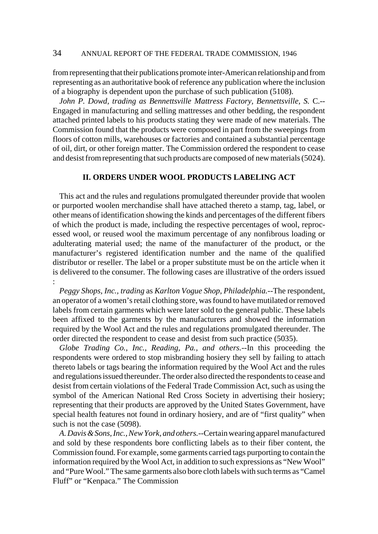from representing that their publications promote inter-American relationship and from representing as an authoritative book of reference any publication where the inclusion of a biography is dependent upon the purchase of such publication (5108).

*John P. Dowd, trading as Bennettsville Mattress Factory, Bennettsville, S.* C.-- Engaged in manufacturing and selling mattresses and other bedding, the respondent attached printed labels to his products stating they were made of new materials. The Commission found that the products were composed in part from the sweepings from floors of cotton mills, warehouses or factories and contained a substantial percentage of oil, dirt, or other foreign matter. The Commission ordered the respondent to cease and desist from representing that such products are composed of new materials (5024).

## **II. ORDERS UNDER WOOL PRODUCTS LABELING ACT**

This act and the rules and regulations promulgated thereunder provide that woolen or purported woolen merchandise shall have attached thereto a stamp, tag, label, or other means of identification showing the kinds and percentages of the different fibers of which the product is made, including the respective percentages of wool, reprocessed wool, or reused wool the maximum percentage of any nonfibrous loading or adulterating material used; the name of the manufacturer of the product, or the manufacturer's registered identification number and the name of the qualified distributor or reseller. The label or a proper substitute must be on the article when it is delivered to the consumer. The following cases are illustrative of the orders issued :

*Peggy Shops, Inc., trading* as *Karlton Vogue Shop, Philadelphia.--*The respondent, an operator of a women's retail clothing store, was found to have mutilated or removed labels from certain garments which were later sold to the general public. These labels been affixed to the garments by the manufacturers and showed the information required by the Wool Act and the rules and regulations promulgated thereunder. The order directed the respondent to cease and desist from such practice (5035).

*Globe Trading Co., Inc., Reading, Pa., and others.--*In this proceeding the respondents were ordered to stop misbranding hosiery they sell by failing to attach thereto labels or tags bearing the information required by the Wool Act and the rules and regulations issued thereunder. The order also directed the respondents to cease and desist from certain violations of the Federal Trade Commission Act, such as using the symbol of the American National Red Cross Society in advertising their hosiery; representing that their products are approved by the United States Government, have special health features not found in ordinary hosiery, and are of "first quality" when such is not the case (5098).

*A.Davis&Sons,Inc.,NewYork, and others.--*Certainwearing apparel manufactured and sold by these respondents bore conflicting labels as to their fiber content, the Commission found. For example, some garments carried tags purporting to contain the information required by the Wool Act, in addition to such expressions as "New Wool" and "Pure Wool." The same garments also bore cloth labels with such terms as "Camel Fluff" or "Kenpaca." The Commission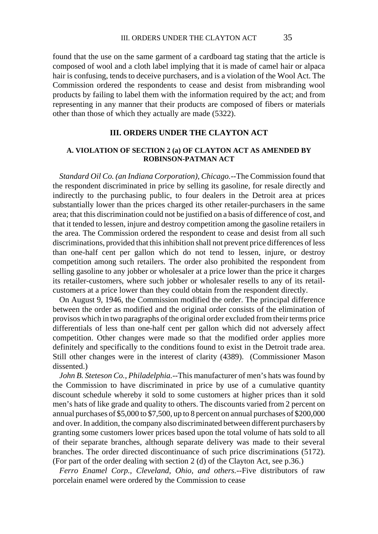found that the use on the same garment of a cardboard tag stating that the article is composed of wool and a cloth label implying that it is made of camel hair or alpaca hair is confusing, tends to deceive purchasers, and is a violation of the Wool Act. The Commission ordered the respondents to cease and desist from misbranding wool products by failing to label them with the information required by the act; and from representing in any manner that their products are composed of fibers or materials other than those of which they actually are made (5322).

## **III. ORDERS UNDER THE CLAYTON ACT**

# **A. VIOLATION OF SECTION 2 (a) OF CLAYTON ACT AS AMENDED BY ROBINSON-PATMAN ACT**

*Standard Oil Co. (an Indiana Corporation), Chicago.--*The Commission found that the respondent discriminated in price by selling its gasoline, for resale directly and indirectly to the purchasing public, to four dealers in the Detroit area at prices substantially lower than the prices charged its other retailer-purchasers in the same area; that this discrimination could not be justified on a basis of difference of cost, and that it tended to lessen, injure and destroy competition among the gasoline retailers in the area. The Commission ordered the respondent to cease and desist from all such discriminations, provided that this inhibition shall not prevent price differences of less than one-half cent per gallon which do not tend to lessen, injure, or destroy competition among such retailers. The order also prohibited the respondent from selling gasoline to any jobber or wholesaler at a price lower than the price it charges its retailer-customers, where such jobber or wholesaler resells to any of its retailcustomers at a price lower than they could obtain from the respondent directly.

On August 9, 1946, the Commission modified the order. The principal difference between the order as modified and the original order consists of the elimination of provisos which in two paragraphs of the original order excluded fromtheir terms price differentials of less than one-half cent per gallon which did not adversely affect competition. Other changes were made so that the modified order applies more definitely and specifically to the conditions found to exist in the Detroit trade area. Still other changes were in the interest of clarity (4389). (Commissioner Mason dissented.)

*John B. Steteson Co., Philadelphia.--*This manufacturer of men's hats wasfound by the Commission to have discriminated in price by use of a cumulative quantity discount schedule whereby it sold to some customers at higher prices than it sold men's hats of like grade and quality to others. The discounts varied from 2 percent on annual purchases of \$5,000 to \$7,500, up to 8 percent on annual purchases of \$200,000 and over.In addition, the company also discriminated between different purchasers by granting some customers lower prices based upon the total volume of hats sold to all of their separate branches, although separate delivery was made to their several branches. The order directed discontinuance of such price discriminations (5172). (For part of the order dealing with section 2 (d) of the Clayton Act, see p.36.)

*Ferro Enamel Corp., Cleveland, Ohio, and others.--*Five distributors of raw porcelain enamel were ordered by the Commission to cease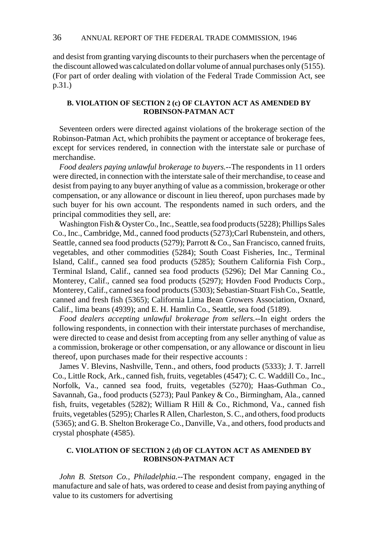and desist from granting varying discounts to their purchasers when the percentage of the discount allowedwas calculated on dollar volume of annual purchases only (5155). (For part of order dealing with violation of the Federal Trade Commission Act, see p.31.)

### **B. VIOLATION OF SECTION 2 (c) OF CLAYTON ACT AS AMENDED BY ROBINSON-PATMAN ACT**

Seventeen orders were directed against violations of the brokerage section of the Robinson-Patman Act, which prohibits the payment or acceptance of brokerage fees, except for services rendered, in connection with the interstate sale or purchase of merchandise.

*Food dealers paying unlawful brokerage to buyers.--*The respondents in 11 orders were directed, in connection with the interstate sale of their merchandise, to cease and desist frompaying to any buyer anything of value as a commission, brokerage or other compensation, or any allowance or discount in lieu thereof, upon purchases made by such buyer for his own account. The respondents named in such orders, and the principal commodities they sell, are:

Washington Fish & Oyster Co., Inc., Seattle, sea food products (5228); Phillips Sales Co., Inc., Cambridge, Md., canned food products (5273);Carl Rubenstein, and others, Seattle, canned sea food products (5279); Parrott & Co., San Francisco, canned fruits, vegetables, and other commodities (5284); South Coast Fisheries, Inc., Terminal Island, Calif., canned sea food products (5285); Southern California Fish Corp., Terminal Island, Calif., canned sea food products (5296); Del Mar Canning Co., Monterey, Calif., canned sea food products (5297); Hovden Food Products Corp., Monterey, Calif., canned sea food products(5303); Sebastian-Stuart Fish Co., Seattle, canned and fresh fish (5365); California Lima Bean Growers Association, Oxnard, Calif., lima beans (4939); and E. H. Hamlin Co., Seattle, sea food (5189).

*Food dealers accepting unlawful brokerage from sellers.--*In eight orders the following respondents, in connection with their interstate purchases of merchandise, were directed to cease and desist from accepting from any seller anything of value as a commission, brokerage or other compensation, or any allowance or discount in lieu thereof, upon purchases made for their respective accounts :

James V. Blevins, Nashville, Tenn., and others, food products (5333); J. T. Jarrell Co., Little Rock, Ark., canned fish, fruits, vegetables (4547); C. C. Waddill Co., Inc., Norfolk, Va., canned sea food, fruits, vegetables (5270); Haas-Guthman Co., Savannah, Ga., food products (5273); Paul Pankey & Co., Birmingham, Ala., canned fish, fruits, vegetables (5282); William R Hill & Co., Richmond, Va., canned fish fruits, vegetables (5295); Charles R Allen, Charleston, S.C., and others, food products (5365); and G. B. Shelton Brokerage Co., Danville, Va., and others, food products and crystal phosphate (4585).

## **C. VIOLATION OF SECTION 2 (d) OF CLAYTON ACT AS AMENDED BY ROBINSON-PATMAN ACT**

*John B. Stetson Co., Philadelphia.--*The respondent company, en*g*aged in the manufacture and sale of hats, was ordered to cease and desist from paying anything of value to its customers for advertising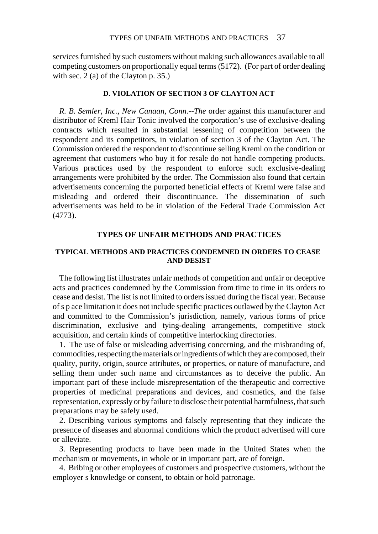#### TYPES OF UNFAIR METHODS AND PRACTICES 37

servicesfurnished by such customers without making such allowances available to all competing customers on proportionally equal terms (5172). (For part of order dealing with sec. 2 (a) of the Clayton p. 35.)

#### **D. VIOLATION OF SECTION 3 OF CLAYTON ACT**

*R. B. Semler, Inc., New Canaan, Conn.--The* order against this manufacturer and distributor of Kreml Hair Tonic involved the corporation's use of exclusive-dealing contracts which resulted in substantial lessening of competition between the respondent and its competitors, in violation of section 3 of the Clayton Act. The Commission ordered the respondent to discontinue selling Kreml on the condition or agreement that customers who buy it for resale do not handle competing products. Various practices used by the respondent to enforce such exclusive-dealing arrangements were prohibited by the order. The Commission also found that certain advertisements concerning the purported beneficial effects of Kreml were false and misleading and ordered their discontinuance. The dissemination of such advertisements was held to be in violation of the Federal Trade Commission Act (4773).

#### **TYPES OF UNFAIR METHODS AND PRACTICES**

## **TYPICAL METHODS AND PRACTICES CONDEMNED IN ORDERS TO CEASE AND DESIST**

The following list illustrates unfair methods of competition and unfair or deceptive acts and practices condemned by the Commission from time to time in its orders to cease and desist. The list is not limited to ordersissued during the fiscal year. Because of s p ace limitation it does not include specific practices outlawed by the Clayton Act and committed to the Commission's jurisdiction, namely, various forms of price discrimination, exclusive and tying-dealing arrangements, competitive stock acquisition, and certain kinds of competitive interlocking directories.

1. The use of false or misleading advertising concerning, and the misbranding of, commodities, respecting the materials or ingredients of which they are composed, their quality, purity, origin, source attributes, or properties, or nature of manufacture, and selling them under such name and circumstances as to deceive the public. An important part of these include misrepresentation of the therapeutic and corrective properties of medicinal preparations and devices, and cosmetics, and the false representation, expressly or by failure to disclose their potential harmfulness, thatsuch preparations may be safely used.

2. Describing various symptoms and falsely representing that they indicate the presence of diseases and abnormal conditions which the product advertised will cure or alleviate.

3. Representing products to have been made in the United States when the mechanism or movements, in whole or in important part, are of foreign.

4. Bribing or other employees of customers and prospective customers, without the employer s knowledge or consent, to obtain or hold patronage.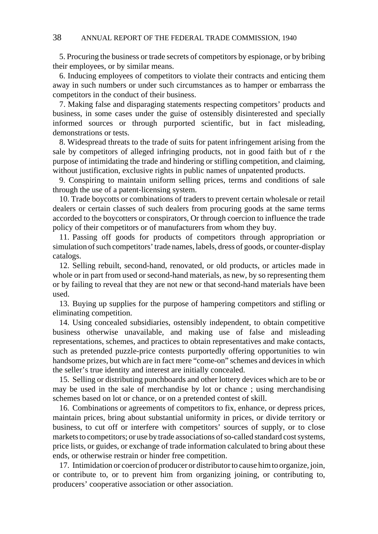5. Procuring the business or trade secrets of competitors by espionage, or by bribing their employees, or by similar means.

6. Inducing employees of competitors to violate their contracts and enticing them away in such numbers or under such circumstances as to hamper or embarrass the competitors in the conduct of their business.

7. Making false and disparaging statements respecting competitors' products and business, in some cases under the guise of ostensibly disinterested and specially informed sources or through purported scientific, but in fact misleading, demonstrations or tests.

8. Widespread threats to the trade of suits for patent infringement arising from the sale by competitors of alleged infringing products, not in good faith but of r the purpose of intimidating the trade and hindering or stifling competition, and claiming, without justification, exclusive rights in public names of unpatented products.

9. Conspiring to maintain uniform selling prices, terms and conditions of sale through the use of a patent-licensing system.

10. Trade boycotts or combinations of traders to prevent certain wholesale or retail dealers or certain classes of such dealers from procuring goods at the same terms accorded to the boycotters or conspirators, Or through coercion to influence the trade policy of their competitors or of manufacturers from whom they buy.

11. Passing off goods for products of competitors through appropriation or simulation of such competitors' trade names, labels, dress of goods, or counter-display catalogs.

12. Selling rebuilt, second-hand, renovated, or old products, or articles made in whole or in part from used or second-hand materials, as new, by so representing them or by failing to reveal that they are not new or that second-hand materials have been used.

13. Buying up supplies for the purpose of hampering competitors and stifling or eliminating competition.

14. Using concealed subsidiaries, ostensibly independent, to obtain competitive business otherwise unavailable, and making use of false and misleading representations, schemes, and practices to obtain representatives and make contacts, such as pretended puzzle-price contests purportedly offering opportunities to win handsome prizes, but which are in fact mere "come-on" schemes and devices in which the seller's true identity and interest are initially concealed.

15. Selling or distributing punchboards and other lottery devices which are to be or may be used in the sale of merchandise by lot or chance ; using merchandising schemes based on lot or chance, or on a pretended contest of skill.

16. Combinations or agreements of competitors to fix, enhance, or depress prices, maintain prices, bring about substantial uniformity in prices, or divide territory or business, to cut off or interfere with competitors' sources of supply, or to close markets to competitors; or use by trade associations of so-called standard cost systems, price lists, or guides, or exchange of trade information calculated to bring about these ends, or otherwise restrain or hinder free competition.

17. Intimidation or coercion of producer or distributorto cause himto organize, join, or contribute to, or to prevent him from organizing joining, or contributing to, producers' cooperative association or other association.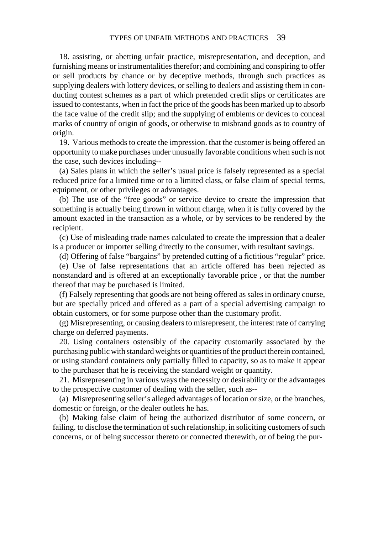18. assisting, or abetting unfair practice, misrepresentation, and deception, and furnishing means or instrumentalities therefor; and combining and conspiring to offer or sell products by chance or by deceptive methods, through such practices as supplying dealers with lottery devices, or selling to dealers and assisting them in conducting contest schemes as a part of which pretended credit slips or certificates are issued to contestants, when in fact the price of the goods has been marked up to absorb the face value of the credit slip; and the supplying of emblems or devices to conceal marks of country of origin of goods, or otherwise to misbrand goods as to country of origin.

19. Various methods to create the impression. that the customer is being offered an opportunity to make purchases under unusually favorable conditions when such is not the case, such devices including--

(a) Sales plans in which the seller's usual price is falsely represented as a special reduced price for a limited time or to a limited class, or false claim of special terms, equipment, or other privileges or advantages.

(b) The use of the "free goods" or service device to create the impression that something is actually being thrown in without charge, when it is fully covered by the amount exacted in the transaction as a whole, or by services to be rendered by the recipient.

(c) Use of misleading trade names calculated to create the impression that a dealer is a producer or importer selling directly to the consumer, with resultant savings.

(d) Offering of false "bargains" by pretended cutting of a fictitious "regular" price.

(e) Use of false representations that an article offered has been rejected as nonstandard and is offered at an exceptionally favorable price , or that the number thereof that may be purchased is limited.

(f) Falsely representing that goods are not being offered as sales in ordinary course, but are specially priced and offered as a part of a special advertising campaign to obtain customers, or for some purpose other than the customary profit.

(g) Misrepresenting, or causing dealers to misrepresent, the interest rate of carrying charge on deferred payments.

20. Using containers ostensibly of the capacity customarily associated by the purchasing public with standard weights or quantities of the product therein contained, or using standard containers only partially filled to capacity, so as to make it appear to the purchaser that he is receiving the standard weight or quantity.

21. Misrepresenting in various ways the necessity or desirability or the advantages to the prospective customer of dealing with the seller, such as--

(a) Misrepresenting seller's alleged advantages of location orsize, or the branches, domestic or foreign, or the dealer outlets he has.

(b) Making false claim of being the authorized distributor of some concern, or failing. to disclose the termination of such relationship, in soliciting customers of such concerns, or of being successor thereto or connected therewith, or of being the pur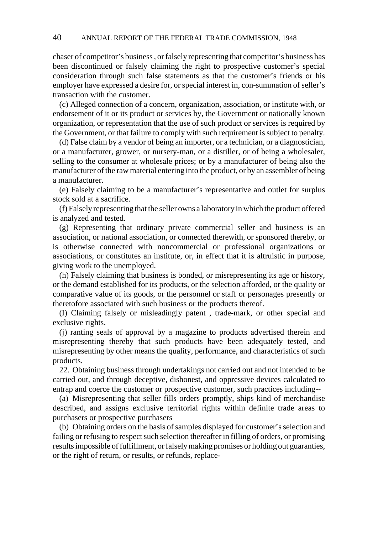chaser of competitor's business, orfalsely representing that competitor's business has been discontinued or falsely claiming the right to prospective customer's special consideration through such false statements as that the customer's friends or his employer have expressed a desire for, orspecial interest in, con-summation of seller's transaction with the customer.

(c) Alleged connection of a concern, organization, association, or institute with, or endorsement of it or its product or services by, the Government or nationally known organization, or representation that the use of such product or services is required by the Government, or that failure to comply with such requirement is subject to penalty.

(d) False claim by a vendor of being an importer, or a technician, or a diagnostician, or a manufacturer, grower, or nursery-man, or a distiller, or of being a wholesaler, selling to the consumer at wholesale prices; or by a manufacturer of being also the manufacturer of the raw material entering into the product, or by an assembler of being a manufacturer.

(e) Falsely claiming to be a manufacturer's representative and outlet for surplus stock sold at a sacrifice.

(f) Falsely representing that the seller owns a laboratory in which the product offered is analyzed and tested.

(g) Representing that ordinary private commercial seller and business is an association, or national association, or connected therewith, or sponsored thereby, or is otherwise connected with noncommercial or professional organizations or associations, or constitutes an institute, or, in effect that it is altruistic in purpose, giving work to the unemployed.

(h) Falsely claiming that business is bonded, or misrepresenting its age or history, or the demand established for its products, or the selection afforded, or the quality or comparative value of its goods, or the personnel or staff or personages presently or theretofore associated with such business or the products thereof.

(I) Claiming falsely or misleadingly patent , trade-mark, or other special and exclusive rights.

(j) ranting seals of approval by a magazine to products advertised therein and misrepresenting thereby that such products have been adequately tested, and misrepresenting by other means the quality, performance, and characteristics of such products.

22. Obtaining business through undertakings not carried out and not intended to be carried out, and through deceptive, dishonest, and oppressive devices calculated to entrap and coerce the customer or prospective customer, such practices including--

(a) Misrepresenting that seller fills orders promptly, ships kind of merchandise described, and assigns exclusive territorial rights within definite trade areas to purchasers or prospective purchasers

(b) Obtaining orders on the basis of samples displayed for customer's selection and failing or refusing to respect such selection thereafter in filling of orders, or promising results impossible of fulfillment, or falsely making promises or holding out guaranties, or the right of return, or results, or refunds, replace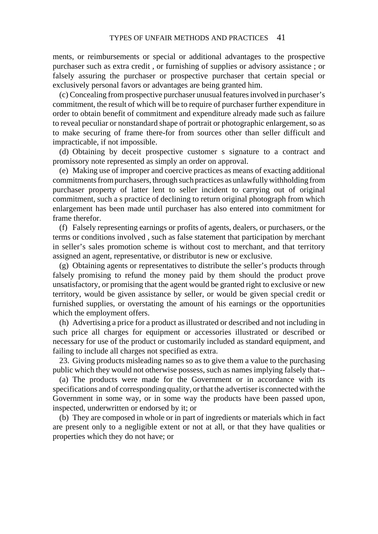ments, or reimbursements or special or additional advantages to the prospective purchaser such as extra credit , or furnishing of supplies or advisory assistance ; or falsely assuring the purchaser or prospective purchaser that certain special or exclusively personal favors or advantages are being granted him.

(c) Concealing fromprospective purchaser unusualfeaturesinvolved in purchaser's commitment, the result of which will be to require of purchaser further expenditure in order to obtain benefit of commitment and expenditure already made such as failure to reveal peculiar or nonstandard shape of portrait or photographic enlargement, so as to make securing of frame there-for from sources other than seller difficult and impracticable, if not impossible.

(d) Obtaining by deceit prospective customer s signature to a contract and promissory note represented as simply an order on approval.

(e) Making use of improper and coercive practices as means of exacting additional commitments from purchasers, through such practices as unlawfully withholding from purchaser property of latter lent to seller incident to carrying out of original commitment, such a s practice of declining to return original photograph from which enlargement has been made until purchaser has also entered into commitment for frame therefor.

(f) Falsely representing earnings or profits of agents, dealers, or purchasers, or the terms or conditions involved , such as false statement that participation by merchant in seller's sales promotion scheme is without cost to merchant, and that territory assigned an agent, representative, or distributor is new or exclusive.

(g) Obtaining agents or representatives to distribute the seller's products through falsely promising to refund the money paid by them should the product prove unsatisfactory, or promising that the agent would be granted right to exclusive or new territory, would be given assistance by seller, or would be given special credit or furnished supplies, or overstating the amount of his earnings or the opportunities which the employment offers.

(h) Advertising a price for a product asillustrated or described and not including in such price all charges for equipment or accessories illustrated or described or necessary for use of the product or customarily included as standard equipment, and failing to include all charges not specified as extra.

23. Giving products misleading names so as to give them a value to the purchasing public which they would not otherwise possess, such as names implying falsely that--

(a) The products were made for the Government or in accordance with its specifications and of corresponding quality, or that the advertiser is connected with the Government in some way, or in some way the products have been passed upon, inspected, underwritten or endorsed by it; or

(b) They are composed in whole or in part of ingredients or materials which in fact are present only to a negligible extent or not at all, or that they have qualities or properties which they do not have; or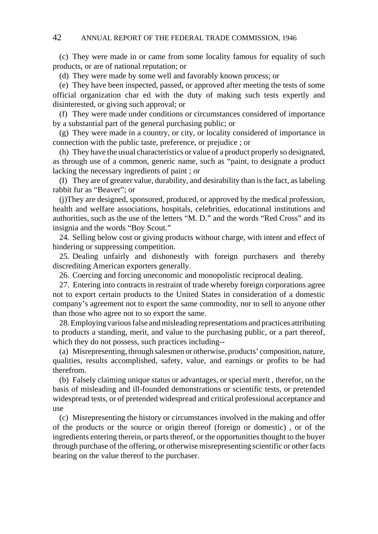(c) They were made in or came from some locality famous for equality of such products, or are of national reputation; or

(d) They were made by some well and favorably known process; or

(e) They have been inspected, passed, or approved after meeting the tests of some official organization char ed with the duty of making such tests expertly and disinterested, or giving such approval; or

(f) They were made under conditions or circumstances considered of importance by a substantial part of the general purchasing public; or

(g) They were made in a country, or city, or locality considered of importance in connection with the public taste, preference, or prejudice ; or

(h) They have the usual characteristics or value of a product properly so designated, as through use of a common, generic name, such as "paint, to designate a product lacking the necessary ingredients of paint ; or

(I) They are of greater value, durability, and desirability than isthe fact, aslabeling rabbit fur as "Beaver"; or

(j)They are designed, sponsored, produced, or approved by the medical profession, health and welfare associations, hospitals, celebrities, educational institutions and authorities, such as the use of the letters "M. D." and the words "Red Cross" and its insignia and the words "Boy Scout."

24. Selling below cost or giving products without charge, with intent and effect of hindering or suppressing competition.

25. Dealing unfairly and dishonestly with foreign purchasers and thereby discrediting American exporters generally.

26. Coercing and forcing uneconomic and monopolistic reciprocal dealing.

27. Entering into contracts in restraint of trade whereby foreign corporations agree not to export certain products to the United States in consideration of a domestic company's agreement not to export the same commodity, nor to sell to anyone other than those who agree not to so export the same.

28.Employing various false and misleading representations and practices attributing to products a standing, merit, and value to the purchasing public, or a part thereof, which they do not possess, such practices including--

(a) Misrepresenting, through salesmen or otherwise, products' composition, nature, qualities, results accomplished, safety, value, and earnings or profits to be had therefrom.

(b) Falsely claiming unique status or advantages, or special merit , therefor, on the basis of misleading and ill-founded demonstrations or scientific tests, or pretended widespread tests, or of pretended widespread and critical professional acceptance and use

(c) Misrepresenting the history or circumstances involved in the making and offer of the products or the source or origin thereof (foreign or domestic) , or of the ingredients entering therein, or parts thereof, or the opportunities thought to the buyer through purchase of the offering, or otherwise misrepresenting scientific or otherfacts bearing on the value thereof to the purchaser.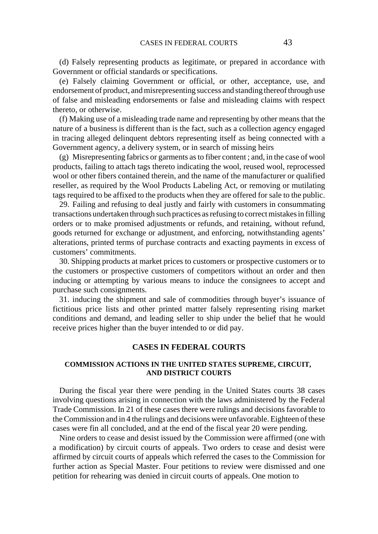(d) Falsely representing products as legitimate, or prepared in accordance with Government or official standards or specifications.

(e) Falsely claiming Government or official, or other, acceptance, use, and endorsement of product, and misrepresenting success and standing thereof through use of false and misleading endorsements or false and misleading claims with respect thereto, or otherwise.

(f) Making use of a misleading trade name and representing by other means that the nature of a business is different than is the fact, such as a collection agency engaged in tracing alleged delinquent debtors representing itself as being connected with a Government agency, a delivery system, or in search of missing heirs

(g) Misrepresenting fabrics or garments asto fiber content ; and, in the case of wool products, failing to attach tags thereto indicating the wool, reused wool, reprocessed wool or other fibers contained therein, and the name of the manufacturer or qualified reseller, as required by the Wool Products Labeling Act, or removing or mutilating tags required to be affixed to the products when they are offered for sale to the public.

29. Failing and refusing to deal justly and fairly with customers in consummating transactions undertaken through such practices as refusing to correct mistakes in filling orders or to make promised adjustments or refunds, and retaining, without refund, goods returned for exchange or adjustment, and enforcing, notwithstanding agents' alterations, printed terms of purchase contracts and exacting payments in excess of customers' commitments.

30. Shipping products at market prices to customers or prospective customers or to the customers or prospective customers of competitors without an order and then inducing or attempting by various means to induce the consignees to accept and purchase such consignments.

31. inducing the shipment and sale of commodities through buyer's issuance of fictitious price lists and other printed matter falsely representing rising market conditions and demand, and leading seller to ship under the belief that he would receive prices higher than the buyer intended to or did pay.

# **CASES IN FEDERAL COURTS**

#### **COMMISSION ACTIONS IN THE UNITED STATES SUPREME, CIRCUIT, AND DISTRICT COURTS**

During the fiscal year there were pending in the United States courts 38 cases involving questions arising in connection with the laws administered by the Federal Trade Commission. In 21 of these cases there were rulings and decisions favorable to theCommission and in 4 the rulings and decisions were unfavorable.Eighteen ofthese cases were fin all concluded, and at the end of the fiscal year 20 were pending.

Nine orders to cease and desist issued by the Commission were affirmed (one with a modification) by circuit courts of appeals. Two orders to cease and desist were affirmed by circuit courts of appeals which referred the cases to the Commission for further action as Special Master. Four petitions to review were dismissed and one petition for rehearing was denied in circuit courts of appeals. One motion to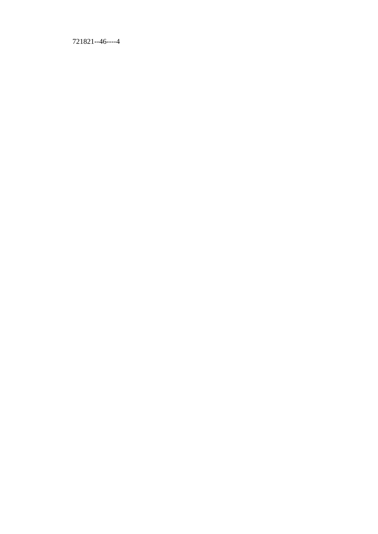721821--46----4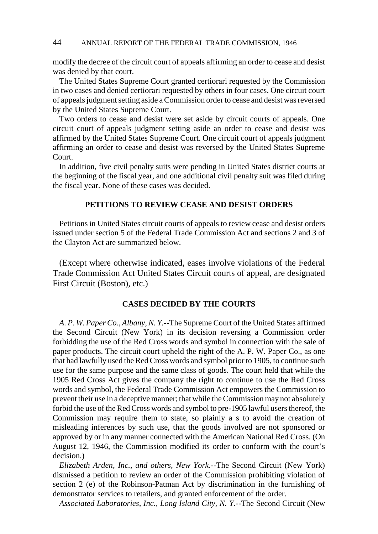modify the decree of the circuit court of appeals affirming an order to cease and desist was denied by that court.

The United States Supreme Court granted certiorari requested by the Commission in two cases and denied certiorari requested by others in four cases. One circuit court of appeals judgment setting aside a Commission order to cease and desist was reversed by the United States Supreme Court.

Two orders to cease and desist were set aside by circuit courts of appeals. One circuit court of appeals judgment setting aside an order to cease and desist was affirmed by the United States Supreme Court. One circuit court of appeals judgment affirming an order to cease and desist was reversed by the United States Supreme Court.

In addition, five civil penalty suits were pending in United States district courts at the beginning of the fiscal year, and one additional civil penalty suit was filed during the fiscal year. None of these cases was decided.

## **PETITIONS TO REVIEW CEASE AND DESIST ORDERS**

Petitions in United States circuit courts of appeals to review cease and desist orders issued under section 5 of the Federal Trade Commission Act and sections 2 and 3 of the Clayton Act are summarized below.

(Except where otherwise indicated, eases involve violations of the Federal Trade Commission Act United States Circuit courts of appeal, are designated First Circuit (Boston), etc.)

# **CASES DECIDED BY THE COURTS**

*A. P. W. Paper Co., Albany, N. Y.--*The Supreme Court of the United States affirmed the Second Circuit (New York) in its decision reversing a Commission order forbidding the use of the Red Cross words and symbol in connection with the sale of paper products. The circuit court upheld the right of the A. P. W. Paper Co., as one that had lawfully used the RedCross words and symbol prior to 1905, to continue such use for the same purpose and the same class of goods. The court held that while the 1905 Red Cross Act gives the company the right to continue to use the Red Cross words and symbol, the Federal Trade Commission Act empowers the Commission to prevent their use in a deceptive manner; that while theCommission may not absolutely forbid the use of the Red Cross words and symbol to pre-1905 lawful users thereof, the Commission may require them to state, so plainly a s to avoid the creation of misleading inferences by such use, that the goods involved are not sponsored or approved by or in any manner connected with the American National Red Cross. (On August 12, 1946, the Commission modified its order to conform with the court's decision.)

*Elizabeth Arden, Inc., and others, New York.--*The Second Circuit (New York) dismissed a petition to review an order of the Commission prohibiting violation of section 2 (e) of the Robinson-Patman Act by discrimination in the furnishing of demonstrator services to retailers, and granted enforcement of the order.

*Associated Laboratories, Inc., Long Island City, N. Y.--*The Second Circuit (New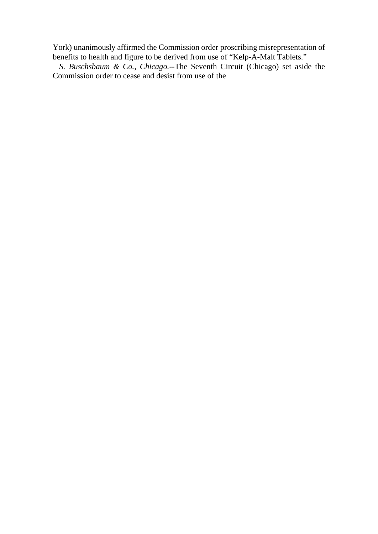York) unanimously affirmed the Commission order proscribing misrepresentation of benefits to health and figure to be derived from use of "Kelp-A-Malt Tablets."

*S. Buschsbaum & Co., Chicago.--*The Seventh Circuit (Chicago) set aside the Commission order to cease and desist from use of the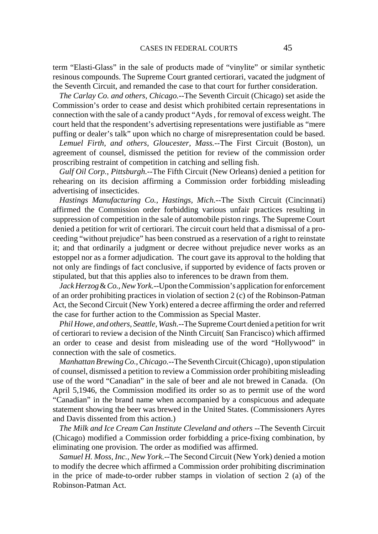term "Elasti-Glass" in the sale of products made of "vinylite" or similar synthetic resinous compounds. The Supreme Court granted certiorari, vacated the judgment of the Seventh Circuit, and remanded the case to that court for further consideration.

*The Carlay Co. and others, Chicago.--*The Seventh Circuit (Chicago) set aside the Commission's order to cease and desist which prohibited certain representations in connection with the sale of a candy product "Ayds, for removal of excess weight. The court held that the respondent's advertising representations were justifiable as "mere puffing or dealer's talk" upon which no charge of misrepresentation could be based.

*Lemuel Firth, and others, Gloucester, Mass.--*The First Circuit (Boston), un agreement of counsel, dismissed the petition for review of the commission order proscribing restraint of competition in catching and selling fish.

*Gulf Oil Corp., Pittsburgh.--*The Fifth Circuit (New Orleans) denied a petition for rehearing on its decision affirming a Commission order forbidding misleading advertising of insecticides.

*Hastings Manufacturing Co., Hastings, Mich.--*The Sixth Circuit (Cincinnati) affirmed the Commission order forbidding various unfair practices resulting in suppression of competition in the sale of automobile piston rings. The Supreme Court denied a petition for writ of certiorari. The circuit court held that a dismissal of a proceeding "without prejudice" has been construed as a reservation of a right to reinstate it; and that ordinarily a judgment or decree without prejudice never works as an estoppel nor as a former adjudication. The court gave its approval to the holding that not only are findings of fact conclusive, if supported by evidence of facts proven or stipulated, but that this applies also to inferences to be drawn from them.

*Jack Herzog & Co., New York.*--Upon the Commission's application for enforcement of an order prohibiting practices in violation of section 2 (c) of the Robinson-Patman Act, the Second Circuit (New York) entered a decree affirming the order and referred the case for further action to the Commission as Special Master.

*Phil Howe, and others, Seattle, Wash.--*The Supreme Court denied a petition for writ of certiorari to review a decision of the Ninth Circuit( San Francisco) which affirmed an order to cease and desist from misleading use of the word "Hollywood" in connection with the sale of cosmetics.

*ManhattanBrewingCo.,Chicago.--*The Seventh Circuit (Chicago) , upon stipulation of counsel, dismissed a petition to review a Commission order prohibiting misleading use of the word "Canadian" in the sale of beer and ale not brewed in Canada. (On April 5,1946, the Commission modified its order so as to permit use of the word "Canadian" in the brand name when accompanied by a conspicuous and adequate statement showing the beer was brewed in the United States. (Commissioners Ayres and Davis dissented from this action.)

*The Milk and Ice Cream Can Institute Cleveland and others --*The Seventh Circuit (Chicago) modified a Commission order forbidding a price-fixing combination, by eliminating one provision. The order as modified was affirmed.

*Samuel H. Moss, Inc., New York.--*The Second Circuit (New York) denied a motion to modify the decree which affirmed a Commission order prohibiting discrimination in the price of made-to-order rubber stamps in violation of section 2 (a) of the Robinson-Patman Act.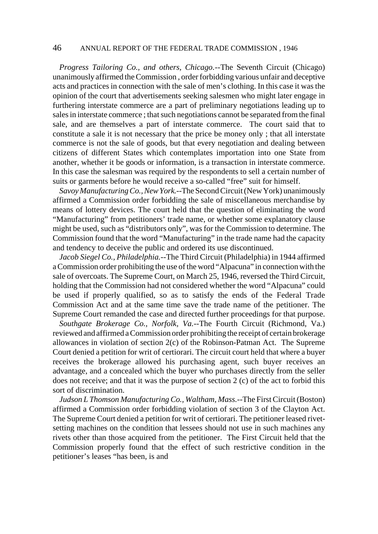*Progress Tailoring Co., and others, Chicago.--*The Seventh Circuit (Chicago) unanimously affirmed the Commission, order forbidding various unfair and deceptive acts and practices in connection with the sale of men's clothing. In this case it was the opinion of the court that advertisements seeking salesmen who might later engage in furthering interstate commerce are a part of preliminary negotiations leading up to sales in interstate commerce; that such negotiations cannot be separated from the final sale, and are themselves a part of interstate commerce. The court said that to constitute a sale it is not necessary that the price be money only ; that all interstate commerce is not the sale of goods, but that every negotiation and dealing between citizens of different States which contemplates importation into one State from another, whether it be goods or information, is a transaction in interstate commerce. In this case the salesman was required by the respondents to sell a certain number of suits or garments before he would receive a so-called "free" suit for himself.

*Savoy ManufacturingCo., New York.--*The SecondCircuit(NewYork) unanimously affirmed a Commission order forbidding the sale of miscellaneous merchandise by means of lottery devices. The court held that the question of eliminating the word "Manufacturing" from petitioners' trade name, or whether some explanatory clause might be used, such as "distributors only", was for the Commission to determine. The Commission found that the word "Manufacturing" in the trade name had the capacity and tendency to deceive the public and ordered its use discontinued.

*Jacob Siegel Co., Philadelphia.--*The Third Circuit (Philadelphia) in 1944 affirmed aCommission order prohibiting the use ofthe word "Alpacuna" in connection with the sale of overcoats. The Supreme Court, on March 25, 1946, reversed the Third Circuit, holding that the Commission had not considered whether the word "Alpacuna" could be used if properly qualified, so as to satisfy the ends of the Federal Trade Commission Act and at the same time save the trade name of the petitioner. The Supreme Court remanded the case and directed further proceedings for that purpose.

*Southgate Brokerage Co., Norfolk, Va.--*The Fourth Circuit (Richmond, Va.) reviewed and affirmed aCommission order prohibiting the receipt of certain brokerage allowances in violation of section 2(c) of the Robinson-Patman Act. The Supreme Court denied a petition for writ of certiorari. The circuit court held that where a buyer receives the brokerage allowed his purchasing agent, such buyer receives an advantage, and a concealed which the buyer who purchases directly from the seller does not receive; and that it was the purpose of section 2 (c) of the act to forbid this sort of discrimination.

*Judson L Thomson Manufacturing Co., Waltham, Mass.--*The FirstCircuit(Boston) affirmed a Commission order forbidding violation of section 3 of the Clayton Act. The Supreme Court denied a petition for writ of certiorari. The petitioner leased rivetsetting machines on the condition that lessees should not use in such machines any rivets other than those acquired from the petitioner. The First Circuit held that the Commission properly found that the effect of such restrictive condition in the petitioner's leases "has been, is and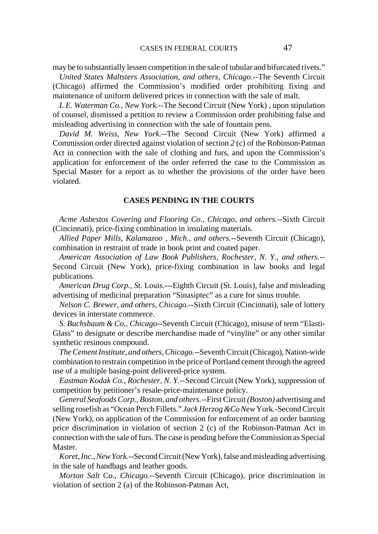may be to substantially lessen competition in the sale of tubular and bifurcated rivets."

*United States Maltsters Association, and others, Chicago.--*The Seventh Circuit (Chicago) affirmed the Commission's modified order prohibiting fixing and maintenance of uniform delivered prices in connection with the sale of malt.

*L E. Waterman Co., New York.--*The Second Circuit (New York) , upon stipulation of counsel, dismissed a petition to review a Commission order prohibiting false and misleading advertising in connection with the sale of fountain pens.

*David M. Weiss, New York.--*The Second Circuit (New York) affirmed a Commission order directed against violation of section *2* (c) of the Robinson-Patman Act in connection with the sale of clothing and furs, and upon the Commission's application for enforcement of the order referred the case to the Commission as Special Master for a report as to whether the provisions of the order have been violated.

# **CASES PENDING IN THE COURTS**

*Acme Asbestos Covering and Flooring Co., Chicago, and others.--*Sixth Circuit (Cincinnati), price-fixing combination in insulating materials.

*Allied Paper Mills, Kalamazoo , Mich., and others.--*Seventh Circuit (Chicago), combination in restraint of trade in book print and coated paper.

*American Association of Law Book Publishers, Rochester, N. Y., and others.--* Second Circuit (New York), price-fixing combination in law books and legal publications.

*American Drug Corp., St.* Louis.---Eighth Circuit (St. Louis), false and misleading advertising of medicinal preparation "Sinasiptec" as a cure for sinus trouble.

*Nelson C. Brewer, and others, Chicago.--*Sixth Circuit (Cincinnati), sale of lottery devices in interstate commerce.

*S. Buchsbaum & Co., Chicago--*Seventh Circuit (Chicago), misuse of term "Elasti-Glass" to designate or describe merchandise made of "vinylite" or any other similar synthetic resinous compound.

*TheCementInstitute, and others,Chicago.--*Seventh Circuit (Chicago), Nation-wide combination to restrain competition in the price of Portland cement through the agreed use of a multiple basing-point delivered-price system.

*Eastman Kodak Co., Rochester, N. Y.--*Second Circuit (New York), suppression of competition by petitioner's resale-price-maintenance policy.

*General SeafoodsCorp., Boston, and others.--*First Circuit*(Boston)* advertising and selling rosefish as "Ocean Perch Fillets." *Jack Herzog&CoNew*York.-SecondCircuit (New York), on application of the Commission for enforcement of an order banning price discrimination in violation of section 2 (c) of the Robinson-Patman Act in connection with the sale offurs. The case is pending before theCommission as Special Master.

*Koret,Inc., New York.--*Second Circuit (New York), false and misleading advertising in the sale of handbags and leather goods.

*Morton Salt* Co., *Chicago.--*Seventh Circuit (Chicago), price discrimination in violation of section 2 (a) of the Robinson-Patman Act,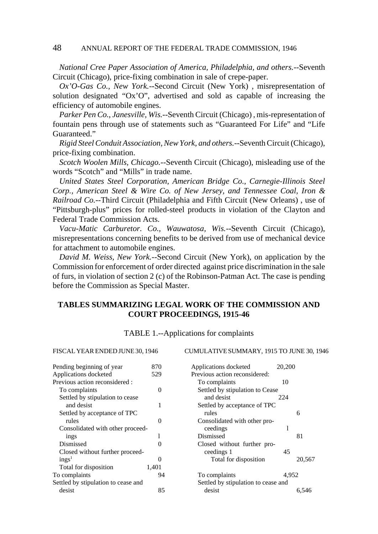*National Cree Paper Association of America, Philadelphia, and others.--*Seventh Circuit (Chicago), price-fixing combination in sale of crepe-paper.

*Ox'O-Gas Co., New York.--*Second Circuit (New York) , misrepresentation of solution designated "Ox'O", advertised and sold as capable of increasing the efficiency of automobile engines.

*Parker Pen Co., Janesville, Wis.--*Seventh Circuit (Chicago) , mis-representation of fountain pens through use of statements such as "Guaranteed For Life" and "Life Guaranteed."

*Rigid SteelConduit Association,NewYork, and others.-*-SeventhCircuit(Chicago), price-fixing combination.

*Scotch Woolen Mills, Chicago.--*Seventh Circuit (Chicago), misleading use of the words "Scotch" and "Mills" in trade name.

*United States Steel Corporation, American Bridge Co., Carnegie-Illinois Steel Corp., American Steel & Wire Co. of New Jersey, and Tennessee Coal, Iron & Railroad Co.--*Third Circuit (Philadelphia and Fifth Circuit (New Orleans) , use of "Pittsburgh-plus" prices for rolled-steel products in violation of the Clayton and Federal Trade Commission Acts.

*Vacu-Matic Carburetor. Co., Wauwatosa, Wis.-*-Seventh Circuit (Chicago), misrepresentations concerning benefits to be derived from use of mechanical device for attachment to automobile engines.

*David M. Weiss, New York.--*Second Circuit (New York), on application by the Commission for enforcement of order directed against price discrimination in the sale of furs, in violation of section 2 (c) of the Robinson-Patman Act. The case is pending before the Commission as Special Master.

# **TABLES SUMMARIZING LEGAL WORK OF THE COMMISSION AND COURT PROCEEDINGS, 1915-46**

#### TABLE 1.--Applications for complaints

FISCAL YEAR ENDED JUNE 30, 1946

| CUMULATIVE SUMMARY, 1915 TO JUNE 30, 1946 |  |
|-------------------------------------------|--|
|-------------------------------------------|--|

| Pending beginning of year           | 870      | Applications docketed               | 20,200 |       |
|-------------------------------------|----------|-------------------------------------|--------|-------|
| Applications docketed               | 529      | Previous action reconsidered:       |        |       |
| Previous action reconsidered :      |          | To complaints                       | 10     |       |
| To complaints                       | 0        | Settled by stipulation to Cease     |        |       |
| Settled by stipulation to cease     |          | and desist                          | 224    |       |
| and desist                          |          | Settled by acceptance of TPC        |        |       |
| Settled by acceptance of TPC        |          | rules                               |        | 6     |
| rules                               | $\theta$ | Consolidated with other pro-        |        |       |
| Consolidated with other proceed-    |          | ceedings                            |        |       |
| ings                                | 1.       | Dismissed                           |        | 81    |
| Dismissed                           | 0        | Closed without further pro-         |        |       |
| Closed without further proceed-     |          | ceedings 1                          | 45     |       |
| ings <sup>1</sup>                   | $\Omega$ | Total for disposition               |        | 20.56 |
| Total for disposition               | 1,401    |                                     |        |       |
| To complaints                       | 94       | To complaints                       | 4.952  |       |
| Settled by stipulation to cease and |          | Settled by stipulation to cease and |        |       |
| desist                              | 85       | desist                              |        | 6.546 |
|                                     |          |                                     |        |       |

| 0  | Applications docketed               | 20,200 |
|----|-------------------------------------|--------|
| 9  | Previous action reconsidered:       |        |
|    | To complaints                       | 10     |
| 0  | Settled by stipulation to Cease     |        |
|    | and desist                          | 224    |
| 1  | Settled by acceptance of TPC        |        |
|    | rules                               | 6      |
| 0  | Consolidated with other pro-        |        |
|    | ceedings                            | 1      |
|    | Dismissed                           | 81     |
| 0  | Closed without further pro-         |        |
|    | ceedings 1                          | 45     |
| 0  | Total for disposition               | 20,567 |
| 1  |                                     |        |
| 94 | To complaints                       | 4,952  |
|    | Settled by stipulation to cease and |        |
| 85 | desist                              | 6.546  |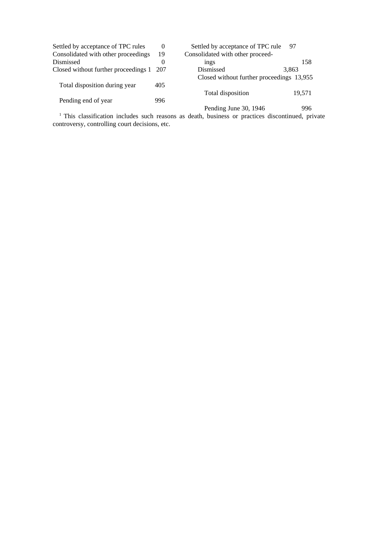| Settled by acceptance of TPC rules   | $\theta$ | Settled by acceptance of TPC rule         | 97     |
|--------------------------------------|----------|-------------------------------------------|--------|
| Consolidated with other proceedings  | 19       | Consolidated with other proceed-          |        |
| Dismissed                            | $\Omega$ | ings                                      | 158    |
| Closed without further proceedings 1 | -207     | Dismissed                                 | 3.863  |
|                                      |          | Closed without further proceedings 13,955 |        |
| Total disposition during year        | 405      |                                           |        |
|                                      |          | Total disposition                         | 19,571 |
| Pending end of year                  | 996      |                                           |        |
|                                      |          | Pending June 30, 1946                     | 996    |

<sup>1</sup> This classification includes such reasons as death, business or practices discontinued, private controversy, controlling court decisions, etc.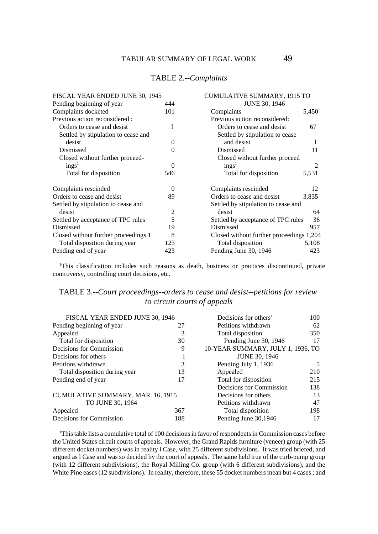| FISCAL YEAR ENDED JUNE 30, 1945      |          | <b>CUMULATIVE SUMMARY, 1915 TO</b>               |
|--------------------------------------|----------|--------------------------------------------------|
| Pending beginning of year            | 444      | <b>JUNE 30, 1946</b>                             |
| Complaints docketed                  | 101      | Complaints<br>5,450                              |
| Previous action reconsidered :       |          | Previous action reconsidered:                    |
| Orders to cease and desist           | 1        | Orders to cease and desist<br>67                 |
| Settled by stipulation to cease and  |          | Settled by stipulation to cease                  |
| desist                               | $\theta$ | and desist                                       |
| Dismissed                            | 0        | Dismissed<br>11                                  |
| Closed without further proceed-      |          | Closed without further proceed                   |
| ings <sup>1</sup>                    | $\Omega$ | $\text{ings}^1$<br>$\mathfrak{D}_{\mathfrak{p}}$ |
| Total for disposition                | 546      | Total for disposition<br>5,531                   |
| Complaints rescinded                 | $\theta$ | Complaints rescinded<br>12                       |
| Orders to cease and desist           | 89       | Orders to cease and desist<br>3,835              |
| Settled by stipulation to cease and  |          | Settled by stipulation to cease and              |
| desist                               | 2        | desist<br>64                                     |
| Settled by acceptance of TPC rules   | 5        | 36<br>Settled by acceptance of TPC rules         |
| Dismissed                            | 19       | Dismissed<br>957                                 |
| Closed without further proceedings 1 | 8        | Closed without further proceedings 1,204         |
| Total disposition during year        | 123      | 5,108<br>Total disposition                       |
| Pending end of year                  | 423      | Pending June 30, 1946<br>423                     |

#### TABLE 2.--*Complaints*

<sup>1</sup>This classification includes such reasons as death, business or practices discontinued, private controversy, controlling court decisions, etc.

# TABLE 3.--*Court proceedings--orders to cease and desist--petitions for review to circuit courts of appeals*

| FISCAL YEAR ENDED JUNE 30, 1946   |     | Decisions for others <sup>1</sup> | 100 |
|-----------------------------------|-----|-----------------------------------|-----|
| Pending beginning of year         | 27  | Petitions withdrawn               | 62  |
| Appealed                          | 3   | Total disposition                 | 350 |
| Total for disposition             | 30  | Pending June 30, 1946             | 17  |
| Decisions for Commission          | 9   | 10-YEAR SUMMARY, JULY 1, 1936, TO |     |
| Decisions for others              |     | <b>JUNE 30, 1946</b>              |     |
| Petitions withdrawn               | 3   | Pending July 1, 1936              | 5   |
| Total disposition during year     | 13  | Appealed                          | 210 |
| Pending end of year               | 17  | Total for disposition             | 215 |
|                                   |     | Decisions for Commission          | 138 |
| CUMULATIVE SUMMARY, MAR. 16, 1915 |     | Decisions for others              | 13  |
| TO JUNE 30, 1964                  |     | Petitions withdrawn               | 47  |
| Appealed                          | 367 | Total disposition                 | 198 |
| Decisions for Commission          | 188 | Pending June 30,1946              | 17  |

<sup>1</sup>This table lists a cumulative total of 100 decisions in favor of respondents in Commission cases before the United States circuit courts of appeals. However, the Grand Rapids furniture (veneer) group (with 25 different docket numbers) was in reality l Case, with 25 different subdivisions. It was tried briefed, and argued as l Case and was so decided by the court of appeals. The same held true of the curb-pump group (with 12 different subdivisions), the Royal Milling Co. group (with 6 different subdivisions), and the White Pine eases (12 subdivisions). In reality, therefore, these 55 docket numbers mean but 4 cases; and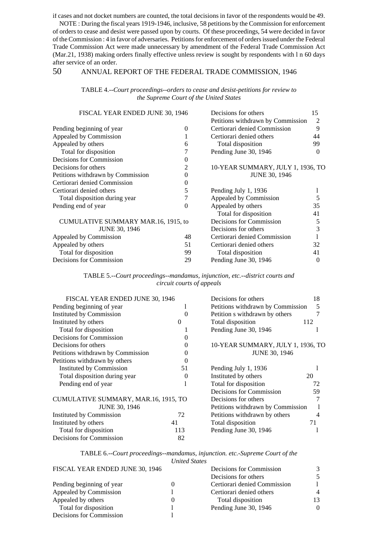if cases and not docket numbers are counted, the total decisions in favor of the respondents would be 49.

NOTE : During the fiscal years 1919-1946, inclusive, 58 petitions by the Commission for enforcement of orders to cease and desist were passed upon by courts. Of these proceedings, 54 were decided in favor oftheCommission : 4 in favor of adversaries. Petitions for enforcement of orders issued under the Federal Trade Commission Act were made unnecessary by amendment of the Federal Trade Commission Act (Mar.21, 1938) making orders finally effective unless review is sought by respondents with l n 60 days after service of an order.

# 50 ANNUAL REPORT OF THE FEDERAL TRADE COMMISSION, 1946

TABLE 4.--*Court proceedings--orders to cease and desist-petitions for review to the Supreme Court of the United States*

| FISCAL YEAR ENDED JUNE 30, 1946     | Decisions for others              | 15                                |
|-------------------------------------|-----------------------------------|-----------------------------------|
|                                     | Petitions withdrawn by Commission | $\overline{c}$                    |
| $\Omega$                            | Certiorari denied Commission      | 9                                 |
|                                     | Certiorari denied others          | 44                                |
| 6                                   | Total disposition                 | 99                                |
| 7                                   | Pending June 30, 1946             | $\Omega$                          |
| $\Omega$                            |                                   |                                   |
| 2                                   |                                   |                                   |
| 0                                   | <b>JUNE 30, 1946</b>              |                                   |
| $\Omega$                            |                                   |                                   |
| 5                                   | Pending July 1, 1936              |                                   |
| 7                                   | Appealed by Commission            | 5                                 |
| $\Omega$                            | Appealed by others                | 35                                |
|                                     | Total for disposition             | 41                                |
| CUMULATIVE SUMMARY MAR.16, 1915, to | Decisions for Commission          | 5                                 |
|                                     | Decisions for others              | 3                                 |
| 48                                  | Certiorari denied Commission      |                                   |
| 51                                  | Certiorari denied others          | 32                                |
| 99                                  | Total disposition                 | 41                                |
| 29                                  | Pending June 30, 1946             | $\Omega$                          |
|                                     |                                   | 10-YEAR SUMMARY, JULY 1, 1936, TO |

TABLE 5.*--Court proceedings--mandamus, injunction, etc.--district courts and circuit courts of appeals*

| FISCAL YEAR ENDED JUNE 30, 1946      |          | Decisions for others              | 18  |
|--------------------------------------|----------|-----------------------------------|-----|
| Pending beginning of year            | l        | Petitions withdrawn by Commission | 5   |
| Instituted by Commission             | $\Omega$ | Petition s withdrawn by others    |     |
| Instituted by others                 | $\theta$ | Total disposition                 | 112 |
| Total for disposition                |          | Pending June 30, 1946             |     |
| Decisions for Commission             |          |                                   |     |
| Decisions for others                 | 0        | 10-YEAR SUMMARY, JULY 1, 1936, TO |     |
| Petitions withdrawn by Commission    | 0        | <b>JUNE 30, 1946</b>              |     |
| Petitions withdrawn by others        | $\Omega$ |                                   |     |
| Instituted by Commission             | 51       | Pending July 1, 1936              |     |
| Total disposition during year        | $\Omega$ | Instituted by others              | 20  |
| Pending end of year                  |          | Total for disposition             | 72  |
|                                      |          | Decisions for Commission          | 59  |
| CUMULATIVE SUMMARY, MAR.16, 1915, TO |          | Decisions for others              |     |
| <b>JUNE 30, 1946</b>                 |          | Petitions withdrawn by Commission |     |
| Instituted by Commission             | 72       | Petitions withdrawn by others     | 4   |
| Instituted by others                 | 41       | Total disposition                 | 71  |
| Total for disposition                | 113      | Pending June 30, 1946             |     |
| Decisions for Commission             | 82       |                                   |     |

TABLE 6.-*-Court proceedings--mandamus, injunction. etc.-Supreme Court of the*

*United States*

| FISCAL YEAR ENDED JUNE 30, 1946 |  | Decisions for Commission     |          |
|---------------------------------|--|------------------------------|----------|
|                                 |  | Decisions for others         | 5        |
| Pending beginning of year       |  | Certiorari denied Commission |          |
| Appealed by Commission          |  | Certiorari denied others     | 4        |
| Appealed by others              |  | Total disposition            | 13       |
| Total for disposition           |  | Pending June 30, 1946        | $\Omega$ |
| Decisions for Commission        |  |                              |          |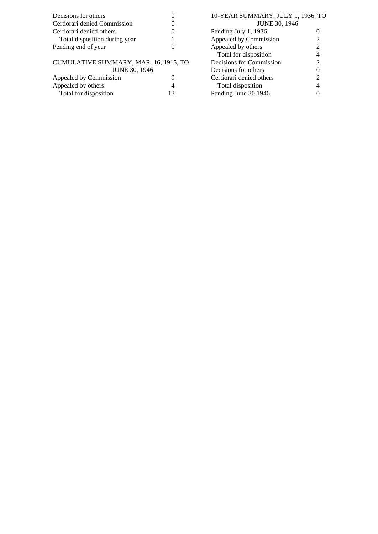| Decisions for others                  |    | 10-YEAR SUMMARY, JULY 1, 1936, TO |  |
|---------------------------------------|----|-----------------------------------|--|
| Certiorari denied Commission          |    | <b>JUNE 30, 1946</b>              |  |
| Certiorari denied others              | O  | Pending July 1, 1936              |  |
| Total disposition during year         |    | Appealed by Commission            |  |
| Pending end of year                   | O  | Appealed by others                |  |
|                                       |    | Total for disposition             |  |
| CUMULATIVE SUMMARY, MAR. 16, 1915, TO |    | Decisions for Commission          |  |
| <b>JUNE 30, 1946</b>                  |    | Decisions for others              |  |
| Appealed by Commission                |    | Certiorari denied others          |  |
| Appealed by others                    |    | Total disposition                 |  |
| Total for disposition                 | 13 | Pending June 30.1946              |  |
|                                       |    |                                   |  |

|                         |   | 10-YEAR SUMMARY, JULY 1, 1936, TO |   |  |
|-------------------------|---|-----------------------------------|---|--|
| mission                 |   | <b>JUNE 30, 1946</b>              |   |  |
| 'S                      |   | Pending July 1, 1936              |   |  |
| ring year               |   | Appealed by Commission            | 2 |  |
|                         |   | Appealed by others                |   |  |
|                         |   | Total for disposition             |   |  |
| MARY, MAR. 16, 1915, TO |   | Decisions for Commission          | 2 |  |
| JUNE 30, 1946           |   | Decisions for others              |   |  |
| ion                     |   | Certiorari denied others          | 2 |  |
|                         | 4 | Total disposition                 |   |  |
|                         |   | Pending June 30.1946              |   |  |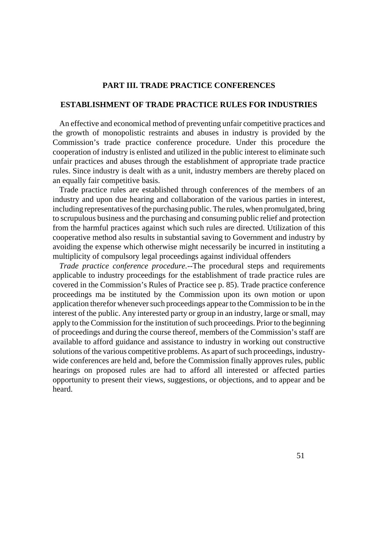### **PART III. TRADE PRACTICE CONFERENCES**

# **ESTABLISHMENT OF TRADE PRACTICE RULES FOR INDUSTRIES**

An effective and economical method of preventing unfair competitive practices and the growth of monopolistic restraints and abuses in industry is provided by the Commission's trade practice conference procedure. Under this procedure the cooperation of industry is enlisted and utilized in the public interest to eliminate such unfair practices and abuses through the establishment of appropriate trade practice rules. Since industry is dealt with as a unit, industry members are thereby placed on an equally fair competitive basis.

Trade practice rules are established through conferences of the members of an industry and upon due hearing and collaboration of the various parties in interest, including representatives of the purchasing public. The rules, when promulgated, bring to scrupulous business and the purchasing and consuming public relief and protection from the harmful practices against which such rules are directed. Utilization of this cooperative method also results in substantial saving to Government and industry by avoiding the expense which otherwise might necessarily be incurred in instituting a multiplicity of compulsory legal proceedings against individual offenders

*Trade practice conference procedure.--*The procedural steps and requirements applicable to industry proceedings for the establishment of trade practice rules are covered in the Commission's Rules of Practice see p. 85). Trade practice conference proceedings ma be instituted by the Commission upon its own motion or upon application therefor wheneversuch proceedings appearto theCommission to be in the interest of the public. Any interested party or group in an industry, large or small, may apply to the Commission for the institution of such proceedings. Prior to the beginning of proceedings and during the course thereof, members of the Commission's staff are available to afford guidance and assistance to industry in working out constructive solutions of the various competitive problems. As apart of such proceedings, industrywide conferences are held and, before the Commission finally approves rules, public hearings on proposed rules are had to afford all interested or affected parties opportunity to present their views, suggestions, or objections, and to appear and be heard.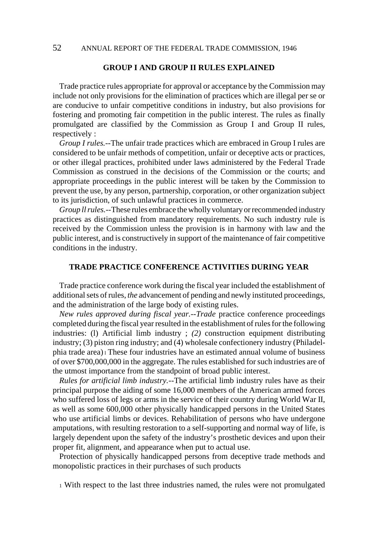#### **GROUP I AND GROUP II RULES EXPLAINED**

Trade practice rules appropriate for approval or acceptance by the Commission may include not only provisions for the elimination of practices which are illegal per se or are conducive to unfair competitive conditions in industry, but also provisions for fostering and promoting fair competition in the public interest. The rules as finally promulgated are classified by the Commission as Group I and Group II rules, respectively :

*Group I rules.--*The unfair trade practices which are embraced in Group I rules are considered to be unfair methods of competition, unfair or deceptive acts or practices, or other illegal practices, prohibited under laws administered by the Federal Trade Commission as construed in the decisions of the Commission or the courts; and appropriate proceedings in the public interest will be taken by the Commission to prevent the use, by any person, partnership, corporation, or other organization subject to its jurisdiction, of such unlawful practices in commerce.

*Group llrules.--*These rules embrace thewholly voluntary orrecommended industry practices as distinguished from mandatory requirements. No such industry rule is received by the Commission unless the provision is in harmony with law and the public interest, and is constructively in support of the maintenance of fair competitive conditions in the industry.

### **TRADE PRACTICE CONFERENCE ACTIVITIES DURING YEAR**

Trade practice conference work during the fiscal year included the establishment of additional sets of rules, *the* advancement of pending and newly instituted proceedings, and the administration of the large body of existing rules.

*New rules approved during fiscal year.--Trade* practice conference proceedings completed during the fiscal year resulted in the establishment of rules for the following industries: (l) Artificial limb industry ; *(2)* construction equipment distributing industry; (3) piston ring industry; and (4) wholesale confectionery industry (Philadelphia trade area) l These four industries have an estimated annual volume of business of over \$700,000,000 in the aggregate. The rules established forsuch industries are of the utmost importance from the standpoint of broad public interest.

*Rules for artificial limb industry.--*The artificial limb industry rules have as their principal purpose the aiding of some 16,000 members of the American armed forces who suffered loss of legs or arms in the service of their country during World War II, as well as some 600,000 other physically handicapped persons in the United States who use artificial limbs or devices. Rehabilitation of persons who have undergone amputations, with resulting restoration to a self-supporting and normal way of life, is largely dependent upon the safety of the industry's prosthetic devices and upon their proper fit, alignment, and appearance when put to actual use.

Protection of physically handicapped persons from deceptive trade methods and monopolistic practices in their purchases of such products

<sup>1</sup> With respect to the last three industries named, the rules were not promulgated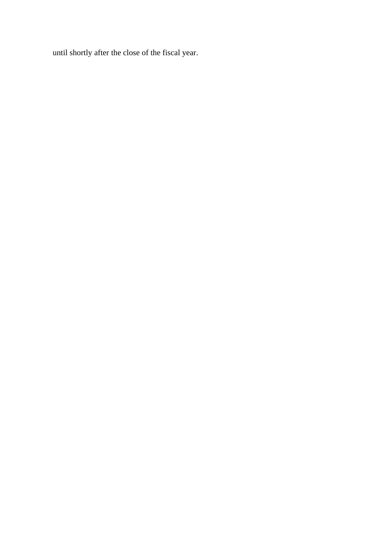until shortly after the close of the fiscal year.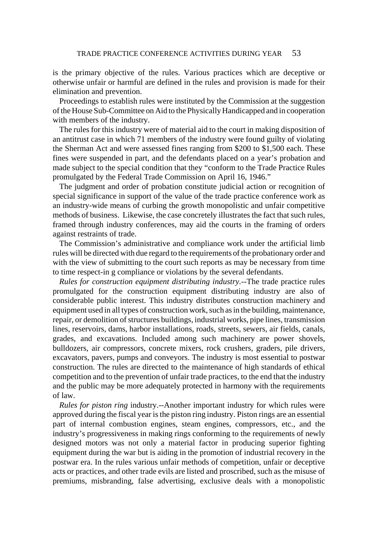is the primary objective of the rules. Various practices which are deceptive or otherwise unfair or harmful are defined in the rules and provision is made for their elimination and prevention.

Proceedings to establish rules were instituted by the Commission at the suggestion of the House Sub-Committee on Aid to the Physically Handicapped and in cooperation with members of the industry.

The rules for this industry were of material aid to the court in making disposition of an antitrust case in which 71 members of the industry were found guilty of violating the Sherman Act and were assessed fines ranging from \$200 to \$1,500 each. These fines were suspended in part, and the defendants placed on a year's probation and made subject to the special condition that they "conform to the Trade Practice Rules promulgated by the Federal Trade Commission on April 16, 1946."

The judgment and order of probation constitute judicial action or recognition of special significance in support of the value of the trade practice conference work as an industry-wide means of curbing the growth monopolistic and unfair competitive methods of business. Likewise, the case concretely illustrates the fact that such rules, framed through industry conferences, may aid the courts in the framing of orders against restraints of trade.

The Commission's administrative and compliance work under the artificial limb rules will be directed with due regard to the requirements of the probationary order and with the view of submitting to the court such reports as may be necessary from time to time respect-in g compliance or violations by the several defendants.

*Rules for construction equipment distributing industry.--*The trade practice rules promulgated for the construction equipment distributing industry are also of considerable public interest. This industry distributes construction machinery and equipment used in all types of construction work, such as in the building, maintenance, repair, or demolition of structures buildings, industrial works, pipe lines, transmission lines, reservoirs, dams, harbor installations, roads, streets, sewers, air fields, canals, grades, and excavations. Included among such machinery are power shovels, bulldozers, air compressors, concrete mixers, rock crushers, graders, pile drivers, excavators, pavers, pumps and conveyors. The industry is most essential to postwar construction. The rules are directed to the maintenance of high standards of ethical competition and to the prevention of unfair trade practices, to the end that the industry and the public may be more adequately protected in harmony with the requirements of law.

*Rules for piston ring* industry.--Another important industry for which rules were approved during the fiscal year is the piston ring industry. Piston rings are an essential part of internal combustion engines, steam engines, compressors, etc., and the industry's progressiveness in making rings conforming to the requirements of newly designed motors was not only a material factor in producing superior fighting equipment during the war but is aiding in the promotion of industrial recovery in the postwar era. In the rules various unfair methods of competition, unfair or deceptive acts or practices, and other trade evils are listed and proscribed, such as the misuse of premiums, misbranding, false advertising, exclusive deals with a monopolistic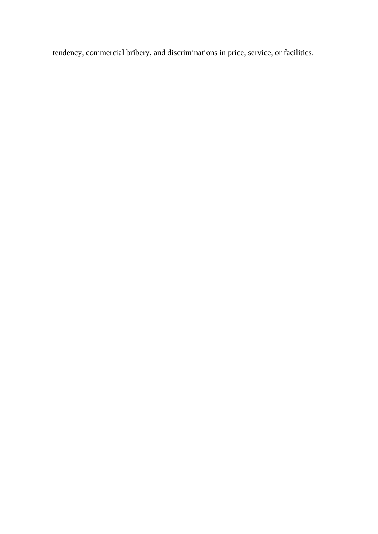tendency, commercial bribery, and discriminations in price, service, or facilities.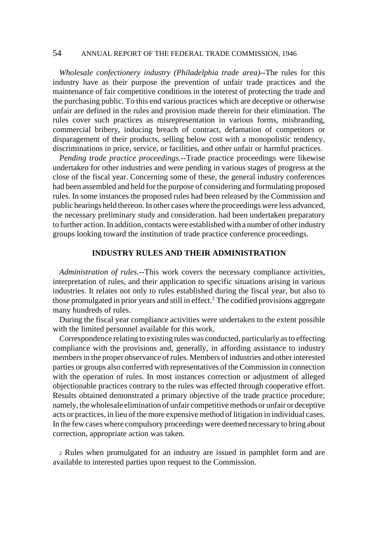*Wholesale confectionery industry (Philadelphia trade area)*--The rules for this industry have as their purpose the prevention of unfair trade practices and the maintenance of fair competitive conditions in the interest of protecting the trade and the purchasing public. To this end various practices which are deceptive or otherwise unfair are defined in the rules and provision made therein for their elimination. The rules cover such practices as misrepresentation in various forms, misbranding, commercial bribery, inducing breach of contract, defamation of competitors or disparagement of their products, selling below cost with a monopolistic tendency, discriminations in price, service, or facilities, and other unfair or harmful practices.

*Pending trade practice proceedings.--*Trade practice proceedings were likewise undertaken for other industries and were pending in various stages of progress at the close of the fiscal year. Concerning some of these, the general industry conferences had been assembled and held for the purpose of considering and formulating proposed rules. In some instances the proposed rules had been released by the Commission and public hearings held thereon.In other cases where the proceedings were less advanced, the necessary preliminary study and consideration. had been undertaken preparatory to further action. In addition, contacts were established with a number of other industry groups looking toward the institution of trade practice conference proceedings.

#### **INDUSTRY RULES AND THEIR ADMINISTRATION**

*Administration of rules.--*This work covers the necessary compliance activities, interpretation of rules, and their application to specific situations arising in various industries. It relates not only to rules established during the fiscal year, but also to those promulgated in prior years and still in effect.<sup>2</sup> The codified provisions aggregate many hundreds of rules.

During the fiscal year compliance activities were undertaken to the extent possible with the limited personnel available for this work.

Correspondence relating to existing rules was conducted, particularly asto effecting compliance with the provisions and, generally, in affording assistance to industry members in the proper observance of rules. Members of industries and other interested parties or groups also conferred with representatives of the Commission in connection with the operation of rules. In most instances correction or adjustment of alleged objectionable practices contrary to the rules was effected through cooperative effort. Results obtained demonstrated a primary objective of the trade practice procedure; namely, the wholesale elimination of unfair competitive methods or unfair or deceptive acts or practices, in lieu of the more expensive method of litigation in individual cases. In the few cases where compulsory proceedings were deemed necessary to bring about correction, appropriate action was taken.

<sup>2</sup> Rules when promulgated for an industry are issued in pamphlet form and are available to interested parties upon request to the Commission.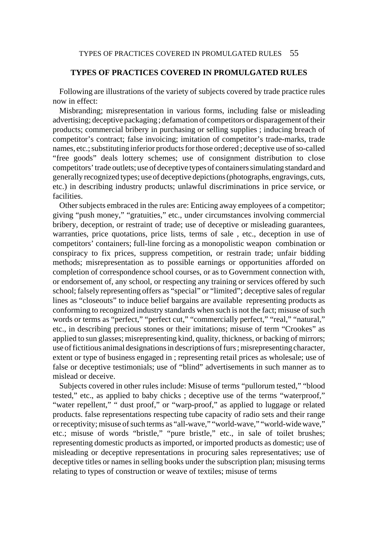# **TYPES OF PRACTICES COVERED IN PROMULGATED RULES**

Following are illustrations of the variety of subjects covered by trade practice rules now in effect:

Misbranding; misrepresentation in various forms, including false or misleading advertising; deceptive packaging ; defamation of competitors or disparagement of their products; commercial bribery in purchasing or selling supplies ; inducing breach of competitor's contract; false invoicing; imitation of competitor's trade-marks, trade names, etc.; substituting inferior products for those ordered; deceptive use of so-called "free goods" deals lottery schemes; use of consignment distribution to close competitors'trade outlets; use of deceptive types of containerssimulating standard and generally recognized types; use of deceptive depictions (photographs, engravings, cuts, etc.) in describing industry products; unlawful discriminations in price service, or facilities.

Other subjects embraced in the rules are: Enticing away employees of a competitor; giving "push money," "gratuities," etc., under circumstances involving commercial bribery, deception, or restraint of trade; use of deceptive or misleading guarantees, warranties, price quotations, price lists, terms of sale , etc., deception in use of competitors' containers; full-line forcing as a monopolistic weapon combination or conspiracy to fix prices, suppress competition, or restrain trade; unfair bidding methods; misrepresentation as to possible earnings or opportunities afforded on completion of correspondence school courses, or as to Government connection with, or endorsement of, any school, or respecting any training or services offered by such school; falsely representing offers as "special" or "limited"; deceptive sales of regular lines as "closeouts" to induce belief bargains are available representing products as conforming to recognized industry standards when such is not the fact; misuse of such words or terms as "perfect," "perfect cut," "commercially perfect," "real," "natural," etc., in describing precious stones or their imitations; misuse of term "Crookes" as applied to sun glasses; misrepresenting kind, quality, thickness, or backing of mirrors; use of fictitious animal designations in descriptions of furs; misrepresenting character, extent or type of business engaged in ; representing retail prices as wholesale; use of false or deceptive testimonials; use of "blind" advertisements in such manner as to mislead or deceive.

Subjects covered in other rules include: Misuse of terms "pullorum tested," "blood tested," etc., as applied to baby chicks ; deceptive use of the terms "waterproof," "water repellent," " dust proof," or "warp-proof," as applied to luggage or related products. false representations respecting tube capacity of radio sets and their range or receptivity; misuse of such terms as "all-wave," "world-wave," "world-wide wave," etc.; misuse of words "bristle," "pure bristle," etc., in sale of toilet brushes; representing domestic products as imported, or imported products as domestic; use of misleading or deceptive representations in procuring sales representatives; use of deceptive titles or names in selling books under the subscription plan; misusing terms relating to types of construction or weave of textiles; misuse of terms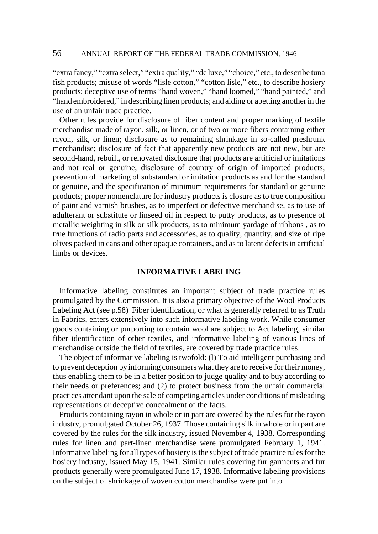"extra fancy," "extra select," "extra quality," "de luxe," "choice," etc., to describe tuna fish products; misuse of words "lisle cotton," "cotton lisle," etc., to describe hosiery products; deceptive use of terms "hand woven," "hand loomed," "hand painted," and "hand embroidered," in describing linen products; and aiding or abetting another in the use of an unfair trade practice.

Other rules provide for disclosure of fiber content and proper marking of textile merchandise made of rayon, silk, or linen, or of two or more fibers containing either rayon, silk, or linen; disclosure as to remaining shrinkage in so-called preshrunk merchandise; disclosure of fact that apparently new products are not new, but are second-hand, rebuilt, or renovated disclosure that products are artificial or imitations and not real or genuine; disclosure of country of origin of imported products; prevention of marketing of substandard or imitation products as and for the standard or genuine, and the specification of minimum requirements for standard or genuine products; proper nomenclature for industry products is closure as to true composition of paint and varnish brushes, as to imperfect or defective merchandise, as to use of adulterant or substitute or linseed oil in respect to putty products, as to presence of metallic weighting in silk or silk products, as to minimum yardage of ribbons , as to true functions of radio parts and accessories, as to quality, quantity, and size of ripe olives packed in cans and other opaque containers, and as to latent defects in artificial limbs or devices.

#### **INFORMATIVE LABELING**

Informative labeling constitutes an important subject of trade practice rules promulgated by the Commission. It is also a primary objective of the Wool Products Labeling Act (see p.58) Fiber identification, or what is generally referred to as Truth in Fabrics, enters extensively into such informative labeling work. While consumer goods containing or purporting to contain wool are subject to Act labeling, similar fiber identification of other textiles, and informative labeling of various lines of merchandise outside the field of textiles, are covered by trade practice rules.

The object of informative labeling is twofold: (l) To aid intelligent purchasing and to prevent deception by informing consumers what they are to receive for their money, thus enabling them to be in a better position to judge quality and to buy according to their needs or preferences; and (2) to protect business from the unfair commercial practices attendant upon the sale of competing articles under conditions of misleading representations or deceptive concealment of the facts.

Products containing rayon in whole or in part are covered by the rules for the rayon industry, promulgated October 26, 1937. Those containing silk in whole or in part are covered by the rules for the silk industry, issued November 4, 1938. Corresponding rules for linen and part-linen merchandise were promulgated February 1, 1941. Informative labeling for all types of hosiery is the subject of trade practice rules for the hosiery industry, issued May 15, 1941. Similar rules covering fur garments and fur products generally were promulgated June 17, 1938. Informative labeling provisions on the subject of shrinkage of woven cotton merchandise were put into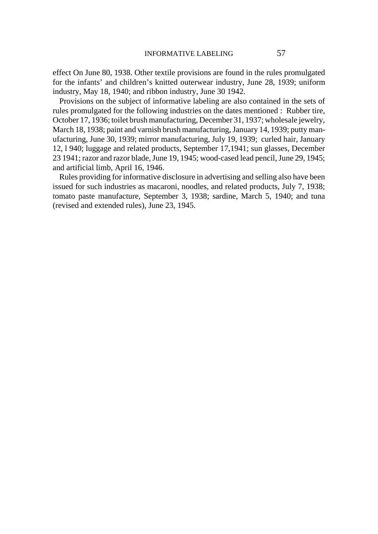effect On June 80, 1938. Other textile provisions are found in the rules promulgated for the infants' and children's knitted outerwear industry, June 28, 1939; uniform industry, May 18, 1940; and ribbon industry, June 30 1942.

Provisions on the subject of informative labeling are also contained in the sets of rules promulgated for the following industries on the dates mentioned : Rubber tire, October 17, 1936; toilet brush manufacturing, December 31, 1937; wholesale jewelry, March 18, 1938; paint and varnish brush manufacturing, January 14, 1939; putty manufacturing, June 30, 1939; mirror manufacturing, July 19, 1939; curled hair, January 12, l 940; luggage and related products, September 17,1941; sun glasses, December 23 1941; razor and razor blade, June 19, 1945; wood-cased lead pencil, June 29, 1945; and artificial limb, April 16, 1946.

Rules providing for informative disclosure in advertising and selling also have been issued for such industries as macaroni, noodles, and related products, July 7, 1938; tomato paste manufacture, September 3, 1938; sardine, March 5, 1940; and tuna (revised and extended rules), June 23, 1945.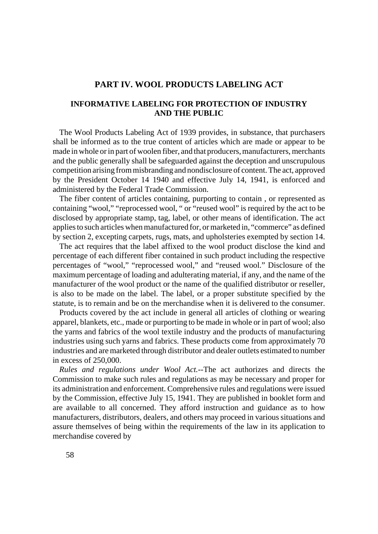# **PART IV. WOOL PRODUCTS LABELING ACT**

# **INFORMATIVE LABELING FOR PROTECTION OF INDUSTRY AND THE PUBLIC**

The Wool Products Labeling Act of 1939 provides, in substance, that purchasers shall be informed as to the true content of articles which are made or appear to be made in whole or in part of woolen fiber, and that producers, manufacturers, merchants and the public generally shall be safeguarded against the deception and unscrupulous competition arising frommisbranding and nondisclosure of content.The act, approved by the President October 14 1940 and effective July 14, 1941, is enforced and administered by the Federal Trade Commission.

The fiber content of articles containing, purporting to contain , or represented as containing "wool," "reprocessed wool, " or "reused wool" is required by the act to be disclosed by appropriate stamp, tag, label, or other means of identification. The act applies to such articles when manufactured for, or marketed in, "commerce" as defined by section 2, excepting carpets, rugs, mats, and upholsteries exempted by section 14.

The act requires that the label affixed to the wool product disclose the kind and percentage of each different fiber contained in such product including the respective percentages of "wool," "reprocessed wool," and "reused wool." Disclosure of the maximum percentage of loading and adulterating material, if any, and the name of the manufacturer of the wool product or the name of the qualified distributor or reseller, is also to be made on the label. The label, or a proper substitute specified by the statute, is to remain and be on the merchandise when it is delivered to the consumer.

Products covered by the act include in general all articles of clothing or wearing apparel, blankets, etc., made or purporting to be made in whole or in part of wool; also the yarns and fabrics of the wool textile industry and the products of manufacturing industries using such yarns and fabrics. These products come from approximately 70 industries and are marketed through distributor and dealer outlets estimated to number in excess of 250,000.

*Rules and regulations under Wool Act.--*The act authorizes and directs the Commission to make such rules and regulations as may be necessary and proper for its administration and enforcement. Comprehensive rules and regulations were issued by the Commission, effective July 15, 1941. They are published in booklet form and are available to all concerned. They afford instruction and guidance as to how manufacturers, distributors, dealers, and others may proceed in various situations and assure themselves of being within the requirements of the law in its application to merchandise covered by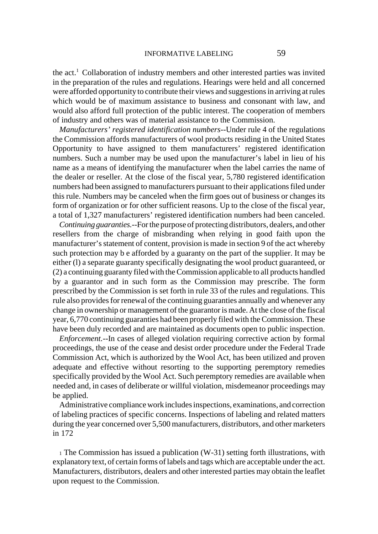the act.<sup>1</sup> Collaboration of industry members and other interested parties was invited in the preparation of the rules and regulations. Hearings were held and all concerned were afforded opportunity to contribute their views and suggestions in arriving at rules which would be of maximum assistance to business and consonant with law, and would also afford full protection of the public interest. The cooperation of members of industry and others was of material assistance to the Commission.

*Manufacturers' registered identification numbers*--Under rule 4 of the regulations the Commission affords manufacturers of wool products residing in the United States Opportunity to have assigned to them manufacturers' registered identification numbers. Such a number may be used upon the manufacturer's label in lieu of his name as a means of identifying the manufacturer when the label carries the name of the dealer or reseller. At the close of the fiscal year, 5,780 registered identification numbers had been assigned to manufacturers pursuant to their applicationsfiled under this rule. Numbers may be canceled when the firm goes out of business or changes its form of organization or for other sufficient reasons. Up to the close of the fiscal year, a total of 1,327 manufacturers' registered identification numbers had been canceled.

*Continuing guaranties.--*Forthe purpose of protecting distributors, dealers, and other resellers from the charge of misbranding when relying in good faith upon the manufacturer's statement of content, provision is made in section 9 of the act whereby such protection may b e afforded by a guaranty on the part of the supplier. It may be either (l) a separate guaranty specifically designating the wool product guaranteed, or (2) a continuing guaranty filed with theCommission applicable to all products handled by a guarantor and in such form as the Commission may prescribe. The form prescribed by the Commission is set forth in rule 33 of the rules and regulations. This rule also provides for renewal of the continuing guaranties annually and whenever any change in ownership or management of the guarantor is made. At the close of the fiscal year, 6,770 continuing guaranties had been properly filed with theCommission. These have been duly recorded and are maintained as documents open to public inspection.

*Enforcement.--*In cases of alleged violation requiring corrective action by formal proceedings, the use of the cease and desist order procedure under the Federal Trade Commission Act, which is authorized by the Wool Act, has been utilized and proven adequate and effective without resorting to the supporting peremptory remedies specifically provided by the Wool Act. Such peremptory remedies are available when needed and, in cases of deliberate or willful violation, misdemeanor proceedings may be applied.

Administrative compliancework includesinspections, examinations, and correction of labeling practices of specific concerns. Inspections of labeling and related matters during the year concerned over 5,500 manufacturers, distributors, and other marketers in 172

<sup>1</sup> The Commission has issued a publication (W-31) setting forth illustrations, with explanatory text, of certain forms of labels and tags which are acceptable under the act. Manufacturers, distributors, dealers and other interested parties may obtain the leaflet upon request to the Commission.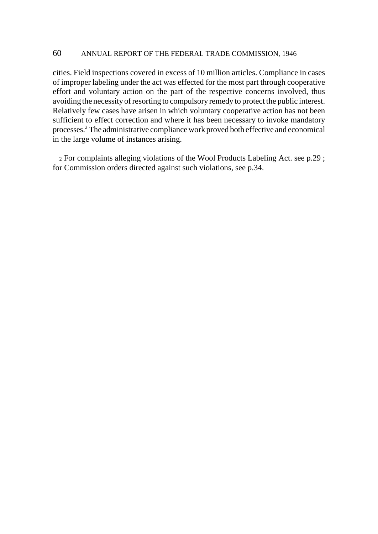cities. Field inspections covered in excess of 10 million articles. Compliance in cases of improper labeling under the act was effected for the most part through cooperative effort and voluntary action on the part of the respective concerns involved, thus avoiding the necessity of resorting to compulsory remedy to protect the public interest. Relatively few cases have arisen in which voluntary cooperative action has not been sufficient to effect correction and where it has been necessary to invoke mandatory processes.<sup>2</sup>The administrative compliance work proved both effective and economical in the large volume of instances arising.

<sup>2</sup> For complaints alleging violations of the Wool Products Labeling Act. see p.29 ; for Commission orders directed against such violations, see p.34.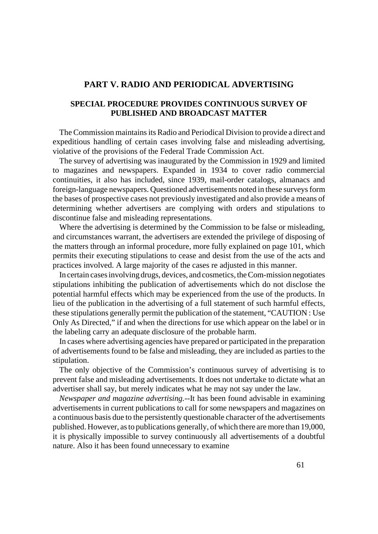# **PART V. RADIO AND PERIODICAL ADVERTISING**

# **SPECIAL PROCEDURE PROVIDES CONTINUOUS SURVEY OF PUBLISHED AND BROADCAST MATTER**

The Commission maintains its Radio and Periodical Division to provide a direct and expeditious handling of certain cases involving false and misleading advertising, violative of the provisions of the Federal Trade Commission Act.

The survey of advertising was inaugurated by the Commission in 1929 and limited to magazines and newspapers. Expanded in 1934 to cover radio commercial continuities, it also has included, since 1939, mail-order catalogs, almanacs and foreign-language newspapers. Questioned advertisements noted in these surveysform the bases of prospective cases not previously investigated and also provide a means of determining whether advertisers are complying with orders and stipulations to discontinue false and misleading representations.

Where the advertising is determined by the Commission to be false or misleading, and circumstances warrant, the advertisers are extended the privilege of disposing of the matters through an informal procedure, more fully explained on page 101, which permits their executing stipulations to cease and desist from the use of the acts and practices involved. A large majority of the cases re adjusted in this manner.

In certain casesinvolving drugs, devices, and cosmetics, the Com-mission negotiates stipulations inhibiting the publication of advertisements which do not disclose the potential harmful effects which may be experienced from the use of the products. In lieu of the publication in the advertising of a full statement of such harmful effects, these stipulations generally permit the publication of the statement, "CAUTION : Use Only As Directed," if and when the directions for use which appear on the label or in the labeling carry an adequate disclosure of the probable harm.

In cases where advertising agencies have prepared or participated in the preparation of advertisements found to be false and misleading, they are included as parties to the stipulation.

The only objective of the Commission's continuous survey of advertising is to prevent false and misleading advertisements. It does not undertake to dictate what an advertiser shall say, but merely indicates what he may not say under the law.

*Newspaper and magazine advertising.--*It has been found advisable in examining advertisements in current publications to call for some newspapers and magazines on a continuous basis due to the persistently questionable character of the advertisements published. However, asto publications generally, of which there are more than 19,000, it is physically impossible to survey continuously all advertisements of a doubtful nature. Also it has been found unnecessary to examine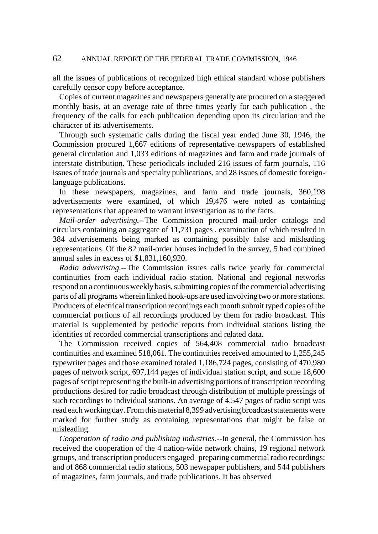all the issues of publications of recognized high ethical standard whose publishers carefully censor copy before acceptance.

Copies of current magazines and newspapers generally are procured on a staggered monthly basis, at an average rate of three times yearly for each publication , the frequency of the calls for each publication depending upon its circulation and the character of its advertisements.

Through such systematic calls during the fiscal year ended June 30, 1946, the Commission procured 1,667 editions of representative newspapers of established general circulation and 1,033 editions of magazines and farm and trade journals of interstate distribution. These periodicals included 216 issues of farm journals, 116 issues of trade journals and specialty publications, and 28 issues of domestic foreignlanguage publications.

In these newspapers, magazines, and farm and trade journals, 360,198 advertisements were examined, of which 19,476 were noted as containing representations that appeared to warrant investigation as to the facts.

*Mail-order advertising.--*The Commission procured mail-order catalogs and circulars containing an aggregate of 11,731 pages , examination of which resulted in 384 advertisements being marked as containing possibly false and misleading representations. Of the 82 mail-order houses included in the survey, 5 had combined annual sales in excess of \$1,831,160,920.

*Radio advertising.--*The Commission issues calls twice yearly for commercial continuities from each individual radio station. National and regional networks respond on a continuous weekly basis, submitting copies of the commercial advertising parts of all programs wherein linked hook-ups are used involving two or more stations. Producers of electrical transcription recordings each month submit typed copies of the commercial portions of all recordings produced by them for radio broadcast. This material is supplemented by periodic reports from individual stations listing the identities of recorded commercial transcriptions and related data.

The Commission received copies of 564,408 commercial radio broadcast continuities and examined 518,061. The continuities received amounted to 1,255,245 typewriter pages and those examined totaled 1,186,724 pages, consisting of 470,980 pages of network script, 697,144 pages of individual station script, and some 18,600 pages of script representing the built-in advertising portions of transcription recording productions desired for radio broadcast through distribution of multiple pressings of such recordings to individual stations. An average of 4,547 pages of radio script was read eachworking day. From this material 8,399 advertising broadcast statements were marked for further study as containing representations that might be false or misleading.

*Cooperation of radio and publishing industries.--*In general, the Commission has received the cooperation of the 4 nation-wide network chains, 19 regional network groups, and transcription producers engaged preparing commercial radio recordings; and of 868 commercial radio stations, 503 newspaper publishers, and 544 publishers of magazines, farm journals, and trade publications. It has observed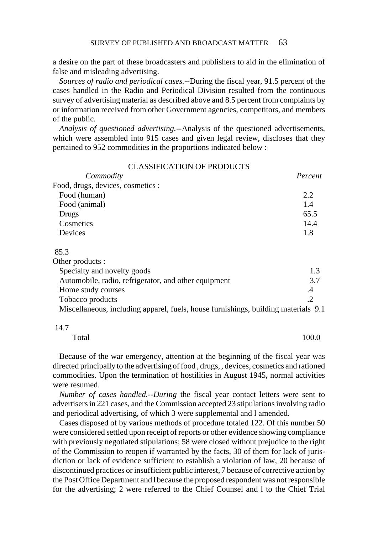a desire on the part of these broadcasters and publishers to aid in the elimination of false and misleading advertising.

*Sources of radio and periodical cases.--*During the fiscal year, 91.5 percent of the cases handled in the Radio and Periodical Division resulted from the continuous survey of advertising material as described above and 8.5 percent from complaints by or information received from other Government agencies, competitors, and members of the public.

*Analysis of questioned advertising.--*Analysis of the questioned advertisements, which were assembled into 915 cases and given legal review, discloses that they pertained to 952 commodities in the proportions indicated below :

#### CLASSIFICATION OF PRODUCTS

| Commodity                         | Percent |
|-----------------------------------|---------|
| Food, drugs, devices, cosmetics : |         |
| Food (human)                      | 2.2     |
| Food (animal)                     | 1.4     |
| Drugs                             | 65.5    |
| Cosmetics                         | 14.4    |
| Devices                           | 1.8     |
|                                   |         |

85.3

| Other products :                                                                   |     |
|------------------------------------------------------------------------------------|-----|
| Specialty and novelty goods                                                        | 1.3 |
| Automobile, radio, refrigerator, and other equipment                               | 3.7 |
| Home study courses<br>.4                                                           |     |
| Tobacco products                                                                   |     |
| Miscellaneous, including apparel, fuels, house furnishings, building materials 9.1 |     |

14.7

Total 100.0

Because of the war emergency, attention at the beginning of the fiscal year was directed principally to the advertising offood , drugs, , devices, cosmetics and rationed commodities. Upon the termination of hostilities in August 1945, normal activities were resumed.

*Number of cases handled.--During* the fiscal year contact letters were sent to advertisersin 221 cases, and the Commission accepted 23 stipulationsinvolving radio and periodical advertising, of which 3 were supplemental and l amended.

Cases disposed of by various methods of procedure totaled 122. Of this number 50 were considered settled upon receipt of reports or other evidence showing compliance with previously negotiated stipulations; 58 were closed without prejudice to the right of the Commission to reopen if warranted by the facts, 30 of them for lack of jurisdiction or lack of evidence sufficient to establish a violation of law, 20 because of discontinued practices or insufficient public interest, 7 because of corrective action by the Post Office Department and l because the proposed respondent was notresponsible for the advertising; 2 were referred to the Chief Counsel and l to the Chief Trial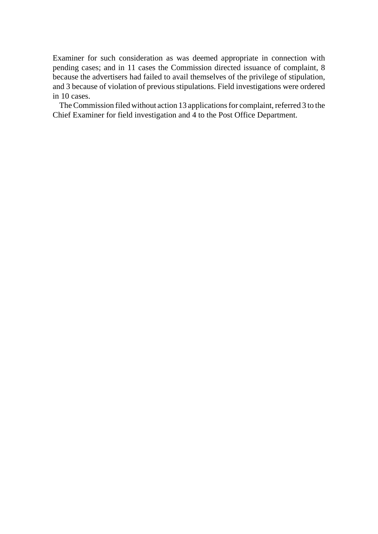Examiner for such consideration as was deemed appropriate in connection with pending cases; and in 11 cases the Commission directed issuance of complaint, 8 because the advertisers had failed to avail themselves of the privilege of stipulation, and 3 because of violation of previous stipulations. Field investigations were ordered in 10 cases.

The Commission filed without action 13 applications for complaint, referred 3 to the Chief Examiner for field investigation and 4 to the Post Office Department.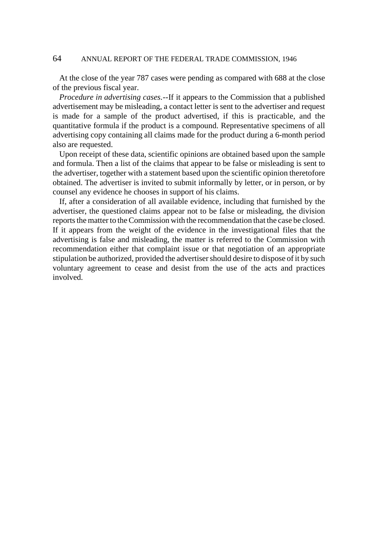### 64 ANNUAL REPORT OF THE FEDERAL TRADE COMMISSION, 1946

At the close of the year 787 cases were pending as compared with 688 at the close of the previous fiscal year.

*Procedure in advertising cases.--*If it appears to the Commission that a published advertisement may be misleading, a contact letter is sent to the advertiser and request is made for a sample of the product advertised, if this is practicable, and the quantitative formula if the product is a compound. Representative specimens of all advertising copy containing all claims made for the product during a 6-month period also are requested.

Upon receipt of these data, scientific opinions are obtained based upon the sample and formula. Then a list of the claims that appear to be false or misleading is sent to the advertiser, together with a statement based upon the scientific opinion theretofore obtained. The advertiser is invited to submit informally by letter, or in person, or by counsel any evidence he chooses in support of his claims.

If, after a consideration of all available evidence, including that furnished by the advertiser, the questioned claims appear not to be false or misleading, the division reports the matter to the Commission with the recommendation that the case be closed. If it appears from the weight of the evidence in the investigational files that the advertising is false and misleading, the matter is referred to the Commission with recommendation either that complaint issue or that negotiation of an appropriate stipulation be authorized, provided the advertiser should desire to dispose of it by such voluntary agreement to cease and desist from the use of the acts and practices involved.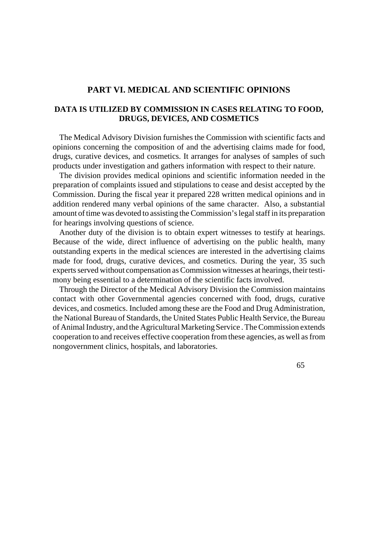### **PART VI. MEDICAL AND SCIENTIFIC OPINIONS**

## **DATA IS UTILIZED BY COMMISSION IN CASES RELATING TO FOOD, DRUGS, DEVICES, AND COSMETICS**

The Medical Advisory Division furnishes the Commission with scientific facts and opinions concerning the composition of and the advertising claims made for food, drugs, curative devices, and cosmetics. It arranges for analyses of samples of such products under investigation and gathers information with respect to their nature.

The division provides medical opinions and scientific information needed in the preparation of complaints issued and stipulations to cease and desist accepted by the Commission. During the fiscal year it prepared 228 written medical opinions and in addition rendered many verbal opinions of the same character. Also, a substantial amount of time was devoted to assisting the Commission's legal staff in its preparation for hearings involving questions of science.

Another duty of the division is to obtain expert witnesses to testify at hearings. Because of the wide, direct influence of advertising on the public health, many outstanding experts in the medical sciences are interested in the advertising claims made for food, drugs, curative devices, and cosmetics. During the year, 35 such expertsserved without compensation asCommission witnesses at hearings, theirtestimony being essential to a determination of the scientific facts involved.

Through the Director of the Medical Advisory Division the Commission maintains contact with other Governmental agencies concerned with food, drugs, curative devices, and cosmetics. Included among these are the Food and Drug Administration, the National Bureau of Standards, the United States Public Health Service, the Bureau of Animal Industry, and the Agricultural Marketing Service . The Commission extends cooperation to and receives effective cooperation fromthese agencies, as well asfrom nongovernment clinics, hospitals, and laboratories.

65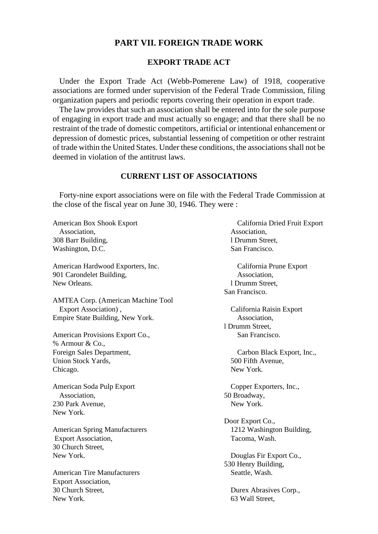## **PART VII. FOREIGN TRADE WORK**

### **EXPORT TRADE ACT**

Under the Export Trade Act (Webb-Pomerene Law) of 1918, cooperative associations are formed under supervision of the Federal Trade Commission, filing organization papers and periodic reports covering their operation in export trade.

The law provides that such an association shall be entered into for the sole purpose of engaging in export trade and must actually so engage; and that there shall be no restraint of the trade of domestic competitors, artificial or intentional enhancement or depression of domestic prices, substantial lessening of competition or other restraint of trade within the United States. Under these conditions, the associationsshall not be deemed in violation of the antitrust laws.

## **CURRENT LIST OF ASSOCIATIONS**

Forty-nine export associations were on file with the Federal Trade Commission at the close of the fiscal year on June 30, 1946. They were :

Association, Association, Association, Association, Association, Association, Association, Association, Association,  $\overline{a}$ 308 Barr Building, 2008 Barr Building, Washington, D.C. San Francisco.

American Hardwood Exporters, Inc. California Prune Export 901 Carondelet Building, Association, Association, New Orleans. 1 Drumm Street,

AMTEA Corp. (American Machine Tool Export Association) , California Raisin Export Empire State Building, New York. Association,

American Provisions Export Co., San Francisco. % Armour & Co., Foreign Sales Department, Carbon Black Export, Inc., Union Stock Yards, 500 Fifth Avenue, Chicago. New York.

American Soda Pulp Export Copper Exporters, Inc., Association, 50 Broadway, 50 Broadway, 50 Broadway, 50 Broadway, 50 Broadway, 50 Broadway, 50 Broadway, 50 Broadway, 50 Broadway, 50 Broadway, 50 Broadway, 50 Broadway, 50 Broadway, 50 Broadway, 50 Broadway, 50 Broadway, 5 230 Park Avenue, New York. New York.

 Export Association, Tacoma, Wash. 30 Church Street, New York. Douglas Fir Export Co.,

American Tire Manufacturers Seattle, Wash. Export Association, 30 Church Street, Durex Abrasives Corp., New York. 63 Wall Street,

American Box Shook Export California Dried Fruit Export

San Francisco.

l Drumm Street,

Door Export Co., American Spring Manufacturers 1212 Washington Building,

530 Henry Building,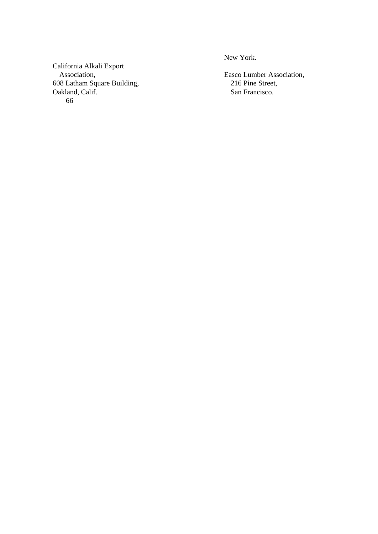California Alkali Export 608 Latham Square Building, Oakland, Calif. San Francisco. 66

New York.

Easco Lumber Association,<br>216 Pine Street,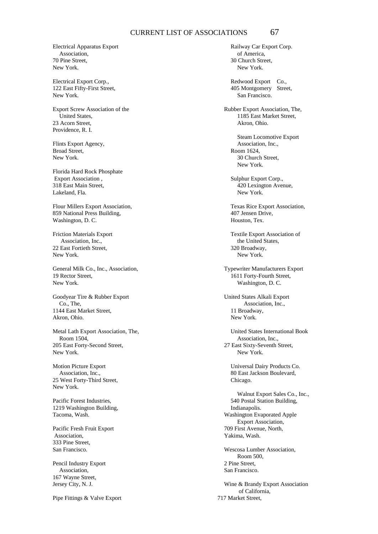### CURRENT LIST OF ASSOCIATIONS 67

Association, the contract of America, 70 Pine Street, 30 Church Street, New York. New York.

Electrical Export Corp., The Corp Co., Redwood Export Co., Redwood Export Co., New York. San Francisco.

23 Acorn Street, Akron, Ohio. Providence, R. I.

Broad Street, Room 1624, New York. 30 Church Street,

Florida Hard Rock Phosphate Export Association , Sulphur Export Corp., 318 East Main Street, 420 Lexington Avenue, Lakeland, Fla. New York.

Flour Millers Export Association, Texas Rice Export Association, 859 National Press Building, 2008 120 and 2008 120 and 407 Jensen Drive, Washington, D. C. **Houston, Tex.** 

Association, Inc., the United States, the United States, 22 East Fortieth Street, 22 East Fortieth Street, 220 Broadway, 220 Broadway, 220 Broadway, 220 Broadway, 220 Broadway, 220 Broadway, 220 Broadway, 220 Broadway, 220 Broadway, 220 Broadway, 220 Broadway, 220 Broadway, 220 New York. New York.

General Milk Co., Inc., Association, Typewriter Manufacturers Export 19 Rector Street, 1611 Forty-Fourth Street, New York. Washington, D. C.

Goodyear Tire & Rubber Export The United States Alkali Export United States Alkali Export Co., The, Association, Inc., 1144 East Market Street, 11 Broadway, Akron, Ohio. New York.

Metal Lath Export Association, The, United States International Book Room 1504, **Association, Inc.**, 205 East Forty-Second Street, 27 East Sixty-Seventh Street, New York. New York.

25 West Forty-Third Street, Chicago. New York.

1219 Washington Building, The Contract of the Contract of the Indianapolis.

Pacific Fresh Fruit Export Association, The Community of the Community of the Vakima, Wash. 333 Pine Street, San Francisco. Wescosa Lumber Association,

Pencil Industry Export 2 Pine Street, Association, San Francisco. San Francisco. 167 Wayne Street,

Pipe Fittings & Valve Export 717 Market Street,

Electrical Apparatus Export Railway Car Export Corp.

122 East Fifty-First Street, 405 Montgomery Street,

Export Screw Association of the Rubber Export Association, The, Rubber Export Association, The, United States, 1185 East Market Street,

Steam Locomotive Export Flints Export Agency, Association, Inc., New York.

Friction Materials Export Textile Export Association of

Motion Picture Export Universal Dairy Products Co. Association, Inc., 80 East Jackson Boulevard,

Walnut Export Sales Co., Inc., Pacific Forest Industries, 540 Postal Station Building, Tacoma, Wash. Washington Evaporated Apple Export Association,<br>709 First Avenue, North,

Room 500,

Jersey City, N. J. Wine & Brandy Export Association of California,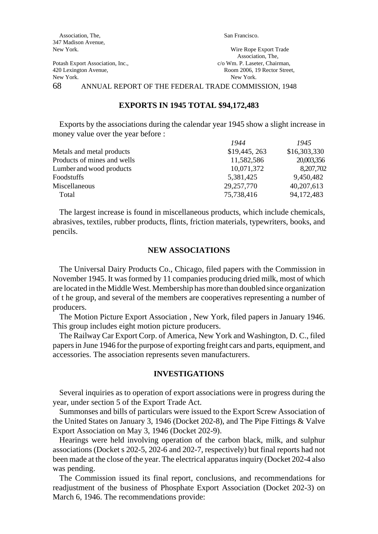New York. Wire Rope Export Trade Association, The, Potash Export Association, Inc., c/o Wm. P. Laseter, Chairman, 420 Lexington Avenue, Room 2006, 19 Rector Street, New York. New York. 68 ANNUAL REPORT OF THE FEDERAL TRADE COMMISSION, 1948

Association, The, San Francisco. San Francisco.

347 Madison Avenue,

#### **EXPORTS IN 1945 TOTAL \$94,172,483**

Exports by the associations during the calendar year 1945 show a slight increase in money value over the year before :

|                             | 1944          | 1945         |
|-----------------------------|---------------|--------------|
| Metals and metal products   | \$19,445, 263 | \$16,303,330 |
| Products of mines and wells | 11,582,586    | 20,003,356   |
| Lumber and wood products    | 10,071,372    | 8,207,702    |
| <b>Foodstuffs</b>           | 5,381,425     | 9,450,482    |
| Miscellaneous               | 29.257.770    | 40, 207, 613 |
| Total                       | 75,738,416    | 94,172,483   |

The largest increase is found in miscellaneous products, which include chemicals, abrasives, textiles, rubber products, flints, friction materials, typewriters, books, and pencils.

### **NEW ASSOCIATIONS**

The Universal Dairy Products Co., Chicago, filed papers with the Commission in November 1945. It was formed by 11 companies producing dried milk, most of which are located in the Middle West. Membership hasmore than doubled since organization of t he group, and several of the members are cooperatives representing a number of producers.

The Motion Picture Export Association , New York, filed papers in January 1946. This group includes eight motion picture producers.

The Railway Car Export Corp. of America, New York and Washington, D. C., filed papersin June 1946 forthe purpose of exporting freight cars and parts, equipment, and accessories. The association represents seven manufacturers.

#### **INVESTIGATIONS**

Several inquiries as to operation of export associations were in progress during the year, under section 5 of the Export Trade Act.

Summonses and bills of particulars were issued to the Export Screw Association of the United States on January 3, 1946 (Docket 202-8), and The Pipe Fittings & Valve Export Association on May 3, 1946 (Docket 202-9).

Hearings were held involving operation of the carbon black, milk, and sulphur associations (Docket s 202-5, 202-6 and 202-7, respectively) but final reports had not been made at the close of the year. The electrical apparatusinquiry (Docket 202-4 also was pending.

The Commission issued its final report, conclusions, and recommendations for readjustment of the business of Phosphate Export Association (Docket 202-3) on March 6, 1946. The recommendations provide: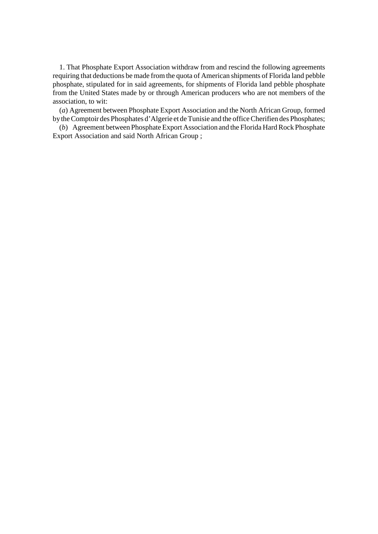1. That Phosphate Export Association withdraw from and rescind the following agreements requiring that deductions be made fromthe quota of American shipments of Florida land pebble phosphate, stipulated for in said agreements, for shipments of Florida land pebble phosphate from the United States made by or through American producers who are not members of the association, to wit:

(*a*) Agreement between Phosphate Export Association and the North African Group, formed by the Comptoir des Phosphates d'Algerie et de Tunisie and the office Cherifien des Phosphates;

(b) Agreement between Phosphate Export Association and the Florida Hard Rock Phosphate Export Association and said North African Group ;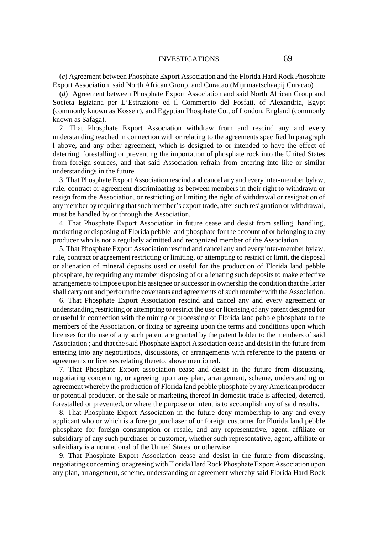### INVESTIGATIONS 69

(*c*) Agreement between Phosphate Export Association and the Florida Hard Rock Phosphate Export Association, said North African Group, and Curacao (Mijnmaatschaapij Curacao)

(*d*) Agreement between Phosphate Export Association and said North African Group and Societa Egiziana per L'Estrazione ed il Commercio del Fosfati, of Alexandria, Egypt (commonly known as Kosseir), and Egyptian Phosphate Co., of London, England (commonly known as Safaga).

2. That Phosphate Export Association withdraw from and rescind any and every understanding reached in connection with or relating to the agreements specified In paragraph l above, and any other agreement, which is designed to or intended to have the effect of deterring, forestalling or preventing the importation of phosphate rock into the United States from foreign sources, and that said Association refrain from entering into like or similar understandings in the future.

3. That Phosphate Export Association rescind and cancel any and every inter-member bylaw, rule, contract or agreement discriminating as between members in their right to withdrawn or resign from the Association, or restricting or limiting the right of withdrawal or resignation of any member by requiring that such member's export trade, after such resignation or withdrawal, must be handled by or through the Association.

4. That Phosphate Export Association in future cease and desist from selling, handling, marketing or disposing of Florida pebble land phosphate for the account of or belonging to any producer who is not a regularly admitted and recognized member of the Association.

5. That Phosphate Export Association rescind and cancel any and every inter-member bylaw, rule, contract or agreement restricting or limiting, or attempting to restrict or limit, the disposal or alienation of mineral deposits used or useful for the production of Florida land pebble phosphate, by requiring any member disposing of or alienating such deposits to make effective arrangements to impose upon his assignee or successor in ownership the condition that the latter shall carry out and perform the covenants and agreements of such member with the Association.

6. That Phosphate Export Association rescind and cancel any and every agreement or understanding restricting or attempting to restrict the use or licensing of any patent designed for or useful in connection with the mining or processing of Florida land pebble phosphate to the members of the Association, or fixing or agreeing upon the terms and conditions upon which licenses for the use of any such patent are granted by the patent holder to the members of said Association ; and that the said Phosphate Export Association cease and desist in the future from entering into any negotiations, discussions, or arrangements with reference to the patents or agreements or licenses relating thereto, above mentioned.

7. That Phosphate Export association cease and desist in the future from discussing, negotiating concerning, or agreeing upon any plan, arrangement, scheme, understanding or agreement whereby the production of Florida land pebble phosphate by any American producer or potential producer, or the sale or marketing thereof In domestic trade is affected, deterred, forestalled or prevented, or where the purpose or intent is to accomplish any of said results.

8. That Phosphate Export Association in the future deny membership to any and every applicant who or which is a foreign purchaser of or foreign customer for Florida land pebble phosphate for foreign consumption or resale, and any representative, agent, affiliate or subsidiary of any such purchaser or customer, whether such representative, agent, affiliate or subsidiary is a nonnational of the United States, or otherwise.

9. That Phosphate Export Association cease and desist in the future from discussing, negotiating concerning, or agreeing with Florida Hard Rock Phosphate Export Association upon any plan, arrangement, scheme, understanding or agreement whereby said Florida Hard Rock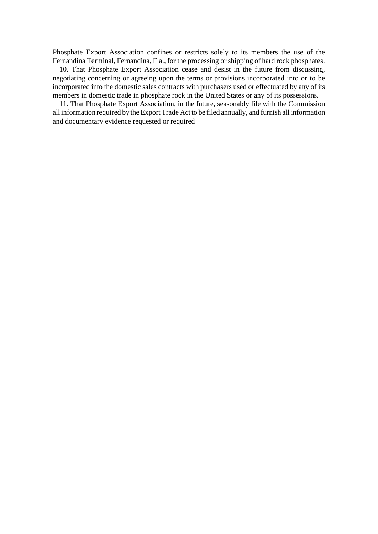Phosphate Export Association confines or restricts solely to its members the use of the Fernandina Terminal, Fernandina, Fla., for the processing or shipping of hard rock phosphates.

10. That Phosphate Export Association cease and desist in the future from discussing, negotiating concerning or agreeing upon the terms or provisions incorporated into or to be incorporated into the domestic sales contracts with purchasers used or effectuated by any of its members in domestic trade in phosphate rock in the United States or any of its possessions.

11. That Phosphate Export Association, in the future, seasonably file with the Commission all information required by the Export Trade Act to be filed annually, and furnish all information and documentary evidence requested or required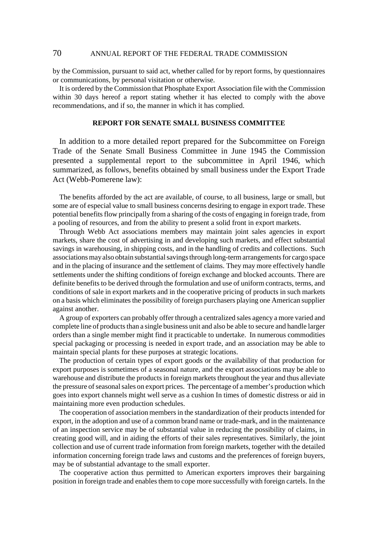### 70 ANNUAL REPORT OF THE FEDERAL TRADE COMMISSION

by the Commission, pursuant to said act, whether called for by report forms, by questionnaires or communications, by personal visitation or otherwise.

It is ordered by the Commission that Phosphate Export Association file with the Commission within 30 days hereof a report stating whether it has elected to comply with the above recommendations, and if so, the manner in which it has complied.

#### **REPORT FOR SENATE SMALL BUSINESS COMMITTEE**

In addition to a more detailed report prepared for the Subcommittee on Foreign Trade of the Senate Small Business Committee in June 1945 the Commission presented a supplemental report to the subcommittee in April 1946, which summarized, as follows, benefits obtained by small business under the Export Trade Act (Webb-Pomerene law):

The benefits afforded by the act are available, of course, to all business, large or small, but some are of especial value to small business concerns desiring to engage in export trade. These potential benefits flow principally from a sharing of the costs of engaging in foreign trade, from a pooling of resources, and from the ability to present a solid front in export markets.

Through Webb Act associations members may maintain joint sales agencies in export markets, share the cost of advertising in and developing such markets, and effect substantial savings in warehousing, in shipping costs, and in the handling of credits and collections. Such associationsmayalso obtain substantial savings through long-term arrangements for cargo space and in the placing of insurance and the settlement of claims. They may more effectively handle settlements under the shifting conditions of foreign exchange and blocked accounts. There are definite benefits to be derived through the formulation and use of uniform contracts, terms, and conditions of sale in export markets and in the cooperative pricing of products in such markets on a basis which eliminates the possibility of foreign purchasers playing one American supplier against another.

A group of exporters can probably offer through a centralized sales agency a more varied and complete line of products than a single business unit and also be able to secure and handle larger orders than a single member might find it practicable to undertake. In numerous commodities special packaging or processing is needed in export trade, and an association may be able to maintain special plants for these purposes at strategic locations.

The production of certain types of export goods or the availability of that production for export purposes is sometimes of a seasonal nature, and the export associations may be able to warehouse and distribute the products in foreign markets throughout the year and thus alleviate the pressure of seasonal sales on export prices. The percentage of a member's production which goes into export channels might well serve as a cushion In times of domestic distress or aid in maintaining more even production schedules.

The cooperation of association membersin the standardization of their products intended for export, in the adoption and use of a common brand name or trade-mark, and in the maintenance of an inspection service may be of substantial value in reducing the possibility of claims, in creating good will, and in aiding the efforts of their sales representatives. Similarly, the joint collection and use of current trade information from foreign markets, together with the detailed information concerning foreign trade laws and customs and the preferences of foreign buyers, may be of substantial advantage to the small exporter.

The cooperative action thus permitted to American exporters improves their bargaining position in foreign trade and enables them to cope more successfully with foreign cartels. In the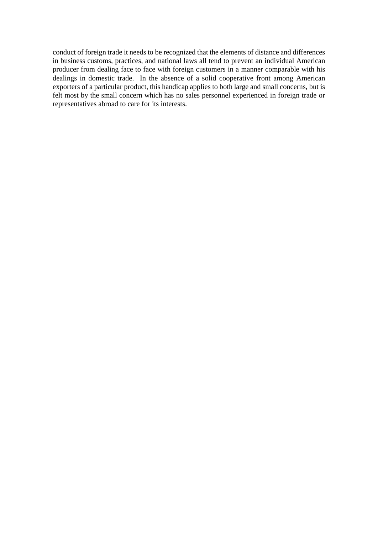conduct of foreign trade it needs to be recognized that the elements of distance and differences in business customs, practices, and national laws all tend to prevent an individual American producer from dealing face to face with foreign customers in a manner comparable with his dealings in domestic trade. In the absence of a solid cooperative front among American exporters of a particular product, this handicap applies to both large and small concerns, but is felt most by the small concern which has no sales personnel experienced in foreign trade or representatives abroad to care for its interests.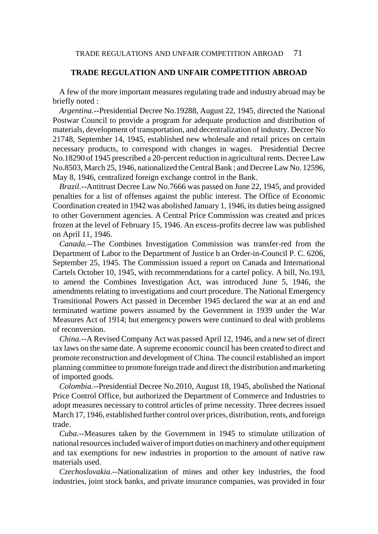### **TRADE REGULATION AND UNFAIR COMPETITION ABROAD**

A few of the more important measures regulating trade and industry abroad may be briefly noted :

*Argentina.--*Presidential Decree No.19288, August 22, 1945, directed the National Postwar Council to provide a program for adequate production and distribution of materials, development of transportation, and decentralization of industry. Decree No 21748, September 14, 1945, established new wholesale and retail prices on certain necessary products, to correspond with changes in wages. Presidential Decree No.18290 of 1945 prescribed a 20-percent reduction in agricultural rents. Decree Law No.8503, March 25, 1946, nationalized the Central Bank; and Decree Law No. 12596, May 8, 1946, centralized foreign exchange control in the Bank.

*Brazil.--*Antitrust Decree Law No.7666 was passed on June 22, 1945, and provided penalties for a list of offenses against the public interest. The Office of Economic Coordination created in 1942 was abolished January 1, 1946, its duties being assigned to other Government agencies. A Central Price Commission was created and prices frozen at the level of February 15, 1946. An excess-profits decree law was published on April 11, 1946.

*Canada.--*The Combines Investigation Commission was transfer-red from the Department of Labor to the Department of Justice b an Order-in-Council P. C. 6206, September 25, 1945. The Commission issued a report on Canada and International Cartels October 10, 1945, with recommendations for a cartel policy. A bill, No.193, to amend the Combines Investigation Act, was introduced June 5, 1946, the amendments relating to investigations and court procedure. The National Emergency Transitional Powers Act passed in December 1945 declared the war at an end and terminated wartime powers assumed by the Government in 1939 under the War Measures Act of 1914; but emergency powers were continued to deal with problems of reconversion.

*China.--*A Revised Company Act was passed April 12, 1946, and a new set of direct tax laws on the same date. A supreme economic council has been created to direct and promote reconstruction and development of China. The council established an import planning committee to promote foreign trade and direct the distribution and marketing of imported goods.

*Colombia.--*Presidential Decree No.2010, August 18, 1945, abolished the National Price Control Office, but authorized the Department of Commerce and Industries to adopt measures necessary to control articles of prime necessity. Three decrees issued March 17, 1946, established further control over prices, distribution, rents, and foreign trade.

*Cuba.--*Measures taken by the Government in 1945 to stimulate utilization of national resources included waiver of import duties on machinery and other equipment and tax exemptions for new industries in proportion to the amount of native raw materials used.

*Czechoslovakia.--*Nationalization of mines and other key industries, the food industries, joint stock banks, and private insurance companies, was provided in four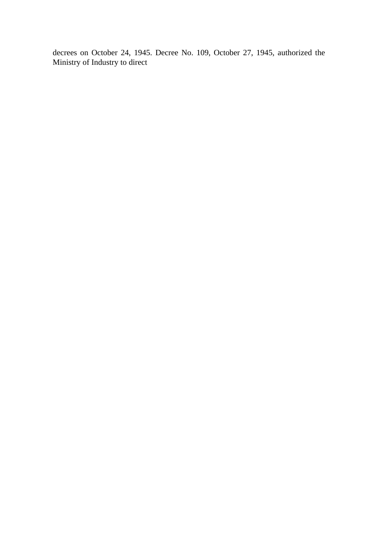decrees on October 24, 1945. Decree No. 109, October 27, 1945, authorized the Ministry of Industry to direct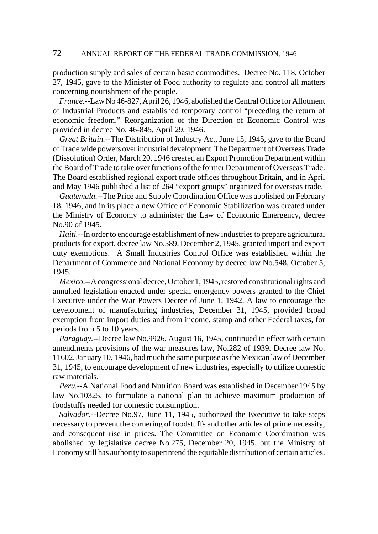## 72 ANNUAL REPORT OF THE FEDERAL TRADE COMMISSION, 1946

production supply and sales of certain basic commodities. Decree No. 118, October 27, 1945, gave to the Minister of Food authority to regulate and control all matters concerning nourishment of the people.

*France.--*LawNo 46-827,April 26, 1946, abolished theCentralOffice forAllotment of Industrial Products and established temporary control "preceding the return of economic freedom." Reorganization of the Direction of Economic Control was provided in decree No. 46-845, April 29, 1946.

*Great Britain.--*The Distribution of Industry Act, June 15, 1945, gave to the Board of Trade wide powers over industrial development. The Department of Overseas Trade (Dissolution) Order, March 20, 1946 created an Export Promotion Department within the Board of Trade to take over functions of the former Department of Overseas Trade. The Board established regional export trade offices throughout Britain, and in April and May 1946 published a list of 264 "export groups" organized for overseas trade.

*Guatemala.--*The Price and Supply Coordination Office was abolished on February 18, 1946, and in its place a new Office of Economic Stabilization was created under the Ministry of Economy to administer the Law of Economic Emergency, decree No.90 of 1945.

Haiti.--In order to encourage establishment of new industries to prepare agricultural products for export, decree law No.589, December 2, 1945, granted import and export duty exemptions. A Small Industries Control Office was established within the Department of Commerce and National Economy by decree law No.548, October 5, 1945.

*Mexico.--*Acongressional decree,October 1, 1945, restored constitutional rights and annulled legislation enacted under special emergency powers granted to the Chief Executive under the War Powers Decree of June 1, 1942. A law to encourage the development of manufacturing industries, December 31, 1945, provided broad exemption from import duties and from income, stamp and other Federal taxes, for periods from 5 to 10 years.

*Paraguay.--*Decree law No.9926, August 16, 1945, continued in effect with certain amendments provisions of the war measures law, No.282 of 1939. Decree law No. 11602,January 10, 1946, hadmuch the same purpose asthe Mexican law of December 31, 1945, to encourage development of new industries, especially to utilize domestic raw materials.

*Peru.--*A National Food and Nutrition Board was established in December 1945 by law No.10325, to formulate a national plan to achieve maximum production of foodstuffs needed for domestic consumption.

*Salvador.--*Decree No.97, June 11, 1945, authorized the Executive to take steps necessary to prevent the cornering of foodstuffs and other articles of prime necessity, and consequent rise in prices. The Committee on Economic Coordination was abolished by legislative decree No.275, December 20, 1945, but the Ministry of Economy still has authority to superintend the equitable distribution of certain articles.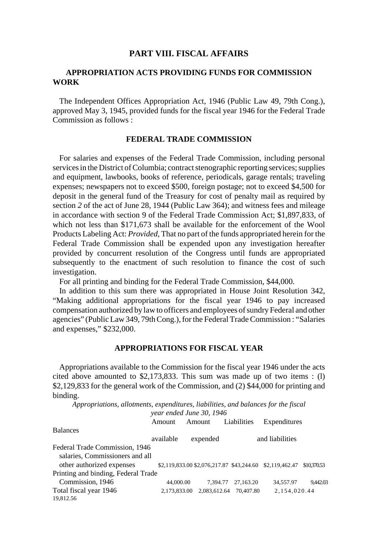# **PART VIII. FISCAL AFFAIRS**

# **APPROPRIATION ACTS PROVIDING FUNDS FOR COMMISSION WORK**

The Independent Offices Appropriation Act, 1946 (Public Law 49, 79th Cong.), approved May 3, 1945, provided funds for the fiscal year 1946 for the Federal Trade Commission as follows :

### **FEDERAL TRADE COMMISSION**

For salaries and expenses of the Federal Trade Commission, including personal services in the District of Columbia; contract stenographic reporting services; supplies and equipment, lawbooks, books of reference, periodicals, garage rentals; traveling expenses; newspapers not to exceed \$500, foreign postage; not to exceed \$4,500 for deposit in the general fund of the Treasury for cost of penalty mail as required by section *2* of the act of June 28, 1944 (Public Law 364); and witness fees and mileage in accordance with section 9 of the Federal Trade Commission Act; \$1,897,833, of which not less than \$171,673 shall be available for the enforcement of the Wool Products Labeling Act: *Provided,* That no part of the funds appropriated herein for the Federal Trade Commission shall be expended upon any investigation hereafter provided by concurrent resolution of the Congress until funds are appropriated subsequently to the enactment of such resolution to finance the cost of such investigation.

For all printing and binding for the Federal Trade Commission, \$44,000.

In addition to this sum there was appropriated in House Joint Resolution 342, "Making additional appropriations for the fiscal year 1946 to pay increased compensation authorized by law to officers and employees of sundry Federal and other agencies" (Public Law 349, 79th Cong.), for the Federal Trade Commission : "Salaries and expenses," \$232,000.

### **APPROPRIATIONS FOR FISCAL YEAR**

Appropriations available to the Commission for the fiscal year 1946 under the acts cited above amounted to \$2,173,833. This sum was made up of two items : (l) \$2,129,833 for the general work of the Commission, and (2) \$44,000 for printing and binding.

*Appropriations, allotments, expenditures, liabilities, and balances for the fiscal*

|                                     |              | year ended June 30, 1946 |                        |                                                          |             |
|-------------------------------------|--------------|--------------------------|------------------------|----------------------------------------------------------|-------------|
|                                     | Amount       | Amount                   | Liabilities            | Expenditures                                             |             |
| <b>Balances</b>                     |              |                          |                        |                                                          |             |
|                                     | available    | expended                 |                        | and liabilities                                          |             |
| Federal Trade Commission, 1946      |              |                          |                        |                                                          |             |
| salaries, Commissioners and all     |              |                          |                        |                                                          |             |
| other authorized expenses           |              |                          |                        | \$2,119,833.00 \$2,076,217.87 \$43,244.60 \$2,119,462.47 | \$10.370.53 |
| Printing and binding, Federal Trade |              |                          |                        |                                                          |             |
| Commission, 1946                    | 44,000.00    | 7.394.77                 | 27.163.20              | 34,557.97                                                | 9.442.03    |
| Total fiscal year 1946              | 2.173.833.00 |                          | 2,083,612.64 70,407.80 | 2,154,020.44                                             |             |
| 19.812.56                           |              |                          |                        |                                                          |             |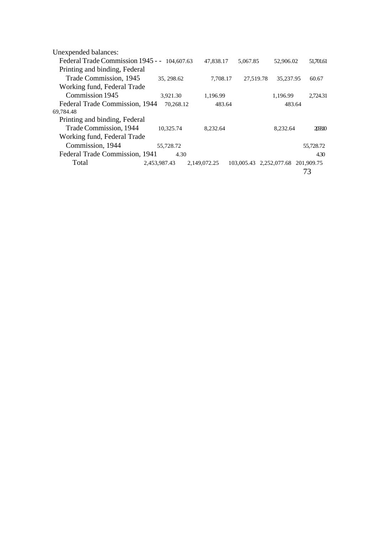| Unexpended balances:              |              |              |           |                                    |           |
|-----------------------------------|--------------|--------------|-----------|------------------------------------|-----------|
| Federal Trade Commission 1945 - - | 104,607.63   | 47.838.17    | 5,067.85  | 52,906.02                          | 51,701.61 |
| Printing and binding, Federal     |              |              |           |                                    |           |
| Trade Commission, 1945            | 35, 298.62   | 7,708.17     | 27.519.78 | 35,237.95                          | 60.67     |
| Working fund, Federal Trade       |              |              |           |                                    |           |
| Commission 1945                   | 3,921.30     | 1,196.99     |           | 1,196.99                           | 2,724.31  |
| Federal Trade Commission, 1944    | 70.268.12    | 483.64       |           | 483.64                             |           |
| 69.784.48                         |              |              |           |                                    |           |
| Printing and binding, Federal     |              |              |           |                                    |           |
| Trade Commission, 1944            | 10.325.74    | 8.232.64     |           | 8.232.64                           | 20810     |
| Working fund, Federal Trade       |              |              |           |                                    |           |
| Commission, 1944                  | 55,728.72    |              |           |                                    | 55,728.72 |
| Federal Trade Commission, 1941    | 4.30         |              |           |                                    | 4.30      |
| Total                             | 2.453.987.43 | 2.149.072.25 |           | 103,005.43 2,252,077.68 201,909.75 |           |
|                                   |              |              |           |                                    | 73        |
|                                   |              |              |           |                                    |           |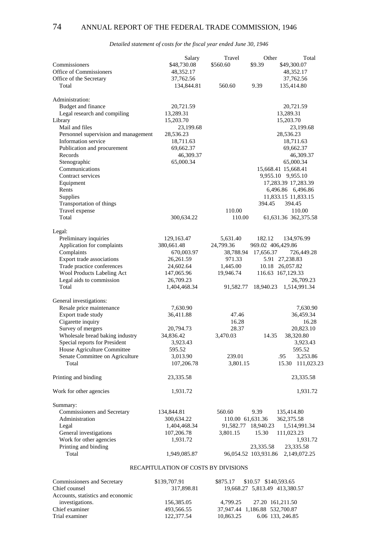## 74 ANNUAL REPORT OF THE FEDERAL TRADE COMMISSION, 1946

*Detailed statement of costs for the fiscal year ended June 30, 1946*

|                                      | Salary                               | Travel                      | Other                | Total                                    |
|--------------------------------------|--------------------------------------|-----------------------------|----------------------|------------------------------------------|
| Commissioners                        | \$48,730.08                          | \$560.60                    | \$9.39               | \$49,300.07                              |
| Office of Commissioners              | 48,352.17                            |                             |                      | 48,352.17                                |
| Office of the Secretary              | 37,762.56                            |                             |                      | 37,762.56                                |
| Total                                | 134,844.81                           | 560.60                      | 9.39                 | 135,414.80                               |
| Administration:                      |                                      |                             |                      |                                          |
| Budget and finance                   | 20,721.59                            |                             |                      | 20,721.59                                |
| Legal research and compiling         | 13,289.31                            |                             |                      | 13,289.31                                |
| Library                              | 15,203.70                            |                             |                      | 15,203.70                                |
| Mail and files                       | 23,199.68                            |                             |                      | 23,199.68                                |
| Personnel supervision and management | 28,536.23                            |                             |                      | 28,536.23                                |
| Information service                  | 18,711.63                            |                             |                      | 18,711.63                                |
| Publication and procurement          | 69,662.37                            |                             |                      | 69,662.37                                |
| Records                              | 46,309.37                            |                             |                      | 46,309.37                                |
| Stenographic<br>Communications       | 65,000.34                            |                             |                      | 65,000.34                                |
| Contract services                    |                                      |                             |                      | 15,668.41 15,668.41                      |
| Equipment                            |                                      |                             |                      | 9,955.10 9,955.10<br>17,283.39 17,283.39 |
| Rents                                |                                      |                             |                      | 6,496.86 6,496.86                        |
| Supplies                             |                                      |                             |                      | 11,833.15 11,833.15                      |
| Transportation of things             |                                      |                             | 394.45               | 394.45                                   |
| Travel expense                       |                                      | 110.00                      |                      | 110.00                                   |
| Total                                | 300,634.22                           | 110.00                      |                      | 61,631.36 362,375.58                     |
| Legal:                               |                                      |                             |                      |                                          |
| Preliminary inquiries                | 129,163.47                           | 5,631.40                    | 182.12               | 134,976.99                               |
| Application for complaints           | 380,661.48                           | 24,799.36                   | 969.02 406,429.86    |                                          |
| Complaints                           | 670,003.97                           | 38.788.94                   | 17,656.37            | 726,449.28                               |
| Export trade associations            | 26,261.59                            | 971.33                      |                      | 5.91 27,238.83                           |
| Trade practice conferences           | 24,602.64                            | 1,445.00                    |                      | 10.18 26,057.82                          |
| Wool Products Labeling Act           | 147,065.96                           | 19,946.74                   |                      | 116.63 167,129.33                        |
| Legal aids to commission             | 26,709.23                            |                             |                      | 26,709.23                                |
| Total                                | 1,404,468.34                         | 91,582.77                   | 18,940.23            | 1,514,991.34                             |
| General investigations:              |                                      |                             |                      |                                          |
| Resale price maintenance             | 7,630.90                             |                             |                      | 7,630.90                                 |
| Export trade study                   | 36,411.88                            | 47.46                       |                      | 36,459.34                                |
| Cigarette inquiry                    |                                      | 16.28                       |                      | 16.28                                    |
| Survey of mergers                    | 20,794.73                            | 28.37                       |                      | 20,823.10                                |
| Wholesale bread baking industry      | 34,836.42                            | 3,470.03                    | 14.35                | 38,320.80                                |
| Special reports for President        | 3,923.43                             |                             |                      | 3,923.43                                 |
| House Agriculture Committee          | 595.52                               |                             |                      | 595.52                                   |
| Senate Committee on Agriculture      | 3,013.90                             | 239.01                      |                      | .95<br>3,253.86                          |
| Total                                | 107,206.78                           | 3,801.15                    |                      | 15.30 111,023.23                         |
| Printing and binding                 | 23,335.58                            |                             |                      | 23,335.58                                |
| Work for other agencies              | 1,931.72                             |                             |                      | 1,931.72                                 |
| Summary:                             |                                      |                             |                      |                                          |
| Commissioners and Secretary          | 134,844.81                           | 560.60                      | 9.39                 | 135,414.80                               |
| Administration                       | 300,634.22                           | 110.00 61,631.36            |                      | 362,375.58                               |
| Legal                                | 1,404,468.34                         | 91,582.77 18,940.23         |                      | 1,514,991.34                             |
| General investigations               | 107,206.78                           | 3,801.15                    | 15.30                | 111,023.23                               |
| Work for other agencies              | 1,931.72                             |                             |                      | 1,931.72                                 |
| Printing and binding                 |                                      |                             | 23,335.58            | 23.335.58                                |
| Total                                | 1,949,085.87                         |                             | 96,054.52 103,931.86 | 2,149,072.25                             |
|                                      | RECAPITULATION OF COSTS BY DIVISIONS |                             |                      |                                          |
| cond Cogratory                       | \$120.707.01                         | $07517$ $01057$ $014050265$ |                      |                                          |

| \$139,707.91 | \$875.17 \$10.57 \$140.593.65 |                               |
|--------------|-------------------------------|-------------------------------|
| 317.898.81   |                               |                               |
|              |                               |                               |
| 156,385.05   | 4.799.25 27.20 161.211.50     |                               |
| 493.566.55   | 37.947.44 1.186.88 532.700.87 |                               |
| 122,377.54   | 6.06 133, 246.85<br>10.863.25 |                               |
|              |                               | 19.668.27 5.813.49 413.380.57 |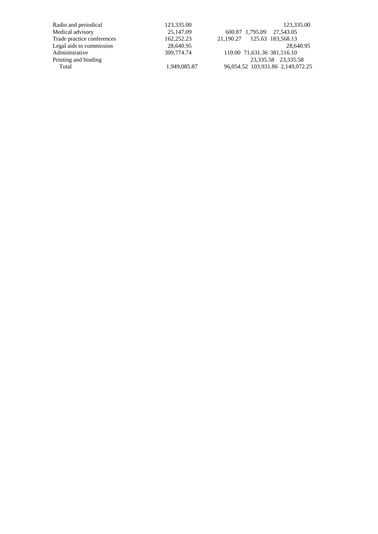| Radio and periodical       | 123,335.00   | 123,335.00                        |
|----------------------------|--------------|-----------------------------------|
| Medical advisory           | 25,147.09    | 600.87 1,795.09 27,543.05         |
| Trade practice conferences | 162,252.23   | 125.63 183.568.13<br>21.190.27    |
| Legal aids to commission   | 28,640.95    | 28,640.95                         |
| Administrative             | 309,774.74   | 110.00 71,631.36 381,516.10       |
| Printing and binding       |              | 23, 335. 58 23, 335. 58           |
| Total                      | 1,949,085.87 | 96,054.52 103,931.86 2,149,072.25 |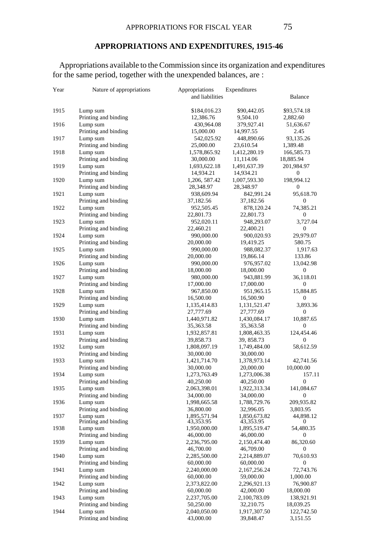# **APPROPRIATIONS AND EXPENDITURES, 1915-46**

Appropriations available to the Commission since its organization and expenditures for the same period, together with the unexpended balances, are :

| Year | Nature of appropriations         | Appropriations<br>and liabilities | Expenditures              | Balance          |
|------|----------------------------------|-----------------------------------|---------------------------|------------------|
|      |                                  |                                   |                           |                  |
| 1915 | Lump sum                         | \$184,016.23                      | \$90,442.05               | \$93,574.18      |
|      | Printing and binding             | 12,386.76                         | 9,504.10                  | 2,882.60         |
| 1916 | Lump sum                         | 430,964.08                        | 379,927.41                | 51,636.67        |
|      | Printing and binding             | 15,000.00                         | 14,997.55                 | 2.45             |
| 1917 | Lump sum                         | 542,025.92                        | 448,890.66                | 93,135.26        |
|      | Printing and binding             | 25,000.00                         | 23,610.54                 | 1,389.48         |
| 1918 | Lump sum                         | 1,578,865.92                      | 1,412,280.19              | 166,585.73       |
|      | Printing and binding             | 30,000.00                         | 11,114.06                 | 18,885.94        |
| 1919 | Lump sum                         | 1,693,622.18                      | 1,491,637.39              | 201,984.97       |
|      | Printing and binding             | 14,934.21                         | 14,934.21                 | $\boldsymbol{0}$ |
| 1920 | Lump sum                         | 1,206, 587.42                     | 1,007,593.30              | 198,994.12       |
|      | Printing and binding             | 28,348.97                         | 28,348.97                 | 0                |
| 1921 | Lump sum                         | 938,609.94                        | 842,991.24                | 95,618.70        |
|      | Printing and binding             | 37,182.56                         | 37,182.56                 | 0                |
| 1922 | Lump sum                         | 952,505.45                        | 878,120.24                | 74,385.21        |
|      | Printing and binding             | 22,801.73                         | 22,801.73                 | 0                |
| 1923 | Lump sum                         | 952,020.11                        | 948,293.07                | 3,727.04         |
|      | Printing and binding             | 22,460.21                         | 22,400.21                 | $\boldsymbol{0}$ |
| 1924 | Lump sum                         | 990,000.00                        | 900,020.93                | 29,979.07        |
|      | Printing and binding             | 20,000.00                         | 19,419.25                 | 580.75           |
| 1925 | Lump sum                         | 990,000.00                        | 988,082.37                | 1,917.63         |
|      | Printing and binding             | 20,000.00                         | 19,866.14                 | 133.86           |
| 1926 | Lump sum                         | 990,000.00                        | 976,957.02                | 13,042.98        |
|      | Printing and binding             | 18,000.00                         | 18,000.00                 | 0                |
| 1927 | Lump sum                         | 980,000.00                        | 943,881.99                | 36,118.01        |
|      | Printing and binding             | 17,000.00                         | 17,000.00                 | 0                |
| 1928 | Lump sum                         | 967,850.00                        | 951,965.15                | 15,884.85        |
|      | Printing and binding             | 16,500.00                         | 16,500.90                 | 0                |
| 1929 | Lump sum                         | 1,135,414.83                      | 1,131,521.47              | 3,893.36         |
|      | Printing and binding             | 27,777.69                         | 27,777.69                 | $\boldsymbol{0}$ |
| 1930 | Lump sum                         | 1,440,971.82                      | 1,430,084.17              | 10,887.65        |
|      | Printing and binding             | 35,363.58                         | 35,363.58                 | $\mathbf{0}$     |
| 1931 | Lump sum                         | 1,932,857.81                      | 1,808,463.35              | 124,454.46       |
| 1932 | Printing and binding<br>Lump sum | 39,858.73                         | 39, 858.73                | 0<br>58,612.59   |
|      |                                  | 1,808,097.19                      | 1,749,484.00              |                  |
| 1933 | Printing and binding<br>Lump sum | 30,000.00                         | 30,000.00                 | 42,741.56        |
|      | Printing and binding             | 1,421,714.70<br>30,000.00         | 1,378,973.14<br>20,000.00 | 10,000.00        |
| 1934 | Lump sum                         | 1,273,763.49                      | 1,273,006.38              | 157.11           |
|      | Printing and binding             | 40,250.00                         | 40,250.00                 | $\boldsymbol{0}$ |
| 1935 | Lump sum                         | 2,063,398.01                      | 1,922,313.34              | 141,084.67       |
|      | Printing and binding             | 34,000.00                         | 34,000.00                 | $\boldsymbol{0}$ |
| 1936 | Lump sum                         | 1,998,665.58                      | 1,788,729.76              | 209,935.82       |
|      | Printing and binding             | 36,800.00                         | 32,996.05                 | 3,803.95         |
| 1937 | Lump sum                         | 1,895,571.94                      | 1,850,673.82              | 44,898.12        |
|      | Printing and binding             | 43,353.95                         | 43,353.95                 | 0                |
| 1938 | Lump sum                         | 1,950,000.00                      | 1,895,519.47              | 54,480.35        |
|      | Printing and binding             | 46,000.00                         | 46,000.00                 | 0                |
| 1939 | Lump sum                         | 2,236,795.00                      | 2,150,474.40              | 86,320.60        |
|      | Printing and binding             | 46,700.00                         | 46,709.00                 | 0                |
| 1940 | Lump sum                         | 2,285,500.00                      | 2,214,889.07              | 70,610.93        |
|      | Printing and binding             | 60,000.00                         | 60,000.00                 | 0                |
| 1941 | Lump sum                         | 2,240,000.00                      | 2,167,256.24              | 72,743.76        |
|      | Printing and binding             | 60,000.00                         | 59,000.00                 | 1,000.00         |
| 1942 | Lump sum                         | 2,373,822.00                      | 2,296,921.13              | 76,900.87        |
|      | Printing and binding             | 60,000.00                         | 42,000.00                 | 18,000.00        |
| 1943 | Lump sum                         | 2,237,705.00                      | 2,100,783.09              | 138,921.91       |
|      | Printing and binding             | 50,250.00                         | 32,210.75                 | 18,039.25        |
| 1944 | Lump sum                         | 2,040,050.00                      | 1,917,307.50              | 122,742.50       |
|      | Printing and binding             | 43,000.00                         | 39,848.47                 | 3,151.55         |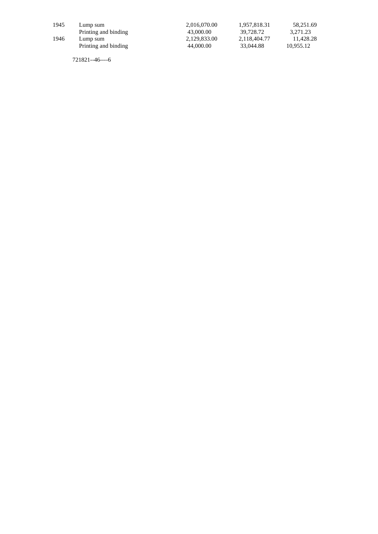| 1945 | Lump sum             | 2.016.070.00 | 1.957.818.31 | 58.251.69 |
|------|----------------------|--------------|--------------|-----------|
|      | Printing and binding | 43,000.00    | 39.728.72    | 3.271.23  |
| 1946 | Lump sum             | 2.129.833.00 | 2.118.404.77 | 11.428.28 |
|      | Printing and binding | 44,000.00    | 33.044.88    | 10.955.12 |

721821--46----6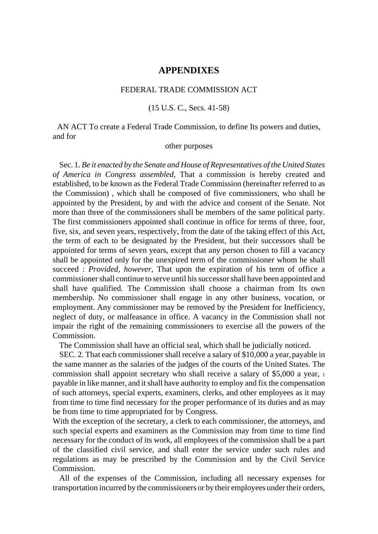# **APPENDIXES**

### FEDERAL TRADE COMMISSION ACT

### (15 U.S. C., Secs. 41-58)

AN ACT To create a Federal Trade Commission, to define Its powers and duties, and for

#### other purposes

Sec. 1. *Be it enacted by the Senate and House of Representatives of the United States of America in Congress assembled,* That a commission is hereby created and established, to be known as the Federal Trade Commission (hereinafter referred to as the Commission) , which shall be composed of five commissioners, who shall be appointed by the President, by and with the advice and consent of the Senate. Not more than three of the commissioners shall be members of the same political party. The first commissioners appointed shall continue in office for terms of three, four, five, six, and seven years, respectively, from the date of the taking effect of this Act, the term of each to be designated by the President, but their successors shall be appointed for terms of seven years, except that any person chosen to fill a vacancy shall be appointed only for the unexpired term of the commissioner whom he shall succeed : *Provided, however,* That upon the expiration of his term of office a commissionershall continue to serve until hissuccessorshall have been appointed and shall have qualified. The Commission shall choose a chairman from Its own membership. No commissioner shall engage in any other business, vocation, or employment. Any commissioner may be removed by the President for Inefficiency, neglect of duty, or malfeasance in office. A vacancy in the Commission shall not impair the right of the remaining commissioners to exercise all the powers of the Commission.

The Commission shall have an official seal, which shall be judicially noticed.

SEC. 2. That each commissioner shall receive a salary of \$10,000 a year, payable in the same manner as the salaries of the judges of the courts of the United States. The commission shall appoint secretary who shall receive a salary of \$5,000 a year, <sup>1</sup> payable in like manner, and itshall have authority to employ and fix the compensation of such attorneys, special experts, examiners, clerks, and other employees as it may from time to time find necessary for the proper performance of its duties and as may be from time to time appropriated for by Congress.

With the exception of the secretary, a clerk to each commissioner, the attorneys, and such special experts and examiners as the Commission may from time to time find necessary for the conduct of its work, all employees of the commission shall be a part of the classified civil service, and shall enter the service under such rules and regulations as may be prescribed by the Commission and by the Civil Service Commission.

All of the expenses of the Commission, including all necessary expenses for transportation incurred by the commissioners or by their employees undertheir orders,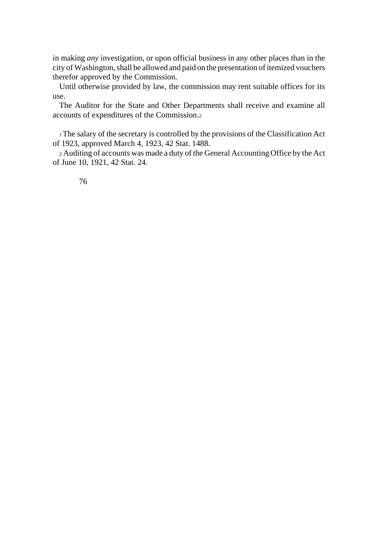in making *any* investigation, or upon official business in any other places than in the city of Washington, shall be allowed and paid on the presentation of itemized vouchers therefor approved by the Commission.

Until otherwise provided by law, the commission may rent suitable offices for its use.

The Auditor for the State and Other Departments shall receive and examine all accounts of expenditures of the Commission.<sup>2</sup>

<sup>1</sup>The salary of the secretary is controlled by the provisions of the Classification Act of 1923, approved March 4, 1923, 42 Stat. 1488.

<sup>2</sup> Auditing of accounts was made a duty of the General Accounting Office by the Act of June 10, 1921, 42 Stat. 24.

76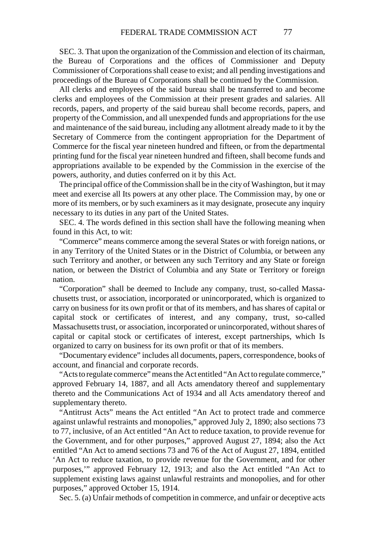SEC. 3. That upon the organization of the Commission and election of its chairman, the Bureau of Corporations and the offices of Commissioner and Deputy Commissioner of Corporationsshall cease to exist; and all pending investigations and proceedings of the Bureau of Corporations shall be continued by the Commission.

All clerks and employees of the said bureau shall be transferred to and become clerks and employees of the Commission at their present grades and salaries. All records, papers, and property of the said bureau shall become records, papers, and property of the Commission, and all unexpended funds and appropriations for the use and maintenance of the said bureau, including any allotment already made to it by the Secretary of Commerce from the contingent appropriation for the Department of Commerce for the fiscal year nineteen hundred and fifteen, or from the departmental printing fund for the fiscal year nineteen hundred and fifteen, shall become funds and appropriations available to be expended by the Commission in the exercise of the powers, authority, and duties conferred on it by this Act.

The principal office of the Commission shall be in the city of Washington, but it may meet and exercise all Its powers at any other place. The Commission may, by one or more of its members, or by such examiners as it may designate, prosecute any inquiry necessary to its duties in any part of the United States.

SEC. 4. The words defined in this section shall have the following meaning when found in this Act, to wit:

"Commerce" means commerce among the several States or with foreign nations, or in any Territory of the United States or in the District of Columbia, or between any such Territory and another, or between any such Territory and any State or foreign nation, or between the District of Columbia and any State or Territory or foreign nation.

"Corporation" shall be deemed to Include any company, trust, so-called Massachusetts trust, or association, incorporated or unincorporated, which is organized to carry on business for its own profit or that of its members, and has shares of capital or capital stock or certificates of interest, and any company, trust, so-called Massachusetts trust, or association, incorporated or unincorporated, without shares of capital or capital stock or certificates of interest, except partnerships, which Is organized to carry on business for its own profit or that of its members.

"Documentary evidence" includes all documents, papers, correspondence, books of account, and financial and corporate records.

"Acts to regulate commerce" means the Act entitled "An Act to regulate commerce," approved February 14, 1887, and all Acts amendatory thereof and supplementary thereto and the Communications Act of 1934 and all Acts amendatory thereof and supplementary thereto.

"Antitrust Acts" means the Act entitled "An Act to protect trade and commerce against unlawful restraints and monopolies," approved July 2, 1890; also sections 73 to 77, inclusive, of an Act entitled "An Act to reduce taxation, to provide revenue for the Government, and for other purposes," approved August 27, 1894; also the Act entitled "An Act to amend sections 73 and 76 of the Act of August 27, 1894, entitled 'An Act to reduce taxation, to provide revenue for the Government, and for other purposes,'" approved February 12, 1913; and also the Act entitled "An Act to supplement existing laws against unlawful restraints and monopolies, and for other purposes," approved October 15, 1914.

Sec. 5. (a) Unfair methods of competition in commerce, and unfair or deceptive acts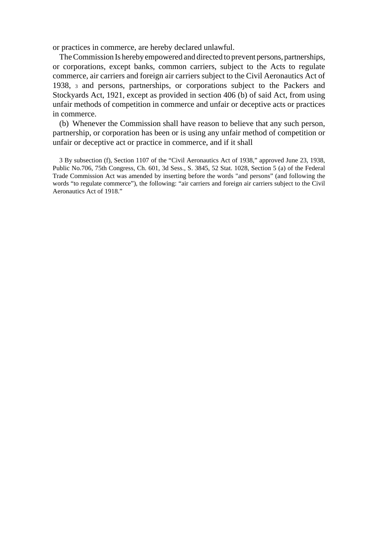or practices in commerce, are hereby declared unlawful.

TheCommission Is hereby empowered and directed to prevent persons, partnerships, or corporations, except banks, common carriers, subject to the Acts to regulate commerce, air carriers and foreign air carriers subject to the Civil Aeronautics Act of 1938, <sup>3</sup> and persons, partnerships, or corporations subject to the Packers and Stockyards Act, 1921, except as provided in section 406 (b) of said Act, from using unfair methods of competition in commerce and unfair or deceptive acts or practices in commerce.

(b) Whenever the Commission shall have reason to believe that any such person, partnership, or corporation has been or is using any unfair method of competition or unfair or deceptive act or practice in commerce, and if it shall

3 By subsection (f), Section 1107 of the "Civil Aeronautics Act of 1938," approved June 23, 1938, Public No.706, 75th Congress, Ch. 601, 3d Sess., S. 3845, 52 Stat. 1028, Section 5 (a) of the Federal Trade Commission Act was amended by inserting before the words "and persons" (and following the words "to regulate commerce"), the following: "air carriers and foreign air carriers subject to the Civil Aeronautics Act of 1918."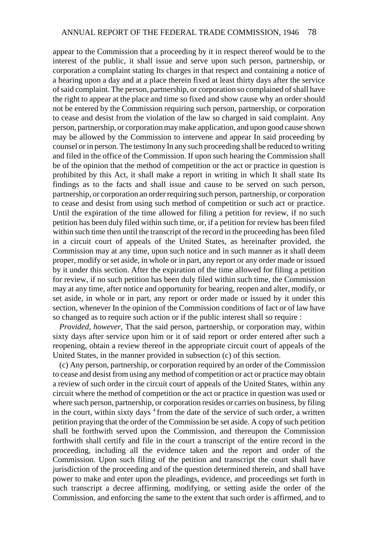appear to the Commission that a proceeding by it in respect thereof would be to the interest of the public, it shall issue and serve upon such person, partnership, or corporation a complaint stating Its charges in that respect and containing a notice of a hearing upon a day and at a place therein fixed at least thirty days after the service ofsaid complaint. The person, partnership, or corporation so complained ofshall have the right to appear at the place and time so fixed and show cause why an order should not be entered by the Commission requiring such person, partnership, or corporation to cease and desist from the violation of the law so charged in said complaint. Any person, partnership, or corporationmaymake application, and upon good cause shown may be allowed by the Commission to intervene and appear In said proceeding by counsel orin person. The testimony In any such proceeding shall be reduced to writing and filed in the office of the Commission. If upon such hearing the Commission shall be of the opinion that the method of competition or the act or practice in question is prohibited by this Act, it shall make a report in writing in which It shall state Its findings as to the facts and shall issue and cause to be served on such person, partnership, or corporation an order requiring such person, partnership, or corporation to cease and desist from using such method of competition or such act or practice. Until the expiration of the time allowed for filing a petition for review, if no such petition has been duly filed within such time, or, if a petition for review has been filed within such time then until the transcript of the record in the proceeding has been filed in a circuit court of appeals of the United States, as hereinafter provided, the Commission may at any time, upon such notice and in such manner as it shall deem proper, modify orset aside, in whole or in part, any report or any order made or issued by it under this section. After the expiration of the time allowed for filing a petition for review, if no such petition has been duly filed within such time, the Commission may at any time, after notice and opportunity for bearing, reopen and alter, modify, or set aside, in whole or in part, any report or order made or issued by it under this section, whenever In the opinion of the Commission conditions of fact or of law have so changed as to require such action or if the public interest shall so require :

*Provided, however,* That the said person, partnership, or corporation may, within sixty days after service upon him or it of said report or order entered after such a reopening, obtain a review thereof in the appropriate circuit court of appeals of the United States, in the manner provided in subsection (c) of this section.

(c) Any person, partnership, or corporation required by an order of the Commission to cease and desist fromusing any method of competition or act or practice may obtain a review of such order in the circuit court of appeals of the United States, within any circuit where the method of competition or the act or practice in question was used or where such person, partnership, or corporation resides or carries on business, by filing in the court, within sixty days  $4$  from the date of the service of such order, a written petition praying that the order of the Commission be set aside. A copy of such petition shall be forthwith served upon the Commission, and thereupon the Commission forthwith shall certify and file in the court a transcript of the entire record in the proceeding, including all the evidence taken and the report and order of the Commission. Upon such filing of the petition and transcript the court shall have jurisdiction of the proceeding and of the question determined therein, and shall have power to make and enter upon the pleadings, evidence, and proceedings set forth in such transcript a decree affirming, modifying, or setting aside the order of the Commission, and enforcing the same to the extent that such order is affirmed, and to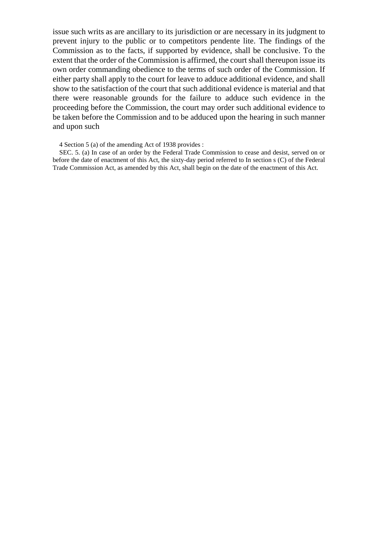issue such writs as are ancillary to its jurisdiction or are necessary in its judgment to prevent injury to the public or to competitors pendente lite. The findings of the Commission as to the facts, if supported by evidence, shall be conclusive. To the extent that the order of the Commission is affirmed, the court shall thereupon issue its own order commanding obedience to the terms of such order of the Commission. If either party shall apply to the court for leave to adduce additional evidence, and shall show to the satisfaction of the court that such additional evidence is material and that there were reasonable grounds for the failure to adduce such evidence in the proceeding before the Commission, the court may order such additional evidence to be taken before the Commission and to be adduced upon the hearing in such manner and upon such

SEC. 5. (a) In case of an order by the Federal Trade Commission to cease and desist, served on or before the date of enactment of this Act, the sixty-day period referred to In section s (C) of the Federal Trade Commission Act, as amended by this Act, shall begin on the date of the enactment of this Act.

<sup>4</sup> Section 5 (a) of the amending Act of 1938 provides :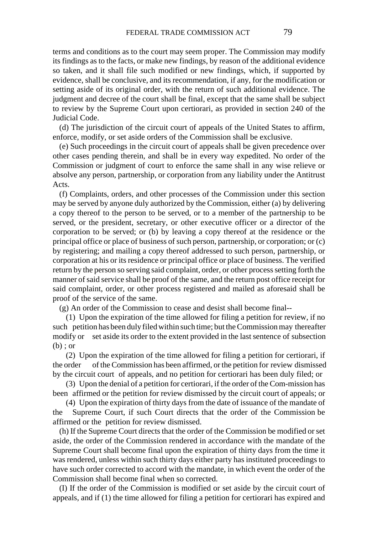terms and conditions as to the court may seem proper. The Commission may modify its findings as to the facts, or make new findings, by reason of the additional evidence so taken, and it shall file such modified or new findings, which, if supported by evidence, shall be conclusive, and its recommendation, if any, for the modification or setting aside of its original order, with the return of such additional evidence. The judgment and decree of the court shall be final, except that the same shall be subject to review by the Supreme Court upon certiorari, as provided in section 240 of the Judicial Code.

(d) The jurisdiction of the circuit court of appeals of the United States to affirm, enforce, modify, or set aside orders of the Commission shall be exclusive.

(e) Such proceedings in the circuit court of appeals shall be given precedence over other cases pending therein, and shall be in every way expedited. No order of the Commission or judgment of court to enforce the same shall in any wise relieve or absolve any person, partnership, or corporation from any liability under the Antitrust Acts.

(f) Complaints, orders, and other processes of the Commission under this section may be served by anyone duly authorized by the Commission, either (a) by delivering a copy thereof to the person to be served, or to a member of the partnership to be served, or the president, secretary, or other executive officer or a director of the corporation to be served; or (b) by leaving a copy thereof at the residence or the principal office or place of business of such person, partnership, or corporation; or  $(c)$ by registering; and mailing a copy thereof addressed to such person, partnership, or corporation at his or its residence or principal office or place of business. The verified return by the person so serving said complaint, order, or other process setting forth the manner ofsaid service shall be proof of the same, and the return post office receipt for said complaint, order, or other process registered and mailed as aforesaid shall be proof of the service of the same.

(g) An order of the Commission to cease and desist shall become final--

(1) Upon the expiration of the time allowed for filing a petition for review, if no such petition has been duly filed within such time; but the Commission may thereafter modify or set aside its order to the extent provided in the last sentence of subsection (b) ; or

(2) Upon the expiration of the time allowed for filing a petition for certiorari, if the order oftheCommission has been affirmed, orthe petition for review dismissed by the circuit court of appeals, and no petition for certiorari has been duly filed; or

 $(3)$  Upon the denial of a petition for certiorari, if the order of the Com-mission has been affirmed or the petition for review dismissed by the circuit court of appeals; or

(4) Upon the expiration of thirty days from the date of issuance of the mandate of the Supreme Court, if such Court directs that the order of the Commission be affirmed or the petition for review dismissed.

(h) If the Supreme Court directs that the order of the Commission be modified or set aside, the order of the Commission rendered in accordance with the mandate of the Supreme Court shall become final upon the expiration of thirty days from the time it was rendered, unless within such thirty days either party has instituted proceedings to have such order corrected to accord with the mandate, in which event the order of the Commission shall become final when so corrected.

(I) If the order of the Commission is modified or set aside by the circuit court of appeals, and if (1) the time allowed for filing a petition for certiorari has expired and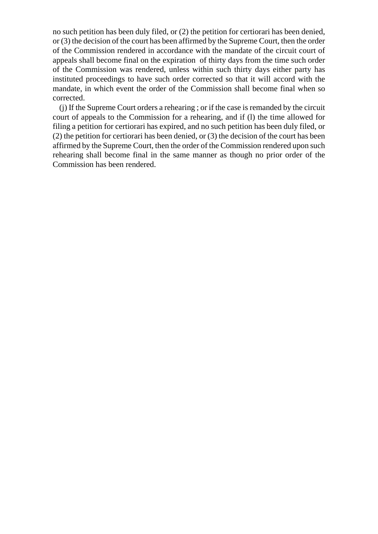no such petition has been duly filed, or (2) the petition for certiorari has been denied, or (3) the decision of the court has been affirmed by the Supreme Court, then the order of the Commission rendered in accordance with the mandate of the circuit court of appeals shall become final on the expiration of thirty days from the time such order of the Commission was rendered, unless within such thirty days either party has instituted proceedings to have such order corrected so that it will accord with the mandate, in which event the order of the Commission shall become final when so corrected.

(j) If the Supreme Court orders a rehearing ; or if the case is remanded by the circuit court of appeals to the Commission for a rehearing, and if (l) the time allowed for filing a petition for certiorari has expired, and no such petition has been duly filed, or (2) the petition for certiorari has been denied, or (3) the decision of the court has been affirmed by the Supreme Court, then the order of the Commission rendered upon such rehearing shall become final in the same manner as though no prior order of the Commission has been rendered.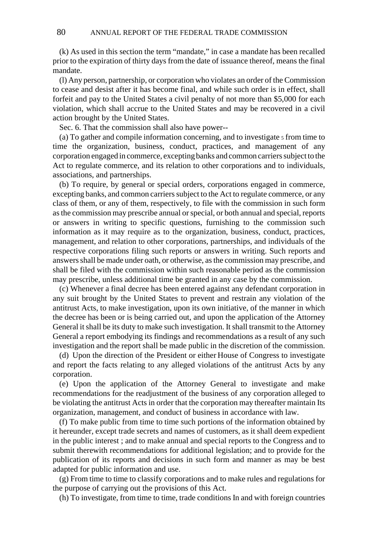(k) As used in this section the term "mandate," in case a mandate has been recalled prior to the expiration of thirty days from the date of issuance thereof, means the final mandate.

(l) Any person, partnership, or corporation who violates an order of the Commission to cease and desist after it has become final, and while such order is in effect, shall forfeit and pay to the United States a civil penalty of not more than \$5,000 for each violation, which shall accrue to the United States and may be recovered in a civil action brought by the United States.

Sec. 6. That the commission shall also have power--

(a) To gather and compile information concerning, and to investigate <sup>5</sup> from time to time the organization, business, conduct, practices, and management of any corporation engaged in commerce, excepting banks and common carriers subject to the Act to regulate commerce, and its relation to other corporations and to individuals, associations, and partnerships.

(b) To require, by general or special orders, corporations engaged in commerce, excepting banks, and common carriers subject to the Act to regulate commerce, or any class of them, or any of them, respectively, to file with the commission in such form asthe commission may prescribe annual orspecial, or both annual and special, reports or answers in writing to specific questions, furnishing to the commission such information as it may require as to the organization, business, conduct, practices, management, and relation to other corporations, partnerships, and individuals of the respective corporations filing such reports or answers in writing. Such reports and answersshall be made under oath, or otherwise, asthe commission may prescribe, and shall be filed with the commission within such reasonable period as the commission may prescribe, unless additional time be granted in any case by the commission.

(c) Whenever a final decree has been entered against any defendant corporation in any suit brought by the United States to prevent and restrain any violation of the antitrust Acts, to make investigation, upon its own initiative, of the manner in which the decree has been or is being carried out, and upon the application of the Attorney General itshall be its duty to make such investigation. Itshall transmit to the Attorney General a report embodying its findings and recommendations as a result of any such investigation and the report shall be made public in the discretion of the commission.

(d) Upon the direction of the President or either House of Congress to investigate and report the facts relating to any alleged violations of the antitrust Acts by any corporation.

(e) Upon the application of the Attorney General to investigate and make recommendations for the readjustment of the business of any corporation alleged to be violating the antitrust Acts in order that the corporation may thereafter maintain Its organization, management, and conduct of business in accordance with law.

(f) To make public from time to time such portions of the information obtained by it hereunder, except trade secrets and names of customers, as it shall deem expedient in the public interest ; and to make annual and special reports to the Congress and to submit therewith recommendations for additional legislation; and to provide for the publication of its reports and decisions in such form and manner as may be best adapted for public information and use.

(g) From time to time to classify corporations and to make rules and regulations for the purpose of carrying out the provisions of this Act.

(h) To investigate, from time to time, trade conditions In and with foreign countries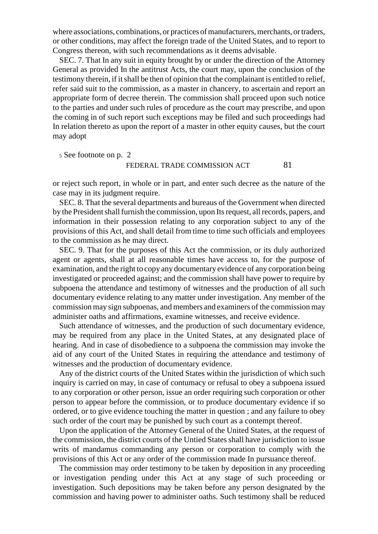where associations, combinations, or practices of manufacturers, merchants, or traders, or other conditions, may affect the foreign trade of the United States, and to report to Congress thereon, with such recommendations as it deems advisable.

SEC. 7. That In any suit in equity brought by or under the direction of the Attorney General as provided In the antitrust Acts, the court may, upon the conclusion of the testimony therein, if itshall be then of opinion that the complainant is entitled to relief, refer said suit to the commission, as a master in chancery, to ascertain and report an appropriate form of decree therein. The commission shall proceed upon such notice to the parties and under such rules of procedure as the court may prescribe, and upon the coming in of such report such exceptions may be filed and such proceedings had In relation thereto as upon the report of a master in other equity causes, but the court may adopt

<sup>5</sup> See footnote on p. 2

#### FEDERAL TRADE COMMISSION ACT 81

or reject such report, in whole or in part, and enter such decree as the nature of the case may in its judgment require.

SEC. 8. That the several departments and bureaus of the Government when directed by the President shall furnish the commission, upon Its request, all records, papers, and information in their possession relating to any corporation subject to any of the provisions of this Act, and shall detail from time to time such officials and employees to the commission as he may direct.

SEC. 9. That for the purposes of this Act the commission, or its duly authorized agent or agents, shall at all reasonable times have access to, for the purpose of examination, and the right to copy any documentary evidence of any corporation being investigated or proceeded against; and the commission shall have power to require by subpoena the attendance and testimony of witnesses and the production of all such documentary evidence relating to any matter under investigation. Any member of the commission may sign subpoenas, and members and examiners of the commission may administer oaths and affirmations, examine witnesses, and receive evidence.

Such attendance of witnesses, and the production of such documentary evidence, may be required from any place in the United States, at any designated place of hearing. And in case of disobedience to a subpoena the commission may invoke the aid of any court of the United States in requiring the attendance and testimony of witnesses and the production of documentary evidence.

Any of the district courts of the United States within the jurisdiction of which such inquiry is carried on may, in case of contumacy or refusal to obey a subpoena issued to any corporation or other person, issue an order requiring such corporation or other person to appear before the commission, or to produce documentary evidence if so ordered, or to give evidence touching the matter in question ; and any failure to obey such order of the court may be punished by such court as a contempt thereof.

Upon the application of the Attorney General of the United States, at the request of the commission, the district courts of the Untied States shall have jurisdiction to issue writs of mandamus commanding any person or corporation to comply with the provisions of this Act or any order of the commission made In pursuance thereof.

The commission may order testimony to be taken by deposition in any proceeding or investigation pending under this Act at any stage of such proceeding or investigation. Such depositions may be taken before any person designated by the commission and having power to administer oaths. Such testimony shall be reduced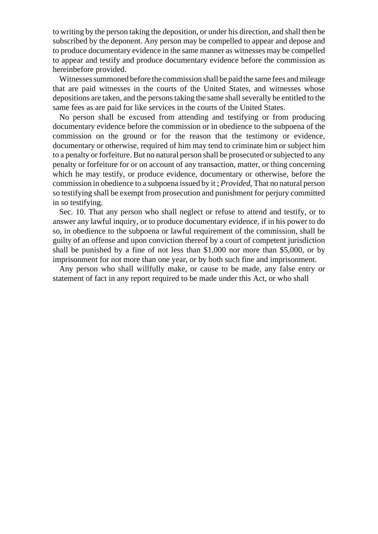to writing by the person taking the deposition, or under his direction, and shall then be subscribed by the deponent. Any person may be compelled to appear and depose and to produce documentary evidence in the same manner as witnesses may be compelled to appear and testify and produce documentary evidence before the commission as hereinbefore provided.

Witnesses summoned before the commission shall be paid the same fees and mileage that are paid witnesses in the courts of the United States, and witnesses whose depositions are taken, and the persons taking the same shall severally be entitled to the same fees as are paid for like services in the courts of the United States.

No person shall be excused from attending and testifying or from producing documentary evidence before the commission or in obedience to the subpoena of the commission on the ground or for the reason that the testimony or evidence, documentary or otherwise, required of him may tend to criminate him or subject him to a penalty or forfeiture. But no natural person shall be prosecuted or subjected to any penalty or forfeiture for or on account of any transaction, matter, or thing concerning which he may testify, or produce evidence, documentary or otherwise, before the commission in obedience to a subpoena issued by it ; *Provided,* That no natural person so testifying shall be exempt from prosecution and punishment for perjury committed in so testifying.

Sec. 10. That any person who shall neglect or refuse to attend and testify, or to answer any lawful inquiry, or to produce documentary evidence, if in his power to do so, in obedience to the subpoena or lawful requirement of the commission, shall be guilty of an offense and upon conviction thereof by a court of competent jurisdiction shall be punished by a fine of not less than \$1,000 nor more than \$5,000, or by imprisonment for not more than one year, or by both such fine and imprisonment.

Any person who shall willfully make, or cause to be made, any false entry or statement of fact in any report required to be made under this Act, or who shall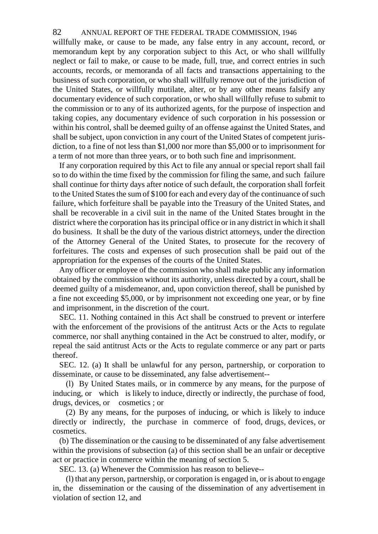### 82 ANNUAL REPORT OF THE FEDERAL TRADE COMMISSION, 1946

willfully make, or cause to be made, any false entry in any account, record, or memorandum kept by any corporation subject to this Act, or who shall willfully neglect or fail to make, or cause to be made, full, true, and correct entries in such accounts, records, or memoranda of all facts and transactions appertaining to the business of such corporation, or who shall willfully remove out of the jurisdiction of the United States, or willfully mutilate, alter, or by any other means falsify any documentary evidence of such corporation, or who shall willfully refuse to submit to the commission or to any of its authorized agents, for the purpose of inspection and taking copies, any documentary evidence of such corporation in his possession or within his control, shall be deemed guilty of an offense against the United States, and shall be subject, upon conviction in any court of the United States of competent jurisdiction, to a fine of not less than \$1,000 nor more than \$5,000 or to imprisonment for a term of not more than three years, or to both such fine and imprisonment.

If any corporation required by this Act to file any annual or special report shall fail so to do within the time fixed by the commission for filing the same, and such failure shall continue for thirty days after notice of such default, the corporation shall forfeit to the United States the sum of \$100 for each and every day of the continuance of such failure, which forfeiture shall be payable into the Treasury of the United States, and shall be recoverable in a civil suit in the name of the United States brought in the district where the corporation has its principal office or in any district in which itshall do business. It shall be the duty of the various district attorneys, under the direction of the Attorney General of the United States, to prosecute for the recovery of forfeitures. The costs and expenses of such prosecution shall be paid out of the appropriation for the expenses of the courts of the United States.

Any officer or employee of the commission who shall make public any information obtained by the commission without its authority, unless directed by a court, shall be deemed guilty of a misdemeanor, and, upon conviction thereof, shall be punished by a fine not exceeding \$5,000, or by imprisonment not exceeding one year, or by fine and imprisonment, in the discretion of the court.

SEC. 11. Nothing contained in this Act shall be construed to prevent or interfere with the enforcement of the provisions of the antitrust Acts or the Acts to regulate commerce, nor shall anything contained in the Act be construed to alter, modify, or repeal the said antitrust Acts or the Acts to regulate commerce or any part or parts thereof.

SEC. 12. (a) It shall be unlawful for any person, partnership, or corporation to disseminate, or cause to be disseminated, any false advertisement--

(l) By United States mails, or in commerce by any means, for the purpose of inducing, or which is likely to induce, directly or indirectly, the purchase of food, drugs, devices, or cosmetics ; or

(2) By any means, for the purposes of inducing, or which is likely to induce directly or indirectly, the purchase in commerce of food, drugs, devices, or cosmetics.

(b) The dissemination or the causing to be disseminated of any false advertisement within the provisions of subsection (a) of this section shall be an unfair or deceptive act or practice in commerce within the meaning of section 5.

SEC. 13. (a) Whenever the Commission has reason to believe--

(l) that any person, partnership, or corporation is engaged in, or is about to engage in, the dissemination or the causing of the dissemination of any advertisement in violation of section 12, and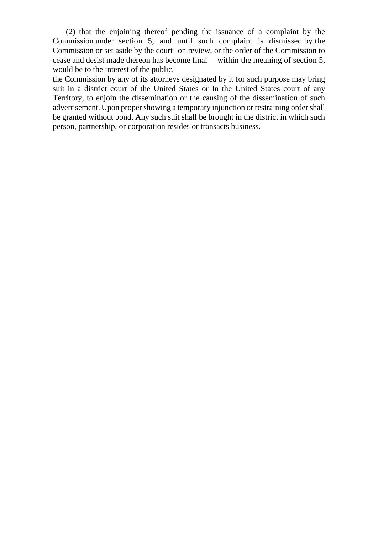(2) that the enjoining thereof pending the issuance of a complaint by the Commission under section 5, and until such complaint is dismissed by the Commission or set aside by the court on review, or the order of the Commission to cease and desist made thereon has become final within the meaning of section 5, would be to the interest of the public,

the Commission by any of its attorneys designated by it for such purpose may bring suit in a district court of the United States or In the United States court of any Territory, to enjoin the dissemination or the causing of the dissemination of such advertisement. Upon proper showing a temporary injunction or restraining order shall be granted without bond. Any such suit shall be brought in the district in which such person, partnership, or corporation resides or transacts business.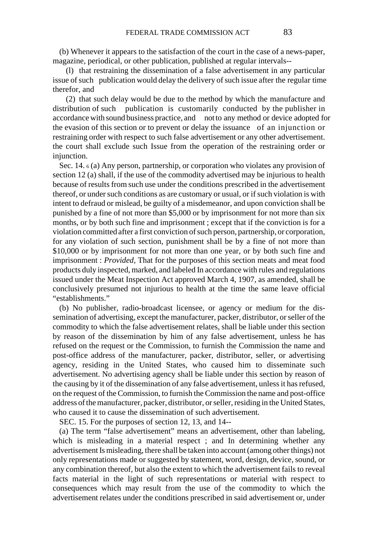(b) Whenever it appears to the satisfaction of the court in the case of a news-paper, magazine, periodical, or other publication, published at regular intervals--

(l) that restraining the dissemination of a false advertisement in any particular issue of such publication would delay the delivery of such issue after the regular time therefor, and

(2) that such delay would be due to the method by which the manufacture and distribution of such publication is customarily conducted by the publisher in accordancewith sound business practice, and not to any method or device adopted for the evasion of this section or to prevent or delay the issuance of an injunction or restraining order with respect to such false advertisement or any other advertisement. the court shall exclude such Issue from the operation of the restraining order or injunction.

Sec. 14.  $\epsilon$  (a) Any person, partnership, or corporation who violates any provision of section 12 (a) shall, if the use of the commodity advertised may be injurious to health because of results from such use under the conditions prescribed in the advertisement thereof, or under such conditions as are customary or usual, or if such violation is with intent to defraud or mislead, be guilty of a misdemeanor, and upon conviction shall be punished by a fine of not more than \$5,000 or by imprisonment for not more than six months, or by both such fine and imprisonment ; except that if the conviction is for a violation committed after a first conviction ofsuch person, partnership, or corporation, for any violation of such section, punishment shall be by a fine of not more than \$10,000 or by imprisonment for not more than one year, or by both such fine and imprisonment : *Provided,* That for the purposes of this section meats and meat food products duly inspected, marked, and labeled In accordance with rules and regulations issued under the Meat Inspection Act approved March 4, 1907, as amended, shall be conclusively presumed not injurious to health at the time the same leave official "establishments."

(b) No publisher, radio-broadcast licensee, or agency or medium for the dissemination of advertising, except the manufacturer, packer, distributor, orseller of the commodity to which the false advertisement relates, shall be liable under this section by reason of the dissemination by him of any false advertisement, unless he has refused on the request or the Commission, to furnish the Commission the name and post-office address of the manufacturer, packer, distributor, seller, or advertising agency, residing in the United States, who caused him to disseminate such advertisement. No advertising agency shall be liable under this section by reason of the causing by it of the dissemination of any false advertisement, unless it has refused, on the request of theCommission, to furnish theCommission the name and post-office address of the manufacturer, packer, distributor, or seller, residing in the United States, who caused it to cause the dissemination of such advertisement.

SEC. 15. For the purposes of section 12, 13, and 14--

(a) The term "false advertisement" means an advertisement, other than labeling, which is misleading in a material respect ; and In determining whether any advertisement Is misleading, there shall be taken into account (among other things) not only representations made or suggested by statement, word, design, device, sound, or any combination thereof, but also the extent to which the advertisement fails to reveal facts material in the light of such representations or material with respect to consequences which may result from the use of the commodity to which the advertisement relates under the conditions prescribed in said advertisement or, under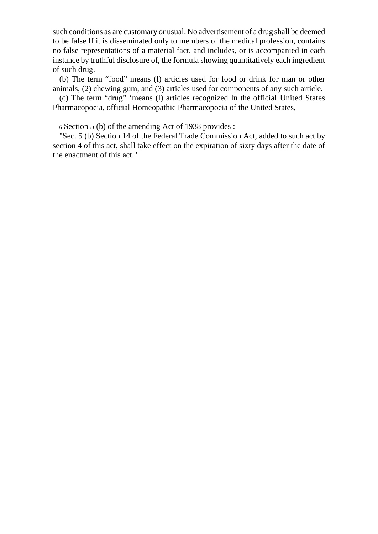such conditions as are customary or usual. No advertisement of a drug shall be deemed to be false If it is disseminated only to members of the medical profession, contains no false representations of a material fact, and includes, or is accompanied in each instance by truthful disclosure of, the formula showing quantitatively each ingredient of such drug.

(b) The term "food" means (l) articles used for food or drink for man or other animals, (2) chewing gum, and (3) articles used for components of any such article.

(c) The term "drug" 'means (l) articles recognized In the official United States Pharmacopoeia, official Homeopathic Pharmacopoeia of the United States,

<sup>6</sup> Section 5 (b) of the amending Act of 1938 provides :

"Sec. 5 (b) Section 14 of the Federal Trade Commission Act, added to such act by section 4 of this act, shall take effect on the expiration of sixty days after the date of the enactment of this act."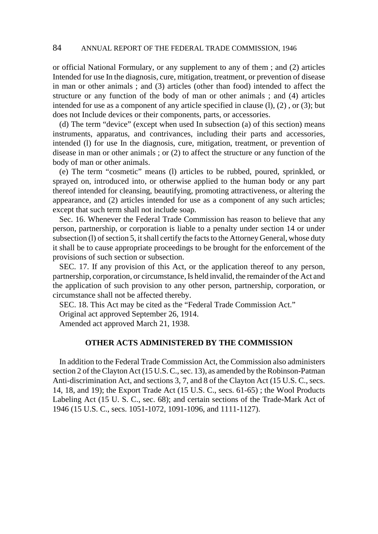## 84 ANNUAL REPORT OF THE FEDERAL TRADE COMMISSION, 1946

or official National Formulary, or any supplement to any of them ; and (2) articles Intended for use In the diagnosis, cure, mitigation, treatment, or prevention of disease in man or other animals ; and (3) articles (other than food) intended to affect the structure or any function of the body of man or other animals ; and (4) articles intended for use as a component of any article specified in clause (l), (2) , or (3); but does not Include devices or their components, parts, or accessories.

(d) The term "device" (except when used In subsection (a) of this section) means instruments, apparatus, and contrivances, including their parts and accessories, intended (l) for use In the diagnosis, cure, mitigation, treatment, or prevention of disease in man or other animals ; or (2) to affect the structure or any function of the body of man or other animals.

(e) The term "cosmetic" means (l) articles to be rubbed, poured, sprinkled, or sprayed on, introduced into, or otherwise applied to the human body or any part thereof intended for cleansing, beautifying, promoting attractiveness, or altering the appearance, and (2) articles intended for use as a component of any such articles; except that such term shall not include soap.

Sec. 16. Whenever the Federal Trade Commission has reason to believe that any person, partnership, or corporation is liable to a penalty under section 14 or under subsection (I) of section 5, it shall certify the facts to the Attorney General, whose duty it shall be to cause appropriate proceedings to be brought for the enforcement of the provisions of such section or subsection.

SEC. 17. If any provision of this Act, or the application thereof to any person, partnership, corporation, or circumstance, Is held invalid, the remainder of the Act and the application of such provision to any other person, partnership, corporation, or circumstance shall not be affected thereby.

SEC. 18. This Act may be cited as the "Federal Trade Commission Act." Original act approved September 26, 1914.

Amended act approved March 21, 1938.

### **OTHER ACTS ADMINISTERED BY THE COMMISSION**

In addition to the Federal Trade Commission Act, the Commission also administers section 2 of the Clayton Act (15 U.S. C., sec. 13), as amended by the Robinson-Patman Anti-discrimination Act, and sections 3, 7, and 8 of the Clayton Act (15 U.S. C., secs. 14, 18, and 19); the Export Trade Act (15 U.S. C., secs. 61-65) ; the Wool Products Labeling Act (15 U. S. C., sec. 68); and certain sections of the Trade-Mark Act of 1946 (15 U.S. C., secs. 1051-1072, 1091-1096, and 1111-1127).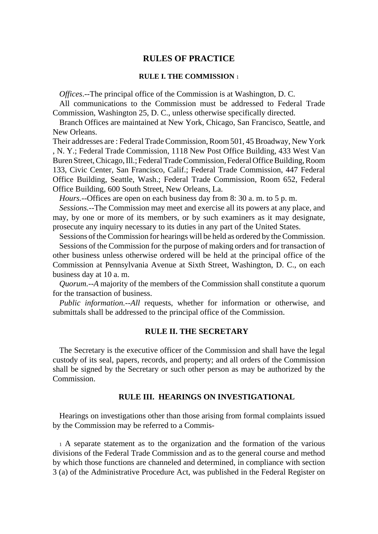## **RULES OF PRACTICE**

### **RULE I. THE COMMISSION** <sup>1</sup>

*Offices*.--The principal office of the Commission is at Washington, D. C.

All communications to the Commission must be addressed to Federal Trade Commission, Washington 25, D. C., unless otherwise specifically directed.

Branch Offices are maintained at New York, Chicago, San Francisco, Seattle, and New Orleans.

Their addresses are: Federal Trade Commission, Room 501, 45 Broadway, New York , N. Y.; Federal Trade Commission, 1118 New Post Office Building, 433 West Van Buren Street,Chicago, Ill.; Federal Trade Commission, Federal Office Building, Room 133, Civic Center, San Francisco, Calif.; Federal Trade Commission, 447 Federal Office Building, Seattle, Wash.; Federal Trade Commission, Room 652, Federal Office Building, 600 South Street, New Orleans, La.

*Hours.-*-Offices are open on each business day from 8: 30 a. m. to 5 p. m.

*Sessions.-*-The Commission may meet and exercise all its powers at any place, and may, by one or more of its members, or by such examiners as it may designate, prosecute any inquiry necessary to its duties in any part of the United States.

Sessions of the Commission for hearings will be held as ordered by the Commission.

Sessions of the Commission for the purpose of making orders and for transaction of other business unless otherwise ordered will be held at the principal office of the Commission at Pennsylvania Avenue at Sixth Street, Washington, D. C., on each business day at 10 a. m.

*Quorum.--A* majority of the members of the Commission shall constitute a quorum for the transaction of business.

*Public information.--All* requests, whether for information or otherwise, and submittals shall be addressed to the principal office of the Commission.

### **RULE II. THE SECRETARY**

The Secretary is the executive officer of the Commission and shall have the legal custody of its seal, papers, records, and property; and all orders of the Commission shall be signed by the Secretary or such other person as may be authorized by the Commission.

## **RULE III. HEARINGS ON INVESTIGATIONAL**

Hearings on investigations other than those arising from formal complaints issued by the Commission may be referred to a Commis-

<sup>1</sup> A separate statement as to the organization and the formation of the various divisions of the Federal Trade Commission and as to the general course and method by which those functions are channeled and determined, in compliance with section 3 (a) of the Administrative Procedure Act, was published in the Federal Register on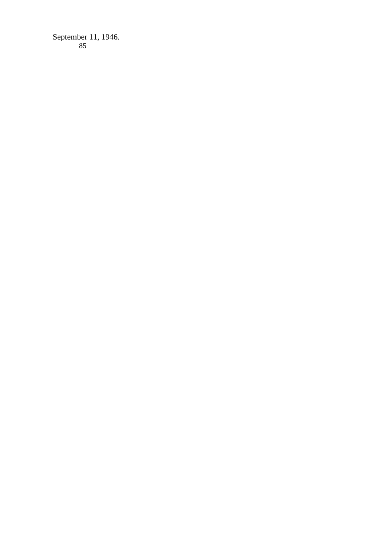September 11, 1946. 85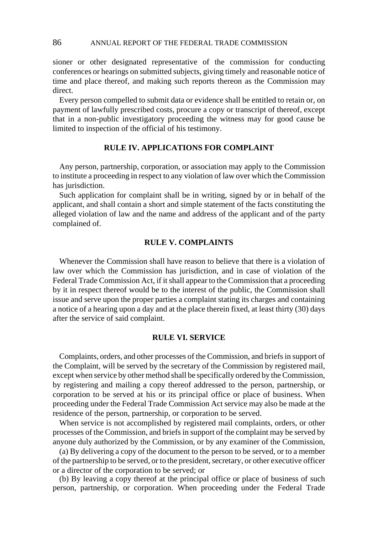### 86 ANNUAL REPORT OF THE FEDERAL TRADE COMMISSION

sioner or other designated representative of the commission for conducting conferences or hearings on submitted subjects, giving timely and reasonable notice of time and place thereof, and making such reports thereon as the Commission may direct.

Every person compelled to submit data or evidence shall be entitled to retain or, on payment of lawfully prescribed costs, procure a copy or transcript of thereof, except that in a non-public investigatory proceeding the witness may for good cause be limited to inspection of the official of his testimony.

### **RULE IV. APPLICATIONS FOR COMPLAINT**

Any person, partnership, corporation, or association may apply to the Commission to institute a proceeding in respect to any violation of law over which the Commission has jurisdiction.

Such application for complaint shall be in writing, signed by or in behalf of the applicant, and shall contain a short and simple statement of the facts constituting the alleged violation of law and the name and address of the applicant and of the party complained of.

### **RULE V. COMPLAINTS**

Whenever the Commission shall have reason to believe that there is a violation of law over which the Commission has jurisdiction, and in case of violation of the Federal Trade Commission Act, if it shall appear to the Commission that a proceeding by it in respect thereof would be to the interest of the public, the Commission shall issue and serve upon the proper parties a complaint stating its charges and containing a notice of a hearing upon a day and at the place therein fixed, at least thirty (30) days after the service of said complaint.

### **RULE VI. SERVICE**

Complaints, orders, and other processes of the Commission, and briefsin support of the Complaint, will be served by the secretary of the Commission by registered mail, except when service by other method shall be specifically ordered by the Commission, by registering and mailing a copy thereof addressed to the person, partnership, or corporation to be served at his or its principal office or place of business. When proceeding under the Federal Trade Commission Act service may also be made at the residence of the person, partnership, or corporation to be served.

When service is not accomplished by registered mail complaints, orders, or other processes of the Commission, and briefsin support of the complaint may be served by anyone duly authorized by the Commission, or by any examiner of the Commission,

(a) By delivering a copy of the document to the person to be served, or to a member of the partnership to be served, or to the president, secretary, or other executive officer or a director of the corporation to be served; or

(b) By leaving a copy thereof at the principal office or place of business of such person, partnership, or corporation. When proceeding under the Federal Trade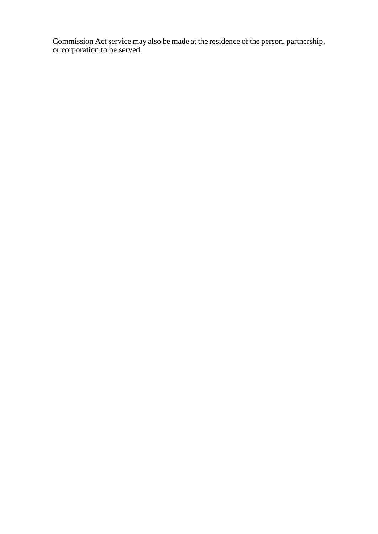Commission Act service may also be made at the residence of the person, partnership, or corporation to be served.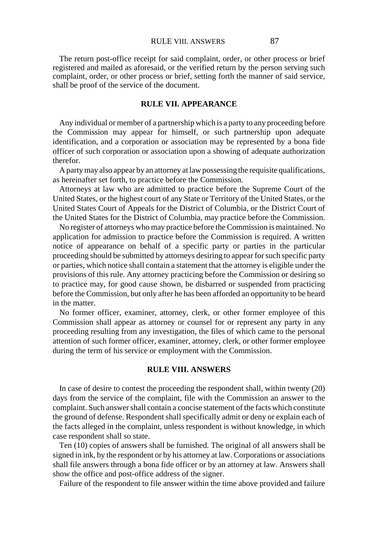The return post-office receipt for said complaint, order, or other process or brief registered and mailed as aforesaid, or the verified return by the person serving such complaint, order, or other process or brief, setting forth the manner of said service, shall be proof of the service of the document.

### **RULE VII. APPEARANCE**

Any individual or member of a partnership which is a party to any proceeding before the Commission may appear for himself, or such partnership upon adequate identification, and a corporation or association may be represented by a bona fide officer of such corporation or association upon a showing of adequate authorization therefor.

A partymay also appear by an attorney at law possessing the requisite qualifications, as hereinafter set forth, to practice before the Commission.

Attorneys at law who are admitted to practice before the Supreme Court of the United States, or the highest court of any State or Territory of the United States, or the United States Court of Appeals for the District of Columbia, or the District Court of the United States for the District of Columbia, may practice before the Commission.

No register of attorneys who may practice before the Commission is maintained. No application for admission to practice before the Commission is required. A written notice of appearance on behalf of a specific party or parties in the particular proceeding should be submitted by attorneys desiring to appear for such specific party or parties, which notice shall contain a statement that the attorney is eligible under the provisions of this rule. Any attorney practicing before the Commission or desiring so to practice may, for good cause shown, be disbarred or suspended from practicing before the Commission, but only after he has been afforded an opportunity to be heard in the matter.

No former officer, examiner, attorney, clerk, or other former employee of this Commission shall appear as attorney or counsel for or represent any party in any proceeding resulting from any investigation, the files of which came to the personal attention of such former officer, examiner, attorney, clerk, or other former employee during the term of his service or employment with the Commission.

## **RULE VIII. ANSWERS**

In case of desire to contest the proceeding the respondent shall, within twenty (20) days from the service of the complaint, file with the Commission an answer to the complaint. Such answershall contain a concise statement of the facts which constitute the ground of defense. Respondent shall specifically admit or deny or explain each of the facts alleged in the complaint, unless respondent is without knowledge, in which case respondent shall so state.

Ten (10) copies of answers shall be furnished. The original of all answers shall be signed in ink, by the respondent or by his attorney at law. Corporations or associations shall file answers through a bona fide officer or by an attorney at law. Answers shall show the office and post-office address of the signer.

Failure of the respondent to file answer within the time above provided and failure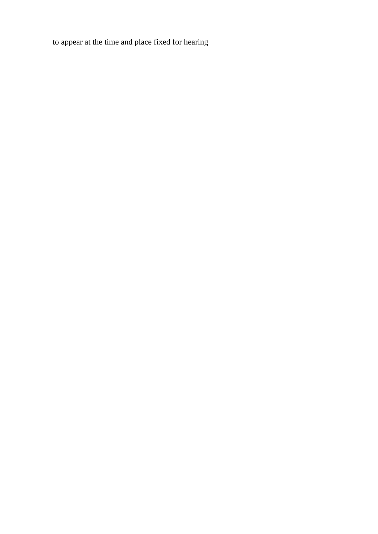to appear at the time and place fixed for hearing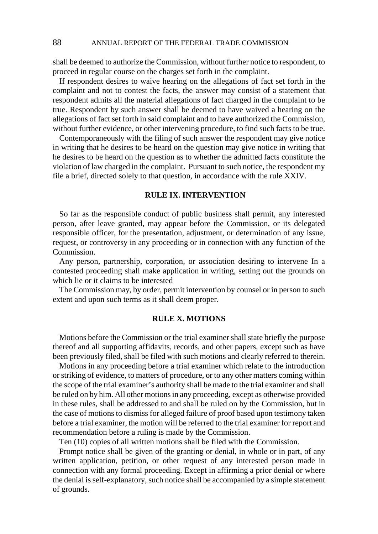shall be deemed to authorize the Commission, without further notice to respondent, to proceed in regular course on the charges set forth in the complaint.

If respondent desires to waive hearing on the allegations of fact set forth in the complaint and not to contest the facts, the answer may consist of a statement that respondent admits all the material allegations of fact charged in the complaint to be true. Respondent by such answer shall be deemed to have waived a hearing on the allegations of fact set forth in said complaint and to have authorized the Commission, without further evidence, or other intervening procedure, to find such facts to be true.

Contemporaneously with the filing of such answer the respondent may give notice in writing that he desires to be heard on the question may give notice in writing that he desires to be heard on the question as to whether the admitted facts constitute the violation of law charged in the complaint. Pursuant to such notice, the respondent my file a brief, directed solely to that question, in accordance with the rule XXIV.

### **RULE IX. INTERVENTION**

So far as the responsible conduct of public business shall permit, any interested person, after leave granted, may appear before the Commission, or its delegated responsible officer, for the presentation, adjustment, or determination of any issue, request, or controversy in any proceeding or in connection with any function of the Commission.

Any person, partnership, corporation, or association desiring to intervene In a contested proceeding shall make application in writing, setting out the grounds on which lie or it claims to be interested

The Commission may, by order, permit intervention by counsel or in person to such extent and upon such terms as it shall deem proper.

### **RULE X. MOTIONS**

Motions before the Commission or the trial examiner shall state briefly the purpose thereof and all supporting affidavits, records, and other papers, except such as have been previously filed, shall be filed with such motions and clearly referred to therein.

Motions in any proceeding before a trial examiner which relate to the introduction or striking of evidence, to matters of procedure, or to any other matters coming within the scope of the trial examiner's authority shall be made to the trial examiner and shall be ruled on by him. All other motions in any proceeding, except as otherwise provided in these rules, shall be addressed to and shall be ruled on by the Commission, but in the case of motions to dismiss for alleged failure of proof based upon testimony taken before a trial examiner, the motion will be referred to the trial examiner for report and recommendation before a ruling is made by the Commission.

Ten (10) copies of all written motions shall be filed with the Commission.

Prompt notice shall be given of the granting or denial, in whole or in part, of any written application, petition, or other request of any interested person made in connection with any formal proceeding. Except in affirming a prior denial or where the denial isself-explanatory, such notice shall be accompanied by a simple statement of grounds.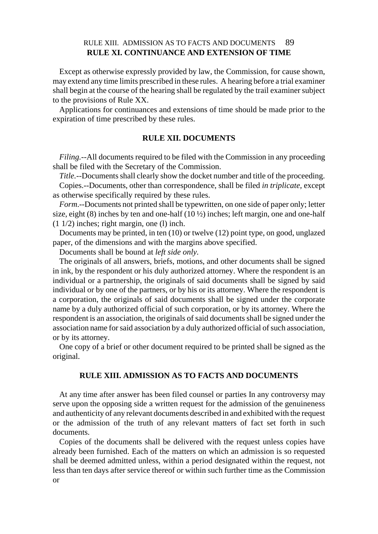## RULE XIII. ADMISSION AS TO FACTS AND DOCUMENTS 89 **RULE XI. CONTINUANCE AND EXTENSION OF TIME**

Except as otherwise expressly provided by law, the Commission, for cause shown, may extend any time limits prescribed in these rules. A hearing before a trial examiner shall begin at the course of the hearing shall be regulated by the trail examiner subject to the provisions of Rule XX.

Applications for continuances and extensions of time should be made prior to the expiration of time prescribed by these rules.

### **RULE XII. DOCUMENTS**

*Filing.--*All documents required to be filed with the Commission in any proceeding shall be filed with the Secretary of the Commission.

*Title.*--Documents shall clearly show the docket number and title of the proceeding. Copies.--Documents, other than correspondence, shall be filed *in triplicate,* except as otherwise specifically required by these rules.

*Form*.--Documents not printed shall be typewritten, on one side of paper only; letter size, eight  $(8)$  inches by ten and one-half  $(10 \frac{1}{2})$  inches; left margin, one and one-half (1 1/2) inches; right margin, one (l) inch.

Documents may be printed, in ten (10) or twelve (12) point type, on good, unglazed paper, of the dimensions and with the margins above specified.

Documents shall be bound at *left side only.*

The originals of all answers, briefs, motions, and other documents shall be signed in ink, by the respondent or his duly authorized attorney. Where the respondent is an individual or a partnership, the originals of said documents shall be signed by said individual or by one of the partners, or by his or its attorney. Where the respondent is a corporation, the originals of said documents shall be signed under the corporate name by a duly authorized official of such corporation, or by its attorney. Where the respondent is an association, the originals of said documents shall be signed under the association name for said association by a duly authorized official of such association, or by its attorney.

One copy of a brief or other document required to be printed shall be signed as the original.

### **RULE XIII. ADMISSION AS TO FACTS AND DOCUMENTS**

At any time after answer has been filed counsel or parties In any controversy may serve upon the opposing side a written request for the admission of the genuineness and authenticity of any relevant documents described in and exhibited with the request or the admission of the truth of any relevant matters of fact set forth in such documents.

Copies of the documents shall be delivered with the request unless copies have already been furnished. Each of the matters on which an admission is so requested shall be deemed admitted unless, within a period designated within the request, not less than ten days after service thereof or within such further time as the Commission or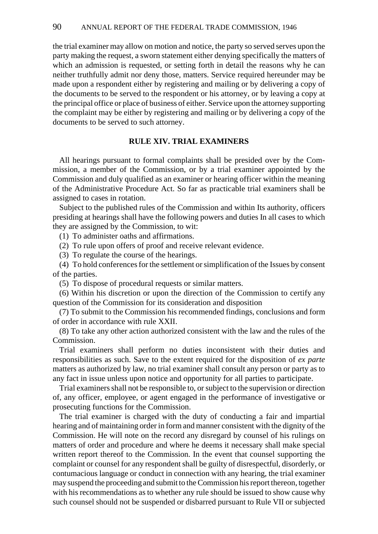the trial examiner may allow on motion and notice, the party so served serves upon the party making the request, a sworn statement either denying specifically the matters of which an admission is requested, or setting forth in detail the reasons why he can neither truthfully admit nor deny those, matters. Service required hereunder may be made upon a respondent either by registering and mailing or by delivering a copy of the documents to be served to the respondent or his attorney, or by leaving a copy at the principal office or place of business of either. Service upon the attorney supporting the complaint may be either by registering and mailing or by delivering a copy of the documents to be served to such attorney.

### **RULE XIV. TRIAL EXAMINERS**

All hearings pursuant to formal complaints shall be presided over by the Commission, a member of the Commission, or by a trial examiner appointed by the Commission and duly qualified as an examiner or hearing officer within the meaning of the Administrative Procedure Act. So far as practicable trial examiners shall be assigned to cases in rotation.

Subject to the published rules of the Commission and within Its authority, officers presiding at hearings shall have the following powers and duties In all cases to which they are assigned by the Commission, to wit:

(1) To administer oaths and affirmations.

(2) To rule upon offers of proof and receive relevant evidence.

(3) To regulate the course of the hearings.

(4) To hold conferences for the settlement or simplification of the Issues by consent of the parties.

(5) To dispose of procedural requests or similar matters.

(6) Within his discretion or upon the direction of the Commission to certify any question of the Commission for its consideration and disposition

(7) To submit to the Commission his recommended findings, conclusions and form of order in accordance with rule XXII.

(8) To take any other action authorized consistent with the law and the rules of the Commission.

Trial examiners shall perform no duties inconsistent with their duties and responsibilities as such. Save to the extent required for the disposition of *ex parte* matters as authorized by law, no trial examiner shall consult any person or party as to any fact in issue unless upon notice and opportunity for all parties to participate.

Trial examiners shall not be responsible to, or subject to the supervision or direction of, any officer, employee, or agent engaged in the performance of investigative or prosecuting functions for the Commission.

The trial examiner is charged with the duty of conducting a fair and impartial hearing and of maintaining order in formand manner consistent with the dignity of the Commission. He will note on the record any disregard by counsel of his rulings on matters of order and procedure and where he deems it necessary shall make special written report thereof to the Commission. In the event that counsel supporting the complaint or counsel for any respondent shall be guilty of disrespectful, disorderly, or contumacious language or conduct in connection with any hearing, the trial examiner may suspend the proceeding and submit to theCommission hisreport thereon, together with his recommendations as to whether any rule should be issued to show cause why such counsel should not be suspended or disbarred pursuant to Rule VII or subjected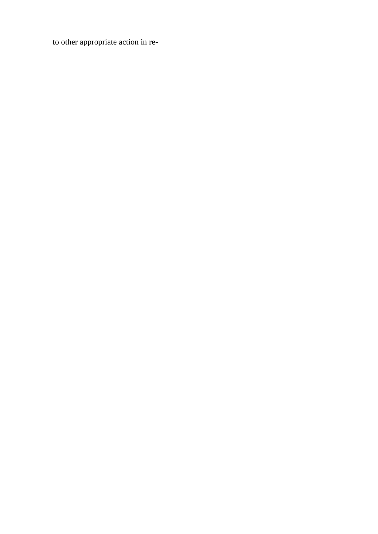to other appropriate action in re-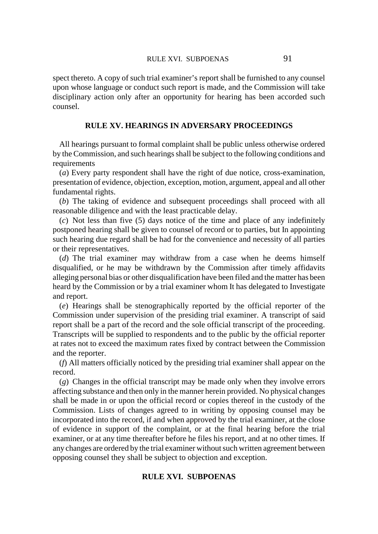spect thereto. A copy of such trial examiner's report shall be furnished to any counsel upon whose language or conduct such report is made, and the Commission will take disciplinary action only after an opportunity for hearing has been accorded such counsel.

## **RULE XV. HEARINGS IN ADVERSARY PROCEEDINGS**

All hearings pursuant to formal complaint shall be public unless otherwise ordered by the Commission, and such hearings shall be subject to the following conditions and requirements

(*a*) Every party respondent shall have the right of due notice, cross-examination, presentation of evidence, objection, exception, motion, argument, appeal and all other fundamental rights.

(*b*) The taking of evidence and subsequent proceedings shall proceed with all reasonable diligence and with the least practicable delay.

(*c*) Not less than five (5) days notice of the time and place of any indefinitely postponed hearing shall be given to counsel of record or to parties, but In appointing such hearing due regard shall be had for the convenience and necessity of all parties or their representatives.

(*d*) The trial examiner may withdraw from a case when he deems himself disqualified, or he may be withdrawn by the Commission after timely affidavits alleging personal bias or other disqualification have been filed and the matter has been heard by the Commission or by a trial examiner whom It has delegated to Investigate and report.

(*e*) Hearings shall be stenographically reported by the official reporter of the Commission under supervision of the presiding trial examiner. A transcript of said report shall be a part of the record and the sole official transcript of the proceeding. Transcripts will be supplied to respondents and to the public by the official reporter at rates not to exceed the maximum rates fixed by contract between the Commission and the reporter.

(*f*) All matters officially noticed by the presiding trial examiner shall appear on the record.

(*g*) Changes in the official transcript may be made only when they involve errors affecting substance and then only in the manner herein provided. No physical changes shall be made in or upon the official record or copies thereof in the custody of the Commission. Lists of changes agreed to in writing by opposing counsel may be incorporated into the record, if and when approved by the trial examiner, at the close of evidence in support of the complaint, or at the final hearing before the trial examiner, or at any time thereafter before he files his report, and at no other times. If any changes are ordered by the trial examiner without such written agreement between opposing counsel they shall be subject to objection and exception.

# **RULE XVI. SUBPOENAS**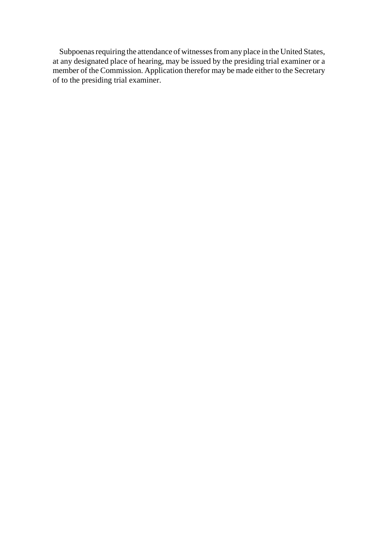Subpoenas requiring the attendance of witnesses from any place in the United States, at any designated place of hearing, may be issued by the presiding trial examiner or a member of the Commission. Application therefor may be made either to the Secretary of to the presiding trial examiner.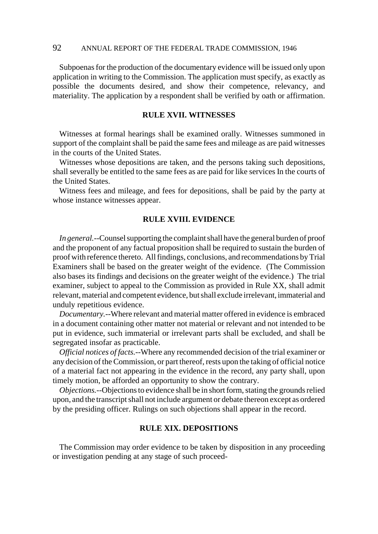## 92 ANNUAL REPORT OF THE FEDERAL TRADE COMMISSION, 1946

Subpoenas for the production of the documentary evidence will be issued only upon application in writing to the Commission. The application must specify, as exactly as possible the documents desired, and show their competence, relevancy, and materiality. The application by a respondent shall be verified by oath or affirmation.

### **RULE XVII. WITNESSES**

Witnesses at formal hearings shall be examined orally. Witnesses summoned in support of the complaint shall be paid the same fees and mileage as are paid witnesses in the courts of the United States.

Witnesses whose depositions are taken, and the persons taking such depositions, shall severally be entitled to the same fees as are paid for like services In the courts of the United States.

Witness fees and mileage, and fees for depositions, shall be paid by the party at whose instance witnesses appear.

### **RULE XVIII. EVIDENCE**

In general.--Counsel supporting the complaint shall have the general burden of proof and the proponent of any factual proposition shall be required to sustain the burden of proofwith reference thereto. All findings, conclusions, and recommendations by Trial Examiners shall be based on the greater weight of the evidence. (The Commission also bases its findings and decisions on the greater weight of the evidence.) The trial examiner, subject to appeal to the Commission as provided in Rule XX, shall admit relevant, material and competent evidence, but shall exclude irrelevant, immaterial and unduly repetitious evidence.

*Documentary.*--Where relevant and material matter offered in evidence is embraced in a document containing other matter not material or relevant and not intended to be put in evidence, such immaterial or irrelevant parts shall be excluded, and shall be segregated insofar as practicable.

*Official notices of facts.*--Where any recommended decision of the trial examiner or any decision of the Commission, or part thereof, rests upon the taking of official notice of a material fact not appearing in the evidence in the record, any party shall, upon timely motion, be afforded an opportunity to show the contrary.

*Objections.* --Objections to evidence shall be in short form, stating the grounds relied upon, and the transcript shall not include argument or debate thereon except as ordered by the presiding officer. Rulings on such objections shall appear in the record.

## **RULE XIX. DEPOSITIONS**

The Commission may order evidence to be taken by disposition in any proceeding or investigation pending at any stage of such proceed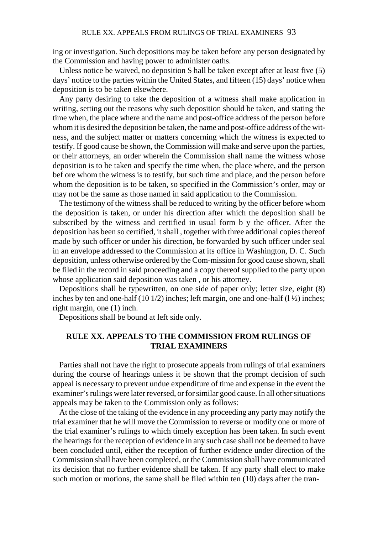ing or investigation. Such depositions may be taken before any person designated by the Commission and having power to administer oaths.

Unless notice be waived, no deposition S hall be taken except after at least five (5) days' notice to the parties within the United States, and fifteen (15) days' notice when deposition is to be taken elsewhere.

Any party desiring to take the deposition of a witness shall make application in writing, setting out the reasons why such deposition should be taken, and stating the time when, the place where and the name and post-office address of the person before whom it is desired the deposition be taken, the name and post-office address of the witness, and the subject matter or matters concerning which the witness is expected to testify. If good cause be shown, the Commission will make and serve upon the parties, or their attorneys, an order wherein the Commission shall name the witness whose deposition is to be taken and specify the time when, the place where, and the person bef ore whom the witness is to testify, but such time and place, and the person before whom the deposition is to be taken, so specified in the Commission's order, may or may not be the same as those named in said application to the Commission.

The testimony of the witness shall be reduced to writing by the officer before whom the deposition is taken, or under his direction after which the deposition shall be subscribed by the witness and certified in usual form b y the officer. After the deposition has been so certified, it shall , together with three additional copies thereof made by such officer or under his direction, be forwarded by such officer under seal in an envelope addressed to the Commission at its office in Washington, D. C. Such deposition, unless otherwise ordered by the Com-mission for good cause shown, shall be filed in the record in said proceeding and a copy thereof supplied to the party upon whose application said deposition was taken , or his attorney.

Depositions shall be typewritten, on one side of paper only; letter size, eight (8) inches by ten and one-half (10 1/2) inches; left margin, one and one-half (1 $\frac{1}{2}$ ) inches; right margin, one (1) inch.

Depositions shall be bound at left side only.

## **RULE XX. APPEALS TO THE COMMISSION FROM RULINGS OF TRIAL EXAMINERS**

Parties shall not have the right to prosecute appeals from rulings of trial examiners during the course of hearings unless it be shown that the prompt decision of such appeal is necessary to prevent undue expenditure of time and expense in the event the examiner's rulings were later reversed, or for similar good cause. In all other situations appeals may be taken to the Commission only as follows:

At the close of the taking of the evidence in any proceeding any party may notify the trial examiner that he will move the Commission to reverse or modify one or more of the trial examiner's rulings to which timely exception has been taken. In such event the hearings for the reception of evidence in any such case shall not be deemed to have been concluded until, either the reception of further evidence under direction of the Commission shall have been completed, or the Commission shall have communicated its decision that no further evidence shall be taken. If any party shall elect to make such motion or motions, the same shall be filed within ten (10) days after the tran-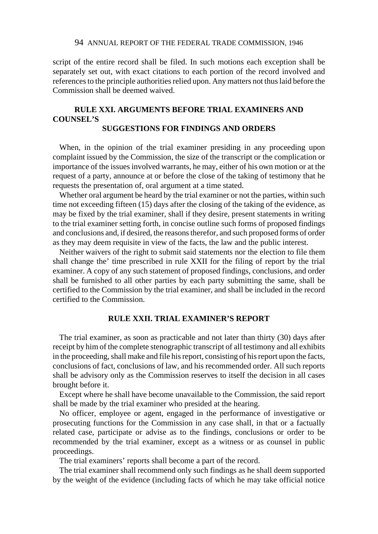### 94 ANNUAL REPORT OF THE FEDERAL TRADE COMMISSION, 1946

script of the entire record shall be filed. In such motions each exception shall be separately set out, with exact citations to each portion of the record involved and references to the principle authorities relied upon. Any matters not thus laid before the Commission shall be deemed waived.

# **RULE XXI. ARGUMENTS BEFORE TRIAL EXAMINERS AND COUNSEL'S**

### **SUGGESTIONS FOR FINDINGS AND ORDERS**

When, in the opinion of the trial examiner presiding in any proceeding upon complaint issued by the Commission, the size of the transcript or the complication or importance of the issues involved warrants, he may, either of his own motion or at the request of a party, announce at or before the close of the taking of testimony that he requests the presentation of, oral argument at a time stated.

Whether oral argument be heard by the trial examiner or not the parties, within such time not exceeding fifteen (15) days after the closing of the taking of the evidence, as may be fixed by the trial examiner, shall if they desire, present statements in writing to the trial examiner setting forth, in concise outline such forms of proposed findings and conclusions and, if desired, the reasons therefor, and such proposed forms of order as they may deem requisite in view of the facts, the law and the public interest.

Neither waivers of the right to submit said statements nor the election to file them shall change the' time prescribed in rule XXII for the filing of report by the trial examiner. A copy of any such statement of proposed findings, conclusions, and order shall be furnished to all other parties by each party submitting the same, shall be certified to the Commission by the trial examiner, and shall be included in the record certified to the Commission.

## **RULE XXII. TRIAL EXAMINER'S REPORT**

The trial examiner, as soon as practicable and not later than thirty (30) days after receipt by him of the complete stenographic transcript of all testimony and all exhibits in the proceeding, shall make and file his report, consisting of his report upon the facts, conclusions of fact, conclusions of law, and his recommended order. All such reports shall be advisory only as the Commission reserves to itself the decision in all cases brought before it.

Except where he shall have become unavailable to the Commission, the said report shall be made by the trial examiner who presided at the hearing.

No officer, employee or agent, engaged in the performance of investigative or prosecuting functions for the Commission in any case shall, in that or a factually related case, participate or advise as to the findings, conclusions or order to be recommended by the trial examiner, except as a witness or as counsel in public proceedings.

The trial examiners' reports shall become a part of the record.

The trial examiner shall recommend only such findings as he shall deem supported by the weight of the evidence (including facts of which he may take official notice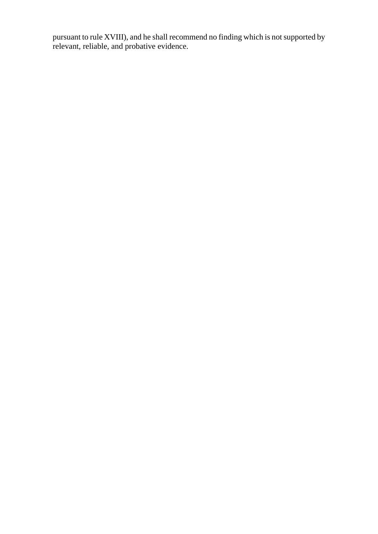pursuant to rule XVIII), and he shall recommend no finding which is not supported by relevant, reliable, and probative evidence.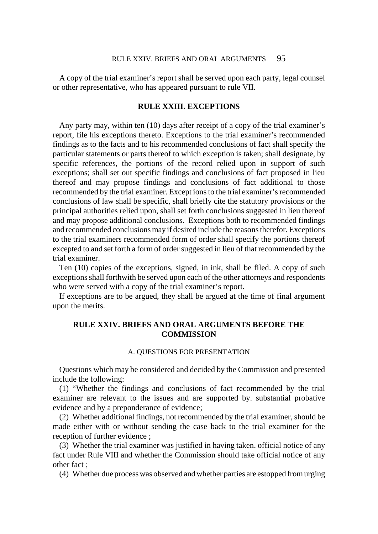### RULE XXIV. BRIEFS AND ORAL ARGUMENTS 95

A copy of the trial examiner's report shall be served upon each party, legal counsel or other representative, who has appeared pursuant to rule VII.

## **RULE XXIII. EXCEPTIONS**

Any party may, within ten (10) days after receipt of a copy of the trial examiner's report, file his exceptions thereto. Exceptions to the trial examiner's recommended findings as to the facts and to his recommended conclusions of fact shall specify the particular statements or parts thereof to which exception is taken; shall designate, by specific references, the portions of the record relied upon in support of such exceptions; shall set out specific findings and conclusions of fact proposed in lieu thereof and may propose findings and conclusions of fact additional to those recommended by the trial examiner. Except ions to the trial examiner's recommended conclusions of law shall be specific, shall briefly cite the statutory provisions or the principal authorities relied upon, shall set forth conclusions suggested in lieu thereof and may propose additional conclusions. Exceptions both to recommended findings and recommended conclusions may if desired include the reasons therefor. Exceptions to the trial examiners recommended form of order shall specify the portions thereof excepted to and set forth a form of order suggested in lieu of that recommended by the trial examiner.

Ten (10) copies of the exceptions, signed, in ink, shall be filed. A copy of such exceptions shall forthwith be served upon each of the other attorneys and respondents who were served with a copy of the trial examiner's report.

If exceptions are to be argued, they shall be argued at the time of final argument upon the merits.

## **RULE XXIV. BRIEFS AND ORAL ARGUMENTS BEFORE THE COMMISSION**

### A. QUESTIONS FOR PRESENTATION

Questions which may be considered and decided by the Commission and presented include the following:

(1) "Whether the findings and conclusions of fact recommended by the trial examiner are relevant to the issues and are supported by. substantial probative evidence and by a preponderance of evidence;

(2) Whether additional findings, not recommended by the trial examiner, should be made either with or without sending the case back to the trial examiner for the reception of further evidence ;

(3) Whether the trial examiner was justified in having taken. official notice of any fact under Rule VIII and whether the Commission should take official notice of any other fact ;

(4) Whether due process was observed and whether parties are estopped from urging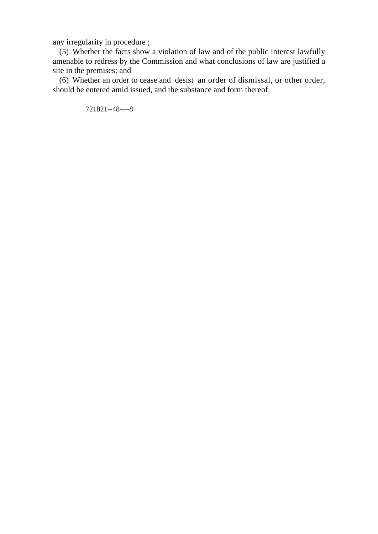any irregularity in procedure ;

(5) Whether the facts show a violation of law and of the public interest lawfully amenable to redress by the Commission and what conclusions of law are justified a site in the premises; and

(6) Whether an order to cease and desist an order of dismissal, or other order, should be entered amid issued, and the substance and form thereof.

721821--48----8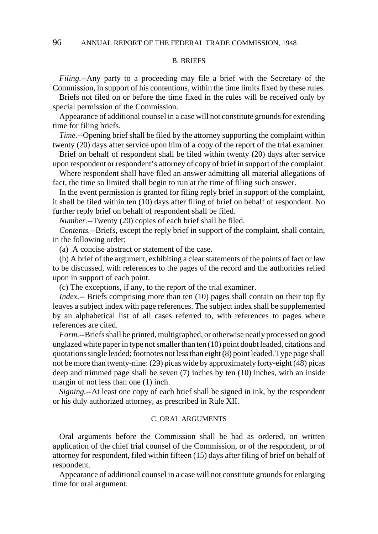### B. BRIEFS

*Filing.--*Any party to a proceeding may file a brief with the Secretary of the Commission, in support of his contentions, within the time limits fixed by these rules.

Briefs not filed on or before the time fixed in the rules will be received only by special permission of the Commission.

Appearance of additional counsel in a case will not constitute grounds for extending time for filing briefs.

*Time.--*Opening brief shall be filed by the attorney supporting the complaint within twenty (20) days after service upon him of a copy of the report of the trial examiner.

Brief on behalf of respondent shall be filed within twenty (20) days after service upon respondent or respondent's attorney of copy of brief in support of the complaint.

Where respondent shall have filed an answer admitting all material allegations of fact, the time so limited shall begin to run at the time of filing such answer.

In the event permission is granted for filing reply brief in support of the complaint, it shall be filed within ten (10) days after filing of brief on behalf of respondent. No further reply brief on behalf of respondent shall be filed.

*Number.--*Twenty (20) copies of each brief shall be filed.

*Contents.--*Briefs, except the reply brief in support of the complaint, shall contain, in the following order:

(a) A concise abstract or statement of the case.

(b) A brief of the argument, exhibiting a clear statements of the points of fact or law to be discussed, with references to the pages of the record and the authorities relied upon in support of each point.

(c) The exceptions, if any, to the report of the trial examiner.

*Index.*-- Briefs comprising more than ten (10) pages shall contain on their top fly leaves a subject index with page references. The subject index shall be supplemented by an alphabetical list of all cases referred to, with references to pages where references are cited.

*Form.--*Briefsshall be printed, multigraphed, or otherwise neatly processed on good unglazed white paper in type not smaller than ten  $(10)$  point doubt leaded, citations and quotationssingle leaded;footnotes not lessthan eight(8) point leaded. Type page shall not be more than twenty-nine: (29) picas wide by approximately forty-eight (48) picas deep and trimmed page shall be seven (7) inches by ten (10) inches, with an inside margin of not less than one (1) inch.

*Signing.--*At least one copy of each brief shall be signed in ink, by the respondent or his duly authorized attorney, as prescribed in Rule XII.

### C. ORAL ARGUMENTS

Oral arguments before the Commission shall be had as ordered, on written application of the chief trial counsel of the Commission, or of the respondent, or of attorney for respondent, filed within fifteen (15) days after filing of brief on behalf of respondent.

Appearance of additional counsel in a case will not constitute grounds for enlarging time for oral argument.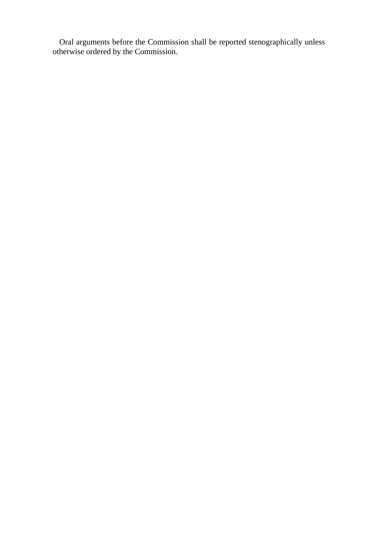Oral arguments before the Commission shall be reported stenographically unless otherwise ordered by the Commission.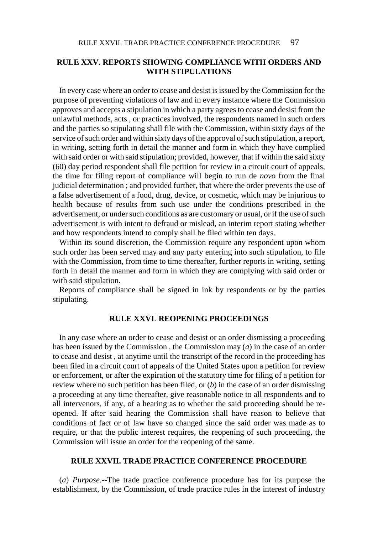### RULE XXVII. TRADE PRACTICE CONFERENCE PROCEDURE 97

## **RULE XXV. REPORTS SHOWING COMPLIANCE WITH ORDERS AND WITH STIPULATIONS**

In every case where an order to cease and desist isissued by the Commission for the purpose of preventing violations of law and in every instance where the Commission approves and accepts a stipulation in which a party agrees to cease and desist from the unlawful methods, acts , or practices involved, the respondents named in such orders and the parties so stipulating shall file with the Commission, within sixty days of the service of such order and within sixty days of the approval of such stipulation, a report, in writing, setting forth in detail the manner and form in which they have complied with said order or with said stipulation; provided, however, that if within the said sixty (60) day period respondent shall file petition for review in a circuit court of appeals, the time for filing report of compliance will begin to run de *novo* from the final judicial determination ; and provided further, that where the order prevents the use of a false advertisement of a food, drug, device, or cosmetic, which may be injurious to health because of results from such use under the conditions prescribed in the advertisement, or under such conditions as are customary or usual, or if the use of such advertisement is with intent to defraud or mislead, an interim report stating whether and how respondents intend to comply shall be filed within ten days.

Within its sound discretion, the Commission require any respondent upon whom such order has been served may and any party entering into such stipulation, to file with the Commission, from time to time thereafter, further reports in writing, setting forth in detail the manner and form in which they are complying with said order or with said stipulation.

Reports of compliance shall be signed in ink by respondents or by the parties stipulating.

### **RULE XXVL REOPENING PROCEEDINGS**

In any case where an order to cease and desist or an order dismissing a proceeding has been issued by the Commission , the Commission may (*a*) in the case of an order to cease and desist , at anytime until the transcript of the record in the proceeding has been filed in a circuit court of appeals of the United States upon a petition for review or enforcement, or after the expiration of the statutory time for filing of a petition for review where no such petition has been filed, or (*b*) in the case of an order dismissing a proceeding at any time thereafter, give reasonable notice to all respondents and to all intervenors, if any, of a hearing as to whether the said proceeding should be reopened. If after said hearing the Commission shall have reason to believe that conditions of fact or of law have so changed since the said order was made as to require, or that the public interest requires, the reopening of such proceeding, the Commission will issue an order for the reopening of the same.

## **RULE XXVII. TRADE PRACTICE CONFERENCE PROCEDURE**

(*a*) *Purpose.--*The trade practice conference procedure has for its purpose the establishment, by the Commission, of trade practice rules in the interest of industry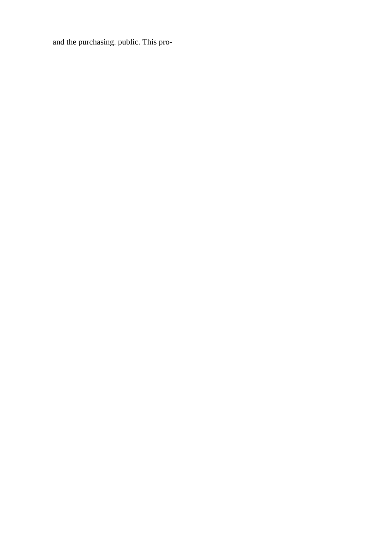and the purchasing. public. This pro-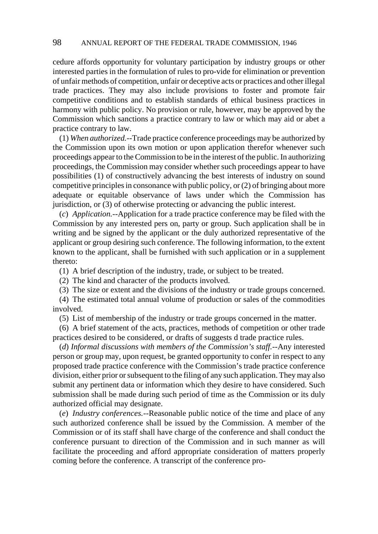cedure affords opportunity for voluntary participation by industry groups or other interested parties in the formulation of rules to pro-vide for elimination or prevention of unfair methods of competition, unfair or deceptive acts or practices and otherillegal trade practices. They may also include provisions to foster and promote fair competitive conditions and to establish standards of ethical business practices in harmony with public policy. No provision or rule, however, may be approved by the Commission which sanctions a practice contrary to law or which may aid or abet a practice contrary to law.

(1) *When authorized.--*Trade practice conference proceedings may be authorized by the Commission upon its own motion or upon application therefor whenever such proceedings appear to the Commission to be in the interest of the public. In authorizing proceedings, the Commission may consider whether such proceedings appear to have possibilities (1) of constructively advancing the best interests of industry on sound competitive principles in consonance with public policy, or  $(2)$  of bringing about more adequate or equitable observance of laws under which the Commission has jurisdiction, or (3) of otherwise protecting or advancing the public interest.

(*c*) *Application.--*Application for a trade practice conference may be filed with the Commission by any interested pers on, party or group. Such application shall be in writing and be signed by the applicant or the duly authorized representative of the applicant or group desiring such conference. The following information, to the extent known to the applicant, shall be furnished with such application or in a supplement thereto:

(1) A brief description of the industry, trade, or subject to be treated.

(2) The kind and character of the products involved.

(3) The size or extent and the divisions of the industry or trade groups concerned.

(4) The estimated total annual volume of production or sales of the commodities involved.

(5) List of membership of the industry or trade groups concerned in the matter.

(6) A brief statement of the acts, practices, methods of competition or other trade practices desired to be considered, or drafts of suggests d trade practice rules.

(*d*) *Informal discussions with members of the Commission's staff.--*Any interested person or group may, upon request, be granted opportunity to confer in respect to any proposed trade practice conference with the Commission's trade practice conference division, either prior or subsequent to the filing of any such application. They may also submit any pertinent data or information which they desire to have considered. Such submission shall be made during such period of time as the Commission or its duly authorized official may designate.

(*e*) *Industry conferences.--*Reasonable public notice of the time and place of any such authorized conference shall be issued by the Commission. A member of the Commission or of its staff shall have charge of the conference and shall conduct the conference pursuant to direction of the Commission and in such manner as will facilitate the proceeding and afford appropriate consideration of matters properly coming before the conference. A transcript of the conference pro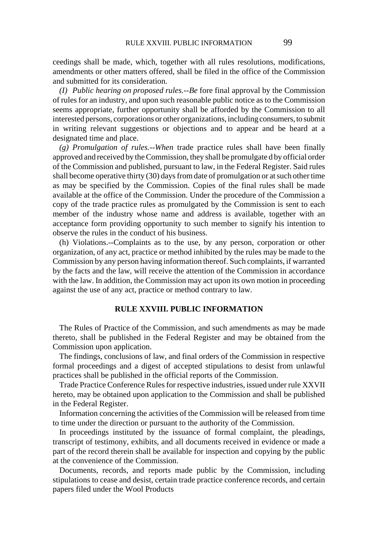ceedings shall be made, which, together with all rules resolutions, modifications, amendments or other matters offered, shall be filed in the office of the Commission and submitted for its consideration.

*(I) Public hearing on proposed rules.--Be* fore final approval by the Commission of rules for an industry, and upon such reasonable public notice as to the Commission seems appropriate, further opportunity shall be afforded by the Commission to all interested persons, corporations or other organizations, including consumers, to submit in writing relevant suggestions or objections and to appear and be heard at a designated time and place.

*(g) Promulgation of rules.--When* trade practice rules shall have been finally approved and received by theCommission, they shall be promulgate d by official order of the Commission and published, pursuant to law, in the Federal Register. Said rules shall become operative thirty (30) days from date of promulgation or at such other time as may be specified by the Commission. Copies of the final rules shall be made available at the office of the Commission. Under the procedure of the Commission a copy of the trade practice rules as promulgated by the Commission is sent to each member of the industry whose name and address is available, together with an acceptance form providing opportunity to such member to signify his intention to observe the rules in the conduct of his business.

(h) Violations.--Complaints as to the use, by any person, corporation or other organization, of any act, practice or method inhibited by the rules may be made to the Commission by any person having information thereof. Such complaints, if warranted by the facts and the law, will receive the attention of the Commission in accordance with the law. In addition, the Commission may act upon its own motion in proceeding against the use of any act, practice or method contrary to law.

## **RULE XXVIII. PUBLIC INFORMATION**

The Rules of Practice of the Commission, and such amendments as may be made thereto, shall be published in the Federal Register and may be obtained from the Commission upon application.

The findings, conclusions of law, and final orders of the Commission in respective formal proceedings and a digest of accepted stipulations to desist from unlawful practices shall be published in the official reports of the Commission.

Trade Practice Conference Rules for respective industries, issued under rule XXVII hereto, may be obtained upon application to the Commission and shall be published in the Federal Register.

Information concerning the activities of the Commission will be released from time to time under the direction or pursuant to the authority of the Commission.

In proceedings instituted by the issuance of formal complaint, the pleadings, transcript of testimony, exhibits, and all documents received in evidence or made a part of the record therein shall be available for inspection and copying by the public at the convenience of the Commission.

Documents, records, and reports made public by the Commission, including stipulations to cease and desist, certain trade practice conference records, and certain papers filed under the Wool Products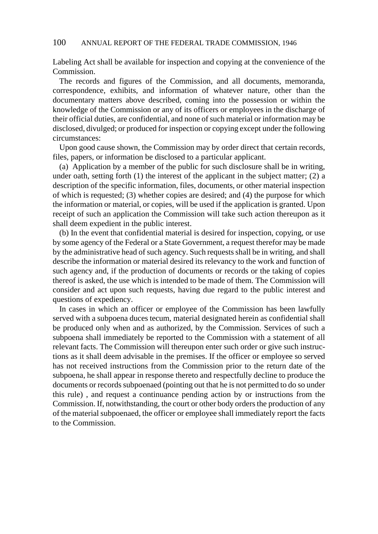### 100 ANNUAL REPORT OF THE FEDERAL TRADE COMMISSION, 1946

Labeling Act shall be available for inspection and copying at the convenience of the Commission.

The records and figures of the Commission, and all documents, memoranda, correspondence, exhibits, and information of whatever nature, other than the documentary matters above described, coming into the possession or within the knowledge of the Commission or any of its officers or employees in the discharge of their official duties, are confidential, and none of such material or information may be disclosed, divulged; or produced for inspection or copying except under the following circumstances:

Upon good cause shown, the Commission may by order direct that certain records, files, papers, or information be disclosed to a particular applicant.

(a) Application by a member of the public for such disclosure shall be in writing, under oath, setting forth (1) the interest of the applicant in the subject matter; (2) a description of the specific information, files, documents, or other material inspection of which is requested; (3) whether copies are desired; and (4) the purpose for which the information or material, or copies, will be used if the application is granted. Upon receipt of such an application the Commission will take such action thereupon as it shall deem expedient in the public interest.

(b) In the event that confidential material is desired for inspection, copying, or use by some agency of the Federal or a State Government, a request therefor may be made by the administrative head of such agency. Such requests shall be in writing, and shall describe the information or material desired its relevancy to the work and function of such agency and, if the production of documents or records or the taking of copies thereof is asked, the use which is intended to be made of them. The Commission will consider and act upon such requests, having due regard to the public interest and questions of expediency.

In cases in which an officer or employee of the Commission has been lawfully served with a subpoena duces tecum, material designated herein as confidential shall be produced only when and as authorized, by the Commission. Services of such a subpoena shall immediately be reported to the Commission with a statement of all relevant facts. The Commission will thereupon enter such order or give such instructions as it shall deem advisable in the premises. If the officer or employee so served has not received instructions from the Commission prior to the return date of the subpoena, he shall appear in response thereto and respectfully decline to produce the documents or records subpoenaed (pointing out that he is not permitted to do so under this rule) , and request a continuance pending action by or instructions from the Commission. If, notwithstanding, the court or other body orders the production of any of the material subpoenaed, the officer or employee shall immediately report the facts to the Commission.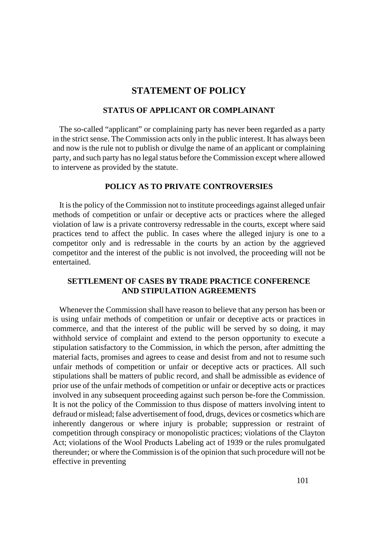# **STATEMENT OF POLICY**

### **STATUS OF APPLICANT OR COMPLAINANT**

The so-called "applicant" or complaining party has never been regarded as a party in the strict sense. The Commission acts only in the public interest. It has always been and now is the rule not to publish or divulge the name of an applicant or complaining party, and such party has no legal status before the Commission except where allowed to intervene as provided by the statute.

## **POLICY AS TO PRIVATE CONTROVERSIES**

It isthe policy of the Commission not to institute proceedings against alleged unfair methods of competition or unfair or deceptive acts or practices where the alleged violation of law is a private controversy redressable in the courts, except where said practices tend to affect the public. In cases where the alleged injury is one to a competitor only and is redressable in the courts by an action by the aggrieved competitor and the interest of the public is not involved, the proceeding will not be entertained.

## **SETTLEMENT OF CASES BY TRADE PRACTICE CONFERENCE AND STIPULATION AGREEMENTS**

Whenever the Commission shall have reason to believe that any person has been or is using unfair methods of competition or unfair or deceptive acts or practices in commerce, and that the interest of the public will be served by so doing, it may withhold service of complaint and extend to the person opportunity to execute a stipulation satisfactory to the Commission, in which the person, after admitting the material facts, promises and agrees to cease and desist from and not to resume such unfair methods of competition or unfair or deceptive acts or practices. All such stipulations shall be matters of public record, and shall be admissible as evidence of prior use of the unfair methods of competition or unfair or deceptive acts or practices involved in any subsequent proceeding against such person be-fore the Commission. It is not the policy of the Commission to thus dispose of matters involving intent to defraud or mislead; false advertisement of food, drugs, devices or cosmetics which are inherently dangerous or where injury is probable; suppression or restraint of competition through conspiracy or monopolistic practices; violations of the Clayton Act; violations of the Wool Products Labeling act of 1939 or the rules promulgated thereunder; or where the Commission is of the opinion thatsuch procedure will not be effective in preventing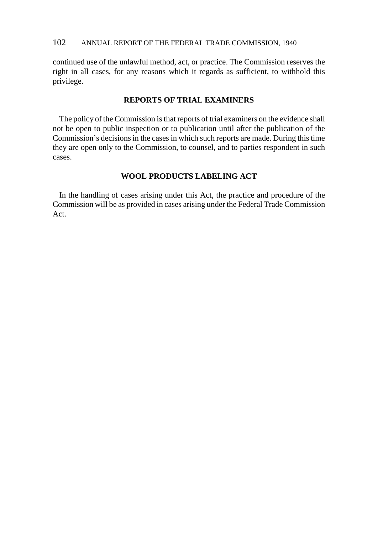## 102 ANNUAL REPORT OF THE FEDERAL TRADE COMMISSION, 1940

continued use of the unlawful method, act, or practice. The Commission reserves the right in all cases, for any reasons which it regards as sufficient, to withhold this privilege.

## **REPORTS OF TRIAL EXAMINERS**

The policy of the Commission is that reports of trial examiners on the evidence shall not be open to public inspection or to publication until after the publication of the Commission's decisions in the cases in which such reports are made. During this time they are open only to the Commission, to counsel, and to parties respondent in such cases.

## **WOOL PRODUCTS LABELING ACT**

In the handling of cases arising under this Act, the practice and procedure of the Commission will be as provided in cases arising under the Federal Trade Commission Act.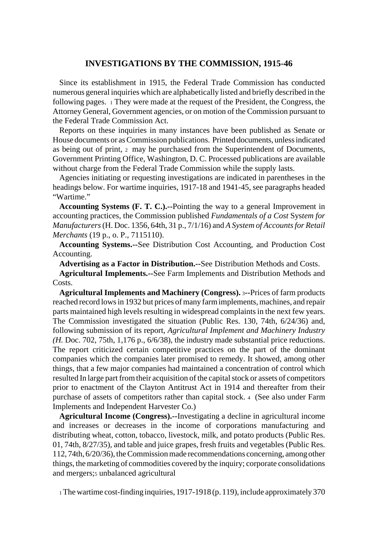## **INVESTIGATIONS BY THE COMMISSION, 1915-46**

Since its establishment in 1915, the Federal Trade Commission has conducted numerous general inquiries which are alphabetically listed and briefly described in the following pages.  $\frac{1}{1}$  They were made at the request of the President, the Congress, the Attorney General, Government agencies, or on motion of the Commission pursuant to the Federal Trade Commission Act.

Reports on these inquiries in many instances have been published as Senate or House documents or asCommission publications. Printed documents, unless indicated as being out of print, <sup>2</sup> may he purchased from the Superintendent of Documents, Government Printing Office, Washington, D. C. Processed publications are available without charge from the Federal Trade Commission while the supply lasts.

Agencies initiating or requesting investigations are indicated in parentheses in the headings below. For wartime inquiries, 1917-18 and 1941-45, see paragraphs headed "Wartime."

**Accounting Systems (F. T. C.).--**Pointing the way to a general Improvement in accounting practices, the Commission published *Fundamentals of a Cost* Sys*tem for Manufacturers*(H. Doc. 1356, 64th, 31 p., 7/1/16) and *A System of Accountsfor Retail Merchants* (19 p., o. P., 7115110).

**Accounting Systems.--**See Distribution Cost Accounting, and Production Cost Accounting.

**Advertising as a Factor in Distribution.--**See Distribution Methods and Costs. **Agricultural Implements.--**See Farm Implements and Distribution Methods and Costs.

**Agricultural Implements and Machinery (Congress).** <sup>3</sup>**--**Prices of farm products reached record lows in 1932 but prices of many farm implements, machines, and repair parts maintained high levels resulting in widespread complaintsin the next few years. The Commission investigated the situation (Public Res. 130, 74th, 6/24/36) and, following submission of its report, *Agricultural Implement and Machinery Industry (H.* Doc. 702, 75th, 1,176 p., 6/6/38), the industry made substantial price reductions. The report criticized certain competitive practices on the part of the dominant companies which the companies later promised to remedy. It showed, among other things, that a few major companies had maintained a concentration of control which resulted In large part from their acquisition of the capital stock or assets of competitors prior to enactment of the Clayton Antitrust Act in 1914 and thereafter from their purchase of assets of competitors rather than capital stock. <sup>4</sup> (See also under Farm Implements and Independent Harvester Co.)

**Agricultural Income (Congress).--**Investigating a decline in agricultural income and increases or decreases in the income of corporations manufacturing and distributing wheat, cotton, tobacco, livestock, milk, and potato products (Public Res. 01, 74th, 8/27/35), and table and juice grapes, fresh fruits and vegetables (Public Res. 112, 74th, 6/20/36), theCommissionmade recommendations concerning, among other things, themarketing of commodities covered by the inquiry; corporate consolidations and mergers;5 unbalanced agricultural

<sup>1</sup>The wartime cost-finding inquiries, 1917-1918 (p. 119), include approximately 370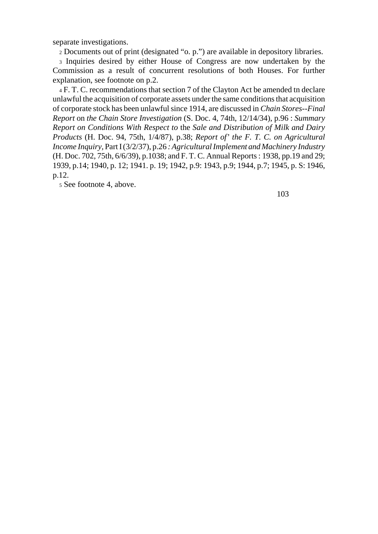separate investigations.

<sup>2</sup> Documents out of print (designated "o. p.") are available in depository libraries.

<sup>3</sup> Inquiries desired by either House of Congress are now undertaken by the Commission as a result of concurrent resolutions of both Houses. For further explanation, see footnote on p.2.

<sup>4</sup> F. T. C. recommendations that section 7 of the Clayton Act be amended tn declare unlawful the acquisition of corporate assets underthe same conditionsthat acquisition of corporate stock has been unlawfulsince 1914, are discussed in *Chain Stores--Final Report* on *the Chain Store Investigation* (S. Doc. 4, 74th, 12/14/34), p.96 : *Summary Report on Conditions With Respect to* the *Sale and Distribution of Milk and Dairy Products* (H. Doc. 94, 75th, 1/4/87), p.38; *Report of' the F. T. C. on Agricultural Income Inquiry,* PartI(3/2/37), p.26 *:AgriculturalImplement and Machinery Industry* (H. Doc. 702, 75th, 6/6/39), p.1038; and F. T. C. Annual Reports: 1938, pp.19 and 29; 1939, p.14; 1940, p. 12; 1941. p. 19; 1942, p.9: 1943, p.9; 1944, p.7; 1945, p. S: 1946, p.12.

<sup>5</sup> See footnote 4, above.

103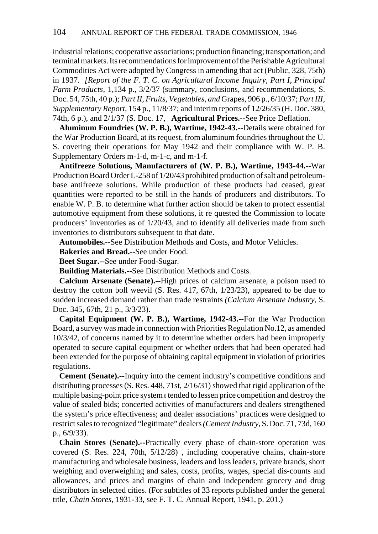industrial relations; cooperative associations; production financing; transportation; and terminal markets. Its recommendations for improvement of the Perishable Agricultural Commodities Act were adopted by Congress in amending that act (Public, 328, 75th) in 1937. *[Report of the F. T. C. on Agricultural Income Inquiry, Part I, Principal Farm Products,* 1,134 p., 3/2/37 (summary, conclusions, and recommendations, S. Doc. 54, 75th, 40 p.); *Part II, Fruits, Vegetables, and* Grapes, 906 p., 6/10/37; *PartIII, Supplementary Report,* 154 p., 11/8/37; and interim reports of 12/26/35 (H. Doc. 380, 74th, 6 p.), and 2/1/37 (S. Doc. 17, **Agricultural Prices.--**See Price Deflation.

**Aluminum Foundries (W. P. B.), Wartime, 1942-43.--**Details were obtained for the War Production Board, at its request, from aluminum foundries throughout the U. S. covering their operations for May 1942 and their compliance with W. P. B. Supplementary Orders m-1-d, m-1-c, and m-1-f.

**Antifreeze Solutions, Manufacturers of (W. P. B.), Wartime, 1943-44.--**War Production Board Order L-258 of 1/20/43 prohibited production of salt and petroleumbase antifreeze solutions. While production of these products had ceased, great quantities were reported to be still in the hands of producers and distributors. To enable W. P. B. to determine what further action should be taken to protect essential automotive equipment from these solutions, it re quested the Commission to locate producers' inventories as of 1/20/43, and to identify all deliveries made from such inventories to distributors subsequent to that date.

**Automobiles.--**See Distribution Methods and Costs, and Motor Vehicles.

**Bakeries and Bread.--**See under Food.

**Beet Sugar.--**See under Food-Sugar.

**Building Materials.--**See Distribution Methods and Costs.

**Calcium Arsenate (Senate).--**High prices of calcium arsenate, a poison used to destroy the cotton boll weevil (S. Res. 417, 67th, 1/23/23), appeared to be due to sudden increased demand rather than trade restraints *(Calcium Arsenate Industry,* S. Doc. 345, 67th, 21 p., 3/3/23).

**Capital Equipment (W. P. B.), Wartime, 1942-43.--**For the War Production Board, a survey was made in connection with Priorities Regulation No.12, as amended 10/3/42, of concerns named by it to determine whether orders had been improperly operated to secure capital equipment or whether orders that had been operated had been extended for the purpose of obtaining capital equipment in violation of priorities regulations.

**Cement (Senate).--**Inquiry into the cement industry's competitive conditions and distributing processes(S. Res. 448, 71st, 2/16/31) showed that rigid application of the multiple basing-point price system  $\epsilon$  tended to lessen price competition and destroy the value of sealed bids; concerted activities of manufacturers and dealers strengthened the system's price effectiveness; and dealer associations' practices were designed to restrict sales to recognized "legitimate" dealers (Cement Industry, S. Doc. 71, 73d, 160 p., 6/9/33).

**Chain Stores (Senate).--**Practically every phase of chain-store operation was covered (S. Res. 224, 70th, 5/12/28) , including cooperative chains, chain-store manufacturing and wholesale business, leaders and loss leaders, private brands, short weighing and overweighing and sales, costs, profits, wages, special dis-counts and allowances, and prices and margins of chain and independent grocery and drug distributors in selected cities. (For subtitles of 33 reports published under the general title, *Chain Stores,* 1931-33, see F. T. C. Annual Report, 1941, p. 201.)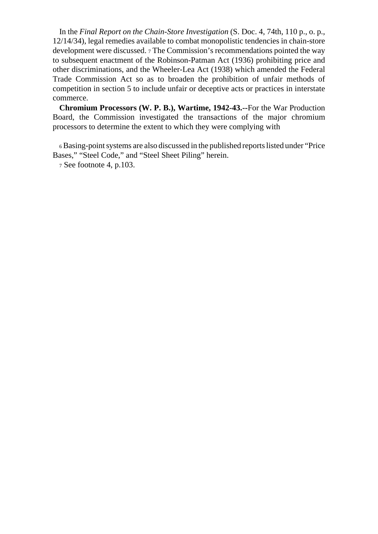In the *Final Report on the Chain-Store Investigation* (S. Doc. 4, 74th, 110 p., o. p., 12/14/34), legal remedies available to combat monopolistic tendencies in chain-store development were discussed. <sup>7</sup> The Commission's recommendations pointed the way to subsequent enactment of the Robinson-Patman Act (1936) prohibiting price and other discriminations, and the Wheeler-Lea Act (1938) which amended the Federal Trade Commission Act so as to broaden the prohibition of unfair methods of competition in section 5 to include unfair or deceptive acts or practices in interstate commerce.

**Chromium Processors (W. P. B.), Wartime, 1942-43.--**For the War Production Board, the Commission investigated the transactions of the major chromium processors to determine the extent to which they were complying with

<sup>6</sup>Basing-pointsystems are also discussed in the published reportslisted under "Price Bases," "Steel Code," and "Steel Sheet Piling" herein.

7 See footnote 4, p.103.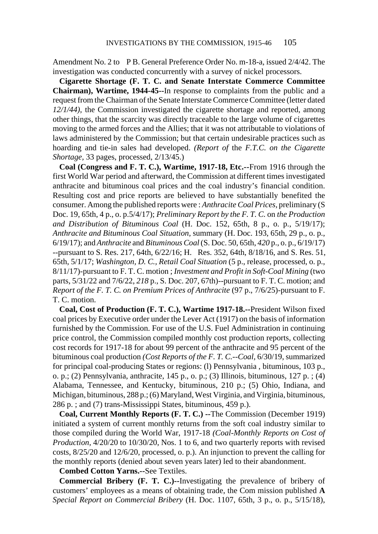Amendment No. 2 to P B. General Preference Order No. m-18-a, issued 2/4/42. The investigation was conducted concurrently with a survey of nickel processors.

**Cigarette Shortage (F. T. C. and Senate Interstate Commerce Committee Chairman), Wartime, 1944-45--**In response to complaints from the public and a request from the Chairman of the Senate Interstate Commerce Committee (letter dated *12/1/44),* the Commission investigated the cigarette shortage and reported, among other things, that the scarcity was directly traceable to the large volume of cigarettes moving to the armed forces and the Allies; that it was not attributable to violations of laws administered by the Commission; but that certain undesirable practices such as hoarding and tie-in sales had developed. *(Report of* the *F.T.C. on the Cigarette Shortage,* 33 pages, processed, 2/13/45.)

**Coal (Congress and F. T. C.), Wartime, 1917-18, Etc.--**From 1916 through the first World War period and afterward, the Commission at different times investigated anthracite and bituminous coal prices and the coal industry's financial condition. Resulting cost and price reports are believed to have substantially benefited the consumer. Among the published reports were : *Anthracite Coal Prices,* preliminary (S Doc. 19, 65th, 4 p., o. p.5/4/17); *Preliminary Report by the F. T. C.* on *the Production and Distribution of Bituminous Coal* (H. Doc. 152, 65th, 8 p., o. p., 5/19/17); *Anthracite and Bituminous Coal Situation,* summary (H. Doc. 193, 65th, 29 p., o. p., 6/19/17); and *Anthracite* and *BituminousCoal*(S. Doc. 50, 65th, *420* p., o. p., 6/19/17) --pursuant to S. Res. 217, 64th, 6/22/16; H. Res. 352, 64th, 8/18/16, and S. Res. 51, 65th, 5/1/17; *Washington, D. C., Retail Coal Situation* (5 p., release, processed, o. p., 8/11/17)-pursuant to F. T. C. motion ; *Investment and Profit in Soft-Coal Mining* (two parts, 5/31/22 and 7/6/22, *218* p., S. Doc. 207, 67th)--pursuant to F. T. C. motion; and *Report of the F. T. C. on Premium Prices of Anthracite* (97 p., 7/6/25)-pursuant to F. T. C. motion.

**Coal, Cost of Production (F. T. C.), Wartime 1917-18.--**President Wilson fixed coal prices by Executive order under the Lever Act (1917) on the basis of information furnished by the Commission. For use of the U.S. Fuel Administration in continuing price control, the Commission compiled monthly cost production reports, collecting cost records for 1917-18 for about 99 percent of the anthracite and 95 percent of the bituminous coal production *(Cost Reports of the F. T. C.--Coal,* 6/30/19, summarized for principal coal-producing States or regions: (l) Pennsylvania , bituminous, 103 p., o. p.; (2) Pennsylvania, anthracite, 145 p., o. p.; (3) Illinois, bituminous, 127 p. ; (4) Alabama, Tennessee, and Kentucky, bituminous, 210 p.; (5) Ohio, Indiana, and Michigan, bituminous, 288 p.; (6) Maryland, West Virginia, and Virginia, bituminous, 286 p. ; and (7) trans-Mississippi States, bituminous, 459 p.).

**Coal, Current Monthly Reports (F. T. C.) --**The Commission (December 1919) initiated a system of current monthly returns from the soft coal industry similar to those compiled during the World War, 1917-18 *(Coal-Monthly Reports on Cost of Production,* 4/20/20 to 10/30/20, Nos. 1 to 6, and two quarterly reports with revised costs, 8/25/20 and 12/6/20, processed, o. p.). An injunction to prevent the calling for the monthly reports (denied about seven years later) led to their abandonment.

**Combed Cotton Yarns.--**See Textiles.

**Commercial Bribery (F. T. C.)--**Investigating the prevalence of bribery of customers' employees as a means of obtaining trade, the Com mission published **A** *Special Report on Commercial Bribery* (H. Doc. 1107, 65th, 3 p., o. p., 5/15/18),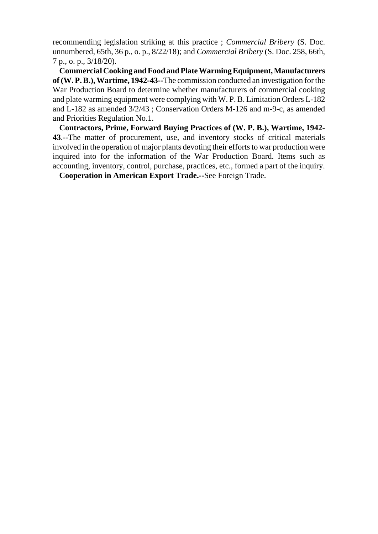recommending legislation striking at this practice ; *Commercial Bribery* (S. Doc. unnumbered, 65th, 36 p., o. p., 8/22/18); and *Commercial Bribery* (S. Doc. 258, 66th, 7 p., o. p., 3/18/20).

**CommercialCooking andFood and Plate Warming Equipment, Manufacturers of(W. P.B.),Wartime, 1942-43--**The commission conducted an investigation forthe War Production Board to determine whether manufacturers of commercial cooking and plate warming equipment were complying with W. P. B. Limitation Orders L-182 and L-182 as amended 3/2/43 ; Conservation Orders M-126 and m-9-c, as amended and Priorities Regulation No.1.

**Contractors, Prime, Forward Buying Practices of (W. P. B.), Wartime, 1942- 43**.--The matter of procurement, use, and inventory stocks of critical materials involved in the operation of major plants devoting their efforts to war production were inquired into for the information of the War Production Board. Items such as accounting, inventory, control, purchase, practices, etc., formed a part of the inquiry.

**Cooperation in American Export Trade.--**See Foreign Trade.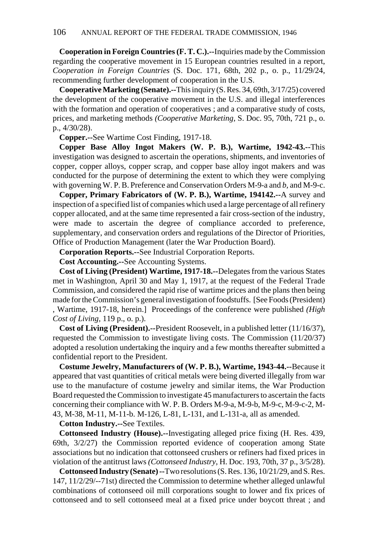**Cooperation in Foreign Countries(F. T. C.).--**Inquiries made by the Commission regarding the cooperative movement in 15 European countries resulted in a report, *Cooperation in Foreign Countries* (S. Doc. 171, 68th, 202 p., o. p., 11/29/24, recommending further development of cooperation in the U.S.

**CooperativeMarketing (Senate).--**Thisinquiry (S.Res. 34, 69th, 3/17/25) covered the development of the cooperative movement in the U.S. and illegal interferences with the formation and operation of cooperatives ; and a comparative study of costs, prices, and marketing methods *(Cooperative Marketing,* S. Doc. 95, 70th, 721 p., o. p., 4/30/28).

**Copper.--**See Wartime Cost Finding, 1917-18.

**Copper Base Alloy Ingot Makers (W. P. B.), Wartime, 1942-43.--**This investigation was designed to ascertain the operations, shipments, and inventories of copper, copper alloys, copper scrap, and copper base alloy ingot makers and was conducted for the purpose of determining the extent to which they were complying with governing W. P. B. Preference and Conservation Orders M-9-a and *b,* and M-9-c.

**Copper, Primary Fabricators of (W. P. B.), Wartime, 194142.--**A survey and inspection of a specified list of companies which used a large percentage of allrefinery copper allocated, and at the same time represented a fair cross-section of the industry, were made to ascertain the degree of compliance accorded to preference, supplementary, and conservation orders and regulations of the Director of Priorities, Office of Production Management (later the War Production Board).

**Corporation Reports.--**See Industrial Corporation Reports.

**Cost Accounting.--**See Accounting Systems.

**Cost of Living (President) Wartime, 1917-18.**--Delegates from the various States met in Washington, April 30 and May 1, 1917, at the request of the Federal Trade Commission, and considered the rapid rise of wartime prices and the plans then being made for the Commission's general investigation of foodstuffs. [See Foods (President) , Wartime, 1917-18, herein.] Proceedings of the conference were published *(High Cost of Living,* 119 p., o. p.).

**Cost of Living (President).--**President Roosevelt, in a published letter (11/16/37), requested the Commission to investigate living costs. The Commission (11/20/37) adopted a resolution undertaking the inquiry and a few months thereafter submitted a confidential report to the President.

**Costume Jewelry, Manufacturers of (W. P. B.), Wartime, 1943-44.--**Because it appeared that vast quantities of critical metals were being diverted illegally from war use to the manufacture of costume jewelry and similar items, the War Production Board requested the Commission to investigate 45 manufacturers to ascertain the facts concerning their compliance with W. P. B. Orders M-9-a, M-9-b, M-9-c, M-9-c-2, M-43, M-38, M-11, M-11-b. M-126, L-81, L-131, and L-131-a, all as amended.

#### **Cotton Industry.--**See Textiles.

**Cottonseed Industry (House).--**Investigating alleged price fixing (H. Res. 439, 69th, 3/2/27) the Commission reported evidence of cooperation among State associations but no indication that cottonseed crushers or refiners had fixed prices in violation of the antitrust laws *(Cottonseed Industry,* H. Doc. 193, 70th, 37 p., 3/5/28).

**Cottonseed Industry (Senate) --**Two resolutions(S.Res. 136, 10/21/29, and S.Res. 147, 11/2/29/--71st) directed the Commission to determine whether alleged unlawful combinations of cottonseed oil mill corporations sought to lower and fix prices of cottonseed and to sell cottonseed meal at a fixed price under boycott threat ; and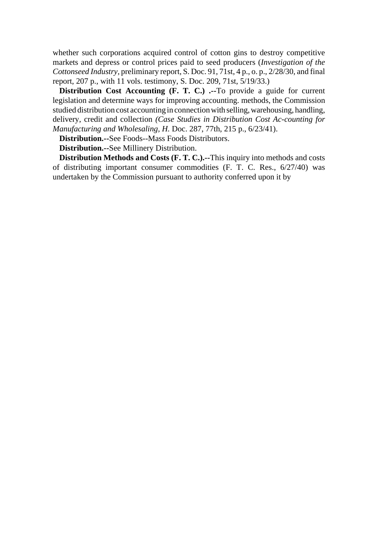whether such corporations acquired control of cotton gins to destroy competitive markets and depress or control prices paid to seed producers (*Investigation of the Cottonseed Industry,* preliminary report, S. Doc. 91, 71st, 4 p., o. p., 2/28/30, and final report, 207 p., with 11 vols. testimony, S. Doc. 209, 71st, 5/19/33.)

**Distribution Cost Accounting (F. T. C.) .--**To provide a guide for current legislation and determine ways for improving accounting. methods, the Commission studied distribution cost accounting in connection with selling, warehousing, handling, delivery, credit and collection *(Case Studies in Distribution Cost Ac-counting for Manufacturing and Wholesaling, H.* Doc. 287, 77th, 215 p., 6/23/41).

**Distribution.--**See Foods--Mass Foods Distributors.

**Distribution.--**See Millinery Distribution.

**Distribution Methods and Costs (F. T. C.).--**This inquiry into methods and costs of distributing important consumer commodities (F. T. C. Res., 6/27/40) was undertaken by the Commission pursuant to authority conferred upon it by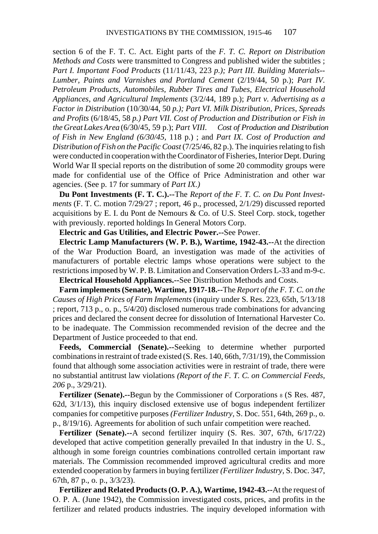section 6 of the F. T. C. Act. Eight parts of the *F. T. C. Report on Distribution Methods and Costs* were transmitted to Congress and published wider the subtitles ; *Part I. Important Food Products* (11/11/43, 223 *p.); Part III. Building Materials-- Lumber, Paints and Varnishes and Portland Cement* (2/19/44, 50 p.); *Part IV. Petroleum Products, Automobiles, Rubber Tires and Tubes, Electrical Household Appliances, and Agricultural Implements* (3/2/44, 189 p.); *Part v. Advertising as a Factor in Distribution* (10/30/44, 50 *p.); Part VI. Milk Distribution, Prices, Spreads and Profits* (6/18/45, 58 *p.) Part VII. Cost of Production and Distribution or Fish in theGreat LakesArea* (6/30/45, 59 p.); *Part VIII. Cost of Production and Distribution of Fish in New England (6/30/45,* 118 p.) ; and *Part IX. Cost of Production and Distribution of Fish on the Pacific Coast* (7/25/46, 82 p.). The inquiriesrelating to fish were conducted in cooperation with the Coordinator of Fisheries, Interior Dept. During World War II special reports on the distribution of some 20 commodity groups were made for confidential use of the Office of Price Administration and other war agencies. (See p. 17 for summary of *Part IX.)*

**Du Pont Investments (F. T. C.).--**The *Report of the F. T. C. on Du Pont Investments* (F. T. C. motion 7/29/27 ; report, 46 p., processed, 2/1/29) discussed reported acquisitions by E. I. du Pont de Nemours & Co. of U.S. Steel Corp. stock, together with previously. reported holdings In General Motors Corp.

**Electric and Gas Utilities, and Electric Power.--**See Power.

**Electric Lamp Manufacturers (W. P. B.), Wartime, 1942-43.--**At the direction of the War Production Board, an investigation was made of the activities of manufacturers of portable electric lamps whose operations were subject to the restrictionsimposed by W. P. B. Limitation and Conservation Orders L-33 and m-9-c.

**Electrical Household Appliances.--**See Distribution Methods and Costs.

**Farm implements(Senate), Wartime, 1917-18.--**The *Report of the F. T. C. on the Causes of High Prices of Farm Implements* (inquiry under S. Res. 223, 65th, 5/13/18 ; report, 713 p., o. p., 5/4/20) disclosed numerous trade combinations for advancing prices and declared the consent decree for dissolution of International Harvester Co. to be inadequate. The Commission recommended revision of the decree and the Department of Justice proceeded to that end.

**Feeds, Commercial (Senate).--**Seeking to determine whether purported combinations in restraint of trade existed (S. Res. 140, 66th,  $7/31/19$ ), the Commission found that although some association activities were in restraint of trade, there were no substantial antitrust law violations *(Report of the F. T. C. on Commercial Feeds, 206* p., 3/29/21).

**Fertilizer (Senate).--**Begun by the Commissioner of Corporations <sup>8</sup> (S Res. 487, 62d, 3/1/13), this inquiry disclosed extensive use of bogus independent fertilizer companies for competitive purposes *(Fertilizer Industry,* S. Doc. 551, 64th, 269 p., o. p., 8/19/16). Agreements for abolition of such unfair competition were reached.

**Fertilizer (Senate).--**A second fertilizer inquiry (S. Res. 307, 67th, 6/17/22) developed that active competition generally prevailed In that industry in the U. S., although in some foreign countries combinations controlled certain important raw materials. The Commission recommended improved agricultural credits and more extended cooperation by farmersin buying fertilizer *(Fertilizer Industry,* S. Doc. 347, 67th, 87 p., o. p., 3/3/23).

**Fertilizer and Related Products(O. P. A.), Wartime, 1942-43.--**At the request of O. P. A. (June 1942), the Commission investigated costs, prices, and profits in the fertilizer and related products industries. The inquiry developed information with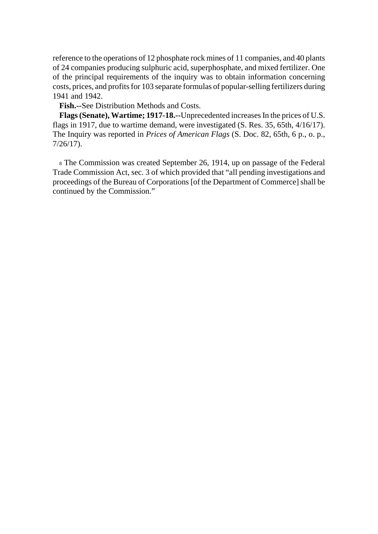reference to the operations of 12 phosphate rock mines of 11 companies, and 40 plants of 24 companies producing sulphuric acid, superphosphate, and mixed fertilizer. One of the principal requirements of the inquiry was to obtain information concerning costs, prices, and profits for 103 separate formulas of popular-selling fertilizers during 1941 and 1942.

**Fish.--**See Distribution Methods and Costs.

**Flags(Senate), Wartime; 1917-18.--**Unprecedented increasesIn the prices of U.S. flags in 1917, due to wartime demand, were investigated (S. Res. 35, 65th, 4/16/17). The Inquiry was reported in *Prices of American Flags* (S. Doc. 82, 65th, 6 p., o. p., 7/26/17).

<sup>8</sup> The Commission was created September 26, 1914, up on passage of the Federal Trade Commission Act, sec. 3 of which provided that "all pending investigations and proceedings of the Bureau of Corporations [of the Department of Commerce] shall be continued by the Commission."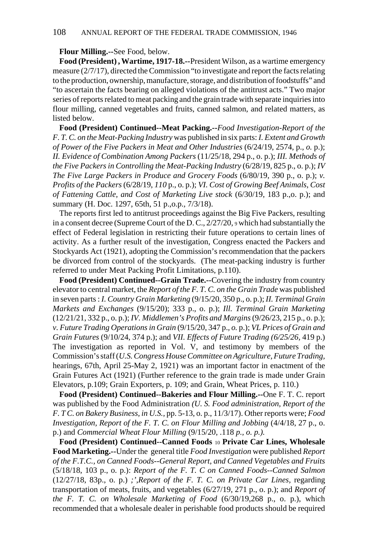#### **Flour Milling.--**See Food, below.

**Food (President),Wartime, 1917-18.--**President Wilson, as a wartime emergency measure (2/7/17), directed the Commission "to investigate and report the facts relating to the production, ownership, manufacture, storage, and distribution of foodstuffs" and "to ascertain the facts bearing on alleged violations of the antitrust acts." Two major series of reports related to meat packing and the grain trade with separate inquiries into flour milling, canned vegetables and fruits, canned salmon, and related matters, as listed below.

**Food (President) Continued--Meat Packing.--***Food Investigation-Report of the F. T.C. on the Meat-Packing Industry* was published in six parts: *I. Extent and Growth of Power of the Five Packers in Meat and Other Industries* (6/24/19, 2574, p., *o.* p.); *II. Evidence of Combination Among Packers* (11/25/18, 294 p., o. p.); *III. Methods of the Five Packers in Controlling the Meat-Packing Industry* (6/28/19, 825 p., o. p.); *IV The Five Large Packers in Produce and Grocery Foods* (6/80/19, 390 p., o. p.); *v. Profits of the Packers* (6/28/19, *110* p., o. p.); *VI. Cost of Growing Beef Animals, Cost of Fattening Cattle, and Cost of Marketing Live stock* (6/30/19, 183 p.,o. p.); and summary (H. Doc. 1297, 65th, 51 p.,o.p.*,* 7/3/18).

The reports first led to antitrust proceedings against the Big Five Packers, resulting in a consent decree (Supreme Court of the D. C., 2/27/20, <sup>9</sup> which had substantially the effect of Federal legislation in restricting their future operations to certain lines of activity. As a further result of the investigation, Congress enacted the Packers and Stockyards Act (1921), adopting the Commission's recommendation that the packers be divorced from control of the stockyards. (The meat-packing industry is further referred to under Meat Packing Profit Limitations, p.110).

**Food (President) Continued--Grain Trade.--**Covering the industry from country elevator to central market, the *Report of the F. T. C. on the Grain Trade* was published in seven parts: *I. Country Grain Marketing* (9/15/20, 350 p., o. p.); *II. Terminal Grain Markets and Exchanges* (9/15/20); 333 p., o. p.); *Ill. Terminal Grain Marketing* (12/21/21, 332 p., o. p.); *IV. Middlemen's Profits and Margins*(9/26/23, 215 p., o. p.); *v. Future Trading Operationsin Grain* (9/15/20, 347 p.*, o.* p.); *VL Prices of Grain and Grain Futures* (9/10/24, 374 p.); and *VII. Effects of Future Trading (6/25/26,* 419 p.) The investigation as reported in Vol. V, and testimony by members of the Commission'sstaff(*U.S.Congress HouseCommittee onAgriculture,Future Trading,* hearings, 67th, April 25-May 2, 1921) was an important factor in enactment of the Grain Futures Act (1921) (Further reference to the grain trade is made under Grain Elevators, p.109; Grain Exporters, p. 109; and Grain, Wheat Prices, p. 110.)

**Food (President) Continued--Bakeries and Flour Milling.--**One F. T. C. report was published by the Food Administration *(U. S. Food administration, Report of the F. T C. on Bakery Business, in U.S.,* pp. 5-13, o. p., 11/3/17). Other reports were; *Food Investigation, Report of the F. T. C. on Flour Milling and Jobbing* (4/4/18, 27 p., o. p.) and *Commercial Wheat Flour Milling* (9/15/20, .118 *p., o. p.).*

**Food (President) Continued--Canned Foods** <sup>10</sup> **Private Car Lines, Wholesale Food Marketing.--**Under the general title *Food Investigation* were published *Report of the F.T.C., on Canned Foods--General Report, and Canned Vegetables and Fruits* (5/18/18, 103 p., o. p.): *Report of the F. T. C on Canned Foods--Canned Salmon* (12/27/18, 83p., o. p.) *;',Report of the F. T. C. on Private Car Lines,* regarding transportation of meats, fruits, and vegetables (6/27/19, 271 p., o. p.); and *Report of the F. T. C. on Wholesale Marketing of Food* (6/30/19,268 p., o. p.), which recommended that a wholesale dealer in perishable food products should be required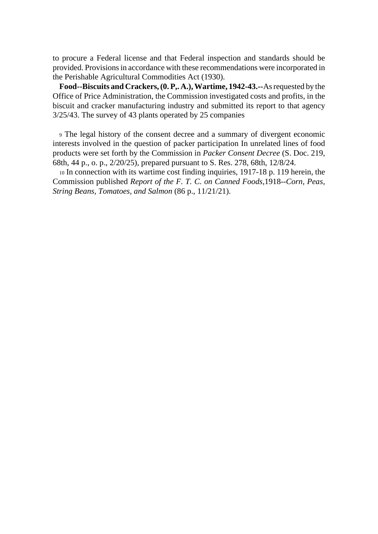to procure a Federal license and that Federal inspection and standards should be provided. Provisions in accordance with these recommendations were incorporated in the Perishable Agricultural Commodities Act (1930).

**Food--Biscuits and Crackers,(0. P,. A.),Wartime, 1942-43.--**Asrequested by the Office of Price Administration, the Commission investigated costs and profits, in the biscuit and cracker manufacturing industry and submitted its report to that agency 3/25/43. The survey of 43 plants operated by 25 companies

<sup>9</sup> The legal history of the consent decree and a summary of divergent economic interests involved in the question of packer participation In unrelated lines of food products were set forth by the Commission in *Packer Consent Decree* (S. Doc. 219, 68th, 44 p., o. p., 2/20/25), prepared pursuant to S. Res. 278, 68th, 12/8/24.

<sup>10</sup> In connection with its wartime cost finding inquiries, 1917-18 p. 119 herein, the Commission published *Report of the F. T. C. on Canned Foods,*1918-*-Corn, Peas, String Beans, Tomatoes, and Salmon* (86 p., 11/21/21).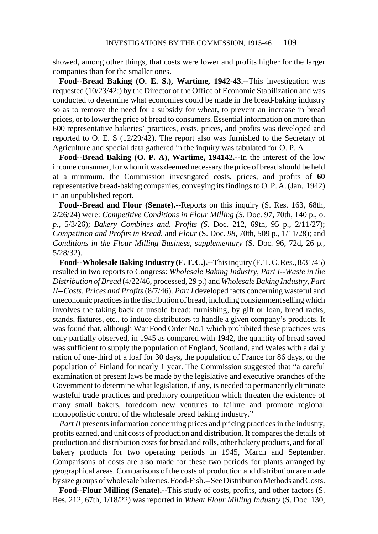showed, among other things, that costs were lower and profits higher for the larger companies than for the smaller ones.

**Food--Bread Baking (O. E. S.), Wartime, 1942-43.--**This investigation was requested (10/23/42:) by the Director of the Office of Economic Stabilization and was conducted to determine what economies could be made in the bread-baking industry so as to remove the need for a subsidy for wheat, to prevent an increase in bread prices, or to lower the price of bread to consumers. Essential information on more than 600 representative bakeries' practices, costs, prices, and profits was developed and reported to O. E. S (12/29/42). The report also was furnished to the Secretary of Agriculture and special data gathered in the inquiry was tabulated for O. P. A

**Food--Bread Baking (O. P. A), Wartime, 194142.--**In the interest of the low income consumer, for whom it was deemed necessary the price of bread should be held at a minimum, the Commission investigated costs, prices, and profits of **60** representative bread-baking companies, conveying itsfindings to O. P. A. (Jan. 1942) in an unpublished report.

**Food--Bread and Flour (Senate).--**Reports on this inquiry (S. Res. 163, 68th, 2/26/24) were: *Competitive Conditions in Flour Milling (S.* Doc. 97, 70th, 140 p., o. *p.,* 5/3/26); *Bakery Combines and. Profits (S.* Doc. 212, 69th, 95 p., 2/11/27); *Competition and Profits in Bread.* and *Flour* (S. Doc. *98,* 70th, 509 p., 1/11/28); and *Conditions in the Flour Milling Business, supplementary* (S. Doc. 96, 72d, 26 p., 5/28/32).

**Food--Wholesale Baking Industry (F. T. C.).--**Thisinquiry (F.T.C.Res., 8/31/45) resulted in two reports to Congress: *Wholesale Baking Industry, Part I--Waste in the Distribution of Bread* (4/22/46, processed, 29 p.) and *Wholesale Baking Industry, Part II--Costs, Prices and Profits* (8/7/46). *Part I* developed facts concerning wasteful and uneconomic practices in the distribution of bread, including consignment selling which involves the taking back of unsold bread; furnishing, by gift or loan, bread racks, stands, fixtures, etc., to induce distributors to handle a given company's products. It was found that, although War Food Order No.1 which prohibited these practices was only partially observed, in 1945 as compared with 1942, the quantity of bread saved was sufficient to supply the population of England, Scotland, and Wales with a daily ration of one-third of a loaf for 30 days, the population of France for 86 days, or the population of Finland for nearly 1 year. The Commission suggested that "a careful examination of present laws be made by the legislative and executive branches of the Government to determine what legislation, if any, is needed to permanently eliminate wasteful trade practices and predatory competition which threaten the existence of many small bakers, foredoom new ventures to failure and promote regional monopolistic control of the wholesale bread baking industry."

*Part II* presents information concerning prices and pricing practices in the industry, profits earned, and unit costs of production and distribution. It compares the details of production and distribution costs for bread and rolls, other bakery products, and for all bakery products for two operating periods in 1945, March and September. Comparisons of costs are also made for these two periods for plants arranged by geographical areas. Comparisons of the costs of production and distribution are made by size groups of wholesale bakeries. Food-Fish.--See Distribution Methods and Costs.

**Food--Flour Milling (Senate).--**This study of costs, profits, and other factors (S. Res. 212, 67th, 1/18/22) was reported in *Wheat Flour Milling Industry* (S. Doc. 130,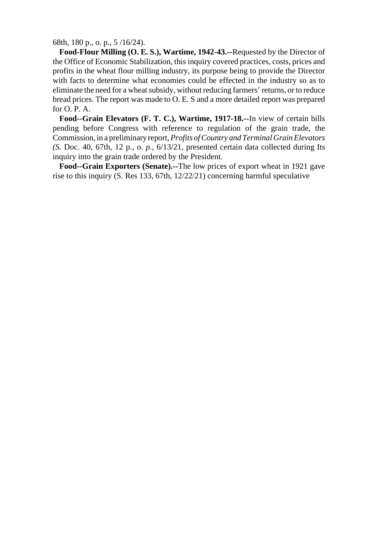68th, 180 p., o. p., 5 /16/24).

**Food-Flour Milling (O. E. S.), Wartime, 1942-43.--**Requested by the Director of the Office of Economic Stabilization, this inquiry covered practices, costs, prices and profits in the wheat flour milling industry, its purpose being to provide the Director with facts to determine what economies could be effected in the industry so as to eliminate the need for a wheat subsidy, without reducing farmers' returns, or to reduce bread prices. The report was made to O. E. S and a more detailed report was prepared for O. P. A.

**Food--Grain Elevators (F. T. C.), Wartime, 1917-18.--**In view of certain bills pending before Congress with reference to regulation of the grain trade, the Commission, in a preliminary report,*Profits ofCountry and Terminal GrainElevators (S.* Doc. 40, 67th, 12 p., o. *p.,* 6/13/21, presented certain data collected during Its inquiry into the grain trade ordered by the President.

**Food--Grain Exporters (Senate).--**The low prices of export wheat in 1921 gave rise to this inquiry (S. Res 133, 67th, 12/22/21) concerning harmful speculative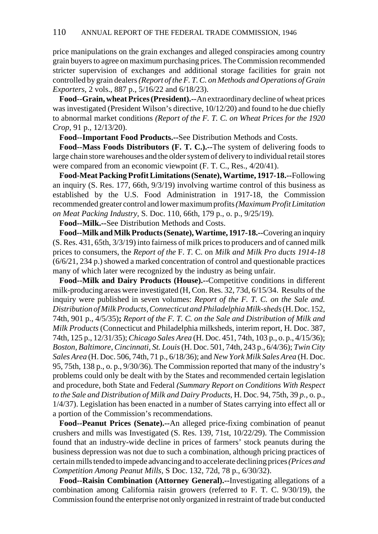price manipulations on the grain exchanges and alleged conspiracies among country grain buyers to agree on maximum purchasing prices. The Commission recommended stricter supervision of exchanges and additional storage facilities for grain not controlled by grain dealers*(Report of the F. T.C. on Methods and Operations of Grain Exporters,* 2 vols., 887 p., 5/16/22 and 6/18/23).

**Food--Grain, wheat Prices(President).--**An extraordinary decline of wheat prices was investigated (President Wilson's directive, 10/12/20) and found to he due chiefly to abnormal market conditions *(Report of the F. T. C. on Wheat Prices for the 1920 Crop,* 91 p., 12/13/20).

**Food--Important Food Products.--**See Distribution Methods and Costs.

**Food--Mass Foods Distributors (F. T. C.).--**The system of delivering foods to large chain store warehouses and the older system of delivery to individual retail stores were compared from an economic viewpoint (F. T. C., Res., 4/20/41).

**Food-Meat Packing ProfitLimitations(Senate),Wartime, 1917-18.--**Following an inquiry (S. Res. 177, 66th, 9/3/19) involving wartime control of this business as established by the U.S. Food Administration in 1917-18, the Commission recommended greater control and lowermaximumprofits*(MaximumProfit Limitation on Meat Packing Industry,* S. Doc. 110, 66th, 179 p., o. p., 9/25/19).

**Food--Milk.--**See Distribution Methods and Costs.

**Food--Milk and Milk Products (Senate), Wartime, 1917-18.--**Covering an inquiry (S. Res. 431, 65th, 3/3/19) into fairness of milk pricesto producers and of canned milk prices to consumers, the *Report of the* F. *T.* C. on *Milk and Milk Pro ducts 1914-18* (6/6/21, 234 p.) showed a marked concentration of control and questionable practices many of which later were recognized by the industry as being unfair.

**Food--Milk and Dairy Products (House).--**Competitive conditions in different milk-producing areas were investigated (H, Con. Res. 32, 73d, 6/15/34. Results of the inquiry were published in seven volumes: *Report of the F. T. C. on the Sale and. Distribution of MilkProducts, Connecticut and Philadelphia Milk-sheds*(H.Doc. 152, 74th, 901 p., 4/5/35)**;** *Report of the F. T. C. on the Sale and Distribution of Milk and Milk Products* (Connecticut and Philadelphia milksheds, interim report, H. Doc. 387, 74th, 125 p., 12/31/35); *Chicago Sales Area* (H. Doc. 451, 74th, 103 p., o. p., 4/15/36); *Boston, Baltimore, Cincinnati, St. Louis*(H. Doc. 501, 74th, 243 p., 6/4/36); *Twin City Sales Area* (H. Doc. 506, 74th, 71 p., 6/18/36); and *NewYork Milk Sales Area* (H. Doc. 95, 75th, 138 p., o. p., 9/30/36). The Commission reported that many of the industry's problems could only be dealt with by the States and recommended certain legislation and procedure, both State and Federal *(Summary Report on Conditions With Respect to the Sale and Distribution of Milk and Dairy Products,* H. Doc. 94, 75th, 39 *p.,* o. p., 1/4/37). Legislation has been enacted in a number of States carrying into effect all or a portion of the Commission's recommendations.

**Food--Peanut Prices (Senate).--**An alleged price-fixing combination of peanut crushers and mills was Investigated (S. Res. 139, 71st, 10/22/29). The Commission found that an industry-wide decline in prices of farmers' stock peanuts during the business depression was not due to such a combination, although pricing practices of certainmillstended to impede advancing and to accelerate declining prices*(Prices and Competition Among Peanut Mills,* S Doc. 132, 72d, 78 p., 6/30/32).

**Food--Raisin Combination (Attorney General).--**Investigating allegations of a combination among California raisin growers (referred to F. T. C. 9/30/19), the Commission found the enterprise not only organized in restraint of trade but conducted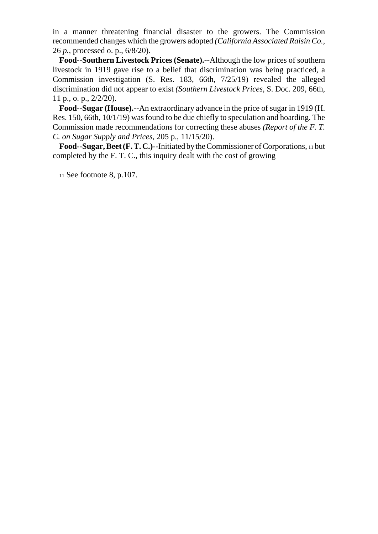in a manner threatening financial disaster to the growers. The Commission recommended changes which the growers adopted *(California Associated Raisin Co.,* 26 *p.,* processed o. p., 6/8/20).

**Food--Southern Livestock Prices (Senate).--**Although the low prices of southern livestock in 1919 gave rise to a belief that discrimination was being practiced, a Commission investigation (S. Res. 183, 66th, 7/25/19) revealed the alleged discrimination did not appear to exist *(Southern Livestock Prices,* S. Doc. 209, 66th, 11 p., o. p., 2/2/20).

**Food--Sugar (House).--**An extraordinary advance in the price of sugar in 1919 (H. Res. 150, 66th, 10/1/19) was found to be due chiefly to speculation and hoarding. The Commission made recommendations for correcting these abuses *(Report of the F. T. C. on Sugar Supply and Prices,* 205 p., 11/15/20).

Food--Sugar, Beet (F.T.C.)--Initiated by the Commissioner of Corporations, 11 but completed by the F. T. C., this inquiry dealt with the cost of growing

11 See footnote 8, p.107.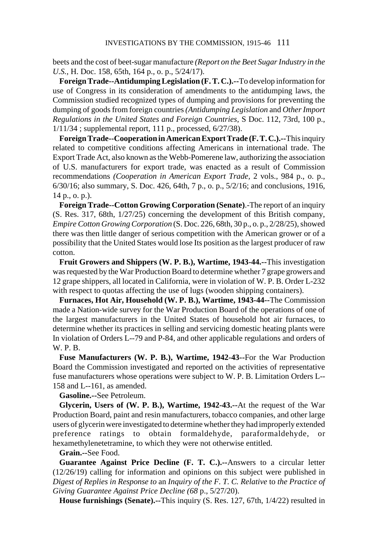beets and the cost of beet-sugar manufacture *(Report on the Beet SugarIndustry in the U.S.,* H. Doc. 158, 65th, 164 p., o. p., 5/24/17).

**ForeignTrade--AntidumpingLegislation (F.T. C.).--**To develop information for use of Congress in its consideration of amendments to the antidumping laws, the Commission studied recognized types of dumping and provisions for preventing the dumping of goodsfrom foreign countries*(Antidumping Legislation* and *OtherImport Regulations in the United States and Foreign Countries,* S Doc. 112, 73rd, 100 p., 1/11/34 ; supplemental report, 111 p., processed, 6/27/38).

**ForeignTrade--Cooperation inAmericanExport Trade (F. T. C.).--**Thisinquiry related to competitive conditions affecting Americans in international trade. The Export Trade Act, also known asthe Webb-Pomerene law, authorizing the association of U.S. manufacturers for export trade, was enacted as a result of Commission recommendations *(Cooperation in American Export Trade,* 2 vols., 984 p., o. p., 6/30/16; also summary, S. Doc. 426, 64th, 7 p., o. p., 5/2/16; and conclusions, 1916, 14 p., o. p.).

**Foreign Trade--Cotton Growing Corporation (Senate)**.-The report of an inquiry (S. Res. 317, 68th, 1/27/25) concerning the development of this British company, *Empire Cotton Growing Corporation* (S. Doc. 226, 68th, 30 p., o. p., 2/28/25), showed there was then little danger of serious competition with the American grower or of a possibility that the United States would lose Its position asthe largest producer of raw cotton.

**Fruit Growers and Shippers (W. P. B.), Wartime, 1943-44.--**This investigation was requested by the War Production Board to determine whether 7 grape growers and 12 grape shippers, all located in California, were in violation of W. P. B. Order L-232 with respect to quotas affecting the use of lugs (wooden shipping containers).

**Furnaces, Hot Air, Household (W. P. B.), Wartime, 1943-44--**The Commission made a Nation-wide survey for the War Production Board of the operations of one of the largest manufacturers in the United States of household hot air furnaces, to determine whether its practices in selling and servicing domestic heating plants were In violation of Orders L--79 and P-84, and other applicable regulations and orders of W. P. B.

**Fuse Manufacturers (W. P. B.), Wartime, 1942-43--**For the War Production Board the Commission investigated and reported on the activities of representative fuse manufacturers whose operations were subject to W. P. B. Limitation Orders L-- 158 and L--161, as amended.

**Gasoline.--**See Petroleum.

**Glycerin, Users of (W. P. B.), Wartime, 1942-43.--**At the request of the War Production Board, paint and resin manufacturers, tobacco companies, and other large users of glycerin were investigated to determine whether they had improperly extended preference ratings to obtain formaldehyde, paraformaldehyde, or hexamethylenetetramine, to which they were not otherwise entitled.

**Grain.--**See Food.

**Guarantee Against Price Decline (F. T. C.).--**Answers to a circular letter (12/26/19) calling for information and opinions on this subject were published in *Digest of Replies in Response to* an *Inquiry of the F. T. C. Relative* to *the Practice of Giving Guarantee Against Price Decline (68* p., 5/27/20).

**House furnishings (Senate).--**This inquiry (S. Res. 127, 67th, 1/4/22) resulted in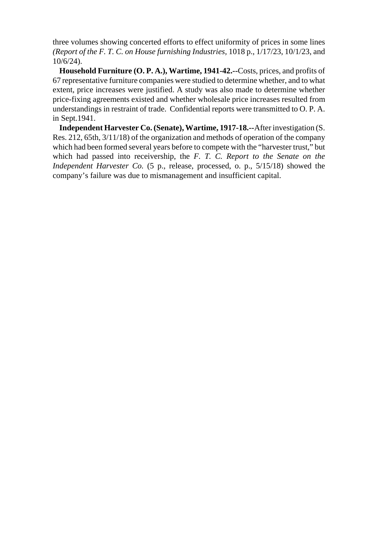three volumes showing concerted efforts to effect uniformity of prices in some lines *(Report of the F. T. C. on House furnishing Industries,* 1018 p., 1/17/23, 10/1/23, and 10/6/24).

**Household Furniture (O. P. A.), Wartime, 1941-42.--**Costs, prices, and profits of 67 representative furniture companies were studied to determine whether, and to what extent, price increases were justified. A study was also made to determine whether price-fixing agreements existed and whether wholesale price increases resulted from understandings in restraint of trade. Confidential reports were transmitted to O. P. A. in Sept.1941.

**Independent Harvester Co. (Senate),Wartime, 1917-18.--**Afterinvestigation (S. Res. 212, 65th, 3/11/18) of the organization and methods of operation of the company which had been formed several years before to compete with the "harvester trust," but which had passed into receivership, the *F. T. C. Report to the Senate on the Independent Harvester Co.* (5 p., release, processed, o. p., 5/15/18) showed the company's failure was due to mismanagement and insufficient capital.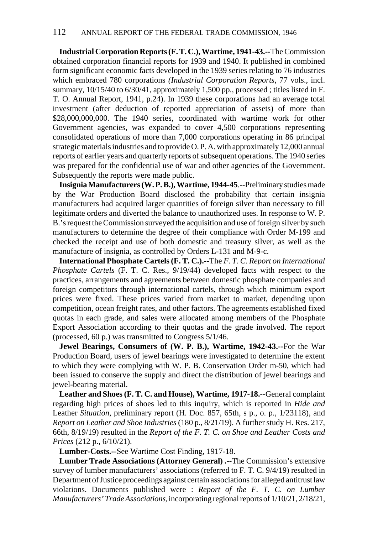**Industrial Corporation Reports(F.T. C.),Wartime, 1941-43.--**TheCommission obtained corporation financial reports for 1939 and 1940. It published in combined form significant economic facts developed in the 1939 series relating to 76 industries which embraced 780 corporations *(Industrial Corporation Reports,* 77 vols., incl. summary, 10/15/40 to 6/30/41, approximately 1,500 pp., processed ; titles listed in F. T. O. Annual Report, 1941, p.24). In 1939 these corporations had an average total investment (after deduction of reported appreciation of assets) of more than \$28,000,000,000. The 1940 series, coordinated with wartime work for other Government agencies, was expanded to cover 4,500 corporations representing consolidated operations of more than 7,000 corporations operating in 86 principal strategic materials industries and to provide O.P.A. with approximately 12,000 annual reports of earlier years and quarterly reports of subsequent operations. The 1940 series was prepared for the confidential use of war and other agencies of the Government. Subsequently the reports were made public.

**Insignia Manufacturers (W. P. B.), Wartime, 1944-45**.--Preliminary studiesmade by the War Production Board disclosed the probability that certain insignia manufacturers had acquired larger quantities of foreign silver than necessary to fill legitimate orders and diverted the balance to unauthorized uses. In response to W. P. B.'s request the Commission surveyed the acquisition and use of foreign silver by such manufacturers to determine the degree of their compliance with Order M-199 and checked the receipt and use of both domestic and treasury silver, as well as the manufacture of insignia, as controlled by Orders L-131 and M-9-c.

**International Phosphate Cartels(F. T. C.).--**The *F. T. C. Report on International Phosphate Cartels* (F. T. C. Res., 9/19/44) developed facts with respect to the practices, arrangements and agreements between domestic phosphate companies and foreign competitors through international cartels, through which minimum export prices were fixed. These prices varied from market to market, depending upon competition, ocean freight rates, and other factors. The agreements established fixed quotas in each grade, and sales were allocated among members of the Phosphate Export Association according to their quotas and the grade involved. The report (processed, 60 p.) was transmitted to Congress 5/1/46.

**Jewel Bearings, Consumers of (W. P. B.), Wartime, 1942-43.--**For the War Production Board, users of jewel bearings were investigated to determine the extent to which they were complying with W. P. B. Conservation Order m-50, which had been issued to conserve the supply and direct the distribution of jewel bearings and jewel-bearing material.

**Leather and Shoes (F. T. C. and House), Wartime, 1917-18.--**General complaint regarding high prices of shoes led to this inquiry, which is reported in *Hide and* Leather *Situation,* preliminary report (H. Doc. 857, 65th, s p., o. p., 1/23118), and *Report on Leather and Shoe Industries* (180 p., 8/21/19). A further study H. Res. 217, 66th, 8/19/19) resulted in the *Report of the F. T. C. on Shoe and Leather Costs and Prices* (212 p., 6/10/21).

**Lumber-Costs.-**-See Wartime Cost Finding, 1917-18.

**Lumber Trade Associations (Attorney General) .--**The Commission's extensive survey of lumber manufacturers' associations (referred to F. T. C. 9/4/19) resulted in Department of Justice proceedings against certain associations for alleged antitrust law violations. Documents published were : *Report of the F. T. C. on Lumber Manufacturers' TradeAssociations,* incorporating regional reports of 1/10/21, 2/18/21,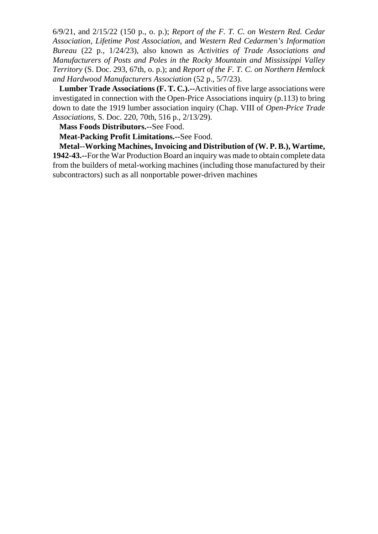6/9/21, and 2/15/22 (150 p., o. p.); *Report of the F. T. C. on Western Red. Cedar Association, Lifetime Post Association,* and *Western Red Cedarmen's Information Bureau* (22 p., 1/24/23), also known as *Activities of Trade Associations and Manufacturers of Posts and Poles in the Rocky Mountain and Mississippi Valley Territory* (S. Doc. 293, 67th, o. p.); and *Report of the F. T. C. on Northern Hemlock and Hardwood Manufacturers Association* (52 p., 5/7/23).

**Lumber Trade Associations (F. T. C.).--**Activities of five large associations were investigated in connection with the Open-Price Associations inquiry (p.113) to bring down to date the 1919 lumber association inquiry (Chap. VIII of *Open-Price Trade Associations,* S. Doc. 220, 70th, 516 p., 2/13/29).

**Mass Foods Distributors.--**See Food.

**Meat-Packing Profit Limitations.--**See Food.

**Metal--Working Machines, Invoicing and Distribution of (W. P. B.), Wartime, 1942-43.--**Forthe War Production Board an inquiry was made to obtain complete data from the builders of metal-working machines (including those manufactured by their subcontractors) such as all nonportable power-driven machines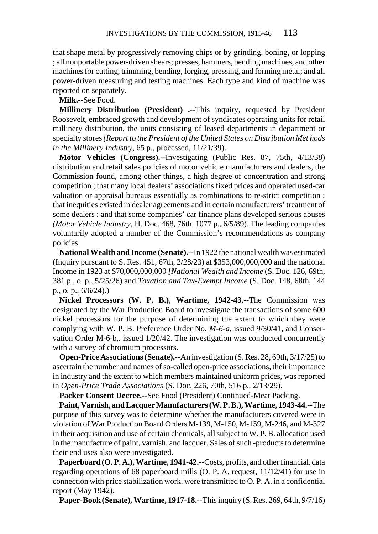that shape metal by progressively removing chips or by grinding, boning, or lopping ; all nonportable power-driven shears; presses, hammers, bending machines, and other machines for cutting, trimming, bending, forging, pressing, and forming metal; and all power-driven measuring and testing machines. Each type and kind of machine was reported on separately.

**Milk.--**See Food.

**Millinery Distribution (President) .--**This inquiry, requested by President Roosevelt, embraced growth and development of syndicates operating units for retail millinery distribution, the units consisting of leased departments in department or specialty stores*(Report to the President of the United States on Distribution Met hods in the Millinery Industry,* 65 p., processed, 11/21/39).

**Motor Vehicles (Congress).-**-Investigating (Public Res. 87, 75th, 4/13/38) distribution and retail sales policies of motor vehicle manufacturers and dealers, the Commission found, among other things, a high degree of concentration and strong competition ; that many local dealers' associations fixed prices and operated used-car valuation or appraisal bureaus essentially as combinations to re-strict competition ; that inequities existed in dealer agreements and in certain manufacturers' treatment of some dealers ; and that some companies' car finance plans developed serious abuses *(Motor Vehicle Industry,* H. Doc. 468, 76th, 1077 p., 6/5/89). The leading companies voluntarily adopted a number of the Commission's recommendations as company policies.

**NationalWealth and Income (Senate).--**In 1922 the national wealthwas estimated (Inquiry pursuant to S. Res. 451, 67th, 2/28/23) at \$353,000,000,000 and the national Income in 1923 at \$70,000,000,000 *[National Wealth and Income* (S. Doc. 126, 69th, 381 p., o. p., 5/25/26) and *Taxation and Tax-Exempt Income* (S. Doc. 148, 68th, 144 p., o. p., 6/6/24).)

**Nickel Processors (W. P. B.), Wartime, 1942-43.--**The Commission was designated by the War Production Board to investigate the transactions of some 600 nickel processors for the purpose of determining the extent to which they were complying with W. P. B. Preference Order No. *M-6-a,* issued 9/30/41, and Conservation Order M-6-b,. issued 1/20/42. The investigation was conducted concurrently with a survey of chromium processors.

**Open-Price Associations (Senate).--**An investigation (S. Res. 28, 69th, 3/17/25) to ascertain the number and names of so-called open-price associations, their importance in industry and the extent to which members maintained uniform prices, was reported in *Open-Price Trade Associations* (S. Doc. 226, 70th, 516 p., 2/13/29).

**Packer Consent Decree.--**See Food (President) Continued-Meat Packing.

**Paint, Varnish, and Lacquer Manufacturers (W. P. B.), Wartime, 1943-44.--**The purpose of this survey was to determine whether the manufacturers covered were in violation of War Production Board Orders M-139, M-150, M-159, M-246, and M-327 in their acquisition and use of certain chemicals, allsubject to W. P. B. allocation used In the manufacture of paint, varnish, and lacquer. Sales of such -products to determine their end uses also were investigated.

Paperboard (O.P.A.), Wartime, 1941-42.--Costs, profits, and other financial. data regarding operations of 68 paperboard mills (O. P. A. request, 11/12/41) for use in connection with price stabilization work, were transmitted to O. P. A. in a confidential report (May 1942).

**Paper-Book (Senate),Wartime, 1917-18.--**Thisinquiry (S.Res. 269, 64th, 9/7/16)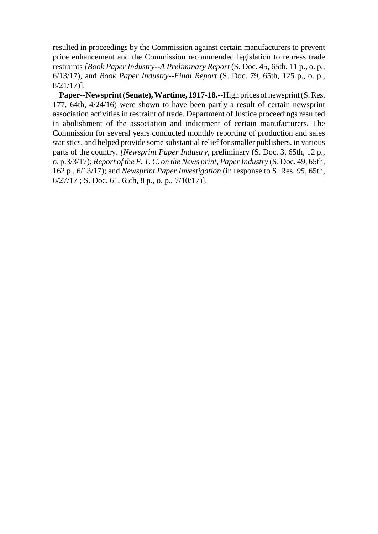resulted in proceedings by the Commission against certain manufacturers to prevent price enhancement and the Commission recommended legislation to repress trade restraints *[Book Paper Industry--A Preliminary Report* (S. Doc. 45, 65th, 11 p., o. p., 6/13/17), and *Book Paper Industry--Final Report* (S. Doc. 79, 65th, 125 p., o. p., 8/21/17)].

**Paper--Newsprint(Senate),Wartime, 1917-18.--**High prices of newsprint (S. Res. 177, 64th, 4/24/16) were shown to have been partly a result of certain newsprint association activities in restraint of trade. Department of Justice proceedings resulted in abolishment of the association and indictment of certain manufacturers. The Commission for several years conducted monthly reporting of production and sales statistics, and helped provide some substantial relief forsmaller publishers. in various parts of the country. *[Newsprint Paper Industry,* preliminary (S. Doc. 3, 65th, 12 p., o. p.3/3/17); *Report of the F. T. C. on the News print, PaperIndustry* (S. Doc. 49, 65th, 162 p., 6/13/17); and *Newsprint Paper Investigation* (in response to S. Res. *95,* 65th,  $6/27/17$ ; S. Doc. 61, 65th, 8 p., o. p.,  $7/10/17$ ].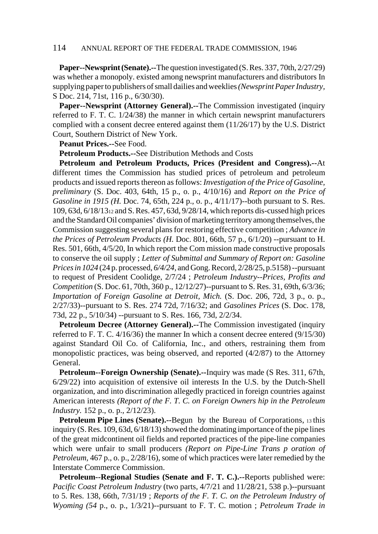### 114 ANNUAL REPORT OF THE FEDERAL TRADE COMMISSION, 1946

**Paper--Newsprint (Senate).--**The question investigated (S.Res. 337, 70th, 2/27/29) was whether a monopoly. existed among newsprint manufacturers and distributors In supplying paperto publishers ofsmall dailies andweeklies*(NewsprintPaperIndustry,* S Doc. 214, 71st, 116 p., 6/30/30).

**Paper--Newsprint (Attorney General).--**The Commission investigated (inquiry referred to F. T. C. 1/24/38) the manner in which certain newsprint manufacturers complied with a consent decree entered against them (11/26/17) by the U.S. District Court, Southern District of New York.

**Peanut Prices.--**See Food.

**Petroleum Products.--**See Distribution Methods and Costs

**Petroleum and Petroleum Products, Prices (President and Congress).--**At different times the Commission has studied prices of petroleum and petroleum products and issued reportsthereon asfollows: *Investigation of the Price of Gasoline, preliminary* (S. Doc. 403, 64th, 15 p., o. p., 4/10/16) and *Report on the Price of Gasoline in 1915 (H.* Doc. 74, 65th, 224 p., o. p., 4/11/17)--both pursuant to S. Res. 109, 63d, 6/18/13<sup>12</sup> and S.Res. 457, 63d, 9/28/14, which reports dis-cussed high prices and the Standard Oil companies' division of marketing territory among themselves, the Commission suggesting several plansfor restoring effective competition ; *Advance in the Prices of Petroleum Products (H.* Doc. 801, 66th, 57 p., 6/1/20) --pursuant to H. Res. 501, 66th, 4/5/20, In which report the Com mission made constructive proposals to conserve the oil supply ; *Letter of Submittal and Summary of Report on: Gasoline Pricesin 1024* (24 p. processed, *6/4/24,* andGong.Record, 2/28/25, p.5158)--pursuant to request of President Coolidge, 2/7/24 ; *Petroleum Industry--Prices, Profits and Competition* (S. Doc. 61, 70th, 360 p., 12/12/27)--pursuant to S. Res. 31, 69th, 6/3/36; *Importation of Foreign Gasoline at Detroit, Mich.* (S. Doc. 206, 72d, 3 p., o. p., 2/27/33)--pursuant to S. Res. 274 72d, 7/16/32; and *Gasolines Prices* (S. Doc. 178, 73d, 22 p., 5/10/34) --pursuant to S. Res. 166, 73d, 2/2/34.

**Petroleum Decree (Attorney General).--**The Commission investigated (inquiry referred to F. T. C. 4/16/36) the manner In which a consent decree entered (9/15/30) against Standard Oil Co. of California, Inc., and others, restraining them from monopolistic practices, was being observed, and reported (4/2/87) to the Attorney General.

**Petroleum--Foreign Ownership (Senate).--**Inquiry was made (S Res. 311, 67th, 6/29/22) into acquisition of extensive oil interests In the U.S. by the Dutch-Shell organization, and into discrimination allegedly practiced in foreign countries against American interests *(Report of the F. T. C. on Foreign Owners hip in the Petroleum Industry.* 152 p., o. p., 2/12/23).

**Petroleum Pipe Lines (Senate).--Begun** by the Bureau of Corporations, 13 this inquiry (S. Res. 109, 63d, 6/18/13) showed the dominating importance of the pipe lines of the great midcontinent oil fields and reported practices of the pipe-line companies which were unfair to small producers *(Report on Pipe-Line Trans p oration of Petroleum,* 467 p., o. p., 2/28/16), some of which practices were later remedied by the Interstate Commerce Commission.

**Petroleum--Regional Studies (Senate and F. T. C.).--**Reports published were: *Pacific Coast Petroleum Industry* (two parts, 4/7/21 and 11/28/21, 538 p.)--pursuant to 5. Res. 138, 66th, 7/31/19 ; *Reports of the F. T. C. on the Petroleum Industry of Wyoming (54* p., o. p., 1/3/21)--pursuant to F. T. C. motion ; *Petroleum Trade in*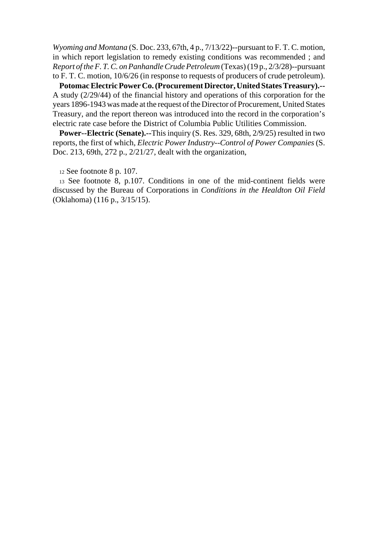*Wyoming and Montana* (S. Doc. 233, 67th, 4 p., 7/13/22)--pursuant to F. T. C. motion, in which report legislation to remedy existing conditions was recommended ; and *Report of the F. T. C. on Panhandle Crude Petroleum* (Texas) (19 p., 2/3/28)--pursuant to F. T. C. motion, 10/6/26 (in response to requests of producers of crude petroleum).

**Potomac Electric Power Co. (Procurement Director, United States Treasury).--** A study (2/29/44) of the financial history and operations of this corporation for the years 1896-1943 was made at the request of the Director of Procurement, United States Treasury, and the report thereon was introduced into the record in the corporation's electric rate case before the District of Columbia Public Utilities Commission.

**Power--Electric (Senate).--**Thisinquiry (S. Res. 329, 68th, 2/9/25) resulted in two reports, the first of which, *Electric Power Industry--Control of Power Companies* (S. Doc. 213, 69th, 272 p., 2/21/27, dealt with the organization,

<sup>12</sup> See footnote 8 p. 107.

<sup>13</sup> See footnote 8, p.107. Conditions in one of the mid-continent fields were discussed by the Bureau of Corporations in *Conditions in the Healdton Oil Field* (Oklahoma) (116 p., 3/15/15).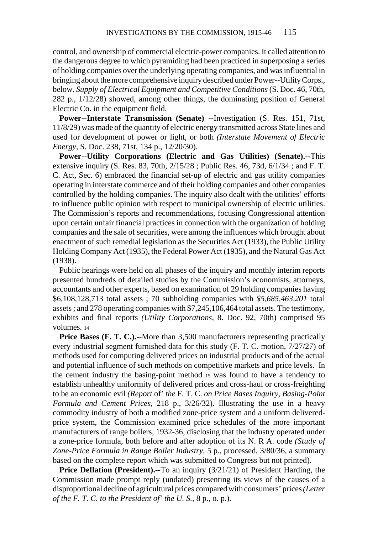control, and ownership of commercial electric-power companies. It called attention to the dangerous degree to which pyramiding had been practiced in superposing a series of holding companies over the underlying operating companies, and was influential in bringing about themore comprehensive inquiry described under Power--Utility Corps., below. *Supply of Electrical Equipment and Competitive Conditions*(S. Doc. 46, 70th, 282 p., 1/12/28) showed, among other things, the dominating position of General Electric Co. in the equipment field.

**Power--Interstate Transmission (Senate) --**Investigation (S. Res. 151, 71st, 11/8/29) was made of the quantity of electric energy transmitted across State lines and used for development of power or light, or both *(Interstate Movement of Electric Energy,* S. Doc. 238, 71st, 134 p., 12/20/30).

**Power--Utility Corporations (Electric and Gas Utilities) (Senate).--**This extensive inquiry (S. Res. 83, 70th, 2/15/28 ; Public Res. 46, 73d, 6/1/34 ; and F. T. C. Act, Sec. 6) embraced the financial set-up of electric and gas utility companies operating in interstate commerce and of their holding companies and other companies controlled by the holding companies. The inquiry also dealt with the utilities' efforts to influence public opinion with respect to municipal ownership of electric utilities. The Commission's reports and recommendations, focusing Congressional attention upon certain unfair financial practices in connection with the organization of holding companies and the sale of securities, were among the influences which brought about enactment of such remedial legislation as the Securities Act (1933), the Public Utility HoldingCompany Act (1935), the Federal Power Act (1935), and the Natural Gas Act (1938).

Public hearings were held on all phases of the inquiry and monthly interim reports presented hundreds of detailed studies by the Commission's economists, attorneys, accountants and other experts, based on examination of 29 holding companies having \$6,108,128,713 total assets ; 70 subholding companies with *\$5,685,463,201* total assets; and 278 operating companies with \$7,245,106,464 total assets. The testimony, exhibits and final reports *(Utility Corporations,* 8. Doc. 92, 70th) comprised 95 volumes. <sup>14</sup>

**Price Bases (F. T. C.).-**-More than 3,500 manufacturers representing practically every industrial segment furnished data for this study (F. T. C. motion, 7/27/27) of methods used for computing delivered prices on industrial products and of the actual and potential influence of such methods on competitive markets and price levels. In the cement industry the basing-point method <sup>15</sup> was found to have a tendency to establish unhealthy uniformity of delivered prices and cross-haul or cross-freighting to be an economic evil *(Report* of' *the* F. T. C. *on Price Bases Inquiry, Basing-Point Formula and Cement Prices,* 218 p., 3/26/32). Illustrating the use in a heavy commodity industry of both a modified zone-price system and a uniform deliveredprice system, the Commission examined price schedules of the more important manufacturers of range boilers, 1932-36, disclosing that the industry operated under a zone-price formula, both before and after adoption of its N. R A. code *(Study of Zone-Price Formula in Range Boiler Industry,* 5 p., processed, 3/80/36, a summary based on the complete report which was submitted to Congress but not printed).

**Price Deflation (President).--**To an inquiry (3/21/21) of President Harding, the Commission made prompt reply (undated) presenting its views of the causes of a disproportional decline of agricultural prices comparedwith consumers' prices*(Letter of the F. T. C. to the President of' the U. S.,* 8 p., o. p.).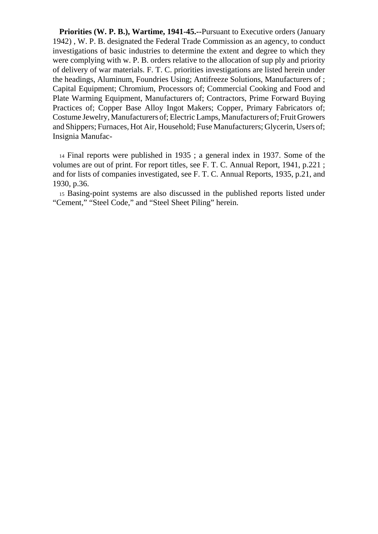**Priorities (W. P. B.), Wartime, 1941-45.--**Pursuant to Executive orders (January 1942) , W. P. B. designated the Federal Trade Commission as an agency, to conduct investigations of basic industries to determine the extent and degree to which they were complying with w. P. B. orders relative to the allocation of sup ply and priority of delivery of war materials. F. T. C. priorities investigations are listed herein under the headings, Aluminum, Foundries Using; Antifreeze Solutions, Manufacturers of ; Capital Equipment; Chromium, Processors of; Commercial Cooking and Food and Plate Warming Equipment, Manufacturers of; Contractors, Prime Forward Buying Practices of; Copper Base Alloy Ingot Makers; Copper, Primary Fabricators of; Costume Jewelry, Manufacturers of; Electric Lamps, Manufacturers of; FruitGrowers and Shippers; Furnaces, Hot Air, Household; Fuse Manufacturers; Glycerin, Users of; Insignia Manufac-

<sup>14</sup> Final reports were published in 1935 ; a general index in 1937. Some of the volumes are out of print. For report titles, see F. T. C. Annual Report, 1941, p.221 ; and for lists of companies investigated, see F. T. C. Annual Reports, 1935, p.21, and 1930, p.36.

<sup>15</sup> Basing-point systems are also discussed in the published reports listed under "Cement," "Steel Code," and "Steel Sheet Piling" herein.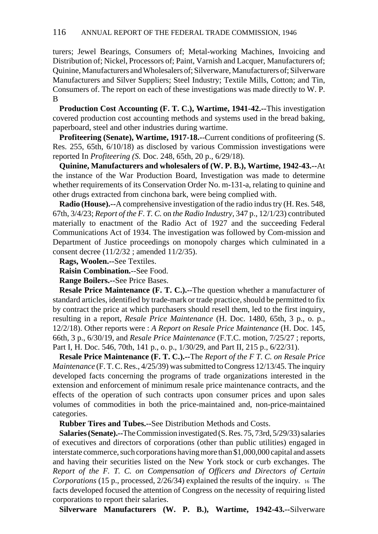turers; Jewel Bearings, Consumers of; Metal-working Machines, Invoicing and Distribution of; Nickel, Processors of; Paint, Varnish and Lacquer, Manufacturers of; Quinine,Manufacturers and Wholesalers of; Silverware, Manufacturers of; Silverware Manufacturers and Silver Suppliers; Steel Industry; Textile Mills, Cotton; and Tin, Consumers of. The report on each of these investigations was made directly to W. P. B

**Production Cost Accounting (F. T. C.), Wartime, 1941-42.--**This investigation covered production cost accounting methods and systems used in the bread baking, paperboard, steel and other industries during wartime.

**Profiteering (Senate), Wartime, 1917-18.-**-Current conditions of profiteering (S. Res. 255, 65th, 6/10/18) as disclosed by various Commission investigations were reported In *Profiteering (S.* Doc. 248, 65th, 20 p., 6/29/18).

**Quinine, Manufacturers and wholesalers of (W. P. B.), Wartime, 1942-43.--**At the instance of the War Production Board, Investigation was made to determine whether requirements of its Conservation Order No. m-131-a, relating to quinine and other drugs extracted from cinchona bark, were being complied with.

**Radio (House).--**A comprehensive investigation of the radio industry (H. Res. 548, 67th, 3/4/23; *Report of the F. T. C.* on *the Radio Industry,* 347 p., 12/1/23) contributed materially to enactment of the Radio Act of 1927 and the succeeding Federal Communications Act of 1934. The investigation was followed by Com-mission and Department of Justice proceedings on monopoly charges which culminated in a consent decree (11/2/32 ; amended 11/2/35).

**Rags, Woolen.--**See Textiles.

**Raisin Combination.**--See Food.

**Range Boilers.--**See Price Bases.

**Resale Price Maintenance (F. T. C.).--**The question whether a manufacturer of standard articles, identified by trade-mark or trade practice, should be permitted to fix by contract the price at which purchasers should resell them, led to the first inquiry, resulting in a report, *Resale Price Maintenance* (H. Doc. 1480, 65th, 3 p., o. p., 12/2/18). Other reports were : *A Report on Resale Price Maintenance* (H. Doc. 145, 66th, 3 p., 6/30/19, and *Resale Price Maintenance* (F.T.C. motion, 7/25/27 ; reports, Part I, H. Doc. 546, 70th, 141 p., o. p., 1/30/29, and Part II, 215 p., 6/22/31).

**Resale Price Maintenance (F. T. C.).--**The *Report of the F T. C. on Resale Price Maintenance* (F. T. C. Res., 4/25/39) was submitted to Congress 12/13/45. The inquiry developed facts concerning the programs of trade organizations interested in the extension and enforcement of minimum resale price maintenance contracts, and the effects of the operation of such contracts upon consumer prices and upon sales volumes of commodities in both the price-maintained and, non-price-maintained categories.

**Rubber Tires and Tubes.--**See Distribution Methods and Costs.

**Salaries(Senate).--**The Commission investigated (S. Res. 75, 73rd, 5/29/33) salaries of executives and directors of corporations (other than public utilities) engaged in interstate commerce, such corporations having more than \$1,000,000 capital and assets and having their securities listed on the New York stock or curb exchanges. The *Report of the F. T. C. on Compensation of Officers and Directors of Certain Corporations* (15 p., processed, 2/26/34) explained the results of the inquiry. <sup>16</sup> The facts developed focused the attention of Congress on the necessity of requiring listed corporations to report their salaries.

**Silverware Manufacturers (W. P. B.), Wartime, 1942-43.--**Silverware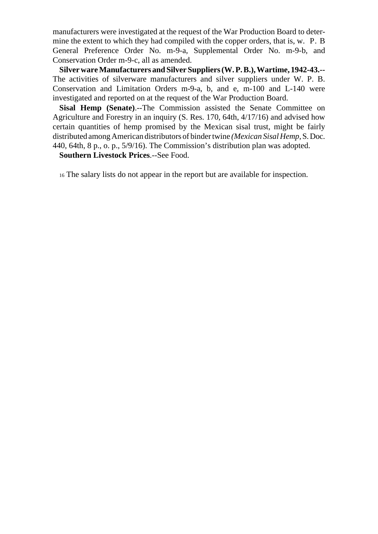manufacturers were investigated at the request of the War Production Board to determine the extent to which they had compiled with the copper orders, that is, w. P. B General Preference Order No. m-9-a, Supplemental Order No. m-9-b, and Conservation Order m-9-c, all as amended.

**SilverwareManufacturers and Silver Suppliers (W. P. B.), Wartime, 1942-43.--** The activities of silverware manufacturers and silver suppliers under W. P. B. Conservation and Limitation Orders m-9-a, b, and e, m-100 and L-140 were investigated and reported on at the request of the War Production Board.

**Sisal Hemp (Senate)**.--The Commission assisted the Senate Committee on Agriculture and Forestry in an inquiry (S. Res. 170, 64th, 4/17/16) and advised how certain quantities of hemp promised by the Mexican sisal trust, might be fairly distributed among American distributors of binder twine *(Mexican Sisal Hemp, S. Doc.*) 440, 64th, 8 p., o. p., 5/9/16). The Commission's distribution plan was adopted.

## **Southern Livestock Prices**.--See Food.

<sup>16</sup> The salary lists do not appear in the report but are available for inspection.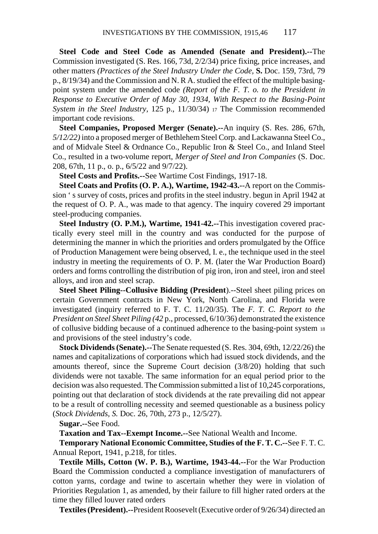**Steel Code and Steel Code as Amended (Senate and President).--**The Commission investigated (S. Res. 166, 73d, 2/2/34) price fixing, price increases, and other matters *(Practices of the Steel Industry Under the Code,* **S.** Doc. 159, 73rd, 79 p.,  $8/19/34$ ) and the Commission and N. R A. studied the effect of the multiple basingpoint system under the amended code *(Report of the F. T. o. to the President in Response to Executive Order of May 30, 1934, With Respect to the Basing-Point System in the Steel Industry,* 125 p., 11/30/34) <sup>17</sup> The Commission recommended important code revisions.

**Steel Companies, Proposed Merger (Senate).--**An inquiry (S. Res. 286, 67th, *5/12/22)* into a proposed merger of BethlehemSteel Corp. and Lackawanna Steel Co., and of Midvale Steel & Ordnance Co., Republic Iron & Steel Co., and Inland Steel Co., resulted in a two-volume report, *Merger of Steel and Iron Companies* (S. Doc. 208, 67th, 11 p., o. p., 6/5/22 and 9/7/22).

**Steel Costs and Profits.--**See Wartime Cost Findings, 1917-18.

**Steel Coats and Profits (O. P. A.), Wartime, 1942-43.-**-A report on the Commission ' s survey of costs, prices and profits in the steel industry. begun in April 1942 at the request of O. P. A., was made to that agency. The inquiry covered 29 important steel-producing companies.

**Steel Industry (O. P.M.), Wartime, 1941-42.--**This investigation covered practically every steel mill in the country and was conducted for the purpose of determining the manner in which the priorities and orders promulgated by the Office of Production Management were being observed, I. e., the technique used in the steel industry in meeting the requirements of O. P. M. (later the War Production Board) orders and forms controlling the distribution of pig iron, iron and steel, iron and steel alloys, and iron and steel scrap.

**Steel Sheet Piling--Collusive Bidding (President**).--Steel sheet piling prices on certain Government contracts in New York, North Carolina, and Florida were investigated (inquiry referred to F. T. C. 11/20/35). The *F. T. C. Report to the President on Steel Sheet Piling (42* p., processed, 6/10/36) demonstrated the existence of collusive bidding because of a continued adherence to the basing-point system <sup>18</sup> and provisions of the steel industry's code.

**Stock Dividends(Senate).--**The Senate requested (S. Res. 304, 69th, 12/22/26) the names and capitalizations of corporations which had issued stock dividends, and the amounts thereof, since the Supreme Court decision (3/8/20) holding that such dividends were not taxable. The same information for an equal period prior to the decision was also requested. The Commission submitted a list of 10,245 corporations, pointing out that declaration of stock dividends at the rate prevailing did not appear to be a result of controlling necessity and seemed questionable as a business policy (*Stock Dividends, S.* Doc. 26, 70th, 273 p., 12/5/27).

**Sugar.--**See Food.

**Taxation and Tax--Exempt Income.--**See National Wealth and Income.

**Temporary National Economic Committee, Studies of the F. T. C.--**See F. T. C. Annual Report, 1941, p.218, for titles.

**Textile Mills, Cotton (W. P. B.), Wartime, 1943-44.--**For the War Production Board the Commission conducted a compliance investigation of manufacturers of cotton yarns, cordage and twine to ascertain whether they were in violation of Priorities Regulation 1, as amended, by their failure to fill higher rated orders at the time they filled louver rated orders

**Textiles (President).--President Roosevelt (Executive order of 9/26/34) directed an**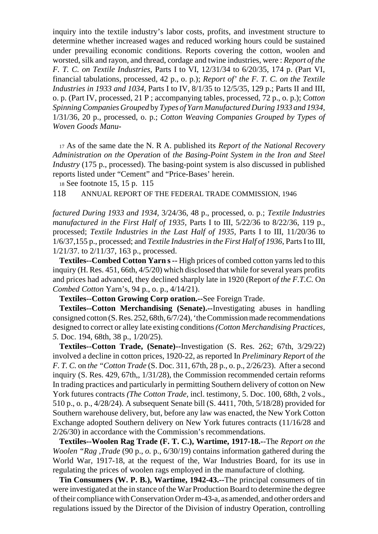inquiry into the textile industry's labor costs, profits, and investment structure to determine whether increased wages and reduced working hours could be sustained under prevailing economic conditions. Reports covering the cotton, woolen and worsted, silk and rayon, and thread, cordage and twine industries, were : *Report of the F. T. C. on Textile Industries,* Parts I to VI, 12/31/34 to 6/20/35, 174 p. (Part VI, financial tabulations, processed, 42 p., o. p.); *Report of' the F. T. C. on the Textile Industries in 1933 and 1034,* Parts I to IV, 8/1/35 to 12/5/35, 129 p.; Parts II and III, o. p. (Part IV, processed, 21 P ; accompanying tables, processed, 72 p., o. p.); *Cotton SpinningCompanies Grouped* by *Types of Yarn Manufactured During 1933 and 1934,* 1/31/36, 20 p., processed, o. p.; *Cotton Weaving Companies Grouped by Types of Woven Goods Manu-*

<sup>17</sup> As of the same date the N. R A. published its *Report of the National Recovery Administration on the Operation* of *the Basing-Point System in the Iron and Steel Industry* (175 p., processed). The basing-point system is also discussed in published reports listed under "Cement" and "Price-Bases' herein.

<sup>18</sup> See footnote 15, 15 p. 115

118 ANNUAL REPORT OF THE FEDERAL TRADE COMMISSION, 1946

*factured During 1933 and 1934,* 3/24/36, 48 p., processed, o. p.; *Textile Industries manufactured in the First Half of 1935,* Parts I to III, 5/22/36 to 8/22/36, 119 p., processed; *Textile Industries in the Last Half of 1935,* Parts I to III, 11/20/36 to 1/6/37,155 p., processed; and *Textile Industriesin the First Half of 1936,* PartsI to III, 1/21/37. to 2/11/37, 163 p., processed.

**Textiles--Combed Cotton Yarn s--** High prices of combed cotton yarns led to this inquiry (H. Res. 451, 66th, 4/5/20) which disclosed that while for several years profits and prices had advanced, they declined sharply late in 1920 (Report *of the F.T.C.* On *Combed Cotton* Yarn's, 94 p., o. p., 4/14/21).

**Textiles--Cotton Growing Corp oration.--**See Foreign Trade.

**Textiles--Cotton Merchandising (Senate).--**Investigating abuses in handling consigned cotton (S. Res. 252, 68th, 6/7/24), 'the Commission made recommendations designed to correct or alley late existing conditions*(Cotton Merchandising Practices, 5.* Doc. 194, 68th, 38 p., 1/20/25).

**Textiles--Cotton Trade, (Senate)--**Investigation (S. Res. 262; 67th, 3/29/22) involved a decline in cotton prices, 1920-22, as reported In *Preliminary Report* of *the F. T. C.* on *the "Cotton Trade* (S. Doc. 311, 67th, 28 p., o. p., 2/26/23). After a second inquiry (S. Res. 429, 67th,, 1/31/28), the Commission recommended certain reforms In trading practices and particularly in permitting Southern delivery of cotton on New York futures contracts *(The Cotton Trade,* incl. testimony, 5. Doc. 100, 68th, 2 vols., 510 p., o. p., 4/28/24). A subsequent Senate bill (S. 4411, 70th, 5/18/28) provided for Southern warehouse delivery, but, before any law was enacted, the New York Cotton Exchange adopted Southern delivery on New York futures contracts (11/16/28 and 2/26/30) in accordance with the Commission's recommendations.

**Textiles--Woolen Rag Trade (F. T. C.), Wartime, 1917-18.-**-The *Report on the Woolen "Rag ,Trade* (90 p., *o.* p., 6/30/19) contains information gathered during the World War, 1917-18, at the request of the, War Industries Board, for its use in regulating the prices of woolen rags employed in the manufacture of clothing.

**Tin Consumers (W. P. B.), Wartime, 1942-43.--**The principal consumers of tin were investigated at the in stance of the War Production Board to determine the degree oftheir compliancewithConservationOrderm-43-a*,* as amended, and other orders and regulations issued by the Director of the Division of industry Operation, controlling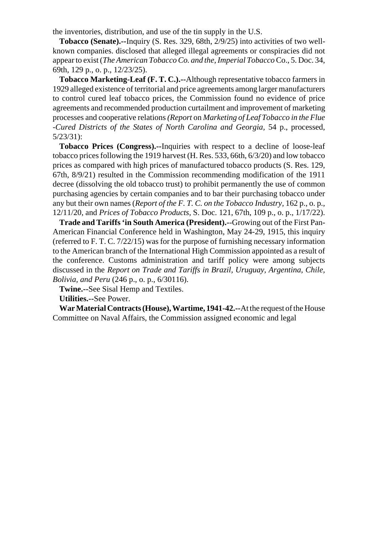the inventories, distribution, and use of the tin supply in the U.S.

**Tobacco (Senate).--**Inquiry (S. Res. 329, 68th, 2/9/25) into activities of two wellknown companies. disclosed that alleged illegal agreements or conspiracies did not appearto exist(*The American TobaccoCo. and the,Imperial Tobacco*Co., 5. Doc. 34, 69th, 129 p., o. p., 12/23/25).

**Tobacco Marketing-Leaf (F. T. C.).--**Although representative tobacco farmers in 1929 alleged existence of territorial and price agreements among larger manufacturers to control cured leaf tobacco prices, the Commission found no evidence of price agreements and recommended production curtailment and improvement of marketing processes and cooperative relations*(Report* on *Marketing of Leaf Tobacco in the Flue -Cured Districts of the States of North Carolina and Georgia,* 54 p., processed, 5/23/31):

**Tobacco Prices (Congress).--**Inquiries with respect to a decline of loose-leaf tobacco pricesfollowing the 1919 harvest (H. Res. 533, 66th, 6/3/20) and low tobacco prices as compared with high prices of manufactured tobacco products (S. Res. 129, 67th, 8/9/21) resulted in the Commission recommending modification of the 1911 decree (dissolving the old tobacco trust) to prohibit permanently the use of common purchasing agencies by certain companies and to bar their purchasing tobacco under any but their own names(*Report of the F. T. C. on the Tobacco Industry,* 162 p., o. p., 12/11/20, and *Prices of Tobacco Products,* S. Doc. 121, 67th, 109 p., o. p., 1/17/22).

**Trade and Tariffs'in South America (President).-**-Growing out of the First Pan-American Financial Conference held in Washington, May 24-29, 1915, this inquiry (referred to F. T. C. 7/22/15) was for the purpose of furnishing necessary information to the American branch of the International High Commission appointed as a result of the conference. Customs administration and tariff policy were among subjects discussed in the *Report on Trade and Tariffs in Brazil, Uruguay, Argentina, Chile, Bolivia, and Peru* (246 p., o. p., 6/30116).

**Twine.--**See Sisal Hemp and Textiles.

**Utilities.--**See Power.

War Material Contracts (House), Wartime, 1941-42.--At the request of the House Committee on Naval Affairs, the Commission assigned economic and legal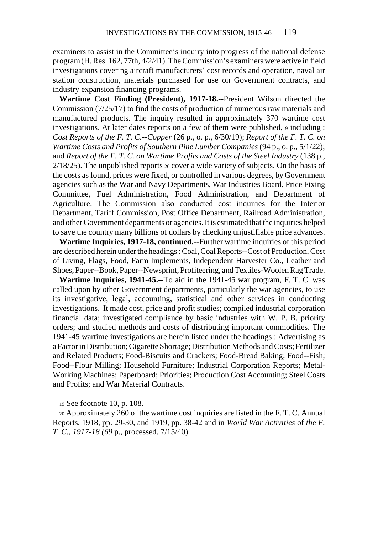examiners to assist in the Committee's inquiry into progress of the national defense program(H.Res. 162, 77th, 4/2/41). TheCommission's examiners were active in field investigations covering aircraft manufacturers' cost records and operation, naval air station construction, materials purchased for use on Government contracts, and industry expansion financing programs.

**Wartime Cost Finding (President), 1917-18.--**President Wilson directed the Commission (7/25/17) to find the costs of production of numerous raw materials and manufactured products. The inquiry resulted in approximately 370 wartime cost investigations. At later dates reports on a few of them were published,<sup>19</sup> including : *Cost Reports of the F. T. C.--Copper* (26 p., o. p., 6/30/19); *Report of the F. T. C. on Wartime Costs and Profits of Southern Pine Lumber Companies* (94 p., o. p., 5/1/22); and *Report of the F. T. C. on Wartime Profits and Costs of the Steel Industry* (138 p., 2/18/25). The unpublished reports <sup>20</sup> cover a wide variety of subjects. On the basis of the costs as found, prices were fixed, or controlled in various degrees, by Government agencies such as the War and Navy Departments, War Industries Board, Price Fixing Committee, Fuel Administration, Food Administration, and Department of Agriculture. The Commission also conducted cost inquiries for the Interior Department, Tariff Commission, Post Office Department, Railroad Administration, and other Government departments or agencies.It is estimated that the inquiries helped to save the country many billions of dollars by checking unjustifiable price advances.

**Wartime Inquiries, 1917-18, continued.--**Further wartime inquiries of this period are described herein under the headings: Coal, Coal Reports--Cost of Production, Cost of Living, Flags, Food, Farm Implements, Independent Harvester Co., Leather and Shoes, Paper--Book, Paper--Newsprint, Profiteering, and Textiles-Woolen Rag Trade.

**Wartime Inquiries, 1941-45.--**To aid in the 1941-45 war program, F. T. C. was called upon by other Government departments, particularly the war agencies, to use its investigative, legal, accounting, statistical and other services in conducting investigations. It made cost, price and profit studies; compiled industrial corporation financial data; investigated compliance by basic industries with W. P. B. priority orders; and studied methods and costs of distributing important commodities. The 1941-45 wartime investigations are herein listed under the headings : Advertising as a Factor in Distribution; Cigarette Shortage; Distribution Methods and Costs; Fertilizer and Related Products; Food-Biscuits and Crackers; Food-Bread Baking; Food--Fish; Food--Flour Milling; Household Furniture; Industrial Corporation Reports; Metal-Working Machines; Paperboard; Priorities; Production Cost Accounting; Steel Costs and Profits; and War Material Contracts.

<sup>19</sup> See footnote 10, p. 108.

<sup>20</sup> Approximately 260 of the wartime cost inquiries are listed in the F. T. C. Annual Reports, 1918, pp. 29-30, and 1919, pp. 38-42 and in *World War Activities* of *the F. T. C., 1917-18 (69* p., processed. 7/15/40).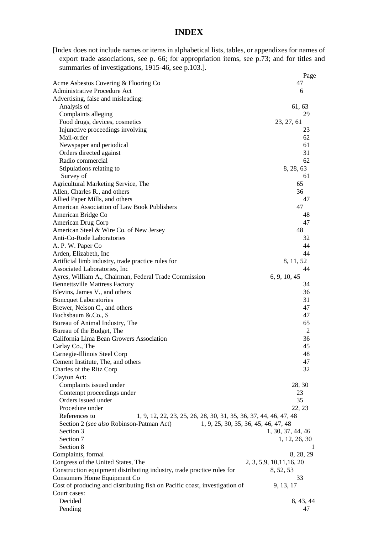# **INDEX**

[Index does not include names or items in alphabetical lists, tables, or appendixes for names of export trade associations, see p. 66; for appropriation items, see p.73; and for titles and summaries of investigations, 1915-46, see p.103.].  $P_{\alpha\alpha\alpha}$ 

|                                                                                   | rage                       |
|-----------------------------------------------------------------------------------|----------------------------|
| Acme Asbestos Covering & Flooring Co                                              | 47                         |
| Administrative Procedure Act                                                      | 6                          |
| Advertising, false and misleading:                                                |                            |
| Analysis of                                                                       | 61, 63                     |
| Complaints alleging                                                               | 29                         |
| Food drugs, devices, cosmetics                                                    | 23, 27, 61<br>23           |
| Injunctive proceedings involving<br>Mail-order                                    | 62                         |
|                                                                                   | 61                         |
| Newspaper and periodical<br>Orders directed against                               | 31                         |
| Radio commercial                                                                  | 62                         |
| Stipulations relating to                                                          | 8, 28, 63                  |
| Survey of                                                                         | 61                         |
| Agricultural Marketing Service, The                                               | 65                         |
| Allen, Charles R., and others                                                     | 36                         |
| Allied Paper Mills, and others                                                    | 47                         |
| American Association of Law Book Publishers                                       | 47                         |
| American Bridge Co                                                                | 48                         |
| American Drug Corp                                                                | 47                         |
| American Steel & Wire Co. of New Jersey                                           | 48                         |
| Anti-Co-Rode Laboratories                                                         | 32                         |
| A. P. W. Paper Co.                                                                | 44                         |
| Arden, Elizabeth, Inc                                                             | 44                         |
| Artificial limb industry, trade practice rules for                                | 8, 11, 52                  |
| Associated Laboratories, Inc.                                                     | 44                         |
| Ayres, William A., Chairman, Federal Trade Commission                             | 6, 9, 10, 45               |
| <b>Bennettsville Mattress Factory</b>                                             | 34                         |
| Blevins, James V., and others                                                     | 36                         |
| <b>Boncquet Laboratories</b>                                                      | 31                         |
| Brewer, Nelson C., and others                                                     | 47                         |
| Buchsbaum & Co., S                                                                | 47                         |
| Bureau of Animal Industry, The                                                    | 65                         |
| Bureau of the Budget, The                                                         | 2                          |
| California Lima Bean Growers Association                                          | 36                         |
| Carlay Co., The                                                                   | 45                         |
| Carnegie-Illinois Steel Corp                                                      | 48                         |
| Cement Institute, The, and others                                                 | 47                         |
| Charles of the Ritz Corp                                                          | 32                         |
| Clayton Act:                                                                      |                            |
| Complaints issued under                                                           | 28, 30                     |
| Contempt proceedings under                                                        | 23                         |
| Orders issued under                                                               | 35                         |
| Procedure under                                                                   | 22, 23                     |
| References to<br>1, 9, 12, 22, 23, 25, 26, 28, 30, 31, 35, 36, 37, 44, 46, 47, 48 |                            |
| Section 2 (see also Robinson-Patman Act)<br>1, 9, 25, 30, 35, 36, 45, 46, 47, 48  |                            |
| Section 3                                                                         | 1, 30, 37, 44, 46          |
| Section 7                                                                         | 1, 12, 26, 30              |
| Section 8                                                                         | 1                          |
| Complaints, formal                                                                | 8, 28, 29                  |
| Congress of the United States, The                                                | 2, 3, 5, 9, 10, 11, 16, 20 |
| Construction equipment distributing industry, trade practice rules for            | 8, 52, 53                  |
| Consumers Home Equipment Co                                                       | 33                         |
| Cost of producing and distributing fish on Pacific coast, investigation of        | 9, 13, 17                  |
| Court cases:                                                                      |                            |
| Decided                                                                           | 8, 43, 44                  |
| Pending                                                                           | 47                         |
|                                                                                   |                            |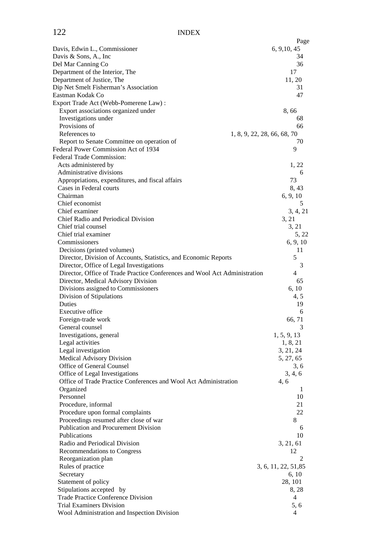| 122                                                                        | <b>INDEX</b>                |
|----------------------------------------------------------------------------|-----------------------------|
|                                                                            | Page                        |
| Davis, Edwin L., Commissioner                                              | 6, 9, 10, 45                |
| Davis & Sons, A., Inc.                                                     | 34                          |
| Del Mar Canning Co                                                         | 36                          |
| Department of the Interior, The                                            | 17                          |
| Department of Justice, The                                                 | 11, 20                      |
| Dip Net Smelt Fisherman's Association                                      | 31                          |
| Eastman Kodak Co                                                           | 47                          |
| Export Trade Act (Webb-Pomerene Law):                                      |                             |
| Export associations organized under                                        | 8,66                        |
| Investigations under                                                       | 68                          |
| Provisions of                                                              | 66                          |
| References to                                                              | 1, 8, 9, 22, 28, 66, 68, 70 |
| Report to Senate Committee on operation of                                 | 70                          |
| Federal Power Commission Act of 1934                                       | 9                           |
| Federal Trade Commission:                                                  |                             |
| Acts administered by                                                       | 1, 22                       |
| Administrative divisions                                                   | 6                           |
| Appropriations, expenditures, and fiscal affairs                           | 73                          |
| Cases in Federal courts                                                    | 8, 43                       |
| Chairman                                                                   | 6, 9, 10                    |
| Chief economist                                                            | 5                           |
| Chief examiner                                                             | 3, 4, 21                    |
| Chief Radio and Periodical Division                                        | 3, 21                       |
| Chief trial counsel                                                        | 3, 21                       |
| Chief trial examiner                                                       | 5, 22                       |
| Commissioners                                                              | 6, 9, 10                    |
| Decisions (printed volumes)                                                | 11                          |
| Director, Division of Accounts, Statistics, and Economic Reports           | 5                           |
| Director, Office of Legal Investigations                                   | 3<br>4                      |
| Director, Office of Trade Practice Conferences and Wool Act Administration | 65                          |
| Director, Medical Advisory Division                                        |                             |
| Divisions assigned to Commissioners                                        | 6, 10<br>4, 5               |
| Division of Stipulations<br>Duties                                         | 19                          |
| Executive office                                                           | 6                           |
| Foreign-trade work                                                         | 66, 71                      |
| General counsel                                                            | 3                           |
| Investigations, general                                                    | 1, 5, 9, 13                 |
| Legal activities                                                           | 1, 8, 21                    |
| Legal investigation                                                        | 3, 21, 24                   |
| Medical Advisory Division                                                  | 5, 27, 65                   |
| Office of General Counsel                                                  | 3, 6                        |
| Office of Legal Investigations                                             | 3, 4, 6                     |
| Office of Trade Practice Conferences and Wool Act Administration           | 4, 6                        |
| Organized                                                                  | 1                           |
| Personnel                                                                  | 10                          |
| Procedure, informal                                                        | 21                          |
| Procedure upon formal complaints                                           | 22                          |
| Proceedings resumed after close of war                                     | 8                           |

Publication and Procurement Division 6 Publications 10 Radio and Periodical Division 3, 21, 61<br>Recommendations to Congress 12

Reorganization plan 2 Rules of practice 3, 6, 11, 22, 51,85 Secretary 6, 10<br>Statement of policy 28, 101 Statement of policy 28, 101 Stipulations accepted by  $\qquad 8, 28$ Trade Practice Conference Division 4<br>Trial Examiners Division 5, 6

Wool Administration and Inspection Division 4

Recommendations to Congress

Trial Examiners Division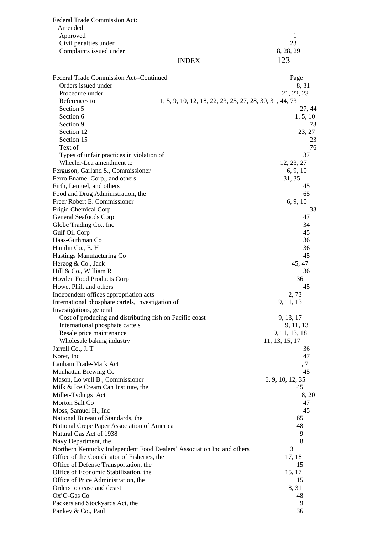| Federal Trade Commission Act:                                                  |                                                         |                  |
|--------------------------------------------------------------------------------|---------------------------------------------------------|------------------|
| Amended                                                                        |                                                         | 1                |
| Approved                                                                       |                                                         | 1                |
| Civil penalties under                                                          |                                                         | 23               |
| Complaints issued under                                                        |                                                         | 8, 28, 29        |
|                                                                                | <b>INDEX</b>                                            | 123              |
| Federal Trade Commission Act--Continued                                        |                                                         | Page             |
| Orders issued under                                                            |                                                         | 8, 31            |
| Procedure under                                                                |                                                         | 21, 22, 23       |
| References to                                                                  | 1, 5, 9, 10, 12, 18, 22, 23, 25, 27, 28, 30, 31, 44, 73 |                  |
| Section 5                                                                      |                                                         | 27, 44           |
| Section 6                                                                      |                                                         | 1, 5, 10         |
| Section 9                                                                      |                                                         | 73               |
| Section 12                                                                     |                                                         | 23, 27           |
| Section 15                                                                     |                                                         | 23               |
| Text of                                                                        |                                                         | 76               |
| Types of unfair practices in violation of                                      |                                                         | 37               |
| Wheeler-Lea amendment to                                                       |                                                         | 12, 23, 27       |
| Ferguson, Garland S., Commissioner                                             |                                                         | 6, 9, 10         |
| Ferro Enamel Corp., and others<br>Firth, Lemuel, and others                    |                                                         | 31, 35           |
| Food and Drug Administration, the                                              |                                                         | 45<br>65         |
| Freer Robert E. Commissioner                                                   |                                                         | 6, 9, 10         |
| Frigid Chemical Corp                                                           |                                                         | 33               |
| General Seafoods Corp                                                          |                                                         | 47               |
| Globe Trading Co., Inc.                                                        |                                                         | 34               |
| Gulf Oil Corp                                                                  |                                                         | 45               |
| Haas-Guthman Co                                                                |                                                         | 36               |
| Hamlin Co., E. H                                                               |                                                         | 36               |
| Hastings Manufacturing Co                                                      |                                                         | 45               |
| Herzog & Co., Jack                                                             |                                                         | 45, 47           |
| Hill & Co., William R                                                          |                                                         | 36               |
| Hovden Food Products Corp                                                      |                                                         | 36               |
| Howe, Phil, and others                                                         |                                                         | 45               |
| Independent offices appropriation acts                                         |                                                         | 2,73             |
| International phosphate cartels, investigation of<br>Investigations, general : |                                                         | 9, 11, 13        |
| Cost of producing and distributing fish on Pacific coast                       |                                                         | 9, 13, 17        |
| International phosphate cartels                                                |                                                         | 9, 11, 13        |
| Resale price maintenance                                                       |                                                         | 9, 11, 13, 18    |
| Wholesale baking industry                                                      |                                                         | 11, 13, 15, 17   |
| Jarrell Co., J. T                                                              |                                                         | 36               |
| Koret, Inc.                                                                    |                                                         | 47               |
| Lanham Trade-Mark Act                                                          |                                                         | 1, 7             |
| Manhattan Brewing Co                                                           |                                                         | 45               |
| Mason, Lo well B., Commissioner                                                |                                                         | 6, 9, 10, 12, 35 |
| Milk & Ice Cream Can Institute, the                                            |                                                         | 45               |
| Miller-Tydings Act<br>Morton Salt Co                                           |                                                         | 18, 20<br>47     |
| Moss, Samuel H., Inc.                                                          |                                                         | 45               |
| National Bureau of Standards, the                                              |                                                         | 65               |
| National Crepe Paper Association of America                                    |                                                         | 48               |
| Natural Gas Act of 1938                                                        |                                                         | 9                |
| Navy Department, the                                                           |                                                         | 8                |
| Northern Kentucky Independent Food Dealers' Association Inc and others         |                                                         | 31               |
| Office of the Coordinator of Fisheries, the                                    |                                                         | 17, 18           |
| Office of Defense Transportation, the                                          |                                                         | 15               |
| Office of Economic Stabilization, the                                          |                                                         | 15, 17           |
| Office of Price Administration, the                                            |                                                         | 15               |
| Orders to cease and desist                                                     |                                                         | 8, 31            |
| Ox'O-Gas Co                                                                    |                                                         | 48<br>9          |
| Packers and Stockyards Act, the<br>Pankey & Co., Paul                          |                                                         | 36               |
|                                                                                |                                                         |                  |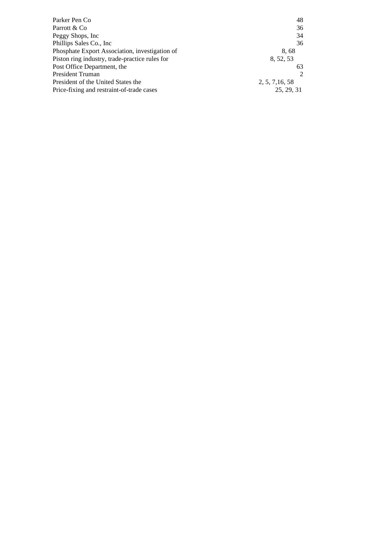| Parker Pen Co                                  | 48              |
|------------------------------------------------|-----------------|
| Parrott & Co                                   | 36              |
| Peggy Shops, Inc.                              | 34              |
| Phillips Sales Co., Inc.                       | 36              |
| Phosphate Export Association, investigation of | 8.68            |
| Piston ring industry, trade-practice rules for | 8, 52, 53       |
| Post Office Department, the                    | 63              |
| President Truman                               |                 |
| President of the United States the             | 2, 5, 7, 16, 58 |
| Price-fixing and restraint-of-trade cases      | 25, 29, 31      |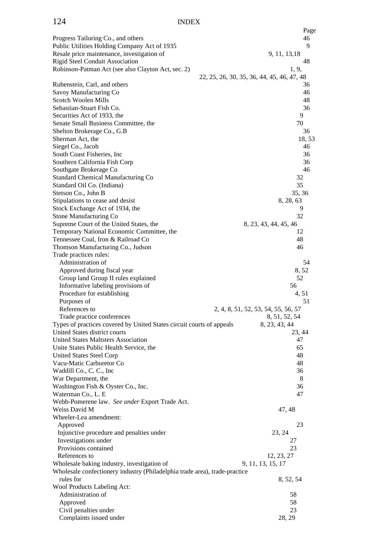124 INDEX

|                                                                            | Page                                                |
|----------------------------------------------------------------------------|-----------------------------------------------------|
| Progress Tailoring Co., and others                                         | 46                                                  |
| Public Utilities Holding Company Act of 1935                               | 9                                                   |
| Resale price maintenance, investigation of                                 | 9, 11, 13, 18                                       |
| Rigid Steel Conduit Association                                            | 48                                                  |
| Robinson-Patman Act (see also Clayton Act, sec. 2)                         | 1, 9,<br>22, 25, 26, 30, 35, 36, 44, 45, 46, 47, 48 |
| Rubenstein, Carl, and others                                               | 36                                                  |
| Savoy Manufacturing Co                                                     | 46                                                  |
| Scotch Woolen Mills                                                        | 48                                                  |
| Sebastian-Stuart Fish Co.                                                  | 36                                                  |
| Securities Act of 1933, the                                                | 9                                                   |
| Senate Small Business Committee, the                                       | 70                                                  |
| Shelton Brokerage Co., G.B                                                 | 36                                                  |
| Sherman Act, the                                                           | 18, 53<br>46                                        |
| Siegel Co., Jacob<br>South Coast Fisheries, Inc.                           | 36                                                  |
| Southern California Fish Corp                                              | 36                                                  |
| Southgate Brokerage Co                                                     | 46                                                  |
| Standard Chemical Manufacturing Co                                         | 32                                                  |
| Standard Oil Co. (Indiana)                                                 | 35                                                  |
| Stetson Co., John B                                                        | 35, 36                                              |
| Stipulations to cease and desist                                           | 8, 28, 63                                           |
| Stock Exchange Act of 1934, the                                            | 9                                                   |
| Stone Manufacturing Co<br>Supreme Court of the United States, the          | 32<br>8, 23, 43, 44, 45, 46                         |
| Temporary National Economic Committee, the                                 | 12                                                  |
| Tennessee Coal, Iron & Railroad Co                                         | 48                                                  |
| Thomson Manufacturing Co., Judson                                          | 46                                                  |
| Trade practices rules:                                                     |                                                     |
| Administration of                                                          | 54                                                  |
| Approved during fiscal year                                                | 8,52                                                |
| Group land Group II rules explained                                        | 52                                                  |
| Informative labeling provisions of<br>Procedure for establishing           | 56<br>4, 51                                         |
| Purposes of                                                                | 51                                                  |
| References to                                                              | 2, 4, 8, 51, 52, 53, 54, 55, 56, 57                 |
| Trade practice conferences                                                 | 8, 51, 52, 54                                       |
| Types of practices covered by United States circuit courts of appeals      | 8, 23, 43, 44                                       |
| United States district courts                                              | 23, 44                                              |
| <b>United States Maltsters Association</b>                                 | 47                                                  |
| Unite States Public Health Service, the<br><b>United States Steel Corp</b> | 65<br>48                                            |
| Vacu-Matic Carburetor Co                                                   | 48                                                  |
| Waddill Co., C. C., Inc.                                                   | 36                                                  |
| War Department, the                                                        | 8                                                   |
| Washington Fish & Oyster Co., Inc.                                         | 36                                                  |
| Waterman Co., L. E                                                         | 47                                                  |
| Webb-Pomerene law. See under Export Trade Act.                             |                                                     |
| Weiss David M                                                              | 47, 48                                              |
| Wheeler-Lea amendment:                                                     | 23                                                  |
| Approved<br>Injunctive procedure and penalties under                       | 23, 24                                              |
| Investigations under                                                       | 27                                                  |
| Provisions contained                                                       | 23                                                  |
| References to                                                              | 12, 23, 27                                          |
| Wholesale baking industry, investigation of                                | 9, 11, 13, 15, 17                                   |
| Wholesale confectionery industry (Philadelphia trade area), trade-practice |                                                     |
| rules for                                                                  | 8, 52, 54                                           |
| Wool Products Labeling Act:<br>Administration of                           | 58                                                  |
| Approved                                                                   | 58                                                  |
| Civil penalties under                                                      | 23                                                  |
| Complaints issued under                                                    | 28, 29                                              |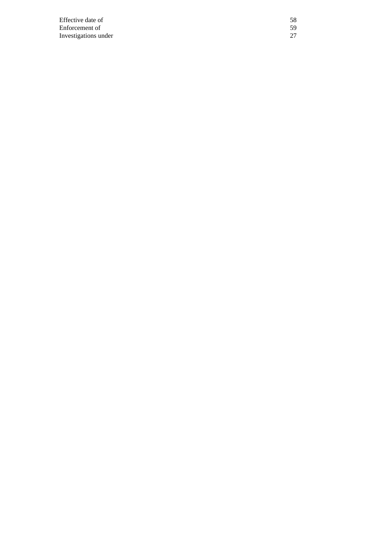Effective date of 58<br>Enforcement of 59 Enforcement of 59<br>Investigations under 59 Investigations under